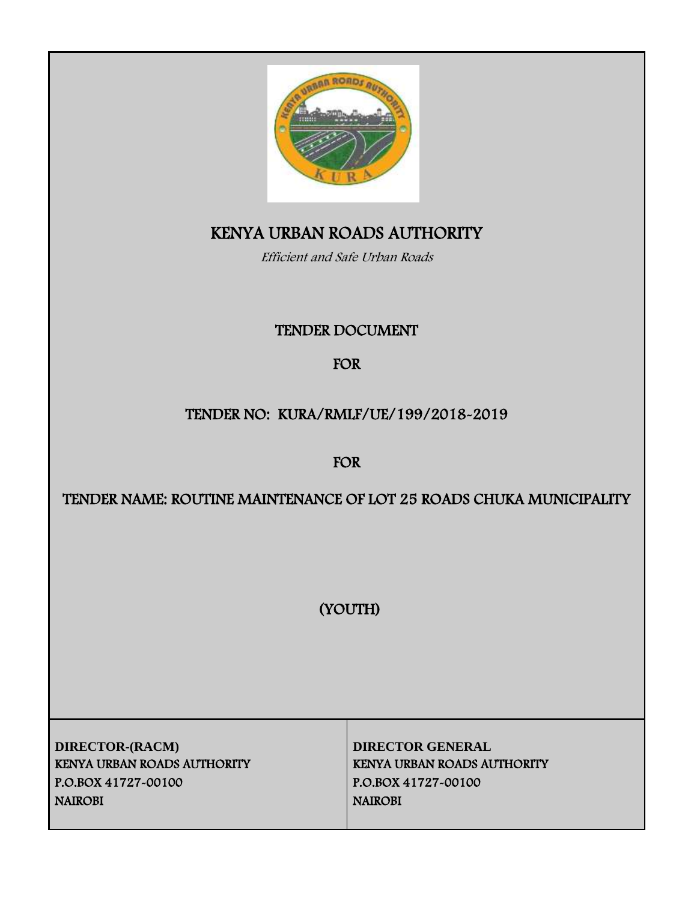

# KENYA URBAN ROADS AUTHORITY

Efficient and Safe Urban Roads

# TENDER DOCUMENT

# FOR

# TENDER NO: KURA/RMLF/UE/199/2018-2019

FOR

# TENDER NAME: ROUTINE MAINTENANCE OF LOT 25 ROADS CHUKA MUNICIPALITY

(YOUTH)

**DIRECTOR-(RACM) DIRECTOR GENERAL** KENYA URBAN ROADS AUTHORITY KENYA URBAN ROADS AUTHORITY P.O.BOX 41727-00100 P.O.BOX 41727-00100 NAIROBI NAIROBI NAIROBI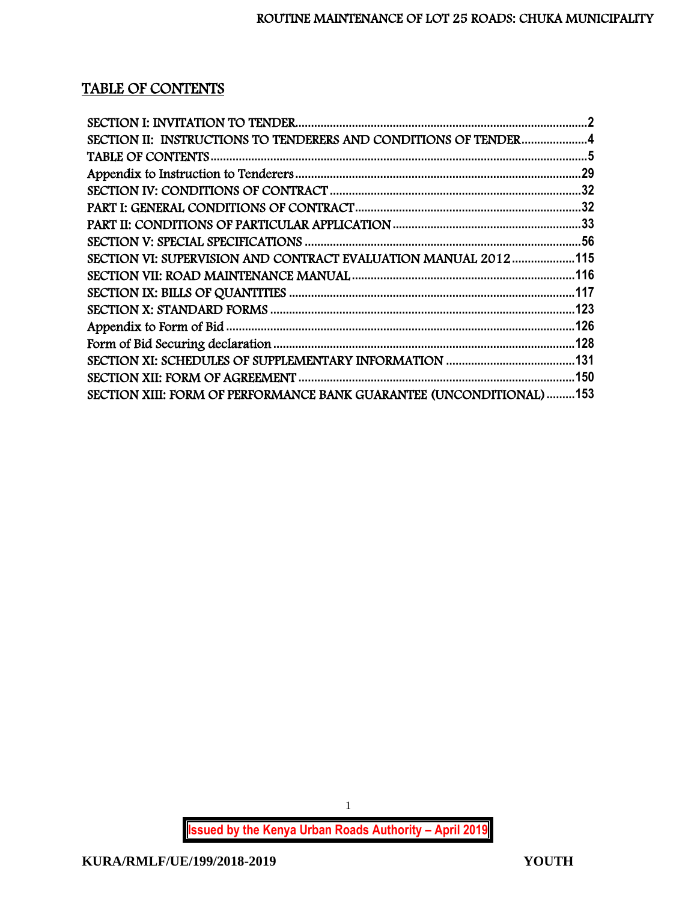# TABLE OF CONTENTS

| SECTION II: INSTRUCTIONS TO TENDERERS AND CONDITIONS OF TENDER4      |  |
|----------------------------------------------------------------------|--|
|                                                                      |  |
|                                                                      |  |
|                                                                      |  |
|                                                                      |  |
|                                                                      |  |
|                                                                      |  |
| SECTION VI: SUPERVISION AND CONTRACT EVALUATION MANUAL 2012115       |  |
|                                                                      |  |
|                                                                      |  |
|                                                                      |  |
|                                                                      |  |
|                                                                      |  |
|                                                                      |  |
|                                                                      |  |
| SECTION XIII: FORM OF PERFORMANCE BANK GUARANTEE (UNCONDITIONAL) 153 |  |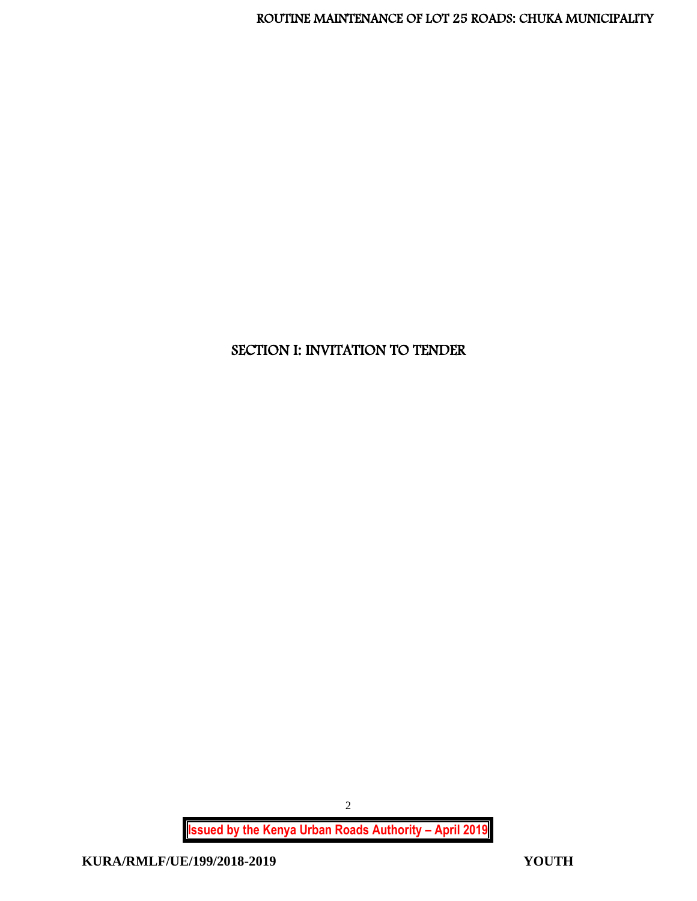# <span id="page-2-0"></span>SECTION I: INVITATION TO TENDER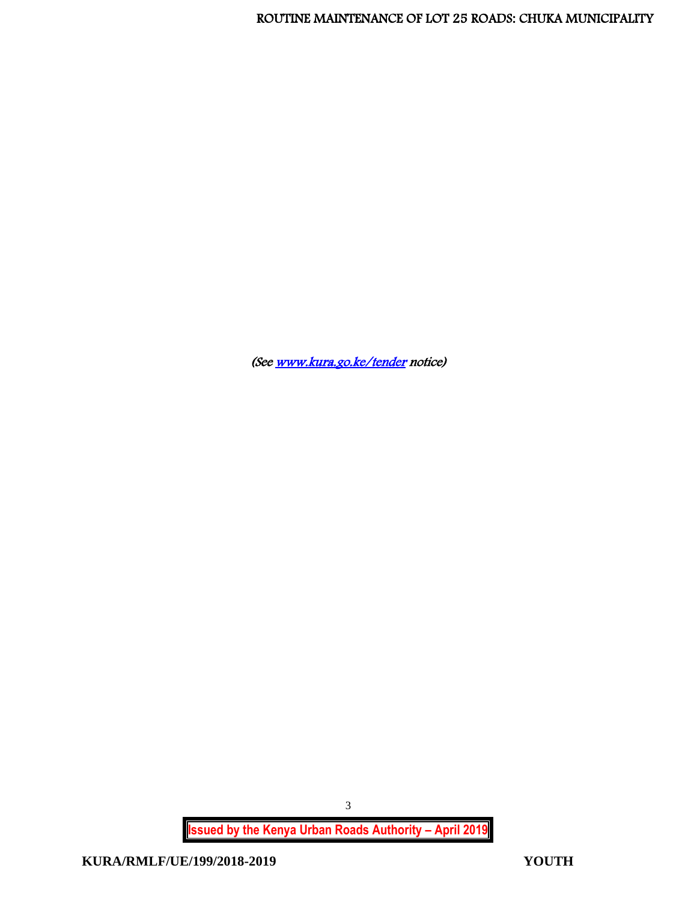(See www.kura.go.ke/tender</u> notice)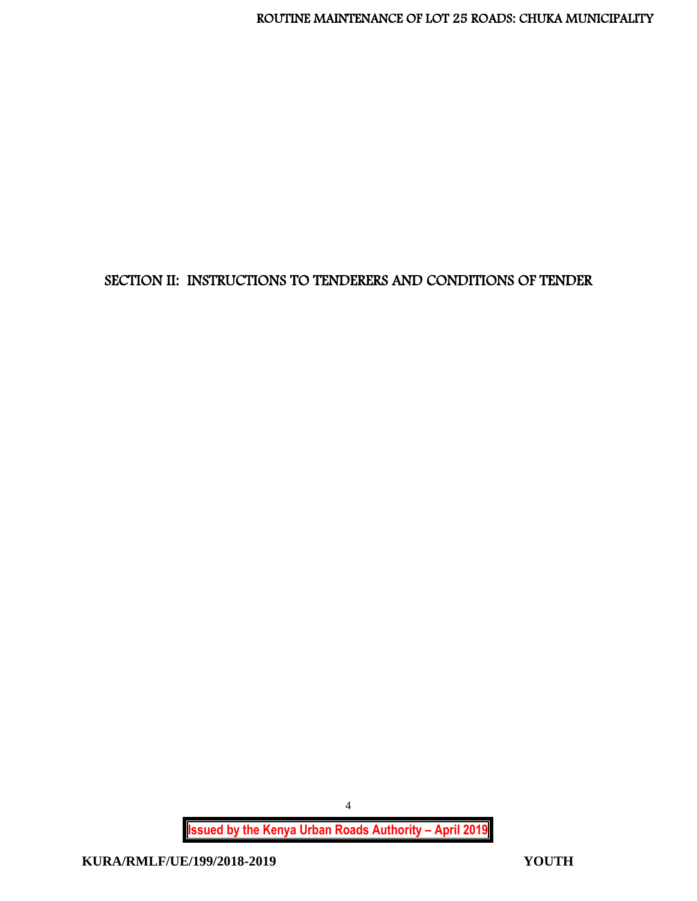# <span id="page-4-0"></span>SECTION II: INSTRUCTIONS TO TENDERERS AND CONDITIONS OF TENDER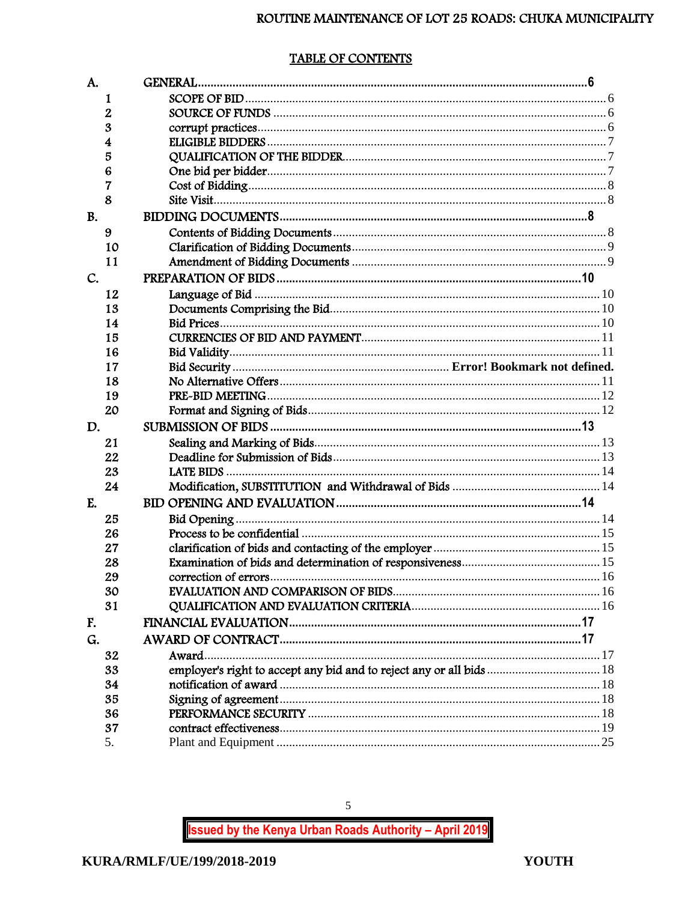# TABLE OF CONTENTS

<span id="page-5-0"></span>

| A.        |             | <b>GENERAL.</b>                                                      |  |
|-----------|-------------|----------------------------------------------------------------------|--|
|           | 1           |                                                                      |  |
|           | $\mathbf 2$ |                                                                      |  |
|           | 3           |                                                                      |  |
|           | 4           |                                                                      |  |
|           | 5           |                                                                      |  |
|           | 6           |                                                                      |  |
|           | 7           |                                                                      |  |
|           | 8           |                                                                      |  |
| <b>B.</b> |             |                                                                      |  |
|           | 9           |                                                                      |  |
|           | 10          |                                                                      |  |
|           | 11          |                                                                      |  |
| C.        |             |                                                                      |  |
|           | 12          |                                                                      |  |
|           | 13          |                                                                      |  |
|           | 14          |                                                                      |  |
|           | 15          |                                                                      |  |
|           | 16          |                                                                      |  |
|           | 17          |                                                                      |  |
|           | 18          |                                                                      |  |
|           | 19          |                                                                      |  |
|           | 20          |                                                                      |  |
| D.        |             |                                                                      |  |
|           | 21          |                                                                      |  |
|           | 22          |                                                                      |  |
|           | 23          |                                                                      |  |
|           | 24          |                                                                      |  |
| E.        |             |                                                                      |  |
|           | 25          |                                                                      |  |
|           | 26          |                                                                      |  |
|           | 27          |                                                                      |  |
|           | 28          |                                                                      |  |
|           | 29          |                                                                      |  |
|           | 30          |                                                                      |  |
|           | 31          |                                                                      |  |
| F.        |             |                                                                      |  |
| G.        |             |                                                                      |  |
|           | 32          | Award                                                                |  |
|           | 33          | employer's right to accept any bid and to reject any or all bids  18 |  |
|           | 34          |                                                                      |  |
|           | 35          |                                                                      |  |
|           | 36          |                                                                      |  |
|           | 37          |                                                                      |  |
|           | 5.          |                                                                      |  |

 $\overline{5}$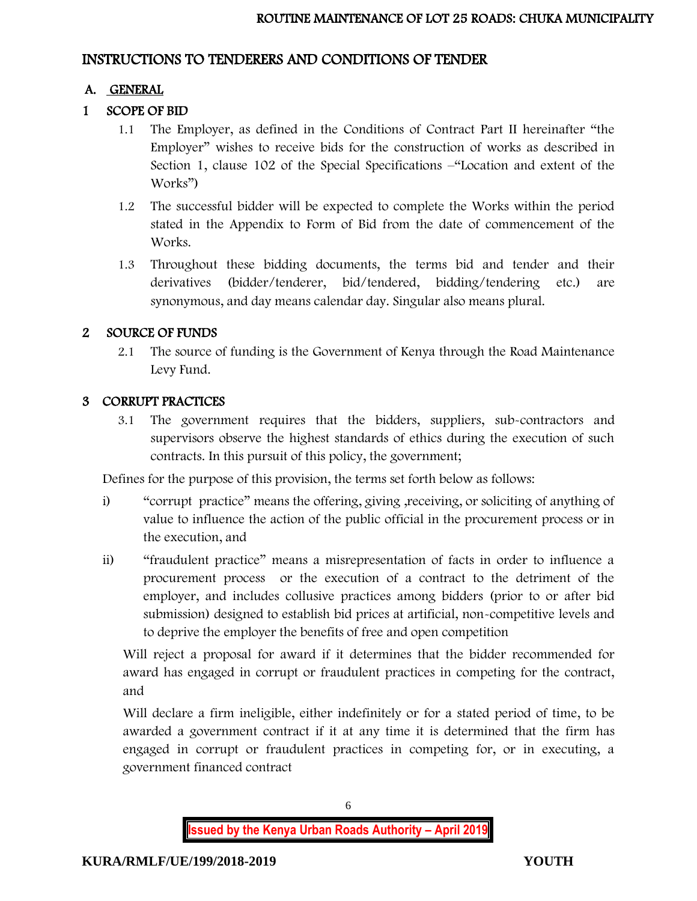## INSTRUCTIONS TO TENDERERS AND CONDITIONS OF TENDER

# A. GENERAL

# 1 SCOPE OF BID

- 1.1 The Employer, as defined in the Conditions of Contract Part II hereinafter "the Employer" wishes to receive bids for the construction of works as described in Section 1, clause 102 of the Special Specifications –"Location and extent of the Works")
- 1.2 The successful bidder will be expected to complete the Works within the period stated in the Appendix to Form of Bid from the date of commencement of the Works.
- 1.3 Throughout these bidding documents, the terms bid and tender and their derivatives (bidder/tenderer, bid/tendered, bidding/tendering etc.) are synonymous, and day means calendar day. Singular also means plural.

# 2 SOURCE OF FUNDS

2.1 The source of funding is the Government of Kenya through the Road Maintenance Levy Fund.

# 3 CORRUPT PRACTICES

3.1 The government requires that the bidders, suppliers, sub-contractors and supervisors observe the highest standards of ethics during the execution of such contracts. In this pursuit of this policy, the government;

Defines for the purpose of this provision, the terms set forth below as follows:

- i) "corrupt practice" means the offering, giving ,receiving, or soliciting of anything of value to influence the action of the public official in the procurement process or in the execution, and
- ii) "fraudulent practice" means a misrepresentation of facts in order to influence a procurement process or the execution of a contract to the detriment of the employer, and includes collusive practices among bidders (prior to or after bid submission) designed to establish bid prices at artificial, non-competitive levels and to deprive the employer the benefits of free and open competition

Will reject a proposal for award if it determines that the bidder recommended for award has engaged in corrupt or fraudulent practices in competing for the contract, and

Will declare a firm ineligible, either indefinitely or for a stated period of time, to be awarded a government contract if it at any time it is determined that the firm has engaged in corrupt or fraudulent practices in competing for, or in executing, a government financed contract

6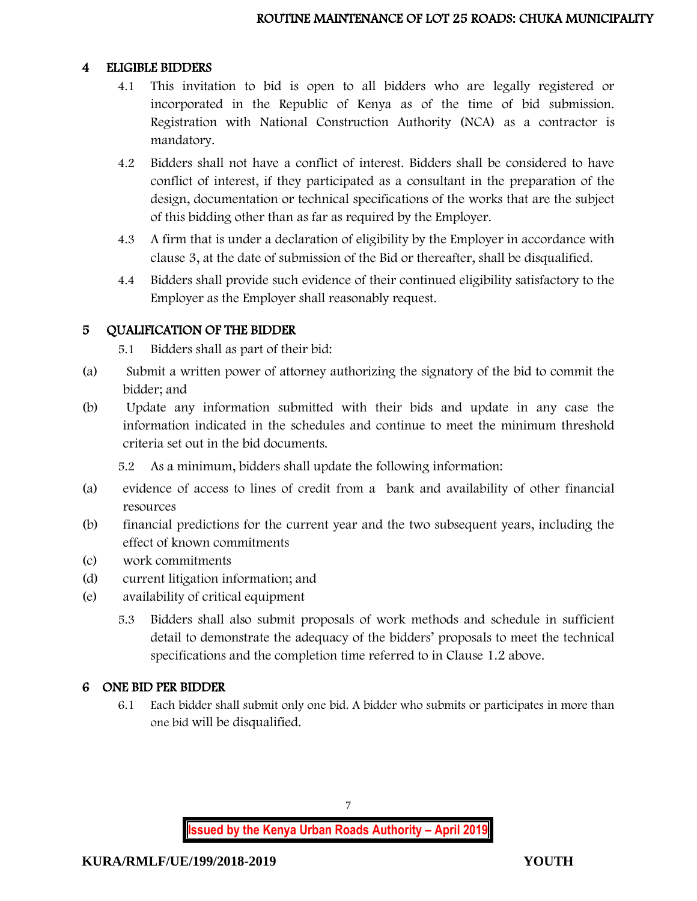#### 4 ELIGIBLE BIDDERS

- 4.1 This invitation to bid is open to all bidders who are legally registered or incorporated in the Republic of Kenya as of the time of bid submission. Registration with National Construction Authority (NCA) as a contractor is mandatory.
- 4.2 Bidders shall not have a conflict of interest. Bidders shall be considered to have conflict of interest, if they participated as a consultant in the preparation of the design, documentation or technical specifications of the works that are the subject of this bidding other than as far as required by the Employer.
- 4.3 A firm that is under a declaration of eligibility by the Employer in accordance with clause 3, at the date of submission of the Bid or thereafter, shall be disqualified.
- 4.4 Bidders shall provide such evidence of their continued eligibility satisfactory to the Employer as the Employer shall reasonably request.

### 5 QUALIFICATION OF THE BIDDER

- 5.1 Bidders shall as part of their bid:
- (a) Submit a written power of attorney authorizing the signatory of the bid to commit the bidder; and
- (b) Update any information submitted with their bids and update in any case the information indicated in the schedules and continue to meet the minimum threshold criteria set out in the bid documents.

5.2 As a minimum, bidders shall update the following information:

- (a) evidence of access to lines of credit from a bank and availability of other financial resources
- (b) financial predictions for the current year and the two subsequent years, including the effect of known commitments
- (c) work commitments
- (d) current litigation information; and
- (e) availability of critical equipment
	- 5.3 Bidders shall also submit proposals of work methods and schedule in sufficient detail to demonstrate the adequacy of the bidders' proposals to meet the technical specifications and the completion time referred to in Clause 1.2 above.

### 6 ONE BID PER BIDDER

6.1 Each bidder shall submit only one bid. A bidder who submits or participates in more than one bid will be disqualified.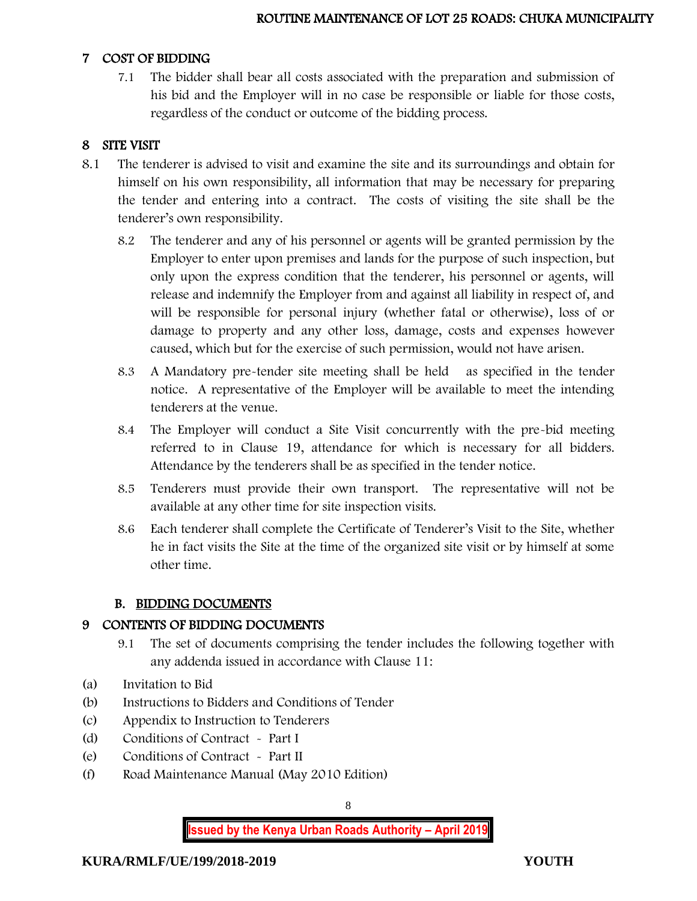#### 7 COST OF BIDDING

7.1 The bidder shall bear all costs associated with the preparation and submission of his bid and the Employer will in no case be responsible or liable for those costs, regardless of the conduct or outcome of the bidding process.

### 8 SITE VISIT

- 8.1 The tenderer is advised to visit and examine the site and its surroundings and obtain for himself on his own responsibility, all information that may be necessary for preparing the tender and entering into a contract. The costs of visiting the site shall be the tenderer's own responsibility.
	- 8.2 The tenderer and any of his personnel or agents will be granted permission by the Employer to enter upon premises and lands for the purpose of such inspection, but only upon the express condition that the tenderer, his personnel or agents, will release and indemnify the Employer from and against all liability in respect of, and will be responsible for personal injury (whether fatal or otherwise), loss of or damage to property and any other loss, damage, costs and expenses however caused, which but for the exercise of such permission, would not have arisen.
	- 8.3 A Mandatory pre-tender site meeting shall be held as specified in the tender notice. A representative of the Employer will be available to meet the intending tenderers at the venue.
	- 8.4 The Employer will conduct a Site Visit concurrently with the pre-bid meeting referred to in Clause 19, attendance for which is necessary for all bidders. Attendance by the tenderers shall be as specified in the tender notice.
	- 8.5 Tenderers must provide their own transport. The representative will not be available at any other time for site inspection visits.
	- 8.6 Each tenderer shall complete the Certificate of Tenderer's Visit to the Site, whether he in fact visits the Site at the time of the organized site visit or by himself at some other time.

### B. BIDDING DOCUMENTS

### 9 CONTENTS OF BIDDING DOCUMENTS

- 9.1 The set of documents comprising the tender includes the following together with any addenda issued in accordance with Clause 11:
- (a) Invitation to Bid
- (b) Instructions to Bidders and Conditions of Tender
- (c) Appendix to Instruction to Tenderers
- (d) Conditions of Contract Part I
- (e) Conditions of Contract Part II
- (f) Road Maintenance Manual (May 2010 Edition)

8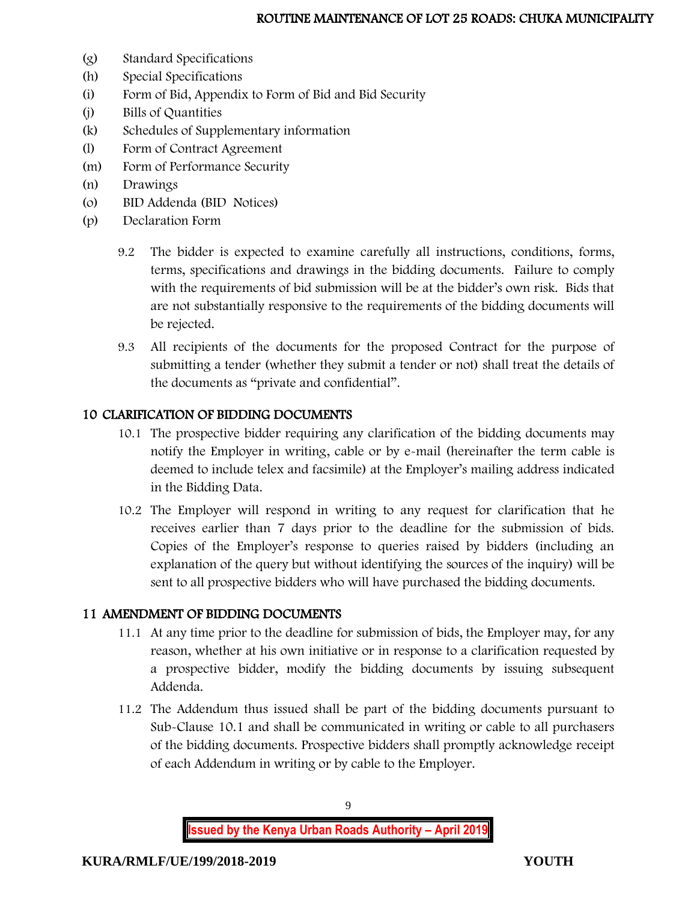- (g) Standard Specifications
- (h) Special Specifications
- (i) Form of Bid, Appendix to Form of Bid and Bid Security
- (j) Bills of Quantities
- (k) Schedules of Supplementary information
- (l) Form of Contract Agreement
- (m) Form of Performance Security
- (n) Drawings
- (o) BID Addenda (BID Notices)
- (p) Declaration Form
	- 9.2 The bidder is expected to examine carefully all instructions, conditions, forms, terms, specifications and drawings in the bidding documents. Failure to comply with the requirements of bid submission will be at the bidder's own risk. Bids that are not substantially responsive to the requirements of the bidding documents will be rejected.
	- 9.3 All recipients of the documents for the proposed Contract for the purpose of submitting a tender (whether they submit a tender or not) shall treat the details of the documents as "private and confidential".

## 10 CLARIFICATION OF BIDDING DOCUMENTS

- 10.1 The prospective bidder requiring any clarification of the bidding documents may notify the Employer in writing, cable or by e-mail (hereinafter the term cable is deemed to include telex and facsimile) at the Employer's mailing address indicated in the Bidding Data.
- 10.2 The Employer will respond in writing to any request for clarification that he receives earlier than 7 days prior to the deadline for the submission of bids. Copies of the Employer's response to queries raised by bidders (including an explanation of the query but without identifying the sources of the inquiry) will be sent to all prospective bidders who will have purchased the bidding documents.

### 11 AMENDMENT OF BIDDING DOCUMENTS

- 11.1 At any time prior to the deadline for submission of bids, the Employer may, for any reason, whether at his own initiative or in response to a clarification requested by a prospective bidder, modify the bidding documents by issuing subsequent Addenda.
- 11.2 The Addendum thus issued shall be part of the bidding documents pursuant to Sub-Clause 10.1 and shall be communicated in writing or cable to all purchasers of the bidding documents. Prospective bidders shall promptly acknowledge receipt of each Addendum in writing or by cable to the Employer.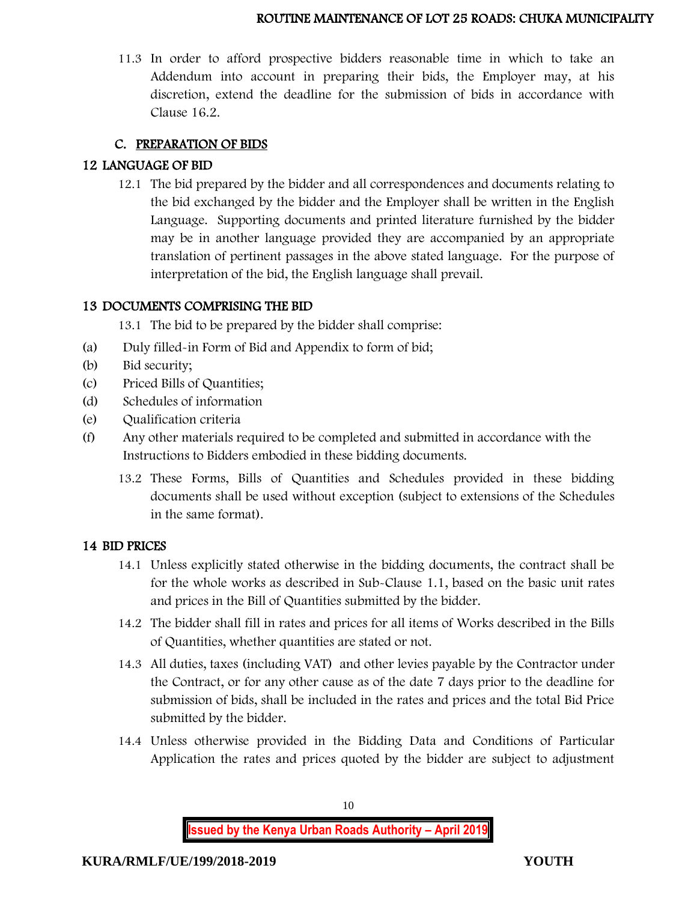11.3 In order to afford prospective bidders reasonable time in which to take an Addendum into account in preparing their bids, the Employer may, at his discretion, extend the deadline for the submission of bids in accordance with Clause 16.2.

### C. PREPARATION OF BIDS

### 12 LANGUAGE OF BID

12.1 The bid prepared by the bidder and all correspondences and documents relating to the bid exchanged by the bidder and the Employer shall be written in the English Language. Supporting documents and printed literature furnished by the bidder may be in another language provided they are accompanied by an appropriate translation of pertinent passages in the above stated language. For the purpose of interpretation of the bid, the English language shall prevail.

### 13 DOCUMENTS COMPRISING THE BID

13.1 The bid to be prepared by the bidder shall comprise:

- (a) Duly filled-in Form of Bid and Appendix to form of bid;
- (b) Bid security;
- (c) Priced Bills of Quantities;
- (d) Schedules of information
- (e) Qualification criteria
- (f) Any other materials required to be completed and submitted in accordance with the Instructions to Bidders embodied in these bidding documents.
	- 13.2 These Forms, Bills of Quantities and Schedules provided in these bidding documents shall be used without exception (subject to extensions of the Schedules in the same format).

### 14 BID PRICES

- 14.1 Unless explicitly stated otherwise in the bidding documents, the contract shall be for the whole works as described in Sub-Clause 1.1, based on the basic unit rates and prices in the Bill of Quantities submitted by the bidder.
- 14.2 The bidder shall fill in rates and prices for all items of Works described in the Bills of Quantities, whether quantities are stated or not.
- 14.3 All duties, taxes (including VAT) and other levies payable by the Contractor under the Contract, or for any other cause as of the date 7 days prior to the deadline for submission of bids, shall be included in the rates and prices and the total Bid Price submitted by the bidder.
- 14.4 Unless otherwise provided in the Bidding Data and Conditions of Particular Application the rates and prices quoted by the bidder are subject to adjustment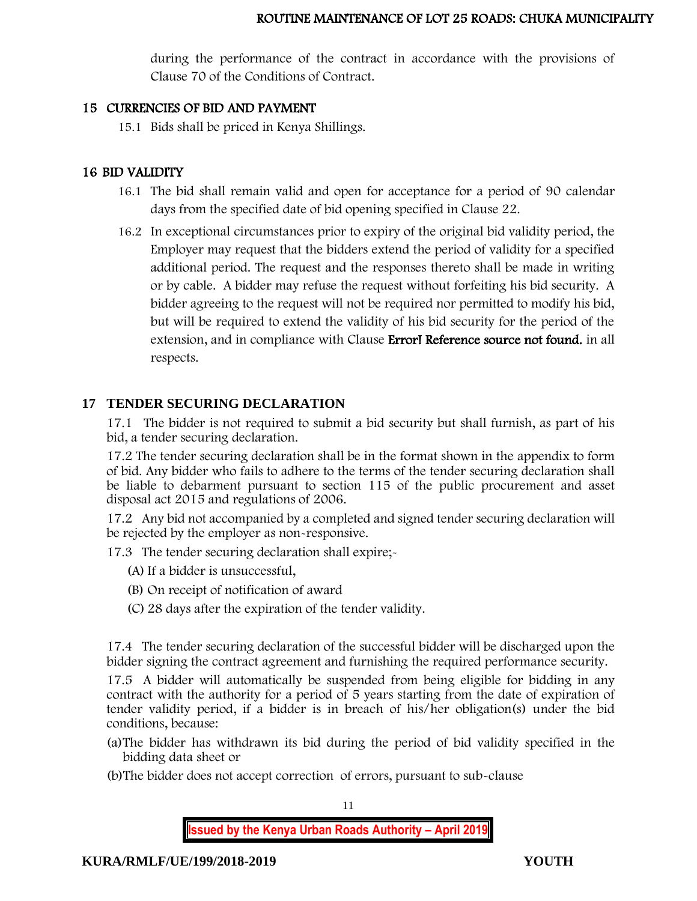during the performance of the contract in accordance with the provisions of Clause 70 of the Conditions of Contract.

#### 15 CURRENCIES OF BID AND PAYMENT

15.1 Bids shall be priced in Kenya Shillings.

### 16 BID VALIDITY

- 16.1 The bid shall remain valid and open for acceptance for a period of 90 calendar days from the specified date of bid opening specified in Clause 22.
- 16.2 In exceptional circumstances prior to expiry of the original bid validity period, the Employer may request that the bidders extend the period of validity for a specified additional period. The request and the responses thereto shall be made in writing or by cable. A bidder may refuse the request without forfeiting his bid security. A bidder agreeing to the request will not be required nor permitted to modify his bid, but will be required to extend the validity of his bid security for the period of the extension, and in compliance with Clause Error! Reference source not found. in all respects.

### **17 TENDER SECURING DECLARATION**

17.1 The bidder is not required to submit a bid security but shall furnish, as part of his bid, a tender securing declaration.

17.2 The tender securing declaration shall be in the format shown in the appendix to form of bid. Any bidder who fails to adhere to the terms of the tender securing declaration shall be liable to debarment pursuant to section 115 of the public procurement and asset disposal act 2015 and regulations of 2006.

17.2 Any bid not accompanied by a completed and signed tender securing declaration will be rejected by the employer as non-responsive.

17.3 The tender securing declaration shall expire;-

- (A) If a bidder is unsuccessful,
- (B) On receipt of notification of award
- (C) 28 days after the expiration of the tender validity.

17.4 The tender securing declaration of the successful bidder will be discharged upon the bidder signing the contract agreement and furnishing the required performance security.

17.5 A bidder will automatically be suspended from being eligible for bidding in any contract with the authority for a period of 5 years starting from the date of expiration of tender validity period, if a bidder is in breach of his/her obligation(s) under the bid conditions, because:

- (a)The bidder has withdrawn its bid during the period of bid validity specified in the bidding data sheet or
- (b)The bidder does not accept correction of errors, pursuant to sub-clause

11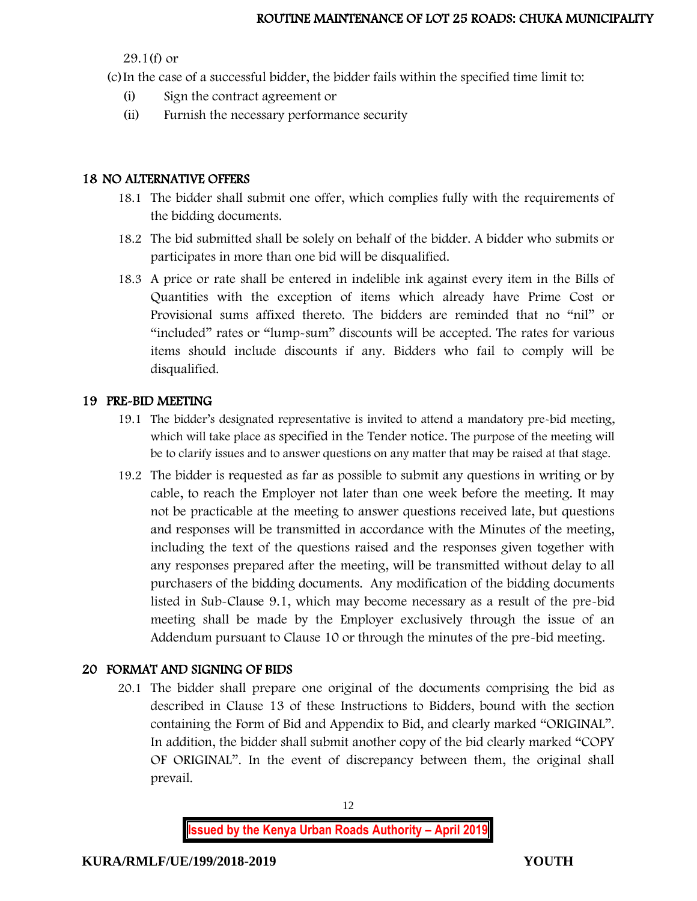29.1(f) or

(c)In the case of a successful bidder, the bidder fails within the specified time limit to:

- (i) Sign the contract agreement or
- (ii) Furnish the necessary performance security

## 18 NO ALTERNATIVE OFFERS

- 18.1 The bidder shall submit one offer, which complies fully with the requirements of the bidding documents.
- 18.2 The bid submitted shall be solely on behalf of the bidder. A bidder who submits or participates in more than one bid will be disqualified.
- 18.3 A price or rate shall be entered in indelible ink against every item in the Bills of Quantities with the exception of items which already have Prime Cost or Provisional sums affixed thereto. The bidders are reminded that no "nil" or "included" rates or "lump-sum" discounts will be accepted. The rates for various items should include discounts if any. Bidders who fail to comply will be disqualified.

## 19 PRE-BID MEETING

- 19.1 The bidder's designated representative is invited to attend a mandatory pre-bid meeting, which will take place as specified in the Tender notice. The purpose of the meeting will be to clarify issues and to answer questions on any matter that may be raised at that stage.
- 19.2 The bidder is requested as far as possible to submit any questions in writing or by cable, to reach the Employer not later than one week before the meeting. It may not be practicable at the meeting to answer questions received late, but questions and responses will be transmitted in accordance with the Minutes of the meeting, including the text of the questions raised and the responses given together with any responses prepared after the meeting, will be transmitted without delay to all purchasers of the bidding documents. Any modification of the bidding documents listed in Sub-Clause 9.1, which may become necessary as a result of the pre-bid meeting shall be made by the Employer exclusively through the issue of an Addendum pursuant to Clause 10 or through the minutes of the pre-bid meeting.

# 20 FORMAT AND SIGNING OF BIDS

20.1 The bidder shall prepare one original of the documents comprising the bid as described in Clause 13 of these Instructions to Bidders, bound with the section containing the Form of Bid and Appendix to Bid, and clearly marked "ORIGINAL". In addition, the bidder shall submit another copy of the bid clearly marked "COPY OF ORIGINAL". In the event of discrepancy between them, the original shall prevail.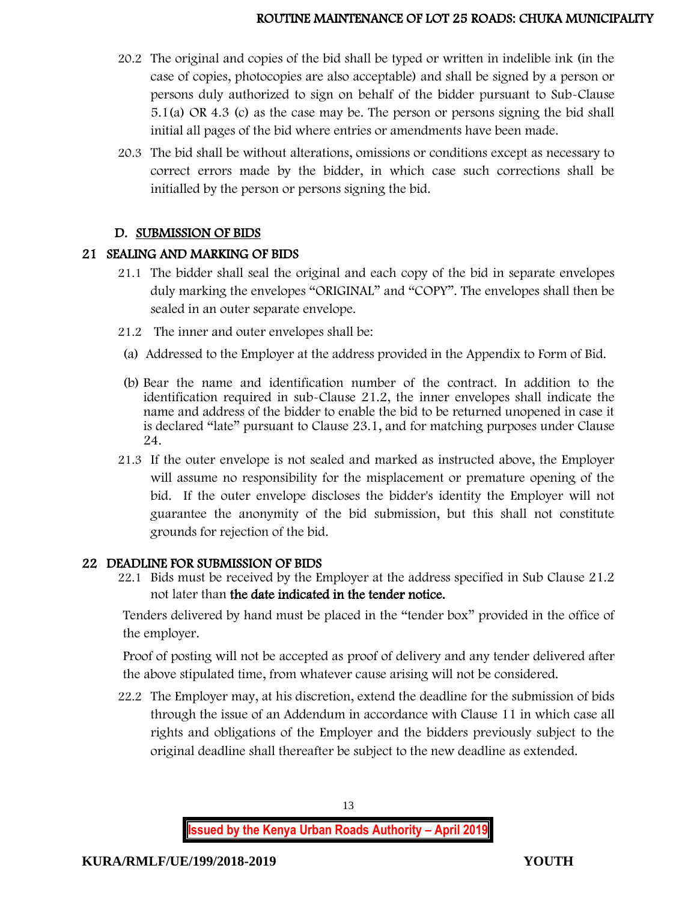- 20.2 The original and copies of the bid shall be typed or written in indelible ink (in the case of copies, photocopies are also acceptable) and shall be signed by a person or persons duly authorized to sign on behalf of the bidder pursuant to Sub-Clause 5.1(a) OR 4.3 (c) as the case may be. The person or persons signing the bid shall initial all pages of the bid where entries or amendments have been made.
- 20.3 The bid shall be without alterations, omissions or conditions except as necessary to correct errors made by the bidder, in which case such corrections shall be initialled by the person or persons signing the bid.

### D. SUBMISSION OF BIDS

#### 21 SEALING AND MARKING OF BIDS

- 21.1 The bidder shall seal the original and each copy of the bid in separate envelopes duly marking the envelopes "ORIGINAL" and "COPY". The envelopes shall then be sealed in an outer separate envelope.
- 21.2 The inner and outer envelopes shall be:
- (a) Addressed to the Employer at the address provided in the Appendix to Form of Bid.
- (b) Bear the name and identification number of the contract. In addition to the identification required in sub-Clause 21.2, the inner envelopes shall indicate the name and address of the bidder to enable the bid to be returned unopened in case it is declared "late" pursuant to Clause 23.1, and for matching purposes under Clause 24.
- 21.3 If the outer envelope is not sealed and marked as instructed above, the Employer will assume no responsibility for the misplacement or premature opening of the bid. If the outer envelope discloses the bidder's identity the Employer will not guarantee the anonymity of the bid submission, but this shall not constitute grounds for rejection of the bid.

#### 22 DEADLINE FOR SUBMISSION OF BIDS

22.1 Bids must be received by the Employer at the address specified in Sub Clause 21.2 not later than the date indicated in the tender notice.

Tenders delivered by hand must be placed in the "tender box" provided in the office of the employer.

Proof of posting will not be accepted as proof of delivery and any tender delivered after the above stipulated time, from whatever cause arising will not be considered.

22.2 The Employer may, at his discretion, extend the deadline for the submission of bids through the issue of an Addendum in accordance with Clause 11 in which case all rights and obligations of the Employer and the bidders previously subject to the original deadline shall thereafter be subject to the new deadline as extended.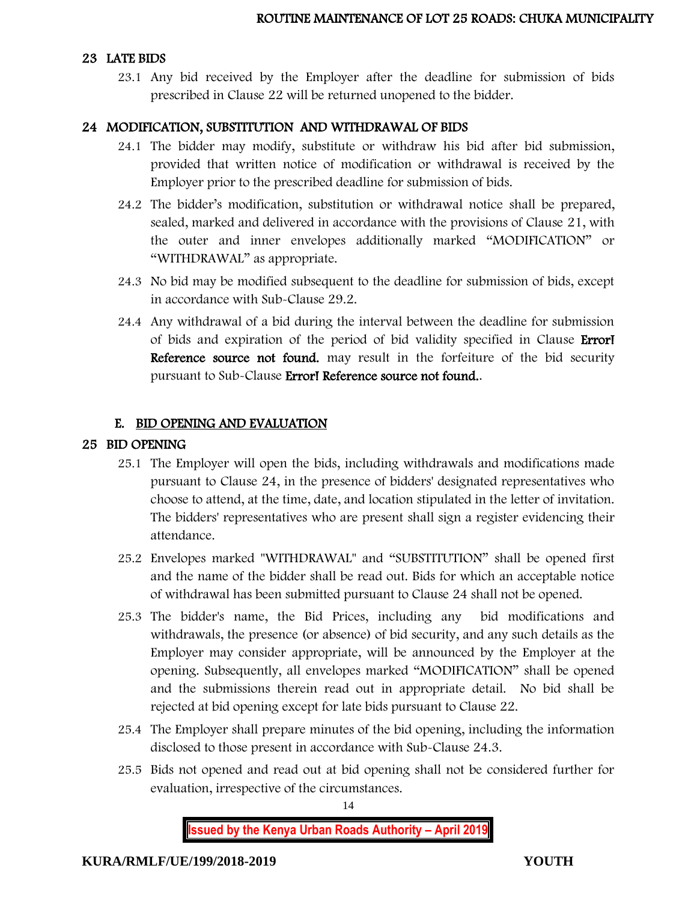#### 23 LATE BIDS

23.1 Any bid received by the Employer after the deadline for submission of bids prescribed in Clause 22 will be returned unopened to the bidder.

#### 24 MODIFICATION, SUBSTITUTION AND WITHDRAWAL OF BIDS

- 24.1 The bidder may modify, substitute or withdraw his bid after bid submission, provided that written notice of modification or withdrawal is received by the Employer prior to the prescribed deadline for submission of bids.
- 24.2 The bidder's modification, substitution or withdrawal notice shall be prepared, sealed, marked and delivered in accordance with the provisions of Clause 21, with the outer and inner envelopes additionally marked "MODIFICATION" or "WITHDRAWAL" as appropriate.
- 24.3 No bid may be modified subsequent to the deadline for submission of bids, except in accordance with Sub-Clause 29.2.
- 24.4 Any withdrawal of a bid during the interval between the deadline for submission of bids and expiration of the period of bid validity specified in Clause Error! Reference source not found, may result in the forfeiture of the bid security pursuant to Sub-Clause Error! Reference source not found..

#### E. BID OPENING AND EVALUATION

#### 25 BID OPENING

- 25.1 The Employer will open the bids, including withdrawals and modifications made pursuant to Clause 24, in the presence of bidders' designated representatives who choose to attend, at the time, date, and location stipulated in the letter of invitation. The bidders' representatives who are present shall sign a register evidencing their attendance.
- 25.2 Envelopes marked "WITHDRAWAL" and "SUBSTITUTION" shall be opened first and the name of the bidder shall be read out. Bids for which an acceptable notice of withdrawal has been submitted pursuant to Clause 24 shall not be opened.
- 25.3 The bidder's name, the Bid Prices, including any bid modifications and withdrawals, the presence (or absence) of bid security, and any such details as the Employer may consider appropriate, will be announced by the Employer at the opening. Subsequently, all envelopes marked "MODIFICATION" shall be opened and the submissions therein read out in appropriate detail. No bid shall be rejected at bid opening except for late bids pursuant to Clause 22.
- 25.4 The Employer shall prepare minutes of the bid opening, including the information disclosed to those present in accordance with Sub-Clause 24.3.
- 25.5 Bids not opened and read out at bid opening shall not be considered further for evaluation, irrespective of the circumstances.

14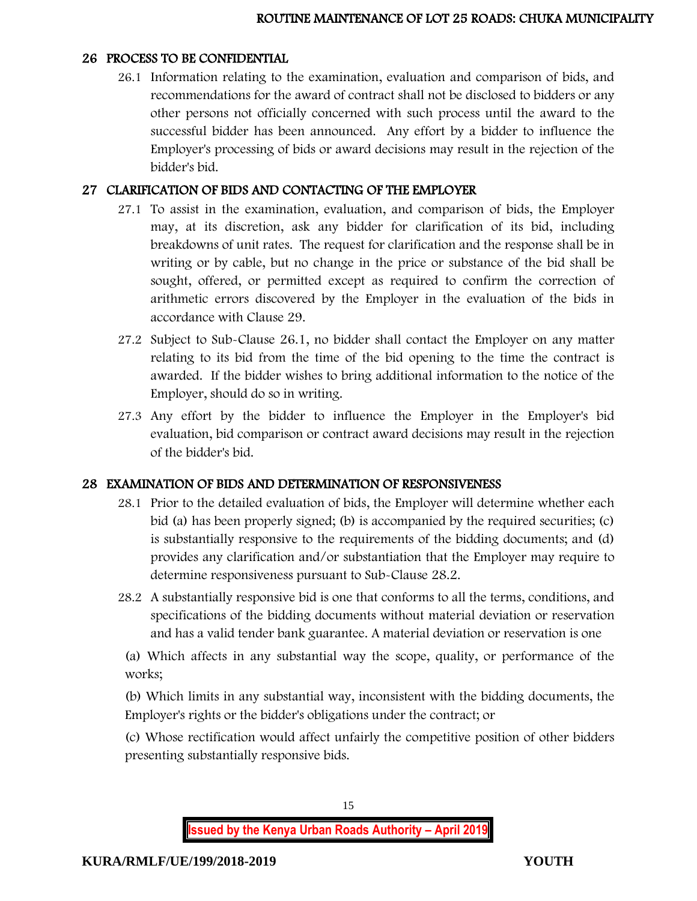#### 26 PROCESS TO BE CONFIDENTIAL

26.1 Information relating to the examination, evaluation and comparison of bids, and recommendations for the award of contract shall not be disclosed to bidders or any other persons not officially concerned with such process until the award to the successful bidder has been announced. Any effort by a bidder to influence the Employer's processing of bids or award decisions may result in the rejection of the bidder's bid.

### 27 CLARIFICATION OF BIDS AND CONTACTING OF THE EMPLOYER

- 27.1 To assist in the examination, evaluation, and comparison of bids, the Employer may, at its discretion, ask any bidder for clarification of its bid, including breakdowns of unit rates. The request for clarification and the response shall be in writing or by cable, but no change in the price or substance of the bid shall be sought, offered, or permitted except as required to confirm the correction of arithmetic errors discovered by the Employer in the evaluation of the bids in accordance with Clause 29.
- 27.2 Subject to Sub-Clause 26.1, no bidder shall contact the Employer on any matter relating to its bid from the time of the bid opening to the time the contract is awarded. If the bidder wishes to bring additional information to the notice of the Employer, should do so in writing.
- 27.3 Any effort by the bidder to influence the Employer in the Employer's bid evaluation, bid comparison or contract award decisions may result in the rejection of the bidder's bid.

### 28 EXAMINATION OF BIDS AND DETERMINATION OF RESPONSIVENESS

- 28.1 Prior to the detailed evaluation of bids, the Employer will determine whether each bid (a) has been properly signed; (b) is accompanied by the required securities; (c) is substantially responsive to the requirements of the bidding documents; and (d) provides any clarification and/or substantiation that the Employer may require to determine responsiveness pursuant to Sub-Clause 28.2.
- 28.2 A substantially responsive bid is one that conforms to all the terms, conditions, and specifications of the bidding documents without material deviation or reservation and has a valid tender bank guarantee. A material deviation or reservation is one

(a) Which affects in any substantial way the scope, quality, or performance of the works;

(b) Which limits in any substantial way, inconsistent with the bidding documents, the Employer's rights or the bidder's obligations under the contract; or

(c) Whose rectification would affect unfairly the competitive position of other bidders presenting substantially responsive bids.

15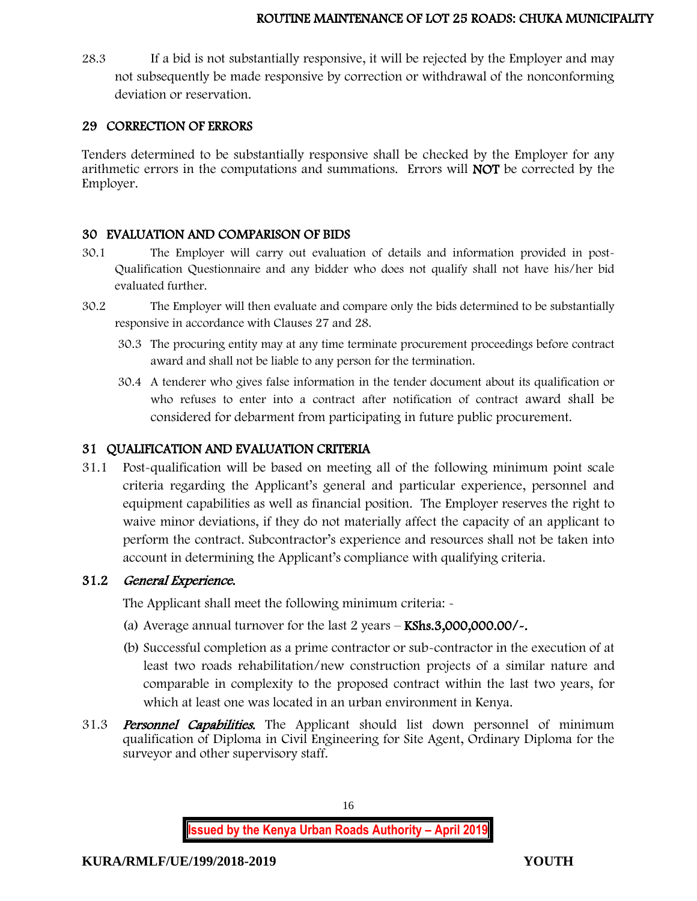28.3 If a bid is not substantially responsive, it will be rejected by the Employer and may not subsequently be made responsive by correction or withdrawal of the nonconforming deviation or reservation.

### 29 CORRECTION OF ERRORS

Tenders determined to be substantially responsive shall be checked by the Employer for any arithmetic errors in the computations and summations. Errors will NOT be corrected by the Employer.

#### 30 EVALUATION AND COMPARISON OF BIDS

- 30.1 The Employer will carry out evaluation of details and information provided in post-Qualification Questionnaire and any bidder who does not qualify shall not have his/her bid evaluated further.
- 30.2 The Employer will then evaluate and compare only the bids determined to be substantially responsive in accordance with Clauses 27 and 28.
	- 30.3 The procuring entity may at any time terminate procurement proceedings before contract award and shall not be liable to any person for the termination.
	- 30.4 A tenderer who gives false information in the tender document about its qualification or who refuses to enter into a contract after notification of contract award shall be considered for debarment from participating in future public procurement.

### 31 QUALIFICATION AND EVALUATION CRITERIA

31.1 Post-qualification will be based on meeting all of the following minimum point scale criteria regarding the Applicant's general and particular experience, personnel and equipment capabilities as well as financial position. The Employer reserves the right to waive minor deviations, if they do not materially affect the capacity of an applicant to perform the contract. Subcontractor's experience and resources shall not be taken into account in determining the Applicant's compliance with qualifying criteria.

### 31.2 General Experience.

The Applicant shall meet the following minimum criteria: -

- (a) Average annual turnover for the last  $2$  years  $-$  KShs.3,000,000.00/ $\sim$ .
- (b) Successful completion as a prime contractor or sub-contractor in the execution of at least two roads rehabilitation/new construction projects of a similar nature and comparable in complexity to the proposed contract within the last two years, for which at least one was located in an urban environment in Kenya.
- 31.3 **Personnel Capabilities.** The Applicant should list down personnel of minimum qualification of Diploma in Civil Engineering for Site Agent, Ordinary Diploma for the surveyor and other supervisory staff.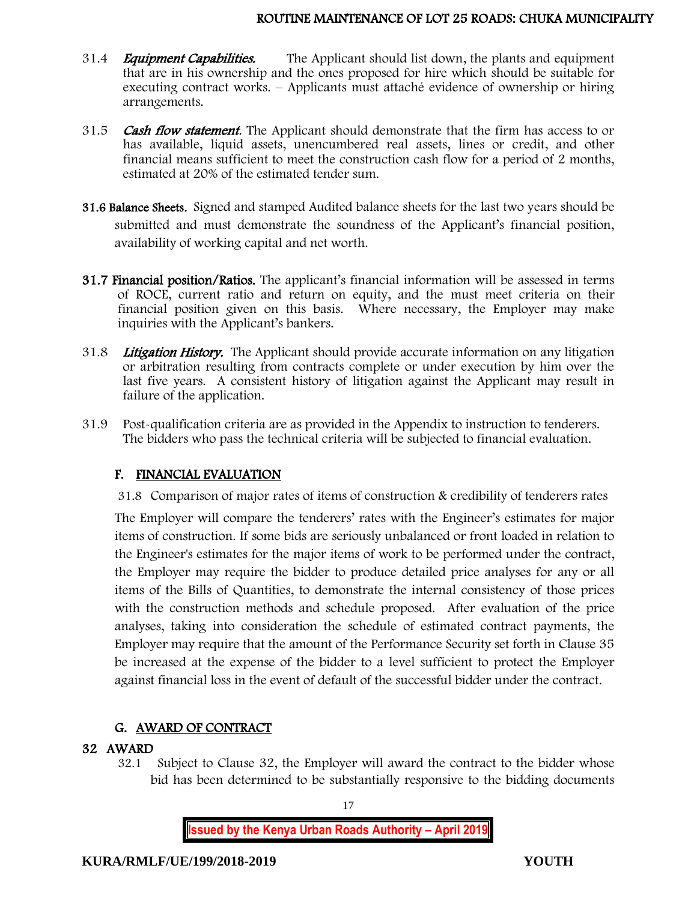- 31.4 *Equipment Capabilities.* The Applicant should list down, the plants and equipment that are in his ownership and the ones proposed for hire which should be suitable for executing contract works. – Applicants must attaché evidence of ownership or hiring arrangements.
- 31.5 Cash flow statement. The Applicant should demonstrate that the firm has access to or has available, liquid assets, unencumbered real assets, lines or credit, and other financial means sufficient to meet the construction cash flow for a period of 2 months, estimated at 20% of the estimated tender sum.
- 31.6 Balance Sheets. Signed and stamped Audited balance sheets for the last two years should be submitted and must demonstrate the soundness of the Applicant's financial position, availability of working capital and net worth.
- 31.7 Financial position/Ratios. The applicant's financial information will be assessed in terms of ROCE, current ratio and return on equity, and the must meet criteria on their financial position given on this basis. Where necessary, the Employer may make inquiries with the Applicant's bankers.
- 31.8 Litigation History. The Applicant should provide accurate information on any litigation or arbitration resulting from contracts complete or under execution by him over the last five years. A consistent history of litigation against the Applicant may result in failure of the application.
- 31.9 Post-qualification criteria are as provided in the Appendix to instruction to tenderers. The bidders who pass the technical criteria will be subjected to financial evaluation.

### F. FINANCIAL EVALUATION

31.8 Comparison of major rates of items of construction & credibility of tenderers rates

The Employer will compare the tenderers' rates with the Engineer's estimates for major items of construction. If some bids are seriously unbalanced or front loaded in relation to the Engineer's estimates for the major items of work to be performed under the contract, the Employer may require the bidder to produce detailed price analyses for any or all items of the Bills of Quantities, to demonstrate the internal consistency of those prices with the construction methods and schedule proposed. After evaluation of the price analyses, taking into consideration the schedule of estimated contract payments, the Employer may require that the amount of the Performance Security set forth in Clause 35 be increased at the expense of the bidder to a level sufficient to protect the Employer against financial loss in the event of default of the successful bidder under the contract.

### G. AWARD OF CONTRACT

#### 32 AWARD

32.1 Subject to Clause 32, the Employer will award the contract to the bidder whose bid has been determined to be substantially responsive to the bidding documents

17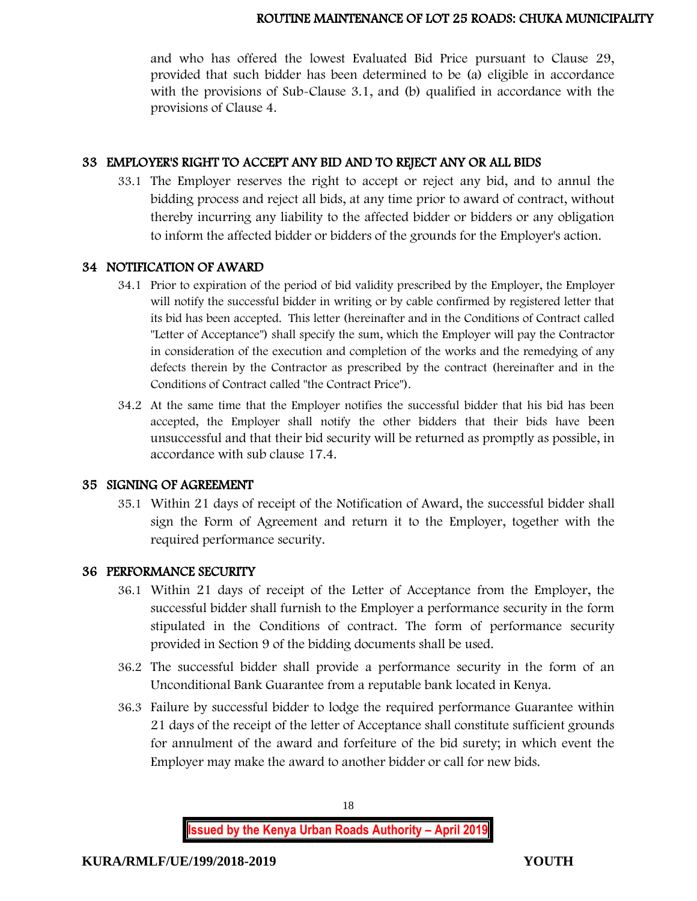and who has offered the lowest Evaluated Bid Price pursuant to Clause 29, provided that such bidder has been determined to be (a) eligible in accordance with the provisions of Sub-Clause 3.1, and (b) qualified in accordance with the provisions of Clause 4.

#### 33 EMPLOYER'S RIGHT TO ACCEPT ANY BID AND TO REJECT ANY OR ALL BIDS

33.1 The Employer reserves the right to accept or reject any bid, and to annul the bidding process and reject all bids, at any time prior to award of contract, without thereby incurring any liability to the affected bidder or bidders or any obligation to inform the affected bidder or bidders of the grounds for the Employer's action.

#### 34 NOTIFICATION OF AWARD

- 34.1 Prior to expiration of the period of bid validity prescribed by the Employer, the Employer will notify the successful bidder in writing or by cable confirmed by registered letter that its bid has been accepted. This letter (hereinafter and in the Conditions of Contract called "Letter of Acceptance") shall specify the sum, which the Employer will pay the Contractor in consideration of the execution and completion of the works and the remedying of any defects therein by the Contractor as prescribed by the contract (hereinafter and in the Conditions of Contract called "the Contract Price").
- 34.2 At the same time that the Employer notifies the successful bidder that his bid has been accepted, the Employer shall notify the other bidders that their bids have been unsuccessful and that their bid security will be returned as promptly as possible, in accordance with sub clause 17.4.

#### 35 SIGNING OF AGREEMENT

35.1 Within 21 days of receipt of the Notification of Award, the successful bidder shall sign the Form of Agreement and return it to the Employer, together with the required performance security.

#### 36 PERFORMANCE SECURITY

- 36.1 Within 21 days of receipt of the Letter of Acceptance from the Employer, the successful bidder shall furnish to the Employer a performance security in the form stipulated in the Conditions of contract. The form of performance security provided in Section 9 of the bidding documents shall be used.
- 36.2 The successful bidder shall provide a performance security in the form of an Unconditional Bank Guarantee from a reputable bank located in Kenya.
- 36.3 Failure by successful bidder to lodge the required performance Guarantee within 21 days of the receipt of the letter of Acceptance shall constitute sufficient grounds for annulment of the award and forfeiture of the bid surety; in which event the Employer may make the award to another bidder or call for new bids.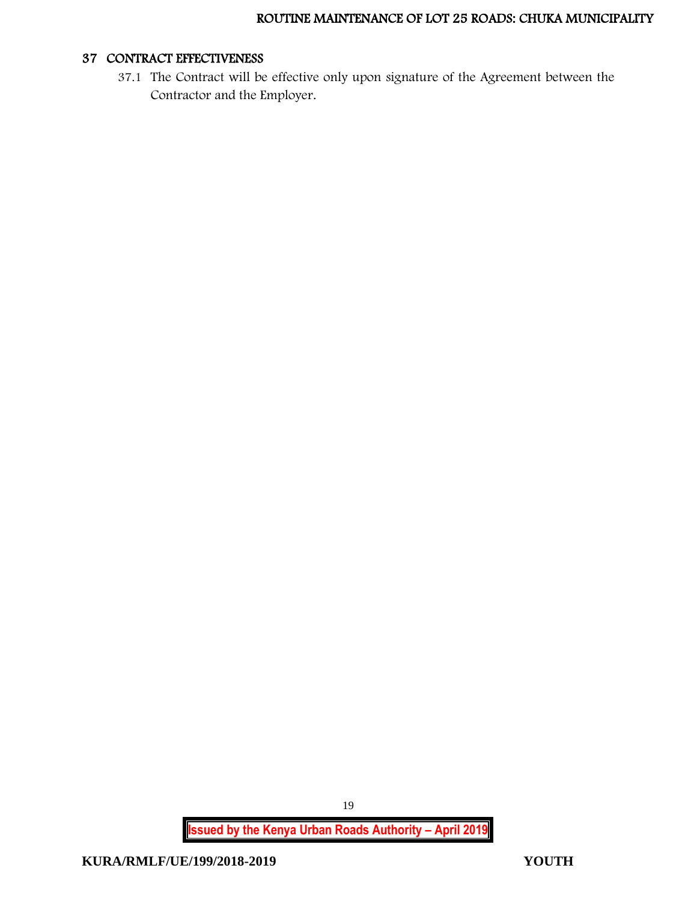#### 37 CONTRACT EFFECTIVENESS

37.1 The Contract will be effective only upon signature of the Agreement between the Contractor and the Employer.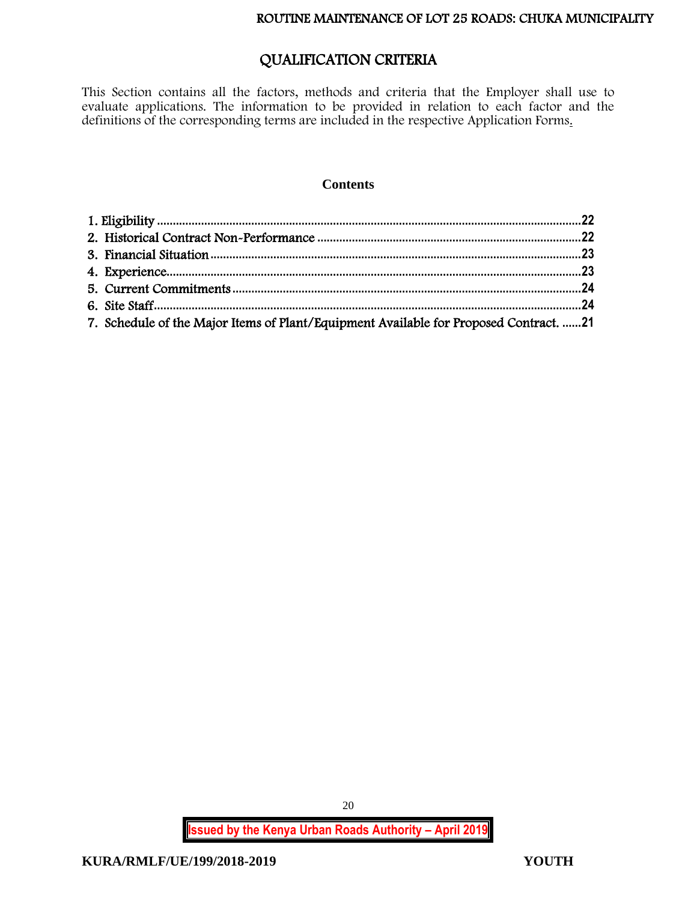# QUALIFICATION CRITERIA

This Section contains all the factors, methods and criteria that the Employer shall use to evaluate applications. The information to be provided in relation to each factor and the definitions of the corresponding terms are included in the respective Application Forms.

#### **Contents**

| 7. Schedule of the Major Items of Plant/Equipment Available for Proposed Contract. 21 |  |
|---------------------------------------------------------------------------------------|--|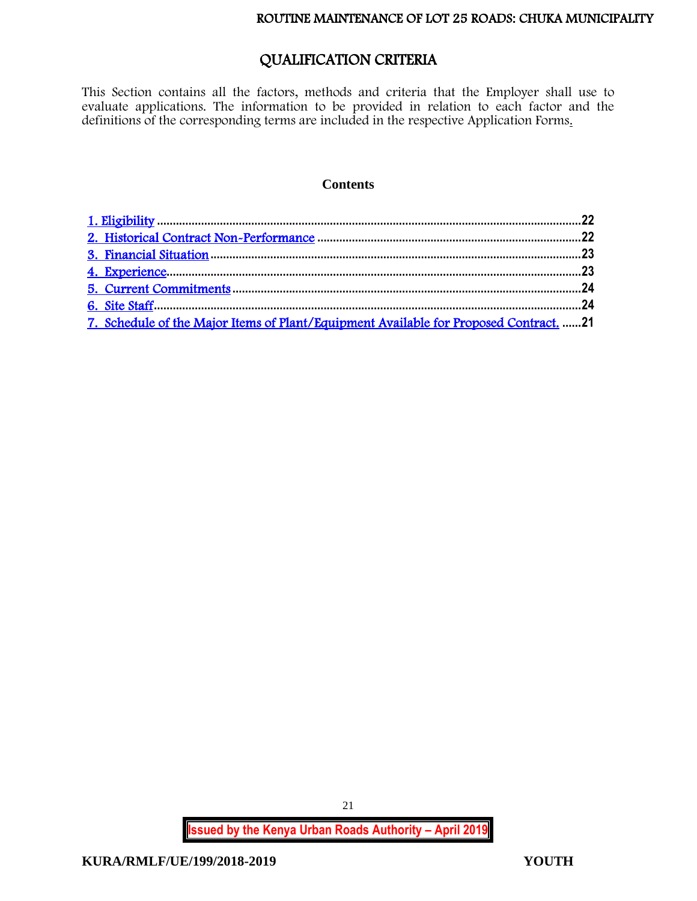# QUALIFICATION CRITERIA

<span id="page-21-0"></span>This Section contains all the factors, methods and criteria that the Employer shall use to evaluate applications. The information to be provided in relation to each factor and the definitions of the corresponding terms are included in the respective Application Forms.

#### **Contents**

| 7. Schedule of the Major Items of Plant/Equipment Available for Proposed Contract. 21 |
|---------------------------------------------------------------------------------------|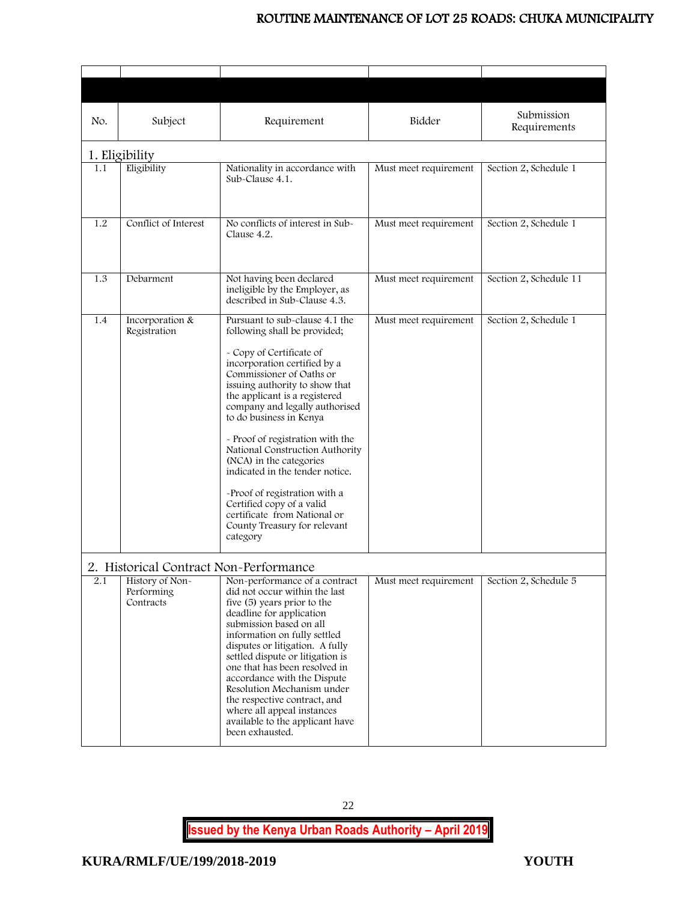<span id="page-22-1"></span><span id="page-22-0"></span>

| No. | Subject                                    | Requirement                                                                                                                                                                                                                                                                                                                                                                                                                                                                                                                                                           | Bidder                | Submission<br>Requirements |
|-----|--------------------------------------------|-----------------------------------------------------------------------------------------------------------------------------------------------------------------------------------------------------------------------------------------------------------------------------------------------------------------------------------------------------------------------------------------------------------------------------------------------------------------------------------------------------------------------------------------------------------------------|-----------------------|----------------------------|
|     | 1. Eligibility                             |                                                                                                                                                                                                                                                                                                                                                                                                                                                                                                                                                                       |                       |                            |
| 1.1 | Eligibility                                | Nationality in accordance with<br>Sub-Clause 4.1.                                                                                                                                                                                                                                                                                                                                                                                                                                                                                                                     | Must meet requirement | Section 2, Schedule 1      |
| 1.2 | Conflict of Interest                       | No conflicts of interest in Sub-<br>Clause 4.2.                                                                                                                                                                                                                                                                                                                                                                                                                                                                                                                       | Must meet requirement | Section 2, Schedule 1      |
| 1.3 | Debarment                                  | Not having been declared<br>ineligible by the Employer, as<br>described in Sub-Clause 4.3.                                                                                                                                                                                                                                                                                                                                                                                                                                                                            | Must meet requirement | Section 2, Schedule 11     |
| 1.4 | Incorporation &<br>Registration            | Pursuant to sub-clause 4.1 the<br>following shall be provided;<br>- Copy of Certificate of<br>incorporation certified by a<br>Commissioner of Oaths or<br>issuing authority to show that<br>the applicant is a registered<br>company and legally authorised<br>to do business in Kenya<br>- Proof of registration with the<br>National Construction Authority<br>(NCA) in the categories<br>indicated in the tender notice.<br>-Proof of registration with a<br>Certified copy of a valid<br>certificate from National or<br>County Treasury for relevant<br>category | Must meet requirement | Section 2, Schedule 1      |
|     | 2. Historical Contract Non-Performance     |                                                                                                                                                                                                                                                                                                                                                                                                                                                                                                                                                                       |                       |                            |
| 2.1 | History of Non-<br>Performing<br>Contracts | Non-performance of a contract<br>did not occur within the last<br>five (5) years prior to the<br>deadline for application<br>submission based on all<br>information on fully settled<br>disputes or litigation. A fully<br>settled dispute or litigation is<br>one that has been resolved in<br>accordance with the Dispute<br>Resolution Mechanism under<br>the respective contract, and<br>where all appeal instances<br>available to the applicant have<br>been exhausted.                                                                                         | Must meet requirement | Section 2, Schedule 5      |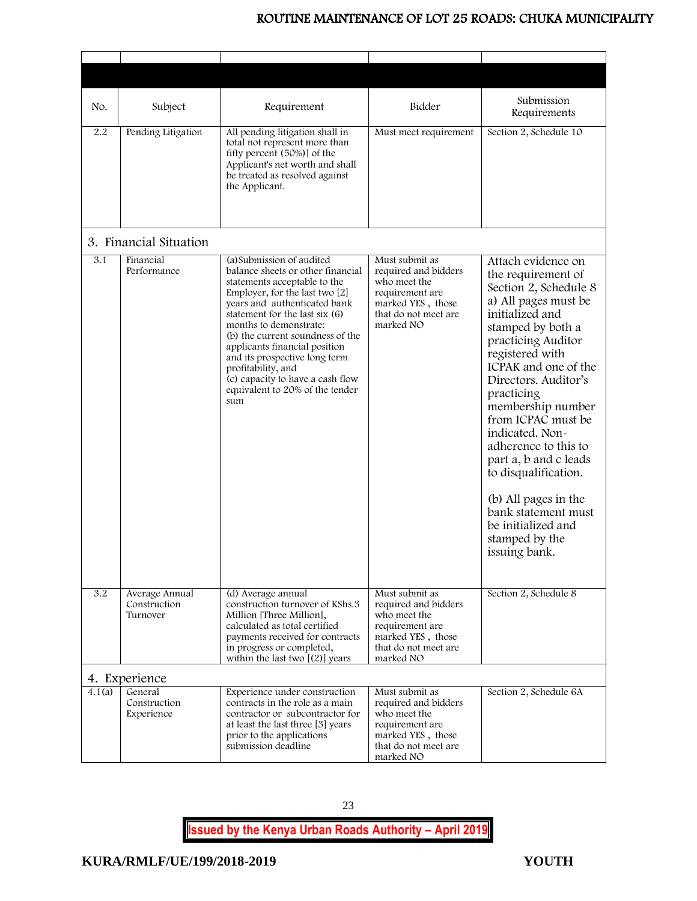<span id="page-23-1"></span><span id="page-23-0"></span>

| No.    | Subject                                    | Requirement                                                                                                                                                                                                                                                                                                                                                                                                                            | Bidder                                                                                                                              | Submission<br>Requirements                                                                                                                                                                                                                                                                                                                                                                                                                                                              |
|--------|--------------------------------------------|----------------------------------------------------------------------------------------------------------------------------------------------------------------------------------------------------------------------------------------------------------------------------------------------------------------------------------------------------------------------------------------------------------------------------------------|-------------------------------------------------------------------------------------------------------------------------------------|-----------------------------------------------------------------------------------------------------------------------------------------------------------------------------------------------------------------------------------------------------------------------------------------------------------------------------------------------------------------------------------------------------------------------------------------------------------------------------------------|
| 2.2    | Pending Litigation                         | All pending litigation shall in<br>total not represent more than<br>fifty percent (50%)] of the<br>Applicant's net worth and shall<br>be treated as resolved against<br>the Applicant.                                                                                                                                                                                                                                                 | Must meet requirement                                                                                                               | Section 2, Schedule 10                                                                                                                                                                                                                                                                                                                                                                                                                                                                  |
|        | 3. Financial Situation                     |                                                                                                                                                                                                                                                                                                                                                                                                                                        |                                                                                                                                     |                                                                                                                                                                                                                                                                                                                                                                                                                                                                                         |
| 3.1    | Financial<br>Performance                   | (a) Submission of audited<br>balance sheets or other financial<br>statements acceptable to the<br>Employer, for the last two [2]<br>years and authenticated bank<br>statement for the last six (6)<br>months to demonstrate:<br>(b) the current soundness of the<br>applicants financial position<br>and its prospective long term<br>profitability, and<br>(c) capacity to have a cash flow<br>equivalent to 20% of the tender<br>sum | Must submit as<br>required and bidders<br>who meet the<br>requirement are<br>marked YES, those<br>that do not meet are<br>marked NO | Attach evidence on<br>the requirement of<br>Section 2, Schedule 8<br>a) All pages must be<br>initialized and<br>stamped by both a<br>practicing Auditor<br>registered with<br>ICPAK and one of the<br>Directors. Auditor's<br>practicing<br>membership number<br>from ICPAC must be<br>indicated. Non-<br>adherence to this to<br>part a, b and c leads<br>to disqualification.<br>(b) All pages in the<br>bank statement must<br>be initialized and<br>stamped by the<br>issuing bank. |
| 3.2    | Average Annual<br>Construction<br>Turnover | (d) Average annual<br>construction turnover of KShs.3<br>Million [Three Million],<br>calculated as total certified<br>payments received for contracts<br>in progress or completed,<br>within the last two $(2)$ vears                                                                                                                                                                                                                  | Must submit as<br>required and bidders<br>who meet the<br>requirement are<br>marked YES, those<br>that do not meet are<br>marked NO | Section 2, Schedule 8                                                                                                                                                                                                                                                                                                                                                                                                                                                                   |
|        | 4. Experience                              |                                                                                                                                                                                                                                                                                                                                                                                                                                        |                                                                                                                                     |                                                                                                                                                                                                                                                                                                                                                                                                                                                                                         |
| 4.1(a) | General<br>Construction<br>Experience      | Experience under construction<br>contracts in the role as a main<br>contractor or subcontractor for<br>at least the last three [3] years<br>prior to the applications<br>submission deadline                                                                                                                                                                                                                                           | Must submit as<br>required and bidders<br>who meet the<br>requirement are<br>marked YES, those<br>that do not meet are<br>marked NO | Section 2, Schedule 6A                                                                                                                                                                                                                                                                                                                                                                                                                                                                  |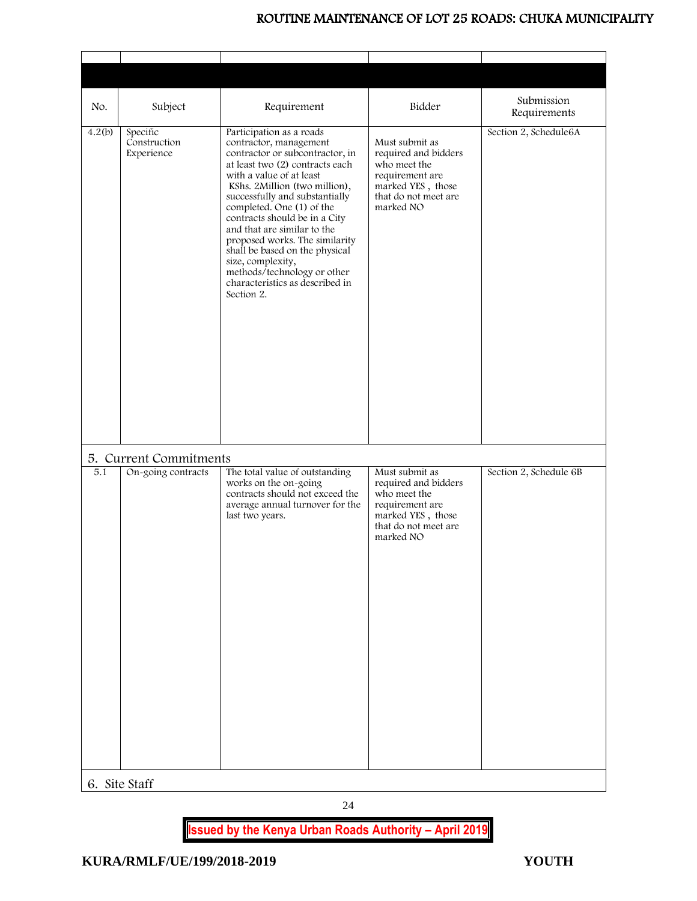<span id="page-24-1"></span><span id="page-24-0"></span>

| No.    | Subject                                | Requirement                                                                                                                                                                                                                                                                                                                                                                                                                                                                                   | Bidder                                                                                                                              | Submission<br>Requirements |
|--------|----------------------------------------|-----------------------------------------------------------------------------------------------------------------------------------------------------------------------------------------------------------------------------------------------------------------------------------------------------------------------------------------------------------------------------------------------------------------------------------------------------------------------------------------------|-------------------------------------------------------------------------------------------------------------------------------------|----------------------------|
| 4.2(b) | Specific<br>Construction<br>Experience | Participation as a roads<br>contractor, management<br>contractor or subcontractor, in<br>at least two (2) contracts each<br>with a value of at least<br>KShs. 2Million (two million),<br>successfully and substantially<br>completed. One (1) of the<br>contracts should be in a City<br>and that are similar to the<br>proposed works. The similarity<br>shall be based on the physical<br>size, complexity,<br>methods/technology or other<br>characteristics as described in<br>Section 2. | Must submit as<br>required and bidders<br>who meet the<br>requirement are<br>marked YES, those<br>that do not meet are<br>marked NO | Section 2, Schedule6A      |
|        | 5. Current Commitments                 |                                                                                                                                                                                                                                                                                                                                                                                                                                                                                               |                                                                                                                                     |                            |
| 5.1    | On-going contracts                     | The total value of outstanding<br>works on the on-going<br>contracts should not exceed the<br>average annual turnover for the<br>last two years.                                                                                                                                                                                                                                                                                                                                              | Must submit as<br>required and bidders<br>who meet the<br>requirement are<br>marked YES, those<br>that do not meet are<br>marked NO | Section 2, Schedule 6B     |
|        | 6. Site Staff                          |                                                                                                                                                                                                                                                                                                                                                                                                                                                                                               |                                                                                                                                     |                            |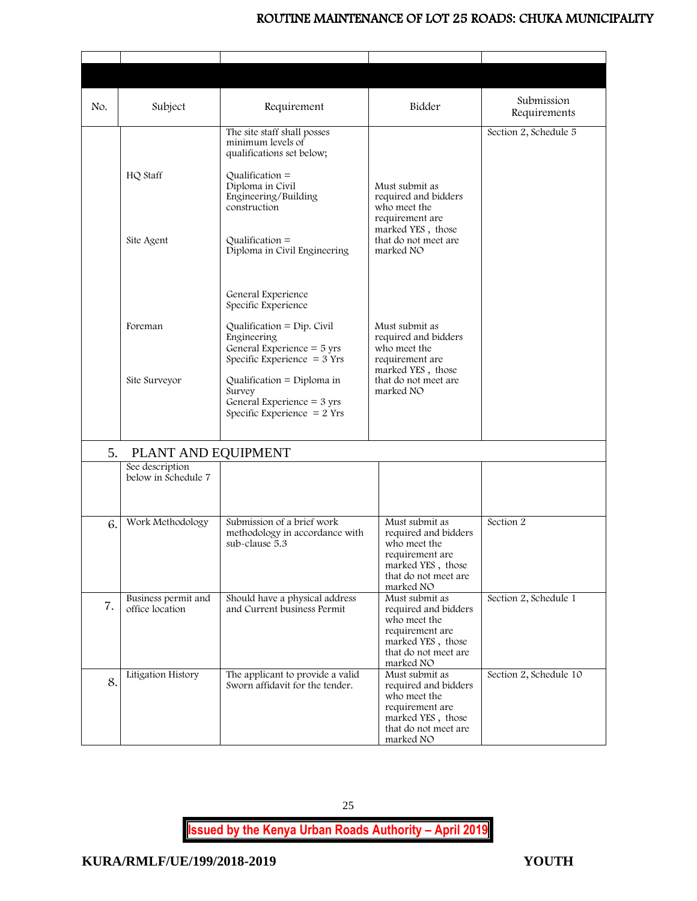| No. | Subject                                | Requirement                                                                                                                                                    | Bidder                                                                                                                              | Submission<br>Requirements |
|-----|----------------------------------------|----------------------------------------------------------------------------------------------------------------------------------------------------------------|-------------------------------------------------------------------------------------------------------------------------------------|----------------------------|
|     | HQ Staff                               | The site staff shall posses<br>minimum levels of<br>qualifications set below;<br>$Qualification =$<br>Diploma in Civil<br>Engineering/Building<br>construction | Must submit as<br>required and bidders<br>who meet the<br>requirement are                                                           | Section 2, Schedule 5      |
|     | Site Agent                             | $Qualification =$<br>Diploma in Civil Engineering                                                                                                              | marked YES, those<br>that do not meet are<br>marked NO                                                                              |                            |
|     |                                        | General Experience<br>Specific Experience                                                                                                                      |                                                                                                                                     |                            |
|     | Foreman                                | Qualification = $Dip$ . Civil<br>Engineering<br>General Experience $=$ 5 yrs<br>Specific Experience $=$ 3 Yrs                                                  | Must submit as<br>required and bidders<br>who meet the<br>requirement are<br>marked YES, those                                      |                            |
|     | Site Surveyor                          | Qualification = Diploma in<br>Survey<br>General Experience = $3$ yrs<br>Specific Experience $= 2$ Yrs                                                          | that do not meet are<br>marked NO                                                                                                   |                            |
| 5.  | PLANT AND EQUIPMENT                    |                                                                                                                                                                |                                                                                                                                     |                            |
|     | See description<br>below in Schedule 7 |                                                                                                                                                                |                                                                                                                                     |                            |
| 6.  | Work Methodology                       | Submission of a brief work<br>methodology in accordance with<br>sub-clause 5.3                                                                                 | Must submit as<br>required and bidders<br>who meet the<br>requirement are<br>marked YES, those<br>that do not meet are<br>marked NO | Section 2                  |
| 7.  | Business permit and<br>office location | Should have a physical address<br>and Current business Permit                                                                                                  | Must submit as<br>required and bidders<br>who meet the<br>requirement are<br>marked YES, those<br>that do not meet are<br>marked NO | Section 2, Schedule 1      |
| 8.  | Litigation History                     | The applicant to provide a valid<br>Sworn affidavit for the tender.                                                                                            | Must submit as<br>required and bidders<br>who meet the<br>requirement are<br>marked YES, those<br>that do not meet are<br>marked NO | Section 2, Schedule 10     |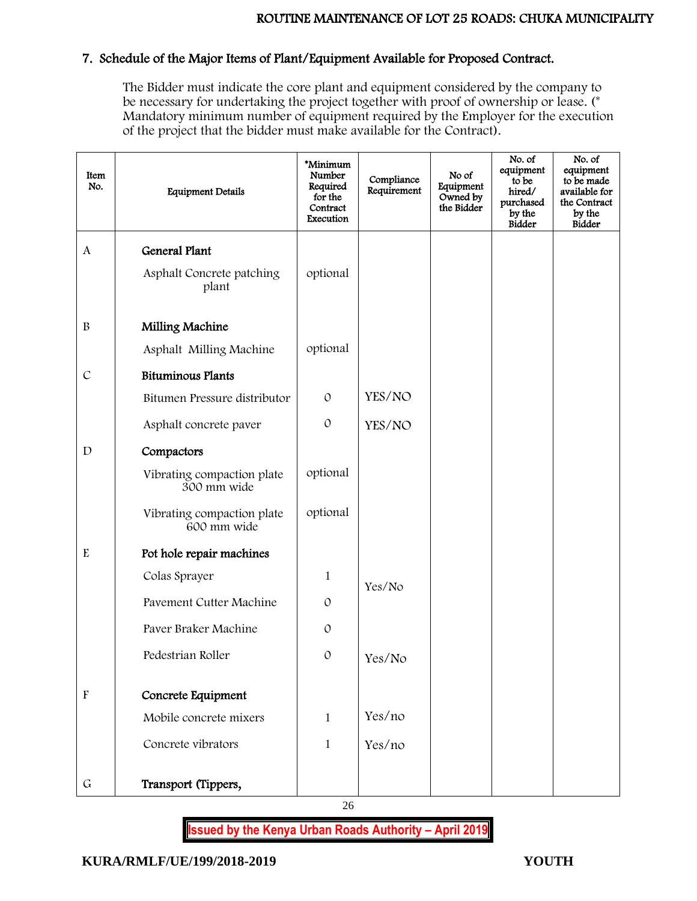# 7. Schedule of the Major Items of Plant/Equipment Available for Proposed Contract.

The Bidder must indicate the core plant and equipment considered by the company to be necessary for undertaking the project together with proof of ownership or lease. (\* Mandatory minimum number of equipment required by the Employer for the execution of the project that the bidder must make available for the Contract).

| Item<br>No.               | <b>Equipment Details</b>                  | *Minimum<br>Number<br>Required<br>for the<br>Contract<br>Execution | Compliance<br>Requirement | No of<br>Equipment<br>Owned by<br>the Bidder | No. of<br>equipment<br>to be<br>hired/<br>purchased<br>by the<br><b>Bidder</b> | No. of<br>equipment<br>to be made<br>available for<br>the Contract<br>by the<br><b>Bidder</b> |
|---------------------------|-------------------------------------------|--------------------------------------------------------------------|---------------------------|----------------------------------------------|--------------------------------------------------------------------------------|-----------------------------------------------------------------------------------------------|
| $\mathbf{A}$              | <b>General Plant</b>                      |                                                                    |                           |                                              |                                                                                |                                                                                               |
|                           | Asphalt Concrete patching<br>plant        | optional                                                           |                           |                                              |                                                                                |                                                                                               |
| $\, {\bf B}$              | Milling Machine                           |                                                                    |                           |                                              |                                                                                |                                                                                               |
|                           | Asphalt Milling Machine                   | optional                                                           |                           |                                              |                                                                                |                                                                                               |
| $\mathcal{C}$             | <b>Bituminous Plants</b>                  |                                                                    |                           |                                              |                                                                                |                                                                                               |
|                           | Bitumen Pressure distributor              | $\mathcal{O}$                                                      | YES/NO                    |                                              |                                                                                |                                                                                               |
|                           | Asphalt concrete paver                    | $\mathcal{O}$                                                      | YES/NO                    |                                              |                                                                                |                                                                                               |
| $\mathbf D$               | Compactors                                |                                                                    |                           |                                              |                                                                                |                                                                                               |
|                           | Vibrating compaction plate<br>300 mm wide | optional                                                           |                           |                                              |                                                                                |                                                                                               |
|                           | Vibrating compaction plate<br>600 mm wide | optional                                                           |                           |                                              |                                                                                |                                                                                               |
| $\mathbf E$               | Pot hole repair machines                  |                                                                    |                           |                                              |                                                                                |                                                                                               |
|                           | Colas Sprayer                             | $\mathbf{1}$                                                       | Yes/No                    |                                              |                                                                                |                                                                                               |
|                           | Pavement Cutter Machine                   | $\mathcal{O}$                                                      |                           |                                              |                                                                                |                                                                                               |
|                           | Paver Braker Machine                      | $\mathcal{O}$                                                      |                           |                                              |                                                                                |                                                                                               |
|                           | Pedestrian Roller                         | $\mathcal{O}$                                                      | Yes/No                    |                                              |                                                                                |                                                                                               |
| $\boldsymbol{\mathrm{F}}$ | Concrete Equipment                        |                                                                    |                           |                                              |                                                                                |                                                                                               |
|                           | Mobile concrete mixers                    | $\mathbf{1}$                                                       | Yes/no                    |                                              |                                                                                |                                                                                               |
|                           | Concrete vibrators                        | $\mathbf{1}$                                                       | Yes/no                    |                                              |                                                                                |                                                                                               |
| $\mathsf G$               | Transport (Tippers,                       |                                                                    |                           |                                              |                                                                                |                                                                                               |

26

**Issued by the Kenya Urban Roads Authority – April 2019**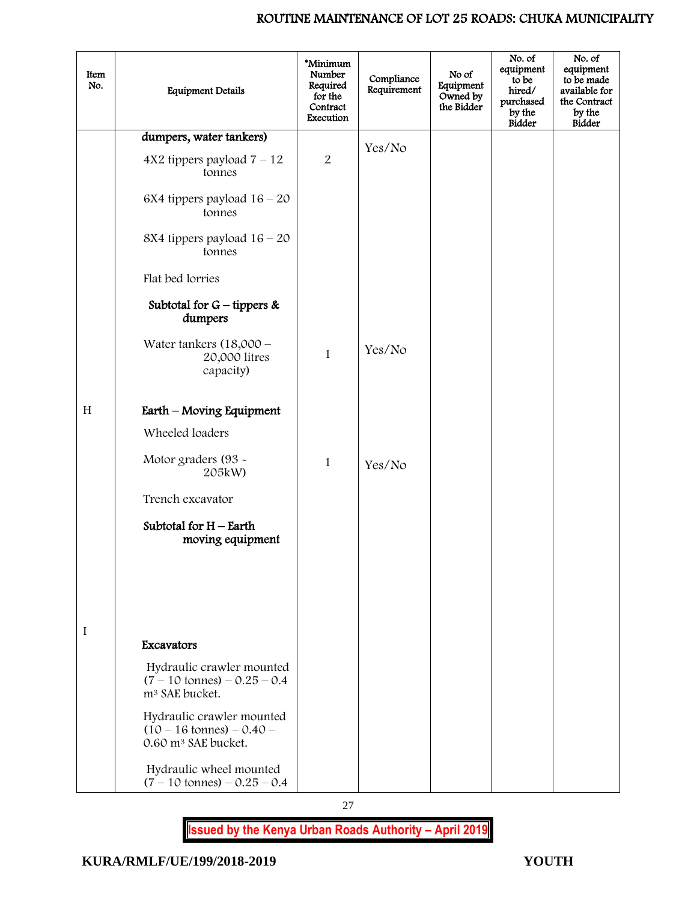| Item<br>No. | <b>Equipment Details</b>                                                                          | *Minimum<br>Number<br>Required<br>for the<br>Contract<br>Execution | Compliance<br>Requirement | No of<br>Equipment<br>Owned by<br>the Bidder | No. of<br>equipment<br>to be<br>hired/<br>purchased<br>by the<br><b>Bidder</b> | No. of<br>equipment<br>to be made<br>available for<br>the Contract<br>by the<br><b>Bidder</b> |
|-------------|---------------------------------------------------------------------------------------------------|--------------------------------------------------------------------|---------------------------|----------------------------------------------|--------------------------------------------------------------------------------|-----------------------------------------------------------------------------------------------|
|             | dumpers, water tankers)                                                                           |                                                                    |                           |                                              |                                                                                |                                                                                               |
|             | $4X2$ tippers payload $7 - 12$<br>tonnes                                                          | $\boldsymbol{2}$                                                   | Yes/No                    |                                              |                                                                                |                                                                                               |
|             | 6X4 tippers payload $16 - 20$<br>tonnes                                                           |                                                                    |                           |                                              |                                                                                |                                                                                               |
|             | 8X4 tippers payload $16 - 20$<br>tonnes                                                           |                                                                    |                           |                                              |                                                                                |                                                                                               |
|             | Flat bed lorries                                                                                  |                                                                    |                           |                                              |                                                                                |                                                                                               |
|             | Subtotal for $G$ – tippers &<br>dumpers                                                           |                                                                    |                           |                                              |                                                                                |                                                                                               |
|             | Water tankers $(18,000 -$<br>20,000 litres<br>capacity)                                           | $\mathbf{1}$                                                       | Yes/No                    |                                              |                                                                                |                                                                                               |
| H           | Earth – Moving Equipment                                                                          |                                                                    |                           |                                              |                                                                                |                                                                                               |
|             | Wheeled loaders                                                                                   |                                                                    |                           |                                              |                                                                                |                                                                                               |
|             | Motor graders (93 -<br>205kW)                                                                     | 1                                                                  | Yes/No                    |                                              |                                                                                |                                                                                               |
|             | Trench excavator                                                                                  |                                                                    |                           |                                              |                                                                                |                                                                                               |
|             | Subtotal for $H$ – Earth<br>moving equipment                                                      |                                                                    |                           |                                              |                                                                                |                                                                                               |
|             |                                                                                                   |                                                                    |                           |                                              |                                                                                |                                                                                               |
|             |                                                                                                   |                                                                    |                           |                                              |                                                                                |                                                                                               |
| I           | Excavators                                                                                        |                                                                    |                           |                                              |                                                                                |                                                                                               |
|             | Hydraulic crawler mounted<br>$(7 - 10 \text{ tonnes}) - 0.25 - 0.4$<br>m <sup>3</sup> SAE bucket. |                                                                    |                           |                                              |                                                                                |                                                                                               |
|             | Hydraulic crawler mounted<br>$(10 - 16 \text{ tonnes}) - 0.40$<br>0.60 m <sup>3</sup> SAE bucket. |                                                                    |                           |                                              |                                                                                |                                                                                               |
|             | Hydraulic wheel mounted<br>$(7 - 10 \text{ tonnes}) - 0.25 - 0.4$                                 |                                                                    |                           |                                              |                                                                                |                                                                                               |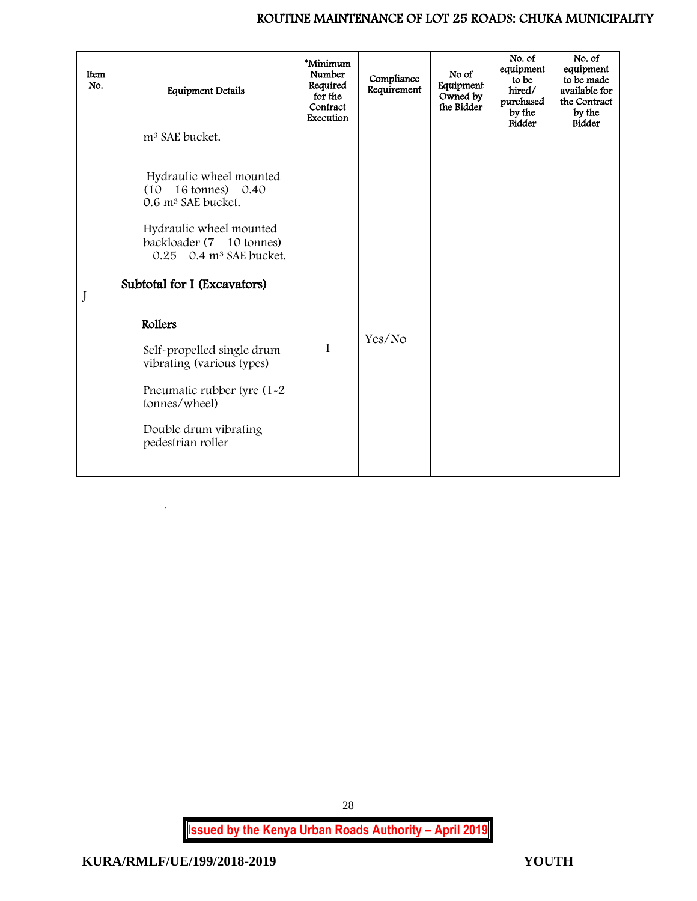| Item<br>No. | <b>Equipment Details</b>                                                                                                                                                                                                                                                                                                                                                                                                               | *Minimum<br>Number<br>Required<br>for the<br>Contract<br>Execution | Compliance<br>Requirement | No of<br>Equipment<br>Owned by<br>the Bidder | No. of<br>equipment<br>to be<br>hired/<br>purchased<br>by the<br><b>Bidder</b> | No. of<br>equipment<br>to be made<br>available for<br>the Contract<br>by the<br><b>Bidder</b> |
|-------------|----------------------------------------------------------------------------------------------------------------------------------------------------------------------------------------------------------------------------------------------------------------------------------------------------------------------------------------------------------------------------------------------------------------------------------------|--------------------------------------------------------------------|---------------------------|----------------------------------------------|--------------------------------------------------------------------------------|-----------------------------------------------------------------------------------------------|
| J           | m <sup>3</sup> SAE bucket.<br>Hydraulic wheel mounted<br>$(10 - 16 \text{ tonnes}) - 0.40$<br>0.6 m <sup>3</sup> SAE bucket.<br>Hydraulic wheel mounted<br>backloader $(7 - 10$ tonnes)<br>$-0.25 - 0.4$ m <sup>3</sup> SAE bucket.<br>Subtotal for I (Excavators)<br>Rollers<br>Self-propelled single drum<br>vibrating (various types)<br>Pneumatic rubber tyre (1-2)<br>tonnes/wheel)<br>Double drum vibrating<br>pedestrian roller | $\mathbf{1}$                                                       | Yes/No                    |                                              |                                                                                |                                                                                               |

<span id="page-28-0"></span>`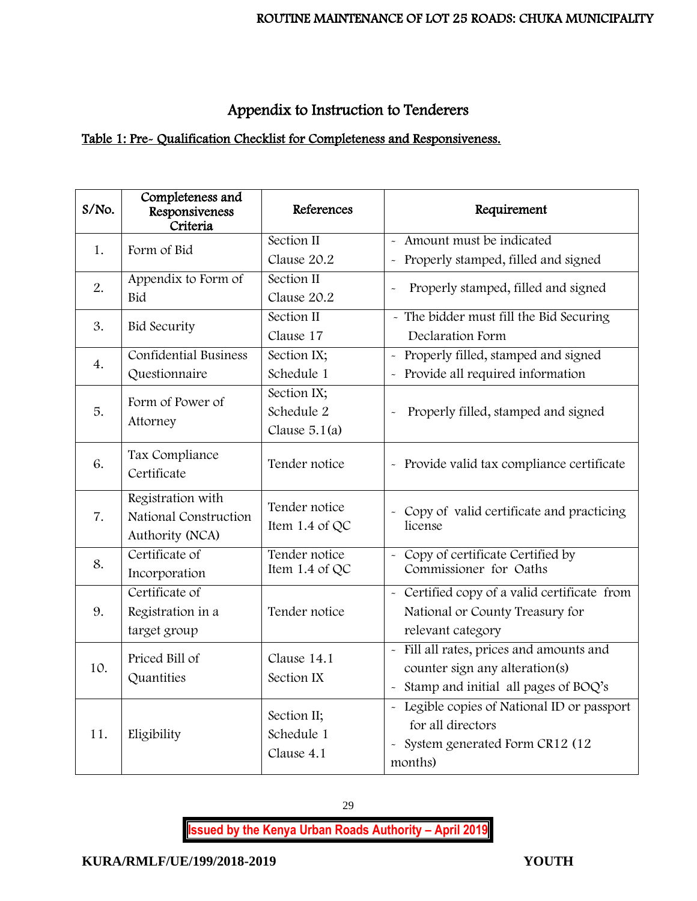# Appendix to Instruction to Tenderers

# Table 1: Pre- Qualification Checklist for Completeness and Responsiveness.

| S/No. | Completeness and<br>Responsiveness<br>Criteria                | References                                   | Requirement                                                                                                                                 |
|-------|---------------------------------------------------------------|----------------------------------------------|---------------------------------------------------------------------------------------------------------------------------------------------|
| 1.    | Form of Bid                                                   | Section II                                   | - Amount must be indicated                                                                                                                  |
|       |                                                               | Clause 20.2                                  | Properly stamped, filled and signed<br>$\tilde{}$                                                                                           |
| 2.    | Appendix to Form of                                           | Section II                                   | Properly stamped, filled and signed<br>$\ddot{\phantom{0}}$                                                                                 |
|       | Bid                                                           | Clause 20.2                                  |                                                                                                                                             |
| 3.    | <b>Bid Security</b>                                           | Section II                                   | - The bidder must fill the Bid Securing                                                                                                     |
|       |                                                               | Clause 17                                    | Declaration Form                                                                                                                            |
| 4.    | <b>Confidential Business</b>                                  | Section IX;                                  | Properly filled, stamped and signed<br>$\sim$                                                                                               |
|       | Questionnaire                                                 | Schedule 1                                   | - Provide all required information                                                                                                          |
| 5.    | Form of Power of<br>Attorney                                  | Section IX;<br>Schedule 2<br>Clause $5.1(a)$ | Properly filled, stamped and signed                                                                                                         |
| 6.    | Tax Compliance<br>Certificate                                 | Tender notice                                | - Provide valid tax compliance certificate                                                                                                  |
| 7.    | Registration with<br>National Construction<br>Authority (NCA) | Tender notice<br>Item 1.4 of QC              | - Copy of valid certificate and practicing<br>license                                                                                       |
| 8.    | Certificate of<br>Incorporation                               | Tender notice<br>Item 1.4 of QC              | - Copy of certificate Certified by<br>Commissioner for Oaths                                                                                |
| 9.    | Certificate of<br>Registration in a<br>target group           | Tender notice                                | - Certified copy of a valid certificate from<br>National or County Treasury for<br>relevant category                                        |
| 10.   | Priced Bill of<br>Quantities                                  | Clause 14.1<br>Section IX                    | Fill all rates, prices and amounts and<br>$\tilde{\phantom{a}}$<br>counter sign any alteration(s)<br>- Stamp and initial all pages of BOQ's |
| 11.   | Eligibility                                                   | Section II;<br>Schedule 1<br>Clause 4.1      | - Legible copies of National ID or passport<br>for all directors<br>System generated Form CR12 (12<br>$\sim$<br>months)                     |

29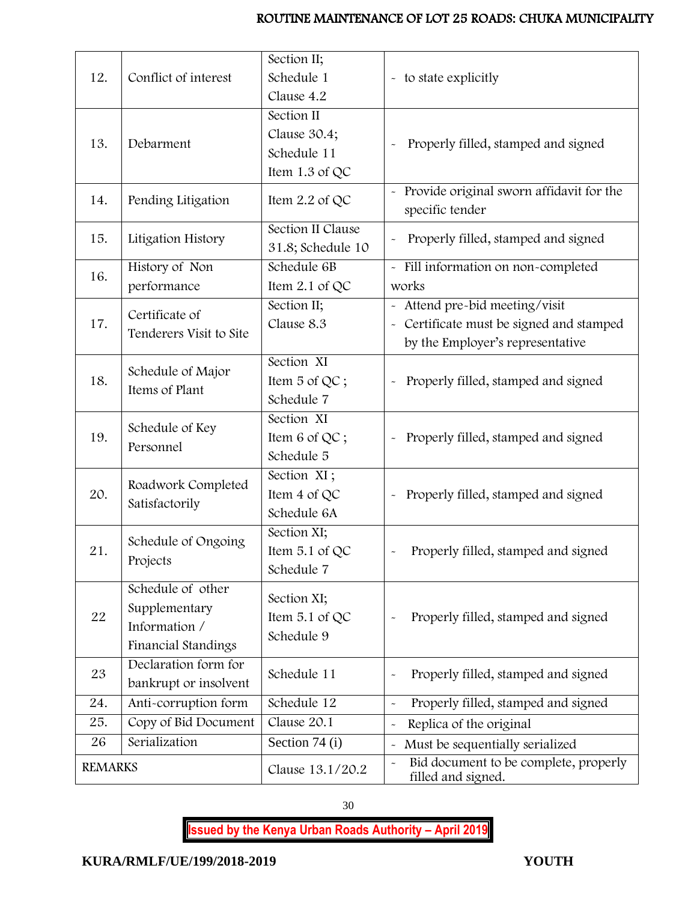|                                              |                                               | Section II;       |                                                                                     |  |
|----------------------------------------------|-----------------------------------------------|-------------------|-------------------------------------------------------------------------------------|--|
| 12.                                          | Conflict of interest                          | Schedule 1        | - to state explicitly                                                               |  |
|                                              |                                               | Clause 4.2        |                                                                                     |  |
| 13.                                          | Debarment                                     | Section II        |                                                                                     |  |
|                                              |                                               | Clause 30.4;      | Properly filled, stamped and signed                                                 |  |
|                                              |                                               | Schedule 11       |                                                                                     |  |
|                                              |                                               | Item 1.3 of QC    |                                                                                     |  |
| 14.                                          | Pending Litigation                            | Item 2.2 of QC    | - Provide original sworn affidavit for the<br>specific tender                       |  |
|                                              | Litigation History                            | Section II Clause |                                                                                     |  |
|                                              |                                               | 31.8; Schedule 10 | Properly filled, stamped and signed                                                 |  |
| 16.                                          | History of Non<br>performance                 | Schedule 6B       | - Fill information on non-completed                                                 |  |
|                                              |                                               | Item 2.1 of QC    | works                                                                               |  |
| 15.<br>17.<br>18.<br>19.<br>20.<br>21.<br>22 | Certificate of                                | Section II;       | - Attend pre-bid meeting/visit                                                      |  |
|                                              | Tenderers Visit to Site                       | Clause 8.3        | Certificate must be signed and stamped<br>$\widetilde{\phantom{m}}$                 |  |
|                                              |                                               |                   | by the Employer's representative                                                    |  |
|                                              | Schedule of Major<br>Items of Plant           | Section XI        |                                                                                     |  |
|                                              |                                               | Item 5 of QC;     | Properly filled, stamped and signed<br>$\widetilde{\phantom{m}}$                    |  |
|                                              |                                               | Schedule 7        |                                                                                     |  |
|                                              | Schedule of Key<br>Personnel                  | Section XI        |                                                                                     |  |
|                                              |                                               | Item 6 of QC;     | Properly filled, stamped and signed                                                 |  |
|                                              |                                               | Schedule 5        |                                                                                     |  |
|                                              | Roadwork Completed<br>Satisfactorily          | Section XI;       |                                                                                     |  |
|                                              |                                               | Item 4 of QC      | Properly filled, stamped and signed                                                 |  |
|                                              |                                               | Schedule 6A       |                                                                                     |  |
|                                              | Schedule of Ongoing<br>Projects               | Section XI;       |                                                                                     |  |
|                                              |                                               | Item $5.1$ of QC  | Properly filled, stamped and signed                                                 |  |
|                                              |                                               | Schedule 7        |                                                                                     |  |
|                                              | Schedule of other                             | Section XI;       |                                                                                     |  |
|                                              | Supplementary                                 | Item 5.1 of QC    | Properly filled, stamped and signed<br>$\tilde{ }$                                  |  |
|                                              | Information /                                 | Schedule 9        |                                                                                     |  |
|                                              | Financial Standings                           |                   |                                                                                     |  |
| 23                                           | Declaration form for<br>bankrupt or insolvent | Schedule 11       | Properly filled, stamped and signed                                                 |  |
|                                              |                                               |                   |                                                                                     |  |
| 24.                                          | Anti-corruption form                          | Schedule 12       | Properly filled, stamped and signed<br>$\tilde{}$                                   |  |
| 25.                                          | Copy of Bid Document                          | Clause 20.1       | Replica of the original<br>$\ddot{\phantom{1}}$                                     |  |
| 26                                           | Serialization                                 | Section 74 (i)    | Must be sequentially serialized<br>$\ddot{\phantom{0}}$                             |  |
| <b>REMARKS</b>                               |                                               | Clause 13.1/20.2  | Bid document to be complete, properly<br>$\ddot{\phantom{0}}$<br>filled and signed. |  |

30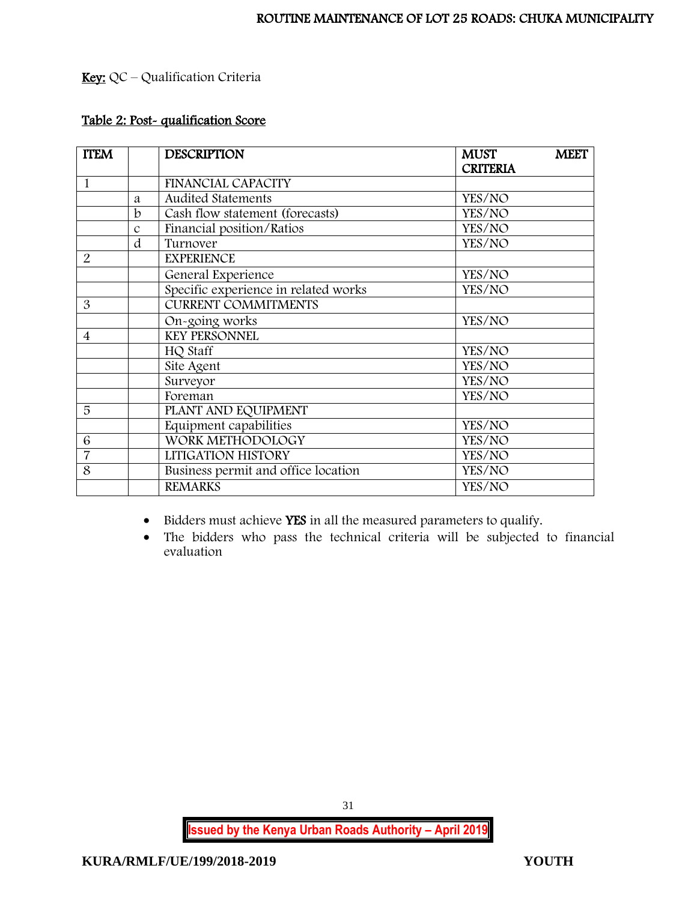# Key: QC – Qualification Criteria

# Table 2: Post- qualification Score

| <b>ITEM</b>    |               | <b>DESCRIPTION</b>                   | <b>MUST</b>     | <b>MEET</b> |
|----------------|---------------|--------------------------------------|-----------------|-------------|
|                |               |                                      | <b>CRITERIA</b> |             |
| 1              |               | <b>FINANCIAL CAPACITY</b>            |                 |             |
|                | a             | <b>Audited Statements</b>            | YES/NO          |             |
|                | $\mathbf b$   | Cash flow statement (forecasts)      | YES/NO          |             |
|                | $\mathcal{C}$ | Financial position/Ratios            | YES/NO          |             |
|                | d             | Turnover                             | YES/NO          |             |
| 2              |               | <b>EXPERIENCE</b>                    |                 |             |
|                |               | General Experience                   | YES/NO          |             |
|                |               | Specific experience in related works | YES/NO          |             |
| 3              |               | <b>CURRENT COMMITMENTS</b>           |                 |             |
|                |               | On-going works                       | YES/NO          |             |
| 4              |               | <b>KEY PERSONNEL</b>                 |                 |             |
|                |               | HQ Staff                             | YES/NO          |             |
|                |               | Site Agent                           | YES/NO          |             |
|                |               | Surveyor                             | YES/NO          |             |
|                |               | Foreman                              | YES/NO          |             |
| 5              |               | PLANT AND EQUIPMENT                  |                 |             |
|                |               | Equipment capabilities               | YES/NO          |             |
| 6              |               | WORK METHODOLOGY                     | YES/NO          |             |
| $\overline{7}$ |               | LITIGATION HISTORY                   | YES/NO          |             |
| 8              |               | Business permit and office location  | YES/NO          |             |
|                |               | <b>REMARKS</b>                       | YES/NO          |             |

• Bidders must achieve YES in all the measured parameters to qualify.

• The bidders who pass the technical criteria will be subjected to financial evaluation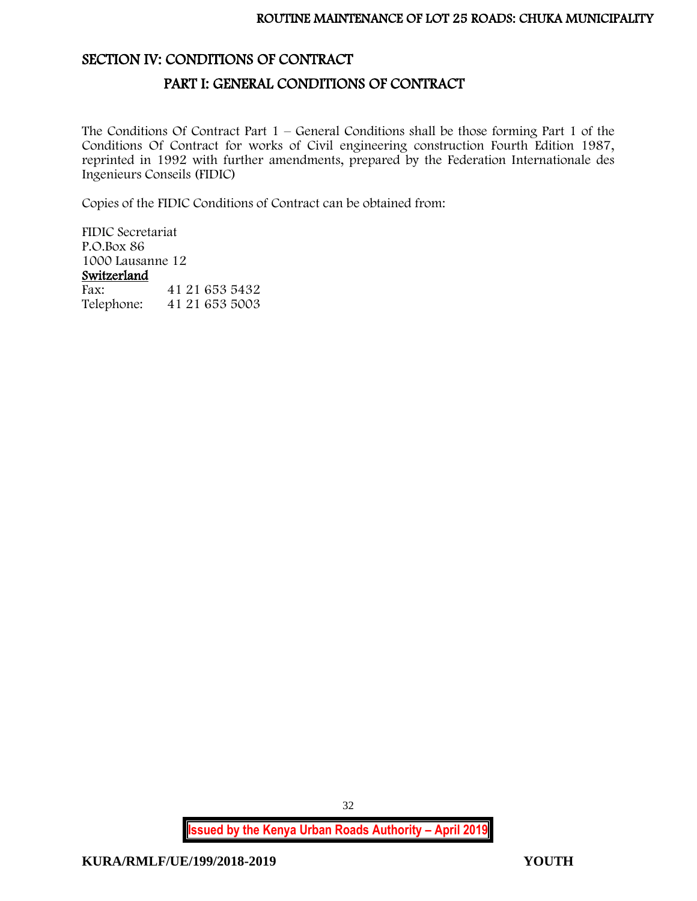## <span id="page-32-1"></span><span id="page-32-0"></span>SECTION IV: CONDITIONS OF CONTRACT

## PART I: GENERAL CONDITIONS OF CONTRACT

The Conditions Of Contract Part  $1$  – General Conditions shall be those forming Part 1 of the Conditions Of Contract for works of Civil engineering construction Fourth Edition 1987, reprinted in 1992 with further amendments, prepared by the Federation Internationale des Ingenieurs Conseils (FIDIC)

Copies of the FIDIC Conditions of Contract can be obtained from:

FIDIC Secretariat P.O.Box 86 1000 Lausanne 12 Switzerland Fax: 41 21 653 5432 Telephone: 41 21 653 5003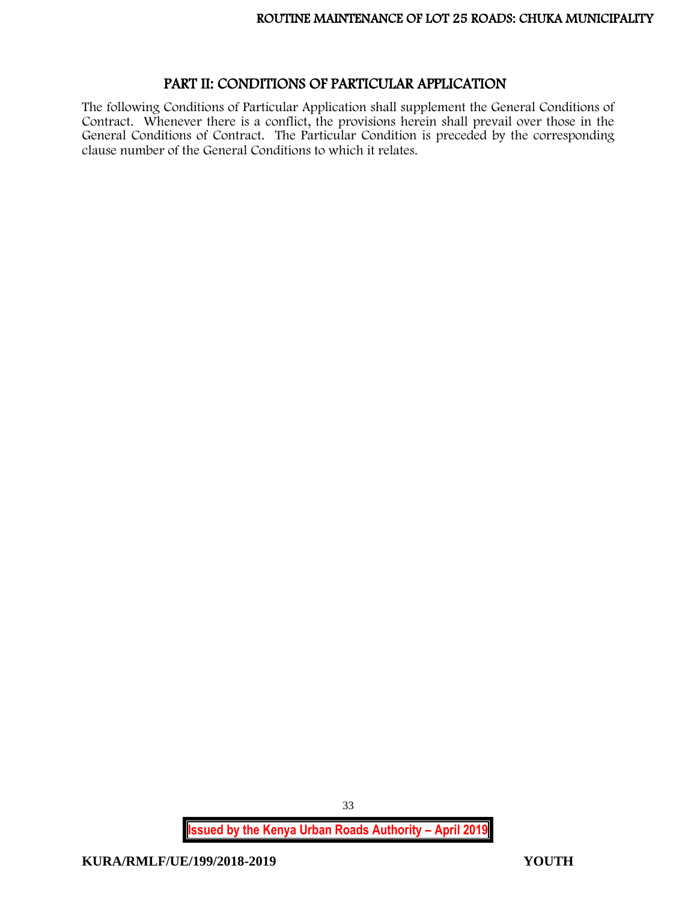## PART II: CONDITIONS OF PARTICULAR APPLICATION

<span id="page-33-0"></span>The following Conditions of Particular Application shall supplement the General Conditions of Contract. Whenever there is a conflict, the provisions herein shall prevail over those in the General Conditions of Contract. The Particular Condition is preceded by the corresponding clause number of the General Conditions to which it relates.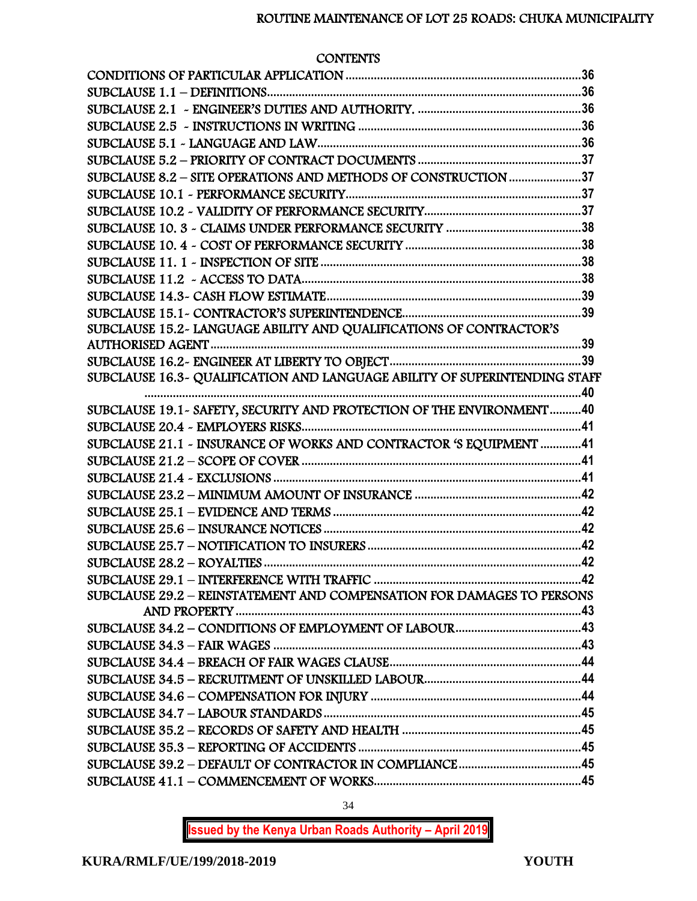### **CONTENTS**

| SUBCLAUSE 8.2 - SITE OPERATIONS AND METHODS OF CONSTRUCTION 37             |  |
|----------------------------------------------------------------------------|--|
|                                                                            |  |
|                                                                            |  |
|                                                                            |  |
|                                                                            |  |
|                                                                            |  |
|                                                                            |  |
|                                                                            |  |
|                                                                            |  |
| SUBCLAUSE 15.2- LANGUAGE ABILITY AND QUALIFICATIONS OF CONTRACTOR'S        |  |
|                                                                            |  |
|                                                                            |  |
| SUBCLAUSE 16.3~ QUALIFICATION AND LANGUAGE ABILITY OF SUPERINTENDING STAFF |  |
| SUBCLAUSE 19.1~ SAFETY, SECURITY AND PROTECTION OF THE ENVIRONMENT 40      |  |
|                                                                            |  |
| SUBCLAUSE 21.1 - INSURANCE OF WORKS AND CONTRACTOR 'S EQUIPMENT 41         |  |
|                                                                            |  |
|                                                                            |  |
|                                                                            |  |
|                                                                            |  |
|                                                                            |  |
|                                                                            |  |
|                                                                            |  |
|                                                                            |  |
| SUBCLAUSE 29.2 - REINSTATEMENT AND COMPENSATION FOR DAMAGES TO PERSONS     |  |
|                                                                            |  |
|                                                                            |  |
|                                                                            |  |
|                                                                            |  |
|                                                                            |  |
|                                                                            |  |
|                                                                            |  |
|                                                                            |  |
|                                                                            |  |
|                                                                            |  |
|                                                                            |  |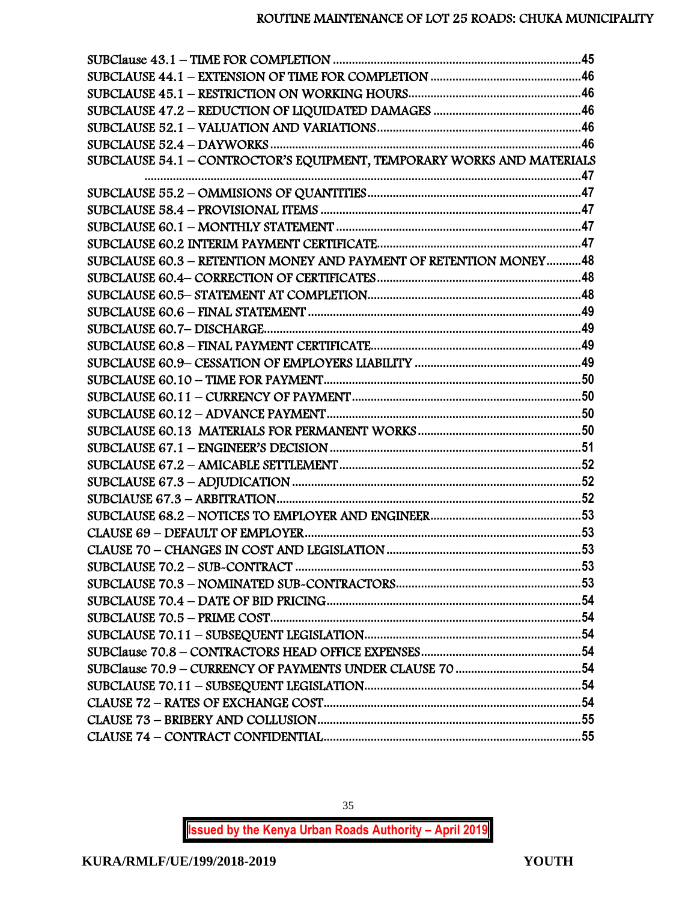| SUBCLAUSE 54.1 - CONTROCTOR'S EQUIPMENT, TEMPORARY WORKS AND MATERIALS |  |
|------------------------------------------------------------------------|--|
|                                                                        |  |
|                                                                        |  |
|                                                                        |  |
|                                                                        |  |
|                                                                        |  |
| SUBCLAUSE 60.3 - RETENTION MONEY AND PAYMENT OF RETENTION MONEY48      |  |
|                                                                        |  |
|                                                                        |  |
|                                                                        |  |
|                                                                        |  |
|                                                                        |  |
|                                                                        |  |
|                                                                        |  |
|                                                                        |  |
|                                                                        |  |
|                                                                        |  |
|                                                                        |  |
|                                                                        |  |
|                                                                        |  |
|                                                                        |  |
|                                                                        |  |
|                                                                        |  |
|                                                                        |  |
|                                                                        |  |
|                                                                        |  |
|                                                                        |  |
|                                                                        |  |
|                                                                        |  |
|                                                                        |  |
|                                                                        |  |
|                                                                        |  |
|                                                                        |  |
|                                                                        |  |
|                                                                        |  |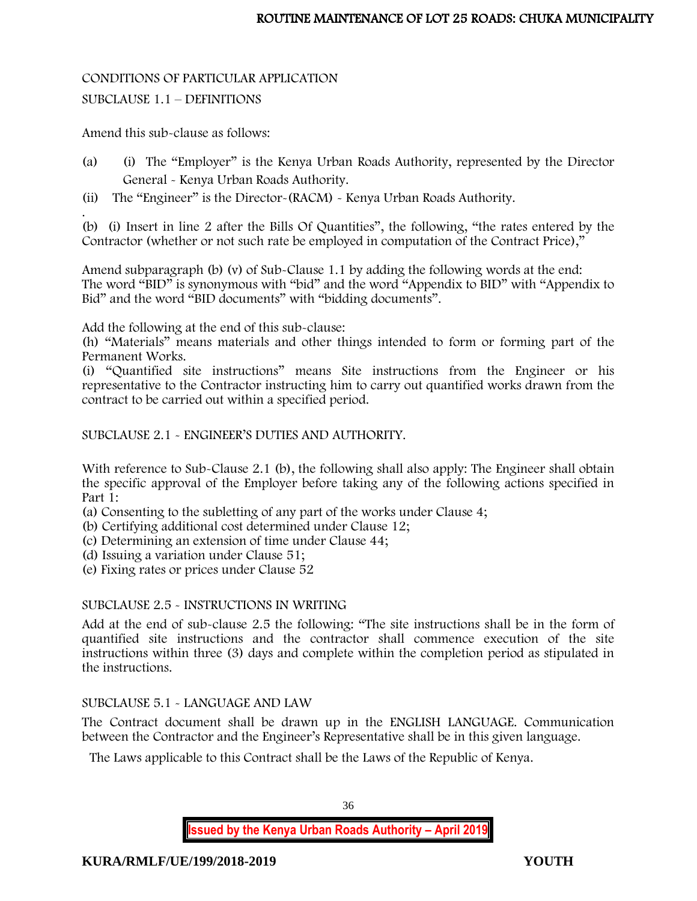# CONDITIONS OF PARTICULAR APPLICATION

SUBCLAUSE 1.1 – DEFINITIONS

Amend this sub-clause as follows:

- (a) (i) The "Employer" is the Kenya Urban Roads Authority, represented by the Director General - Kenya Urban Roads Authority.
- (ii) The "Engineer" is the Director-(RACM) Kenya Urban Roads Authority.

. (b) (i) Insert in line 2 after the Bills Of Quantities", the following, "the rates entered by the Contractor (whether or not such rate be employed in computation of the Contract Price),"

Amend subparagraph (b) (v) of Sub-Clause 1.1 by adding the following words at the end: The word "BID" is synonymous with "bid" and the word "Appendix to BID" with "Appendix to Bid" and the word "BID documents" with "bidding documents".

Add the following at the end of this sub-clause:

(h) "Materials" means materials and other things intended to form or forming part of the Permanent Works.

(i) "Quantified site instructions" means Site instructions from the Engineer or his representative to the Contractor instructing him to carry out quantified works drawn from the contract to be carried out within a specified period.

SUBCLAUSE 2.1 - ENGINEER'S DUTIES AND AUTHORITY.

With reference to Sub-Clause 2.1 (b), the following shall also apply: The Engineer shall obtain the specific approval of the Employer before taking any of the following actions specified in Part 1:

(a) Consenting to the subletting of any part of the works under Clause 4;

(b) Certifying additional cost determined under Clause 12;

(c) Determining an extension of time under Clause 44;

(d) Issuing a variation under Clause 51;

(e) Fixing rates or prices under Clause 52

# SUBCLAUSE 2.5 - INSTRUCTIONS IN WRITING

Add at the end of sub-clause 2.5 the following: "The site instructions shall be in the form of quantified site instructions and the contractor shall commence execution of the site instructions within three (3) days and complete within the completion period as stipulated in the instructions.

# SUBCLAUSE 5.1 - LANGUAGE AND LAW

The Contract document shall be drawn up in the ENGLISH LANGUAGE. Communication between the Contractor and the Engineer's Representative shall be in this given language.

The Laws applicable to this Contract shall be the Laws of the Republic of Kenya.

36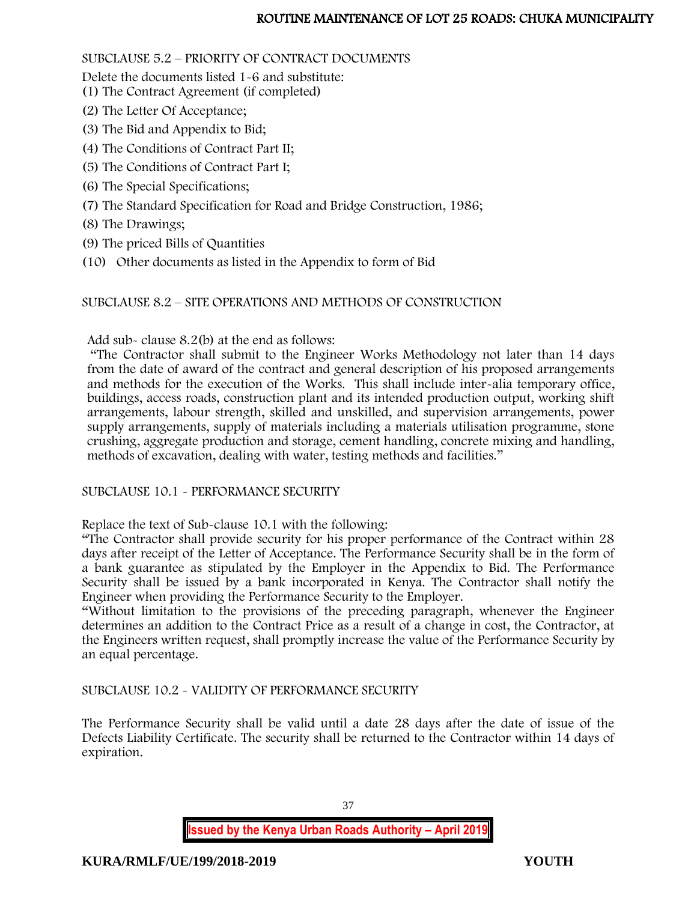# SUBCLAUSE 5.2 – PRIORITY OF CONTRACT DOCUMENTS

Delete the documents listed 1-6 and substitute:

- (1) The Contract Agreement (if completed)
- (2) The Letter Of Acceptance;
- (3) The Bid and Appendix to Bid;
- (4) The Conditions of Contract Part II;
- (5) The Conditions of Contract Part I;
- (6) The Special Specifications;
- (7) The Standard Specification for Road and Bridge Construction, 1986;
- (8) The Drawings;
- (9) The priced Bills of Quantities
- (10) Other documents as listed in the Appendix to form of Bid

# SUBCLAUSE 8.2 – SITE OPERATIONS AND METHODS OF CONSTRUCTION

Add sub- clause 8.2(b) at the end as follows:

"The Contractor shall submit to the Engineer Works Methodology not later than 14 days from the date of award of the contract and general description of his proposed arrangements and methods for the execution of the Works. This shall include inter-alia temporary office, buildings, access roads, construction plant and its intended production output, working shift arrangements, labour strength, skilled and unskilled, and supervision arrangements, power supply arrangements, supply of materials including a materials utilisation programme, stone crushing, aggregate production and storage, cement handling, concrete mixing and handling, methods of excavation, dealing with water, testing methods and facilities."

# SUBCLAUSE 10.1 - PERFORMANCE SECURITY

Replace the text of Sub-clause 10.1 with the following:

"The Contractor shall provide security for his proper performance of the Contract within 28 days after receipt of the Letter of Acceptance. The Performance Security shall be in the form of a bank guarantee as stipulated by the Employer in the Appendix to Bid. The Performance Security shall be issued by a bank incorporated in Kenya. The Contractor shall notify the Engineer when providing the Performance Security to the Employer.

"Without limitation to the provisions of the preceding paragraph, whenever the Engineer determines an addition to the Contract Price as a result of a change in cost, the Contractor, at the Engineers written request, shall promptly increase the value of the Performance Security by an equal percentage.

# SUBCLAUSE 10.2 - VALIDITY OF PERFORMANCE SECURITY

The Performance Security shall be valid until a date 28 days after the date of issue of the Defects Liability Certificate. The security shall be returned to the Contractor within 14 days of expiration.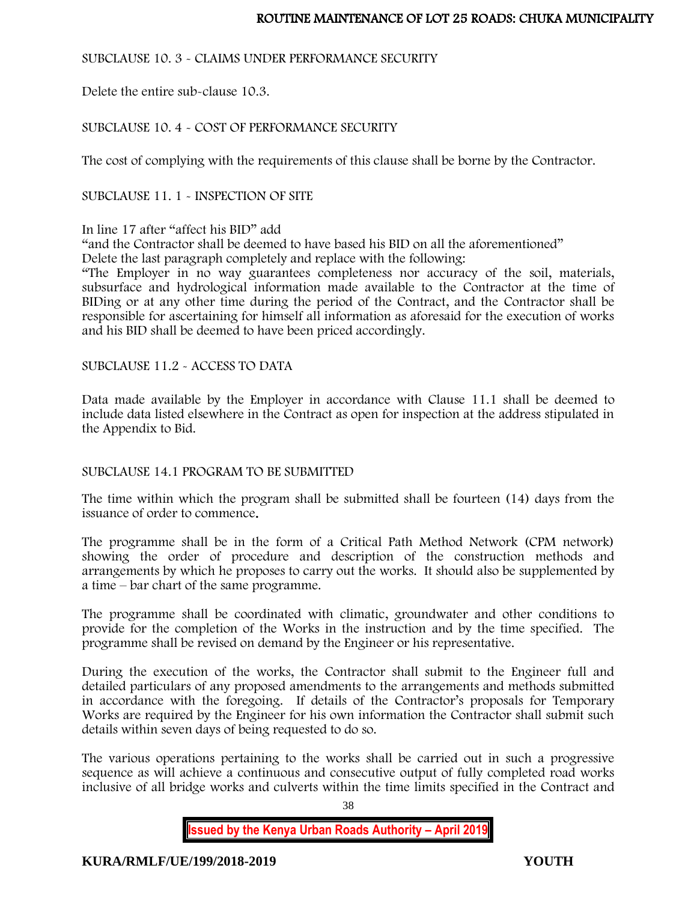## SUBCLAUSE 10. 3 - CLAIMS UNDER PERFORMANCE SECURITY

Delete the entire sub-clause 10.3.

# SUBCLAUSE 10. 4 - COST OF PERFORMANCE SECURITY

The cost of complying with the requirements of this clause shall be borne by the Contractor.

SUBCLAUSE 11. 1 - INSPECTION OF SITE

## In line 17 after "affect his BID" add

"and the Contractor shall be deemed to have based his BID on all the aforementioned" Delete the last paragraph completely and replace with the following:

"The Employer in no way guarantees completeness nor accuracy of the soil, materials, subsurface and hydrological information made available to the Contractor at the time of BIDing or at any other time during the period of the Contract, and the Contractor shall be responsible for ascertaining for himself all information as aforesaid for the execution of works and his BID shall be deemed to have been priced accordingly.

## SUBCLAUSE 11.2 - ACCESS TO DATA

Data made available by the Employer in accordance with Clause 11.1 shall be deemed to include data listed elsewhere in the Contract as open for inspection at the address stipulated in the Appendix to Bid.

## SUBCLAUSE 14.1 PROGRAM TO BE SUBMITTED

The time within which the program shall be submitted shall be fourteen (14) days from the issuance of order to commence.

The programme shall be in the form of a Critical Path Method Network (CPM network) showing the order of procedure and description of the construction methods and arrangements by which he proposes to carry out the works. It should also be supplemented by a time – bar chart of the same programme.

The programme shall be coordinated with climatic, groundwater and other conditions to provide for the completion of the Works in the instruction and by the time specified. The programme shall be revised on demand by the Engineer or his representative.

During the execution of the works, the Contractor shall submit to the Engineer full and detailed particulars of any proposed amendments to the arrangements and methods submitted in accordance with the foregoing. If details of the Contractor's proposals for Temporary Works are required by the Engineer for his own information the Contractor shall submit such details within seven days of being requested to do so.

The various operations pertaining to the works shall be carried out in such a progressive sequence as will achieve a continuous and consecutive output of fully completed road works inclusive of all bridge works and culverts within the time limits specified in the Contract and

**Issued by the Kenya Urban Roads Authority – April 2019**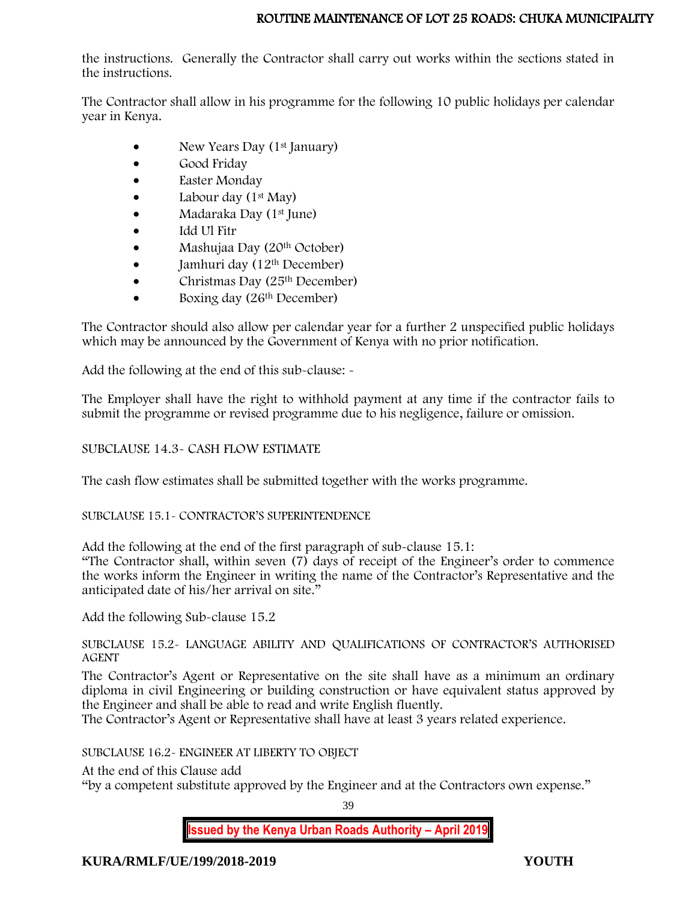the instructions. Generally the Contractor shall carry out works within the sections stated in the instructions.

The Contractor shall allow in his programme for the following 10 public holidays per calendar year in Kenya.

- New Years Day (1<sup>st</sup> January)
- Good Friday
- Easter Monday
- Labour day  $(1<sup>st</sup>$  May)
- Madaraka Day (1<sup>st</sup> June)
- Idd Ul Fitr
- Mashujaa Day (20<sup>th</sup> October)
- $\bullet$  Jamhuri day (12<sup>th</sup> December)
- Christmas Day (25<sup>th</sup> December)
- Boxing day (26<sup>th</sup> December)

The Contractor should also allow per calendar year for a further 2 unspecified public holidays which may be announced by the Government of Kenya with no prior notification.

Add the following at the end of this sub-clause: -

The Employer shall have the right to withhold payment at any time if the contractor fails to submit the programme or revised programme due to his negligence, failure or omission.

# SUBCLAUSE 14.3- CASH FLOW ESTIMATE

The cash flow estimates shall be submitted together with the works programme.

# SUBCLAUSE 15.1- CONTRACTOR'S SUPERINTENDENCE

Add the following at the end of the first paragraph of sub-clause 15.1:

"The Contractor shall, within seven (7) days of receipt of the Engineer's order to commence the works inform the Engineer in writing the name of the Contractor's Representative and the anticipated date of his/her arrival on site."

Add the following Sub-clause 15.2

SUBCLAUSE 15.2- LANGUAGE ABILITY AND QUALIFICATIONS OF CONTRACTOR'S AUTHORISED AGENT

The Contractor's Agent or Representative on the site shall have as a minimum an ordinary diploma in civil Engineering or building construction or have equivalent status approved by the Engineer and shall be able to read and write English fluently.

The Contractor's Agent or Representative shall have at least 3 years related experience.

SUBCLAUSE 16.2- ENGINEER AT LIBERTY TO OBJECT

At the end of this Clause add

"by a competent substitute approved by the Engineer and at the Contractors own expense."

39

**Issued by the Kenya Urban Roads Authority – April 2019**

**KURA/RMLF/UE/199/2018-2019 YOUTH**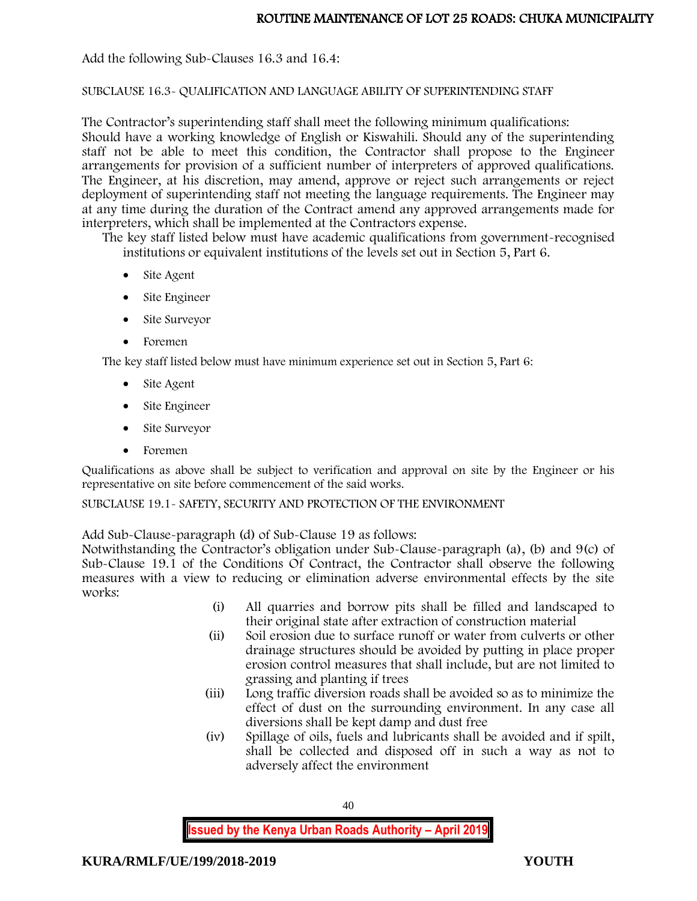Add the following Sub-Clauses 16.3 and 16.4:

## SUBCLAUSE 16.3- QUALIFICATION AND LANGUAGE ABILITY OF SUPERINTENDING STAFF

The Contractor's superintending staff shall meet the following minimum qualifications: Should have a working knowledge of English or Kiswahili. Should any of the superintending staff not be able to meet this condition, the Contractor shall propose to the Engineer arrangements for provision of a sufficient number of interpreters of approved qualifications. The Engineer, at his discretion, may amend, approve or reject such arrangements or reject deployment of superintending staff not meeting the language requirements. The Engineer may at any time during the duration of the Contract amend any approved arrangements made for interpreters, which shall be implemented at the Contractors expense.

The key staff listed below must have academic qualifications from government-recognised institutions or equivalent institutions of the levels set out in Section 5, Part 6.

- Site Agent
- Site Engineer
- Site Surveyor
- Foremen

The key staff listed below must have minimum experience set out in Section 5, Part 6:

- Site Agent
- Site Engineer
- Site Surveyor
- Foremen

Qualifications as above shall be subject to verification and approval on site by the Engineer or his representative on site before commencement of the said works.

## SUBCLAUSE 19.1- SAFETY, SECURITY AND PROTECTION OF THE ENVIRONMENT

Add Sub-Clause-paragraph (d) of Sub-Clause 19 as follows:

Notwithstanding the Contractor's obligation under Sub-Clause-paragraph (a), (b) and 9(c) of Sub-Clause 19.1 of the Conditions Of Contract, the Contractor shall observe the following measures with a view to reducing or elimination adverse environmental effects by the site works:

- (i) All quarries and borrow pits shall be filled and landscaped to their original state after extraction of construction material
- (ii) Soil erosion due to surface runoff or water from culverts or other drainage structures should be avoided by putting in place proper erosion control measures that shall include, but are not limited to grassing and planting if trees
- (iii) Long traffic diversion roads shall be avoided so as to minimize the effect of dust on the surrounding environment. In any case all diversions shall be kept damp and dust free
- (iv) Spillage of oils, fuels and lubricants shall be avoided and if spilt, shall be collected and disposed off in such a way as not to adversely affect the environment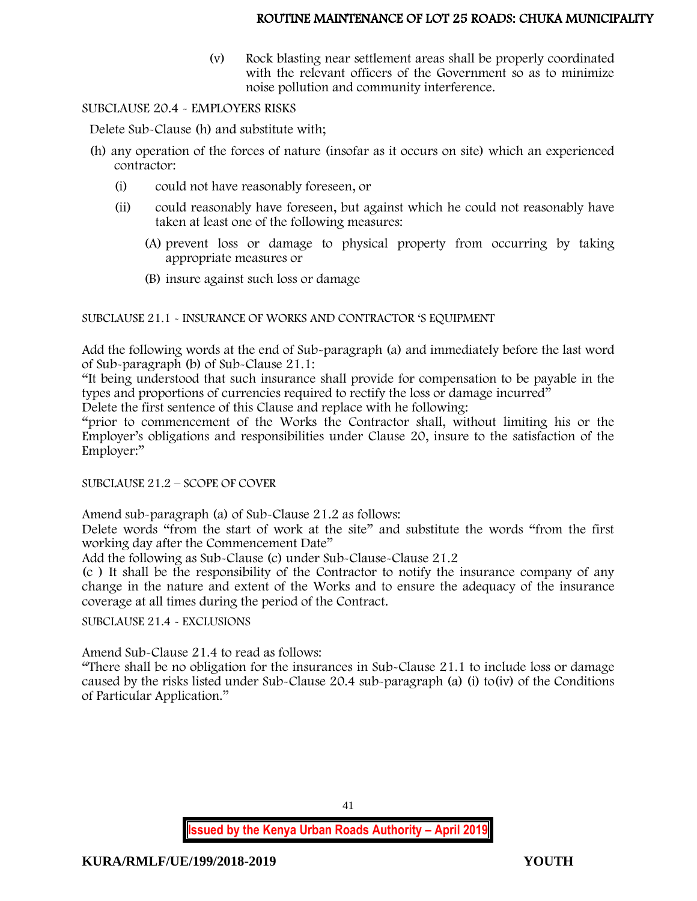(v) Rock blasting near settlement areas shall be properly coordinated with the relevant officers of the Government so as to minimize noise pollution and community interference.

## SUBCLAUSE 20.4 - EMPLOYERS RISKS

Delete Sub-Clause (h) and substitute with;

- (h) any operation of the forces of nature (insofar as it occurs on site) which an experienced contractor:
	- (i) could not have reasonably foreseen, or
	- (ii) could reasonably have foreseen, but against which he could not reasonably have taken at least one of the following measures:
		- (A) prevent loss or damage to physical property from occurring by taking appropriate measures or
		- (B) insure against such loss or damage

SUBCLAUSE 21.1 - INSURANCE OF WORKS AND CONTRACTOR 'S EQUIPMENT

Add the following words at the end of Sub-paragraph (a) and immediately before the last word of Sub-paragraph (b) of Sub-Clause 21.1:

"It being understood that such insurance shall provide for compensation to be payable in the types and proportions of currencies required to rectify the loss or damage incurred"

Delete the first sentence of this Clause and replace with he following:

"prior to commencement of the Works the Contractor shall, without limiting his or the Employer's obligations and responsibilities under Clause 20, insure to the satisfaction of the Employer:"

SUBCLAUSE 21.2 – SCOPE OF COVER

Amend sub-paragraph (a) of Sub-Clause 21.2 as follows:

Delete words "from the start of work at the site" and substitute the words "from the first working day after the Commencement Date"

Add the following as Sub-Clause (c) under Sub-Clause-Clause 21.2

(c ) It shall be the responsibility of the Contractor to notify the insurance company of any change in the nature and extent of the Works and to ensure the adequacy of the insurance coverage at all times during the period of the Contract.

SUBCLAUSE 21.4 - EXCLUSIONS

Amend Sub-Clause 21.4 to read as follows:

"There shall be no obligation for the insurances in Sub-Clause 21.1 to include loss or damage caused by the risks listed under Sub-Clause 20.4 sub-paragraph (a) (i) to(iv) of the Conditions of Particular Application."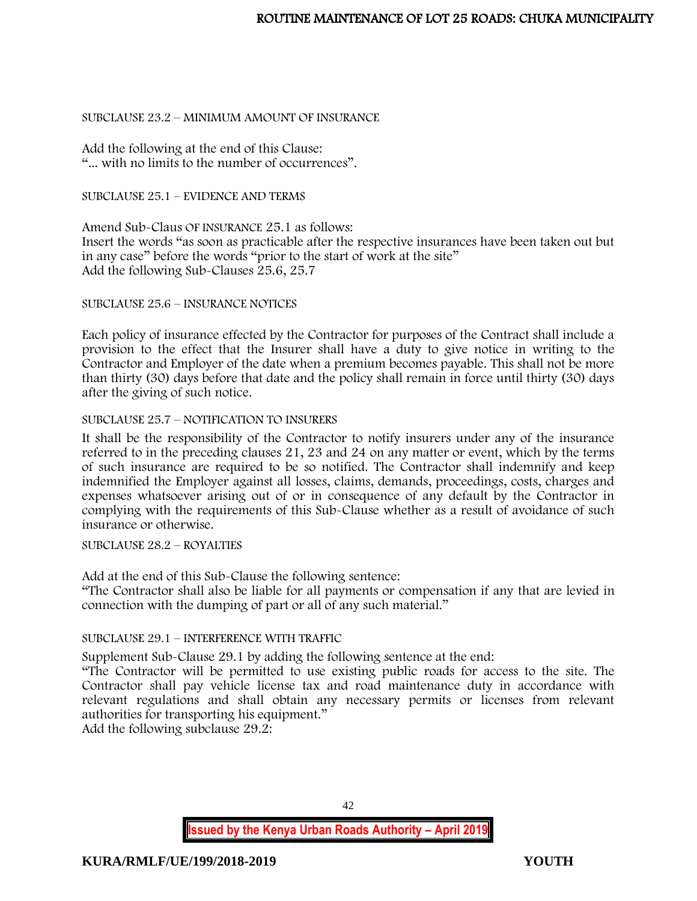## SUBCLAUSE 23.2 – MINIMUM AMOUNT OF INSURANCE

Add the following at the end of this Clause: "... with no limits to the number of occurrences".

## SUBCLAUSE 25.1 – EVIDENCE AND TERMS

Amend Sub-Claus OF INSURANCE 25.1 as follows: Insert the words "as soon as practicable after the respective insurances have been taken out but in any case" before the words "prior to the start of work at the site" Add the following Sub-Clauses 25.6, 25.7

SUBCLAUSE 25.6 – INSURANCE NOTICES

Each policy of insurance effected by the Contractor for purposes of the Contract shall include a provision to the effect that the Insurer shall have a duty to give notice in writing to the Contractor and Employer of the date when a premium becomes payable. This shall not be more than thirty (30) days before that date and the policy shall remain in force until thirty (30) days after the giving of such notice.

## SUBCLAUSE 25.7 – NOTIFICATION TO INSURERS

It shall be the responsibility of the Contractor to notify insurers under any of the insurance referred to in the preceding clauses 21, 23 and 24 on any matter or event, which by the terms of such insurance are required to be so notified. The Contractor shall indemnify and keep indemnified the Employer against all losses, claims, demands, proceedings, costs, charges and expenses whatsoever arising out of or in consequence of any default by the Contractor in complying with the requirements of this Sub-Clause whether as a result of avoidance of such insurance or otherwise.

SUBCLAUSE 28.2 – ROYALTIES

Add at the end of this Sub-Clause the following sentence:

"The Contractor shall also be liable for all payments or compensation if any that are levied in connection with the dumping of part or all of any such material."

# SUBCLAUSE 29.1 – INTERFERENCE WITH TRAFFIC

Supplement Sub-Clause 29.1 by adding the following sentence at the end:

"The Contractor will be permitted to use existing public roads for access to the site. The Contractor shall pay vehicle license tax and road maintenance duty in accordance with relevant regulations and shall obtain any necessary permits or licenses from relevant authorities for transporting his equipment."

Add the following subclause 29.2:

42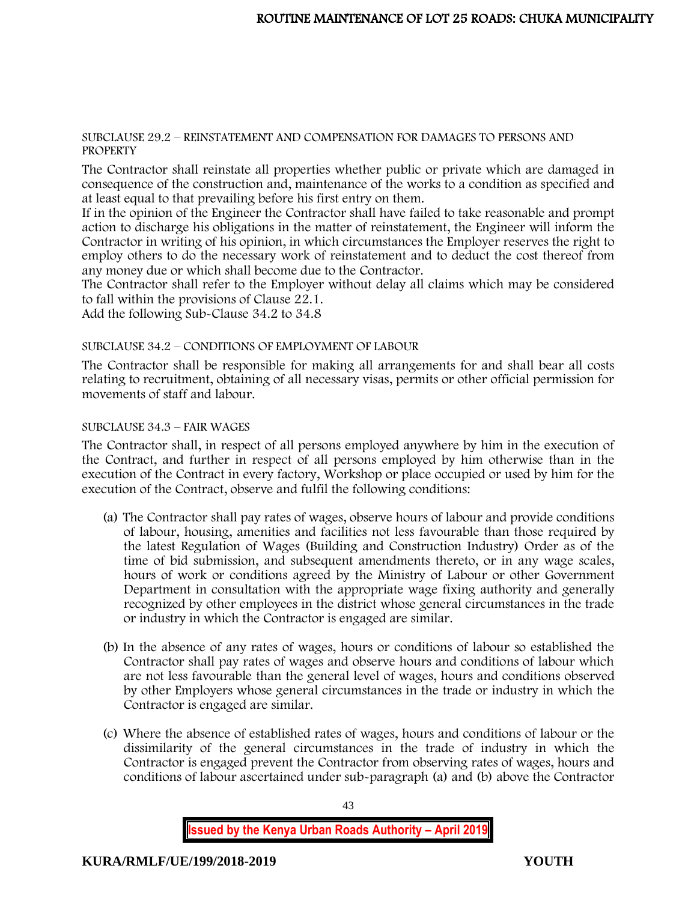#### SUBCLAUSE 29.2 – REINSTATEMENT AND COMPENSATION FOR DAMAGES TO PERSONS AND **PROPERTY**

The Contractor shall reinstate all properties whether public or private which are damaged in consequence of the construction and, maintenance of the works to a condition as specified and at least equal to that prevailing before his first entry on them.

If in the opinion of the Engineer the Contractor shall have failed to take reasonable and prompt action to discharge his obligations in the matter of reinstatement, the Engineer will inform the Contractor in writing of his opinion, in which circumstances the Employer reserves the right to employ others to do the necessary work of reinstatement and to deduct the cost thereof from any money due or which shall become due to the Contractor.

The Contractor shall refer to the Employer without delay all claims which may be considered to fall within the provisions of Clause 22.1.

Add the following Sub-Clause 34.2 to 34.8

## SUBCLAUSE 34.2 – CONDITIONS OF EMPLOYMENT OF LABOUR

The Contractor shall be responsible for making all arrangements for and shall bear all costs relating to recruitment, obtaining of all necessary visas, permits or other official permission for movements of staff and labour.

# SUBCLAUSE 34.3 – FAIR WAGES

The Contractor shall, in respect of all persons employed anywhere by him in the execution of the Contract, and further in respect of all persons employed by him otherwise than in the execution of the Contract in every factory, Workshop or place occupied or used by him for the execution of the Contract, observe and fulfil the following conditions:

- (a) The Contractor shall pay rates of wages, observe hours of labour and provide conditions of labour, housing, amenities and facilities not less favourable than those required by the latest Regulation of Wages (Building and Construction Industry) Order as of the time of bid submission, and subsequent amendments thereto, or in any wage scales, hours of work or conditions agreed by the Ministry of Labour or other Government Department in consultation with the appropriate wage fixing authority and generally recognized by other employees in the district whose general circumstances in the trade or industry in which the Contractor is engaged are similar.
- (b) In the absence of any rates of wages, hours or conditions of labour so established the Contractor shall pay rates of wages and observe hours and conditions of labour which are not less favourable than the general level of wages, hours and conditions observed by other Employers whose general circumstances in the trade or industry in which the Contractor is engaged are similar.
- (c) Where the absence of established rates of wages, hours and conditions of labour or the dissimilarity of the general circumstances in the trade of industry in which the Contractor is engaged prevent the Contractor from observing rates of wages, hours and conditions of labour ascertained under sub-paragraph (a) and (b) above the Contractor

**Issued by the Kenya Urban Roads Authority – April 2019**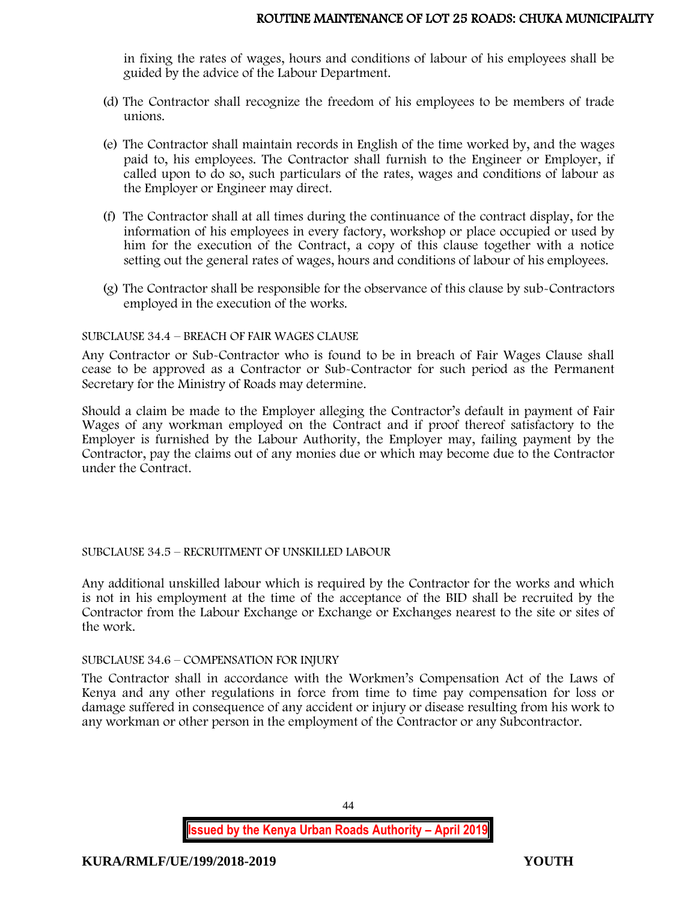in fixing the rates of wages, hours and conditions of labour of his employees shall be guided by the advice of the Labour Department.

- (d) The Contractor shall recognize the freedom of his employees to be members of trade unions.
- (e) The Contractor shall maintain records in English of the time worked by, and the wages paid to, his employees. The Contractor shall furnish to the Engineer or Employer, if called upon to do so, such particulars of the rates, wages and conditions of labour as the Employer or Engineer may direct.
- (f) The Contractor shall at all times during the continuance of the contract display, for the information of his employees in every factory, workshop or place occupied or used by him for the execution of the Contract, a copy of this clause together with a notice setting out the general rates of wages, hours and conditions of labour of his employees.
- (g) The Contractor shall be responsible for the observance of this clause by sub-Contractors employed in the execution of the works.

## SUBCLAUSE 34.4 – BREACH OF FAIR WAGES CLAUSE

Any Contractor or Sub-Contractor who is found to be in breach of Fair Wages Clause shall cease to be approved as a Contractor or Sub-Contractor for such period as the Permanent Secretary for the Ministry of Roads may determine.

Should a claim be made to the Employer alleging the Contractor's default in payment of Fair Wages of any workman employed on the Contract and if proof thereof satisfactory to the Employer is furnished by the Labour Authority, the Employer may, failing payment by the Contractor, pay the claims out of any monies due or which may become due to the Contractor under the Contract.

## SUBCLAUSE 34.5 – RECRUITMENT OF UNSKILLED LABOUR

Any additional unskilled labour which is required by the Contractor for the works and which is not in his employment at the time of the acceptance of the BID shall be recruited by the Contractor from the Labour Exchange or Exchange or Exchanges nearest to the site or sites of the work.

## SUBCLAUSE 34.6 – COMPENSATION FOR INJURY

The Contractor shall in accordance with the Workmen's Compensation Act of the Laws of Kenya and any other regulations in force from time to time pay compensation for loss or damage suffered in consequence of any accident or injury or disease resulting from his work to any workman or other person in the employment of the Contractor or any Subcontractor.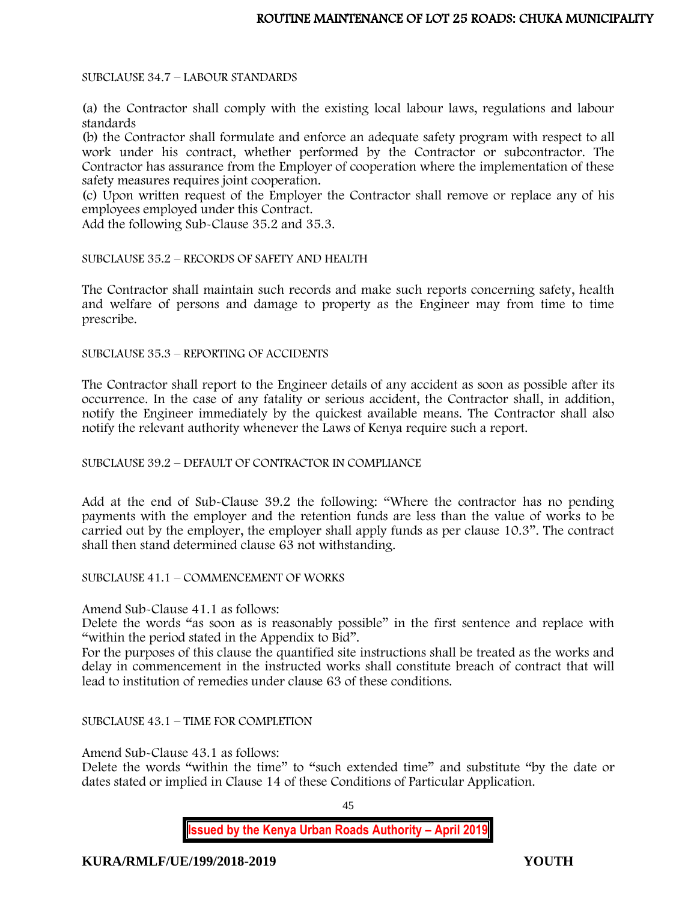SUBCLAUSE 34.7 – LABOUR STANDARDS

(a) the Contractor shall comply with the existing local labour laws, regulations and labour standards

(b) the Contractor shall formulate and enforce an adequate safety program with respect to all work under his contract, whether performed by the Contractor or subcontractor. The Contractor has assurance from the Employer of cooperation where the implementation of these safety measures requires joint cooperation.

(c) Upon written request of the Employer the Contractor shall remove or replace any of his employees employed under this Contract.

Add the following Sub-Clause 35.2 and 35.3.

SUBCLAUSE 35.2 – RECORDS OF SAFETY AND HEALTH

The Contractor shall maintain such records and make such reports concerning safety, health and welfare of persons and damage to property as the Engineer may from time to time prescribe.

SUBCLAUSE 35.3 – REPORTING OF ACCIDENTS

The Contractor shall report to the Engineer details of any accident as soon as possible after its occurrence. In the case of any fatality or serious accident, the Contractor shall, in addition, notify the Engineer immediately by the quickest available means. The Contractor shall also notify the relevant authority whenever the Laws of Kenya require such a report.

SUBCLAUSE 39.2 – DEFAULT OF CONTRACTOR IN COMPLIANCE

Add at the end of Sub-Clause 39.2 the following: "Where the contractor has no pending payments with the employer and the retention funds are less than the value of works to be carried out by the employer, the employer shall apply funds as per clause 10.3". The contract shall then stand determined clause 63 not withstanding.

SUBCLAUSE 41.1 – COMMENCEMENT OF WORKS

Amend Sub-Clause 41.1 as follows:

Delete the words "as soon as is reasonably possible" in the first sentence and replace with "within the period stated in the Appendix to Bid".

For the purposes of this clause the quantified site instructions shall be treated as the works and delay in commencement in the instructed works shall constitute breach of contract that will lead to institution of remedies under clause 63 of these conditions.

SUBCLAUSE 43.1 – TIME FOR COMPLETION

Amend Sub-Clause 43.1 as follows:

Delete the words "within the time" to "such extended time" and substitute "by the date or dates stated or implied in Clause 14 of these Conditions of Particular Application.

45

**Issued by the Kenya Urban Roads Authority – April 2019**

**KURA/RMLF/UE/199/2018-2019 YOUTH**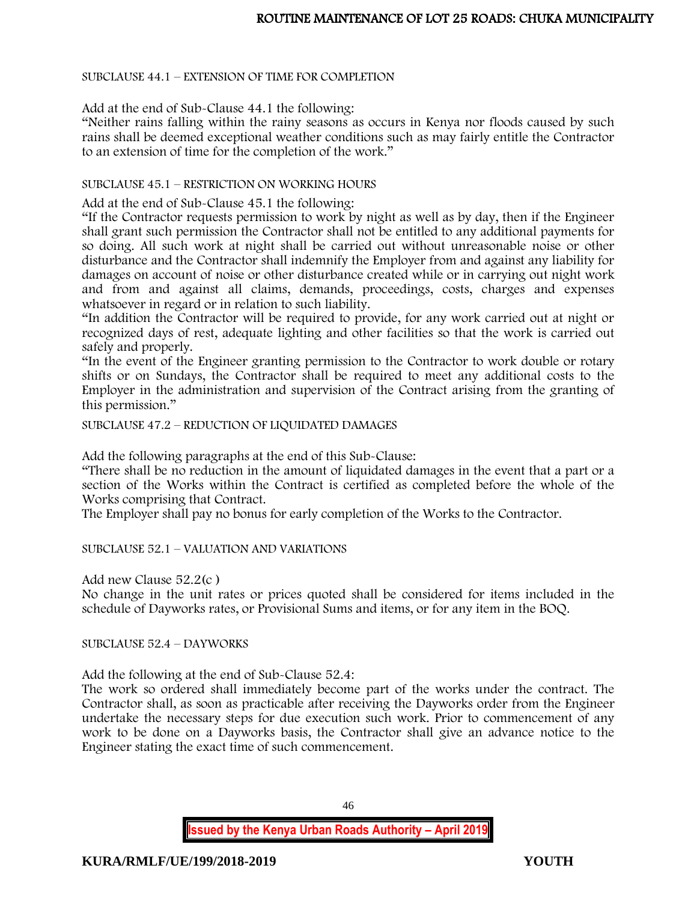SUBCLAUSE 44.1 – EXTENSION OF TIME FOR COMPLETION

Add at the end of Sub-Clause 44.1 the following:

"Neither rains falling within the rainy seasons as occurs in Kenya nor floods caused by such rains shall be deemed exceptional weather conditions such as may fairly entitle the Contractor to an extension of time for the completion of the work."

## SUBCLAUSE 45.1 – RESTRICTION ON WORKING HOURS

Add at the end of Sub-Clause 45.1 the following:

"If the Contractor requests permission to work by night as well as by day, then if the Engineer shall grant such permission the Contractor shall not be entitled to any additional payments for so doing. All such work at night shall be carried out without unreasonable noise or other disturbance and the Contractor shall indemnify the Employer from and against any liability for damages on account of noise or other disturbance created while or in carrying out night work and from and against all claims, demands, proceedings, costs, charges and expenses whatsoever in regard or in relation to such liability.

"In addition the Contractor will be required to provide, for any work carried out at night or recognized days of rest, adequate lighting and other facilities so that the work is carried out safely and properly.

"In the event of the Engineer granting permission to the Contractor to work double or rotary shifts or on Sundays, the Contractor shall be required to meet any additional costs to the Employer in the administration and supervision of the Contract arising from the granting of this permission."

SUBCLAUSE 47.2 – REDUCTION OF LIQUIDATED DAMAGES

Add the following paragraphs at the end of this Sub-Clause:

"There shall be no reduction in the amount of liquidated damages in the event that a part or a section of the Works within the Contract is certified as completed before the whole of the Works comprising that Contract.

The Employer shall pay no bonus for early completion of the Works to the Contractor.

SUBCLAUSE 52.1 – VALUATION AND VARIATIONS

Add new Clause 52.2(c )

No change in the unit rates or prices quoted shall be considered for items included in the schedule of Dayworks rates, or Provisional Sums and items, or for any item in the BOQ.

SUBCLAUSE 52.4 – DAYWORKS

Add the following at the end of Sub-Clause 52.4:

The work so ordered shall immediately become part of the works under the contract. The Contractor shall, as soon as practicable after receiving the Dayworks order from the Engineer undertake the necessary steps for due execution such work. Prior to commencement of any work to be done on a Dayworks basis, the Contractor shall give an advance notice to the Engineer stating the exact time of such commencement.

46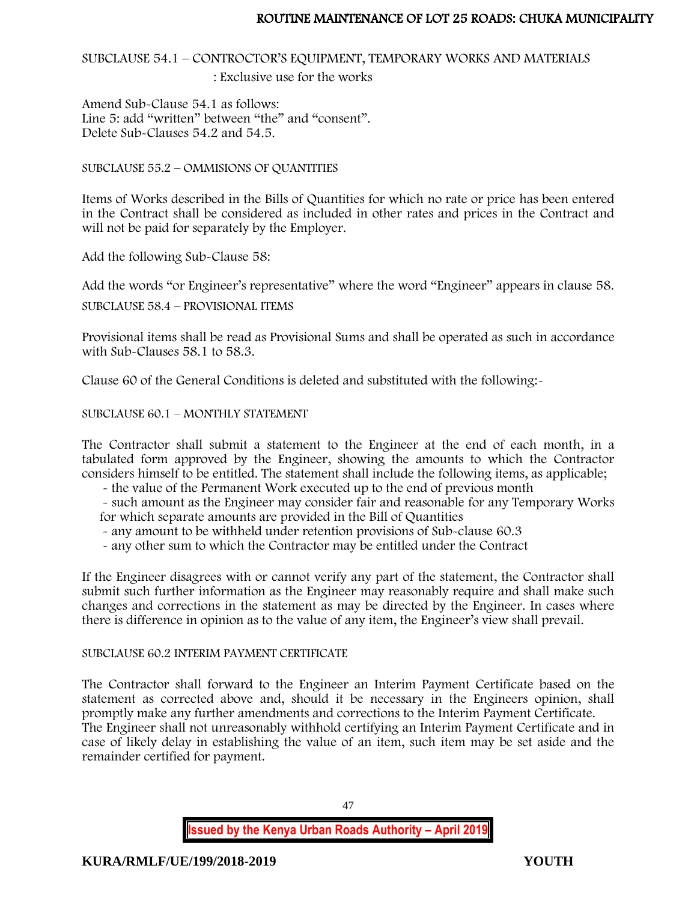SUBCLAUSE 54.1 – CONTROCTOR'S EQUIPMENT, TEMPORARY WORKS AND MATERIALS

: Exclusive use for the works

Amend Sub-Clause 54.1 as follows: Line 5: add "written" between "the" and "consent". Delete Sub-Clauses 54.2 and 54.5.

SUBCLAUSE 55.2 – OMMISIONS OF QUANTITIES

Items of Works described in the Bills of Quantities for which no rate or price has been entered in the Contract shall be considered as included in other rates and prices in the Contract and will not be paid for separately by the Employer.

Add the following Sub-Clause 58:

Add the words "or Engineer's representative" where the word "Engineer" appears in clause 58.

SUBCLAUSE 58.4 – PROVISIONAL ITEMS

Provisional items shall be read as Provisional Sums and shall be operated as such in accordance with Sub-Clauses 58.1 to 58.3.

Clause 60 of the General Conditions is deleted and substituted with the following:-

SUBCLAUSE 60.1 – MONTHLY STATEMENT

The Contractor shall submit a statement to the Engineer at the end of each month, in a tabulated form approved by the Engineer, showing the amounts to which the Contractor considers himself to be entitled. The statement shall include the following items, as applicable;

- the value of the Permanent Work executed up to the end of previous month

- such amount as the Engineer may consider fair and reasonable for any Temporary Works for which separate amounts are provided in the Bill of Quantities

- any amount to be withheld under retention provisions of Sub-clause 60.3
- any other sum to which the Contractor may be entitled under the Contract

If the Engineer disagrees with or cannot verify any part of the statement, the Contractor shall submit such further information as the Engineer may reasonably require and shall make such changes and corrections in the statement as may be directed by the Engineer. In cases where there is difference in opinion as to the value of any item, the Engineer's view shall prevail.

# SUBCLAUSE 60.2 INTERIM PAYMENT CERTIFICATE

The Contractor shall forward to the Engineer an Interim Payment Certificate based on the statement as corrected above and, should it be necessary in the Engineers opinion, shall promptly make any further amendments and corrections to the Interim Payment Certificate. The Engineer shall not unreasonably withhold certifying an Interim Payment Certificate and in case of likely delay in establishing the value of an item, such item may be set aside and the remainder certified for payment.

47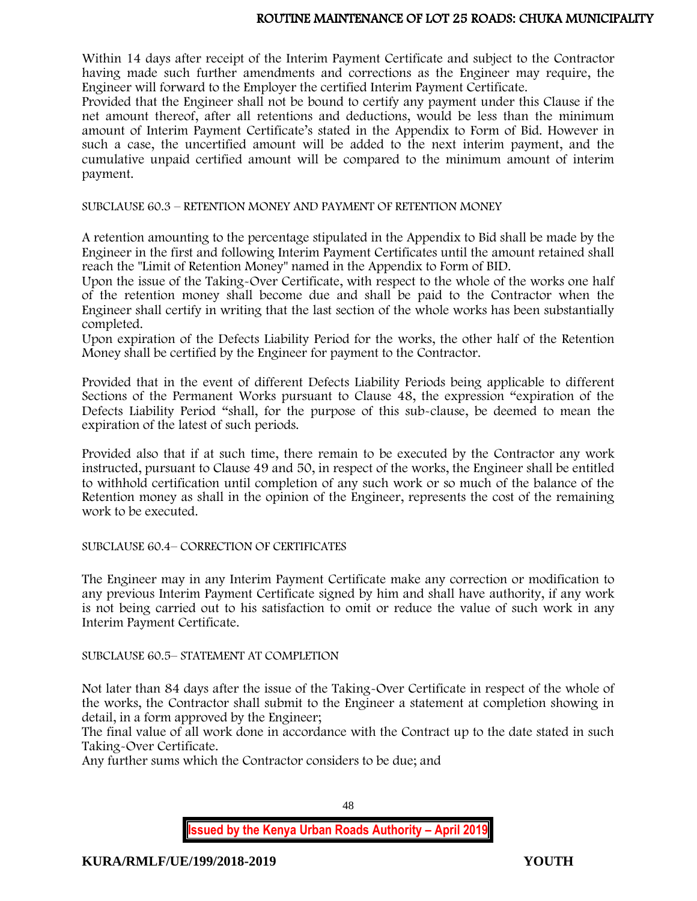Within 14 days after receipt of the Interim Payment Certificate and subject to the Contractor having made such further amendments and corrections as the Engineer may require, the Engineer will forward to the Employer the certified Interim Payment Certificate.

Provided that the Engineer shall not be bound to certify any payment under this Clause if the net amount thereof, after all retentions and deductions, would be less than the minimum amount of Interim Payment Certificate's stated in the Appendix to Form of Bid. However in such a case, the uncertified amount will be added to the next interim payment, and the cumulative unpaid certified amount will be compared to the minimum amount of interim payment.

SUBCLAUSE 60.3 – RETENTION MONEY AND PAYMENT OF RETENTION MONEY

A retention amounting to the percentage stipulated in the Appendix to Bid shall be made by the Engineer in the first and following Interim Payment Certificates until the amount retained shall reach the "Limit of Retention Money" named in the Appendix to Form of BID.

Upon the issue of the Taking-Over Certificate, with respect to the whole of the works one half of the retention money shall become due and shall be paid to the Contractor when the Engineer shall certify in writing that the last section of the whole works has been substantially completed.

Upon expiration of the Defects Liability Period for the works, the other half of the Retention Money shall be certified by the Engineer for payment to the Contractor.

Provided that in the event of different Defects Liability Periods being applicable to different Sections of the Permanent Works pursuant to Clause 48, the expression "expiration of the Defects Liability Period "shall, for the purpose of this sub-clause, be deemed to mean the expiration of the latest of such periods.

Provided also that if at such time, there remain to be executed by the Contractor any work instructed, pursuant to Clause 49 and 50, in respect of the works, the Engineer shall be entitled to withhold certification until completion of any such work or so much of the balance of the Retention money as shall in the opinion of the Engineer, represents the cost of the remaining work to be executed.

SUBCLAUSE 60.4– CORRECTION OF CERTIFICATES

The Engineer may in any Interim Payment Certificate make any correction or modification to any previous Interim Payment Certificate signed by him and shall have authority, if any work is not being carried out to his satisfaction to omit or reduce the value of such work in any Interim Payment Certificate.

SUBCLAUSE 60.5– STATEMENT AT COMPLETION

Not later than 84 days after the issue of the Taking-Over Certificate in respect of the whole of the works, the Contractor shall submit to the Engineer a statement at completion showing in detail, in a form approved by the Engineer;

The final value of all work done in accordance with the Contract up to the date stated in such Taking-Over Certificate.

Any further sums which the Contractor considers to be due; and

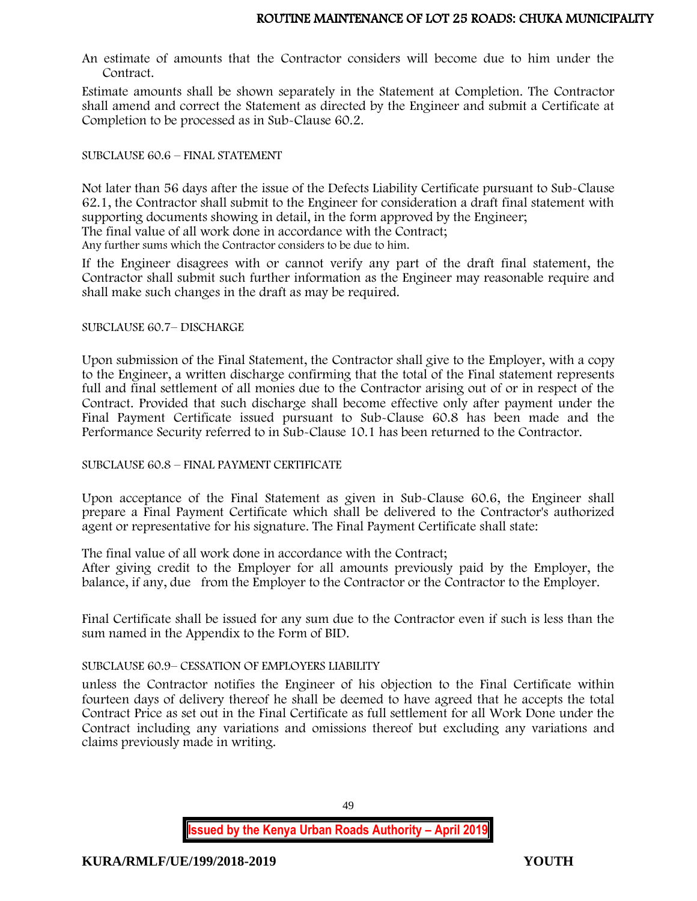An estimate of amounts that the Contractor considers will become due to him under the Contract.

Estimate amounts shall be shown separately in the Statement at Completion. The Contractor shall amend and correct the Statement as directed by the Engineer and submit a Certificate at Completion to be processed as in Sub-Clause 60.2.

## SUBCLAUSE 60.6 – FINAL STATEMENT

Not later than 56 days after the issue of the Defects Liability Certificate pursuant to Sub-Clause 62.1, the Contractor shall submit to the Engineer for consideration a draft final statement with supporting documents showing in detail, in the form approved by the Engineer;

The final value of all work done in accordance with the Contract;

Any further sums which the Contractor considers to be due to him.

If the Engineer disagrees with or cannot verify any part of the draft final statement, the Contractor shall submit such further information as the Engineer may reasonable require and shall make such changes in the draft as may be required.

#### SUBCLAUSE 60.7– DISCHARGE

Upon submission of the Final Statement, the Contractor shall give to the Employer, with a copy to the Engineer, a written discharge confirming that the total of the Final statement represents full and final settlement of all monies due to the Contractor arising out of or in respect of the Contract. Provided that such discharge shall become effective only after payment under the Final Payment Certificate issued pursuant to Sub-Clause 60.8 has been made and the Performance Security referred to in Sub-Clause 10.1 has been returned to the Contractor.

## SUBCLAUSE 60.8 – FINAL PAYMENT CERTIFICATE

Upon acceptance of the Final Statement as given in Sub-Clause 60.6, the Engineer shall prepare a Final Payment Certificate which shall be delivered to the Contractor's authorized agent or representative for his signature. The Final Payment Certificate shall state:

The final value of all work done in accordance with the Contract;

After giving credit to the Employer for all amounts previously paid by the Employer, the balance, if any, due from the Employer to the Contractor or the Contractor to the Employer.

Final Certificate shall be issued for any sum due to the Contractor even if such is less than the sum named in the Appendix to the Form of BID.

## SUBCLAUSE 60.9– CESSATION OF EMPLOYERS LIABILITY

unless the Contractor notifies the Engineer of his objection to the Final Certificate within fourteen days of delivery thereof he shall be deemed to have agreed that he accepts the total Contract Price as set out in the Final Certificate as full settlement for all Work Done under the Contract including any variations and omissions thereof but excluding any variations and claims previously made in writing.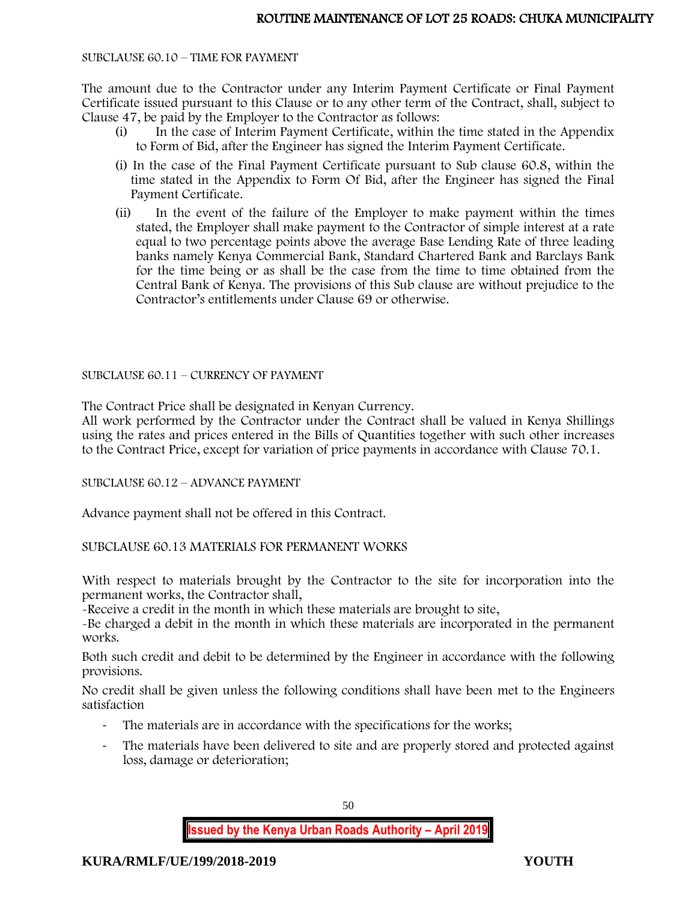#### SUBCLAUSE 60.10 – TIME FOR PAYMENT

The amount due to the Contractor under any Interim Payment Certificate or Final Payment Certificate issued pursuant to this Clause or to any other term of the Contract, shall, subject to Clause 47, be paid by the Employer to the Contractor as follows:

- (i) In the case of Interim Payment Certificate, within the time stated in the Appendix to Form of Bid, after the Engineer has signed the Interim Payment Certificate.
- (i) In the case of the Final Payment Certificate pursuant to Sub clause 60.8, within the time stated in the Appendix to Form Of Bid, after the Engineer has signed the Final Payment Certificate.
- (ii) In the event of the failure of the Employer to make payment within the times stated, the Employer shall make payment to the Contractor of simple interest at a rate equal to two percentage points above the average Base Lending Rate of three leading banks namely Kenya Commercial Bank, Standard Chartered Bank and Barclays Bank for the time being or as shall be the case from the time to time obtained from the Central Bank of Kenya. The provisions of this Sub clause are without prejudice to the Contractor's entitlements under Clause 69 or otherwise.

SUBCLAUSE 60.11 – CURRENCY OF PAYMENT

The Contract Price shall be designated in Kenyan Currency.

All work performed by the Contractor under the Contract shall be valued in Kenya Shillings using the rates and prices entered in the Bills of Quantities together with such other increases to the Contract Price, except for variation of price payments in accordance with Clause 70.1.

SUBCLAUSE 60.12 – ADVANCE PAYMENT

Advance payment shall not be offered in this Contract.

SUBCLAUSE 60.13 MATERIALS FOR PERMANENT WORKS

With respect to materials brought by the Contractor to the site for incorporation into the permanent works, the Contractor shall,

-Receive a credit in the month in which these materials are brought to site,

-Be charged a debit in the month in which these materials are incorporated in the permanent works.

Both such credit and debit to be determined by the Engineer in accordance with the following provisions.

No credit shall be given unless the following conditions shall have been met to the Engineers satisfaction

- The materials are in accordance with the specifications for the works;
- The materials have been delivered to site and are properly stored and protected against loss, damage or deterioration;

50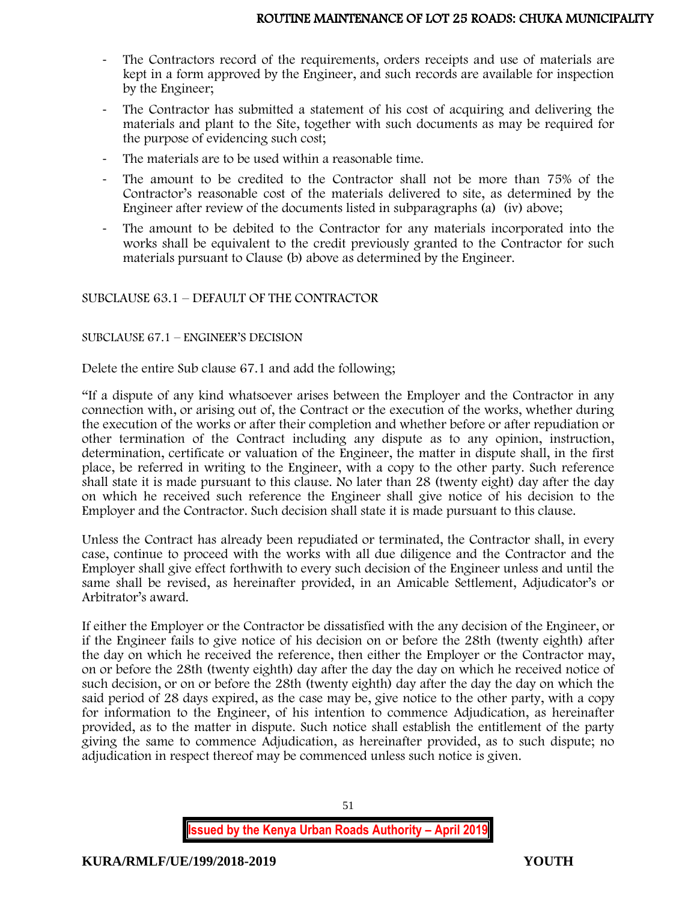- The Contractors record of the requirements, orders receipts and use of materials are kept in a form approved by the Engineer, and such records are available for inspection by the Engineer;
- The Contractor has submitted a statement of his cost of acquiring and delivering the materials and plant to the Site, together with such documents as may be required for the purpose of evidencing such cost;
- The materials are to be used within a reasonable time.
- The amount to be credited to the Contractor shall not be more than 75% of the Contractor's reasonable cost of the materials delivered to site, as determined by the Engineer after review of the documents listed in subparagraphs (a) (iv) above;
- The amount to be debited to the Contractor for any materials incorporated into the works shall be equivalent to the credit previously granted to the Contractor for such materials pursuant to Clause (b) above as determined by the Engineer.

# SUBCLAUSE 63.1 – DEFAULT OF THE CONTRACTOR

## SUBCLAUSE 67.1 – ENGINEER'S DECISION

Delete the entire Sub clause 67.1 and add the following;

"If a dispute of any kind whatsoever arises between the Employer and the Contractor in any connection with, or arising out of, the Contract or the execution of the works, whether during the execution of the works or after their completion and whether before or after repudiation or other termination of the Contract including any dispute as to any opinion, instruction, determination, certificate or valuation of the Engineer, the matter in dispute shall, in the first place, be referred in writing to the Engineer, with a copy to the other party. Such reference shall state it is made pursuant to this clause. No later than 28 (twenty eight) day after the day on which he received such reference the Engineer shall give notice of his decision to the Employer and the Contractor. Such decision shall state it is made pursuant to this clause.

Unless the Contract has already been repudiated or terminated, the Contractor shall, in every case, continue to proceed with the works with all due diligence and the Contractor and the Employer shall give effect forthwith to every such decision of the Engineer unless and until the same shall be revised, as hereinafter provided, in an Amicable Settlement, Adjudicator's or Arbitrator's award.

If either the Employer or the Contractor be dissatisfied with the any decision of the Engineer, or if the Engineer fails to give notice of his decision on or before the 28th (twenty eighth) after the day on which he received the reference, then either the Employer or the Contractor may, on or before the 28th (twenty eighth) day after the day the day on which he received notice of such decision, or on or before the 28th (twenty eighth) day after the day the day on which the said period of 28 days expired, as the case may be, give notice to the other party, with a copy for information to the Engineer, of his intention to commence Adjudication, as hereinafter provided, as to the matter in dispute. Such notice shall establish the entitlement of the party giving the same to commence Adjudication, as hereinafter provided, as to such dispute; no adjudication in respect thereof may be commenced unless such notice is given.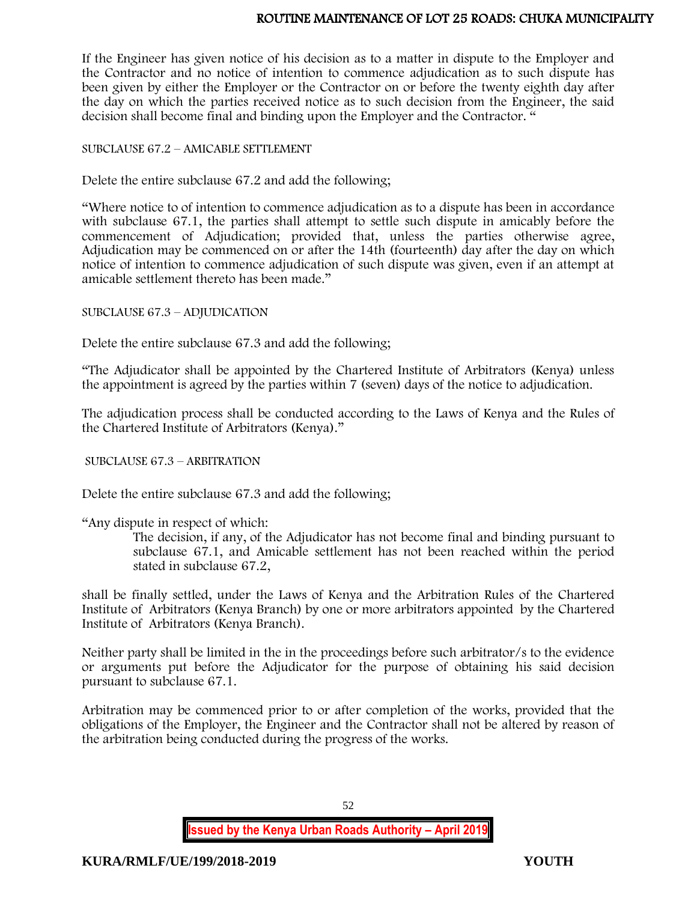If the Engineer has given notice of his decision as to a matter in dispute to the Employer and the Contractor and no notice of intention to commence adjudication as to such dispute has been given by either the Employer or the Contractor on or before the twenty eighth day after the day on which the parties received notice as to such decision from the Engineer, the said decision shall become final and binding upon the Employer and the Contractor. "

#### SUBCLAUSE 67.2 – AMICABLE SETTLEMENT

Delete the entire subclause 67.2 and add the following;

"Where notice to of intention to commence adjudication as to a dispute has been in accordance with subclause 67.1, the parties shall attempt to settle such dispute in amicably before the commencement of Adjudication; provided that, unless the parties otherwise agree, Adjudication may be commenced on or after the 14th (fourteenth) day after the day on which notice of intention to commence adjudication of such dispute was given, even if an attempt at amicable settlement thereto has been made."

SUBCLAUSE 67.3 – ADJUDICATION

Delete the entire subclause 67.3 and add the following;

"The Adjudicator shall be appointed by the Chartered Institute of Arbitrators (Kenya) unless the appointment is agreed by the parties within 7 (seven) days of the notice to adjudication.

The adjudication process shall be conducted according to the Laws of Kenya and the Rules of the Chartered Institute of Arbitrators (Kenya)."

SUBCLAUSE 67.3 – ARBITRATION

Delete the entire subclause 67.3 and add the following;

"Any dispute in respect of which:

The decision, if any, of the Adjudicator has not become final and binding pursuant to subclause 67.1, and Amicable settlement has not been reached within the period stated in subclause 67.2,

shall be finally settled, under the Laws of Kenya and the Arbitration Rules of the Chartered Institute of Arbitrators (Kenya Branch) by one or more arbitrators appointed by the Chartered Institute of Arbitrators (Kenya Branch).

Neither party shall be limited in the in the proceedings before such arbitrator/s to the evidence or arguments put before the Adjudicator for the purpose of obtaining his said decision pursuant to subclause 67.1.

Arbitration may be commenced prior to or after completion of the works, provided that the obligations of the Employer, the Engineer and the Contractor shall not be altered by reason of the arbitration being conducted during the progress of the works.

52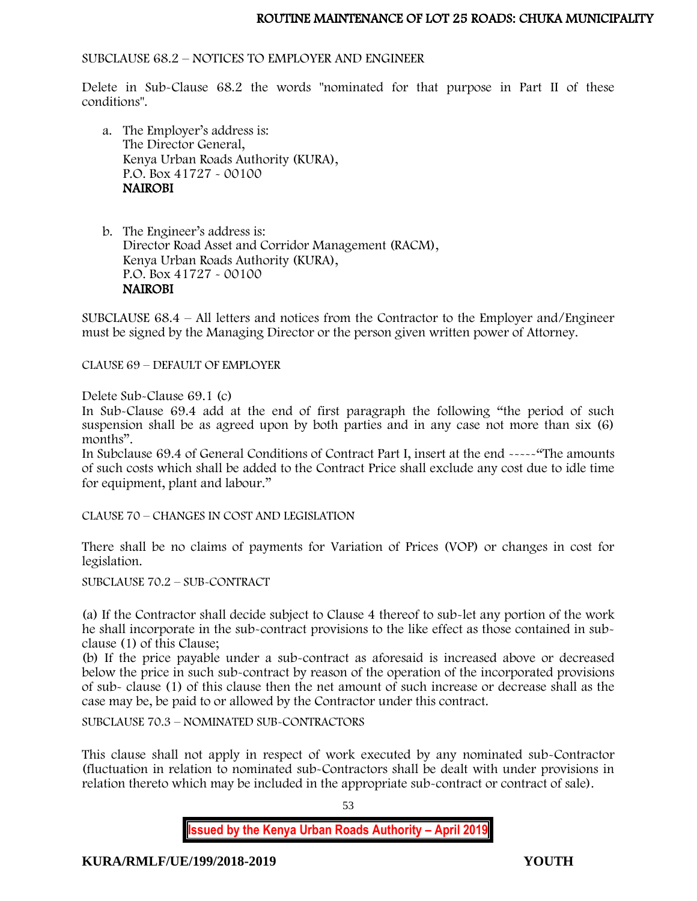## SUBCLAUSE 68.2 – NOTICES TO EMPLOYER AND ENGINEER

Delete in Sub-Clause 68.2 the words "nominated for that purpose in Part II of these conditions".

a. The Employer's address is: The Director General, Kenya Urban Roads Authority (KURA), P.O. Box 41727 - 00100 NAIROBI

b. The Engineer's address is: Director Road Asset and Corridor Management (RACM), Kenya Urban Roads Authority (KURA), P.O. Box 41727 - 00100 NAIROBI

SUBCLAUSE 68.4 – All letters and notices from the Contractor to the Employer and/Engineer must be signed by the Managing Director or the person given written power of Attorney.

CLAUSE 69 – DEFAULT OF EMPLOYER

Delete Sub-Clause 69.1 (c)

In Sub-Clause 69.4 add at the end of first paragraph the following "the period of such suspension shall be as agreed upon by both parties and in any case not more than six (6) months".

In Subclause 69.4 of General Conditions of Contract Part I, insert at the end -----"The amounts of such costs which shall be added to the Contract Price shall exclude any cost due to idle time for equipment, plant and labour."

CLAUSE 70 – CHANGES IN COST AND LEGISLATION

There shall be no claims of payments for Variation of Prices (VOP) or changes in cost for legislation.

SUBCLAUSE 70.2 – SUB-CONTRACT

(a) If the Contractor shall decide subject to Clause 4 thereof to sub-let any portion of the work he shall incorporate in the sub-contract provisions to the like effect as those contained in subclause (1) of this Clause;

(b) If the price payable under a sub-contract as aforesaid is increased above or decreased below the price in such sub-contract by reason of the operation of the incorporated provisions of sub- clause (1) of this clause then the net amount of such increase or decrease shall as the case may be, be paid to or allowed by the Contractor under this contract.

SUBCLAUSE 70.3 – NOMINATED SUB-CONTRACTORS

This clause shall not apply in respect of work executed by any nominated sub-Contractor (fluctuation in relation to nominated sub-Contractors shall be dealt with under provisions in relation thereto which may be included in the appropriate sub-contract or contract of sale).

53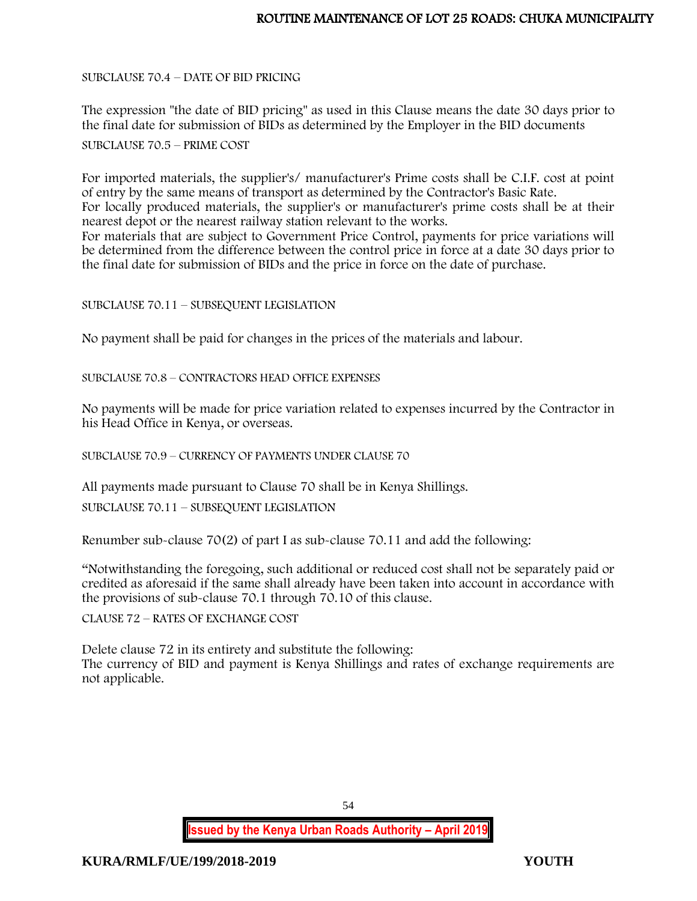SUBCLAUSE 70.4 – DATE OF BID PRICING

The expression "the date of BID pricing" as used in this Clause means the date 30 days prior to the final date for submission of BIDs as determined by the Employer in the BID documents

SUBCLAUSE 70.5 – PRIME COST

For imported materials, the supplier's/ manufacturer's Prime costs shall be C.I.F. cost at point of entry by the same means of transport as determined by the Contractor's Basic Rate. For locally produced materials, the supplier's or manufacturer's prime costs shall be at their nearest depot or the nearest railway station relevant to the works.

For materials that are subject to Government Price Control, payments for price variations will be determined from the difference between the control price in force at a date 30 days prior to the final date for submission of BIDs and the price in force on the date of purchase.

SUBCLAUSE 70.11 – SUBSEQUENT LEGISLATION

No payment shall be paid for changes in the prices of the materials and labour.

SUBCLAUSE 70.8 – CONTRACTORS HEAD OFFICE EXPENSES

No payments will be made for price variation related to expenses incurred by the Contractor in his Head Office in Kenya, or overseas.

SUBCLAUSE 70.9 – CURRENCY OF PAYMENTS UNDER CLAUSE 70

All payments made pursuant to Clause 70 shall be in Kenya Shillings.

SUBCLAUSE 70.11 – SUBSEQUENT LEGISLATION

Renumber sub-clause 70(2) of part I as sub-clause 70.11 and add the following:

"Notwithstanding the foregoing, such additional or reduced cost shall not be separately paid or credited as aforesaid if the same shall already have been taken into account in accordance with the provisions of sub-clause 70.1 through 70.10 of this clause.

CLAUSE 72 – RATES OF EXCHANGE COST

Delete clause 72 in its entirety and substitute the following: The currency of BID and payment is Kenya Shillings and rates of exchange requirements are not applicable.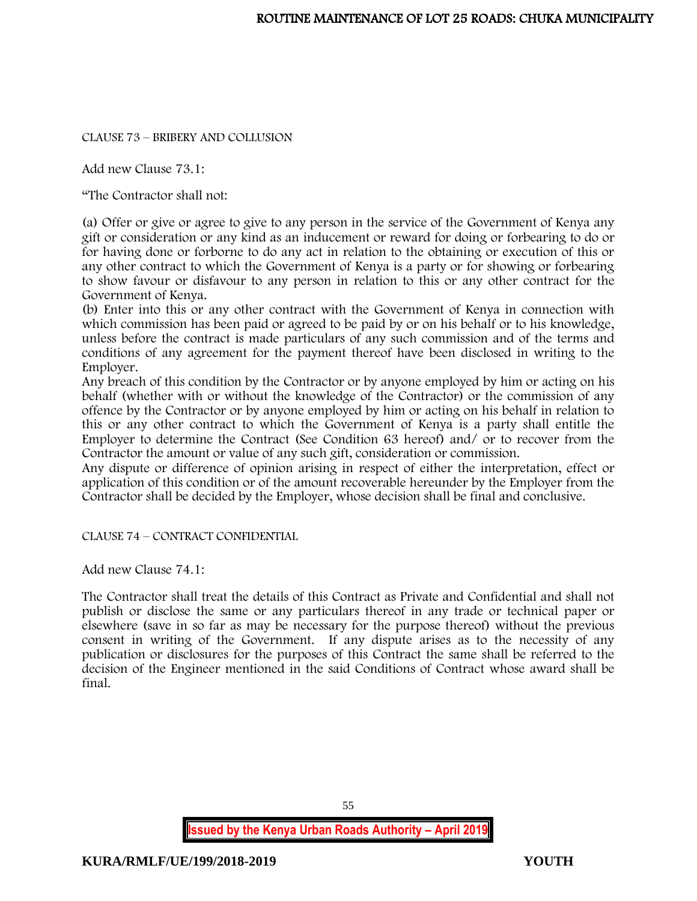# CLAUSE 73 – BRIBERY AND COLLUSION

Add new Clause 73.1:

"The Contractor shall not:

(a) Offer or give or agree to give to any person in the service of the Government of Kenya any gift or consideration or any kind as an inducement or reward for doing or forbearing to do or for having done or forborne to do any act in relation to the obtaining or execution of this or any other contract to which the Government of Kenya is a party or for showing or forbearing to show favour or disfavour to any person in relation to this or any other contract for the Government of Kenya.

(b) Enter into this or any other contract with the Government of Kenya in connection with which commission has been paid or agreed to be paid by or on his behalf or to his knowledge, unless before the contract is made particulars of any such commission and of the terms and conditions of any agreement for the payment thereof have been disclosed in writing to the Employer.

Any breach of this condition by the Contractor or by anyone employed by him or acting on his behalf (whether with or without the knowledge of the Contractor) or the commission of any offence by the Contractor or by anyone employed by him or acting on his behalf in relation to this or any other contract to which the Government of Kenya is a party shall entitle the Employer to determine the Contract (See Condition 63 hereof) and/ or to recover from the Contractor the amount or value of any such gift, consideration or commission.

Any dispute or difference of opinion arising in respect of either the interpretation, effect or application of this condition or of the amount recoverable hereunder by the Employer from the Contractor shall be decided by the Employer, whose decision shall be final and conclusive.

CLAUSE 74 – CONTRACT CONFIDENTIAL

Add new Clause 74.1:

The Contractor shall treat the details of this Contract as Private and Confidential and shall not publish or disclose the same or any particulars thereof in any trade or technical paper or elsewhere (save in so far as may be necessary for the purpose thereof) without the previous consent in writing of the Government. If any dispute arises as to the necessity of any publication or disclosures for the purposes of this Contract the same shall be referred to the decision of the Engineer mentioned in the said Conditions of Contract whose award shall be final.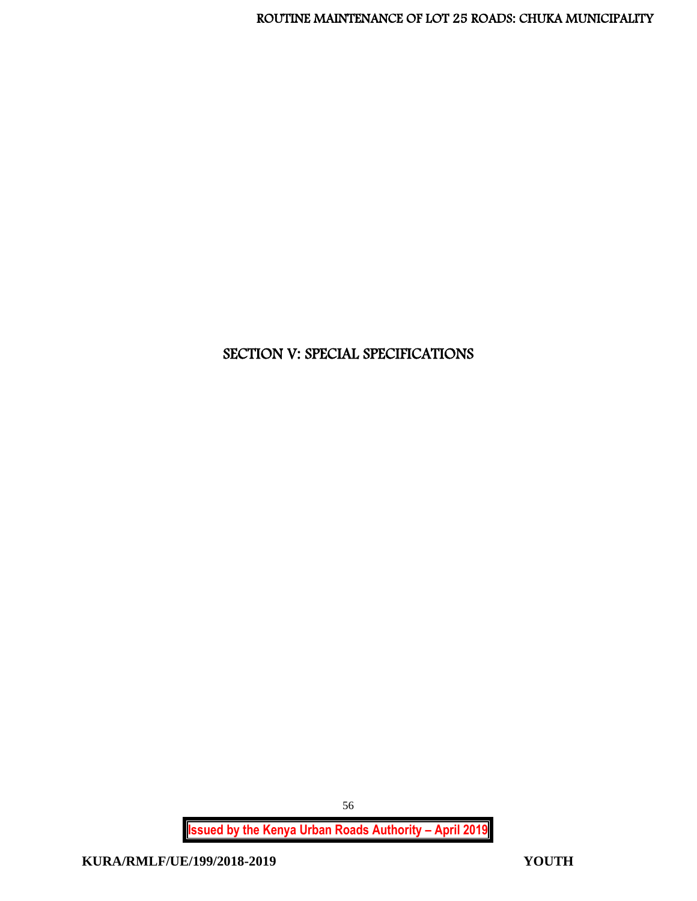# SECTION V: SPECIAL SPECIFICATIONS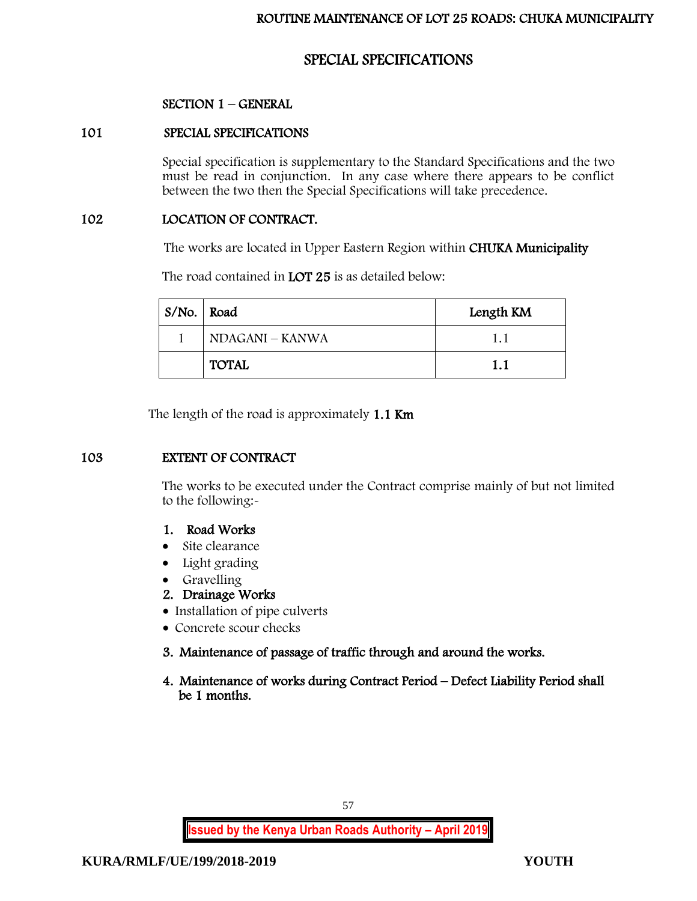# SPECIAL SPECIFICATIONS

# SECTION 1 – GENERAL

# 101 SPECIAL SPECIFICATIONS

Special specification is supplementary to the Standard Specifications and the two must be read in conjunction. In any case where there appears to be conflict between the two then the Special Specifications will take precedence.

# 102 LOCATION OF CONTRACT.

The works are located in Upper Eastern Region within CHUKA Municipality

The road contained in LOT 25 is as detailed below:

| S/No.   Road |                 | Length KM |
|--------------|-----------------|-----------|
|              | NDAGANI – KANWA | 1.1       |
|              | <b>TOTAL</b>    | 1.1       |

The length of the road is approximately 1.1 Km

# 103 EXTENT OF CONTRACT

The works to be executed under the Contract comprise mainly of but not limited to the following:-

# 1. Road Works

- Site clearance
- Light grading
- Gravelling
- 2. Drainage Works
- Installation of pipe culverts
- Concrete scour checks
- 3. Maintenance of passage of traffic through and around the works.
- 4. Maintenance of works during Contract Period Defect Liability Period shall be 1 months.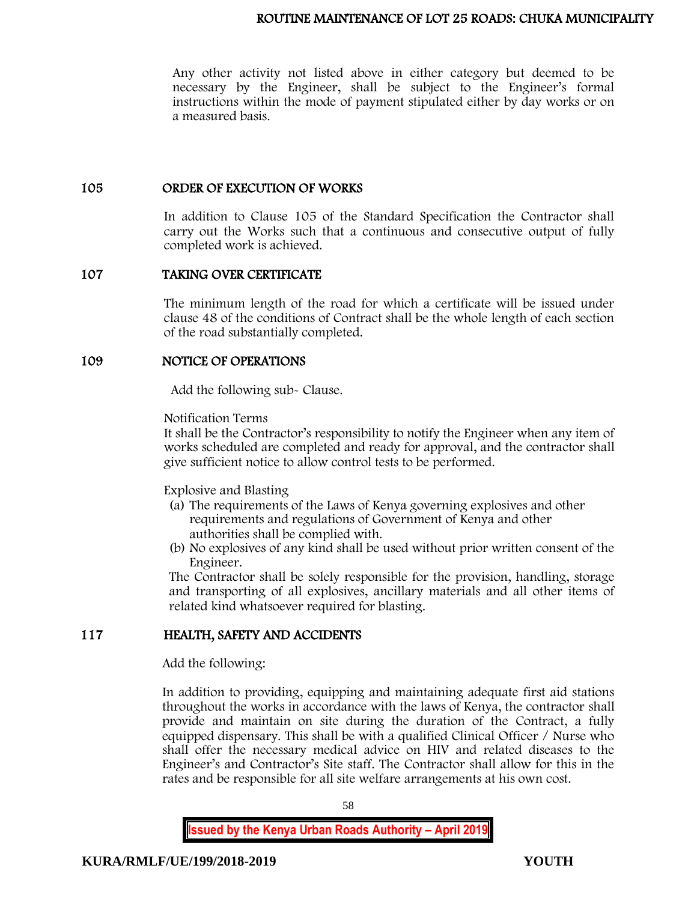Any other activity not listed above in either category but deemed to be necessary by the Engineer, shall be subject to the Engineer's formal instructions within the mode of payment stipulated either by day works or on a measured basis.

## 105 ORDER OF EXECUTION OF WORKS

In addition to Clause 105 of the Standard Specification the Contractor shall carry out the Works such that a continuous and consecutive output of fully completed work is achieved.

# 107 TAKING OVER CERTIFICATE

The minimum length of the road for which a certificate will be issued under clause 48 of the conditions of Contract shall be the whole length of each section of the road substantially completed.

# 109 NOTICE OF OPERATIONS

Add the following sub- Clause.

Notification Terms

It shall be the Contractor's responsibility to notify the Engineer when any item of works scheduled are completed and ready for approval, and the contractor shall give sufficient notice to allow control tests to be performed.

Explosive and Blasting

- (a) The requirements of the Laws of Kenya governing explosives and other requirements and regulations of Government of Kenya and other authorities shall be complied with.
- (b) No explosives of any kind shall be used without prior written consent of the Engineer.

The Contractor shall be solely responsible for the provision, handling, storage and transporting of all explosives, ancillary materials and all other items of related kind whatsoever required for blasting.

# 117 HEALTH, SAFETY AND ACCIDENTS

Add the following:

In addition to providing, equipping and maintaining adequate first aid stations throughout the works in accordance with the laws of Kenya, the contractor shall provide and maintain on site during the duration of the Contract, a fully equipped dispensary. This shall be with a qualified Clinical Officer / Nurse who shall offer the necessary medical advice on HIV and related diseases to the Engineer's and Contractor's Site staff. The Contractor shall allow for this in the rates and be responsible for all site welfare arrangements at his own cost.

58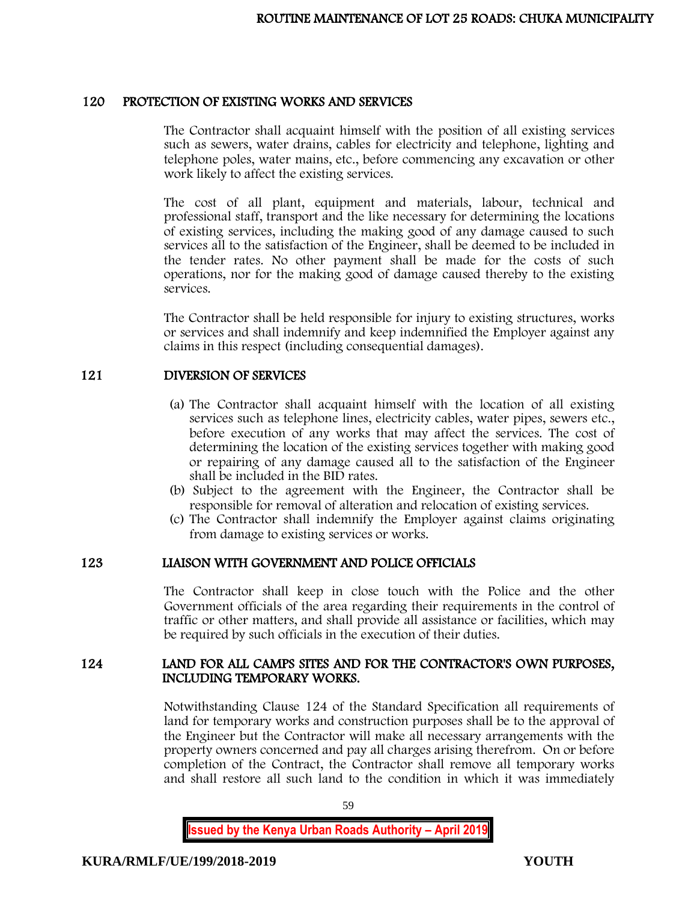# 120 PROTECTION OF EXISTING WORKS AND SERVICES

The Contractor shall acquaint himself with the position of all existing services such as sewers, water drains, cables for electricity and telephone, lighting and telephone poles, water mains, etc., before commencing any excavation or other work likely to affect the existing services.

The cost of all plant, equipment and materials, labour, technical and professional staff, transport and the like necessary for determining the locations of existing services, including the making good of any damage caused to such services all to the satisfaction of the Engineer, shall be deemed to be included in the tender rates. No other payment shall be made for the costs of such operations, nor for the making good of damage caused thereby to the existing services.

The Contractor shall be held responsible for injury to existing structures, works or services and shall indemnify and keep indemnified the Employer against any claims in this respect (including consequential damages).

# 121 DIVERSION OF SERVICES

- (a) The Contractor shall acquaint himself with the location of all existing services such as telephone lines, electricity cables, water pipes, sewers etc., before execution of any works that may affect the services. The cost of determining the location of the existing services together with making good or repairing of any damage caused all to the satisfaction of the Engineer shall be included in the BID rates.
- (b) Subject to the agreement with the Engineer, the Contractor shall be responsible for removal of alteration and relocation of existing services.
- (c) The Contractor shall indemnify the Employer against claims originating from damage to existing services or works.

# 123 LIAISON WITH GOVERNMENT AND POLICE OFFICIALS

The Contractor shall keep in close touch with the Police and the other Government officials of the area regarding their requirements in the control of traffic or other matters, and shall provide all assistance or facilities, which may be required by such officials in the execution of their duties.

# 124 LAND FOR ALL CAMPS SITES AND FOR THE CONTRACTOR'S OWN PURPOSES, INCLUDING TEMPORARY WORKS.

Notwithstanding Clause 124 of the Standard Specification all requirements of land for temporary works and construction purposes shall be to the approval of the Engineer but the Contractor will make all necessary arrangements with the property owners concerned and pay all charges arising therefrom. On or before completion of the Contract, the Contractor shall remove all temporary works and shall restore all such land to the condition in which it was immediately

59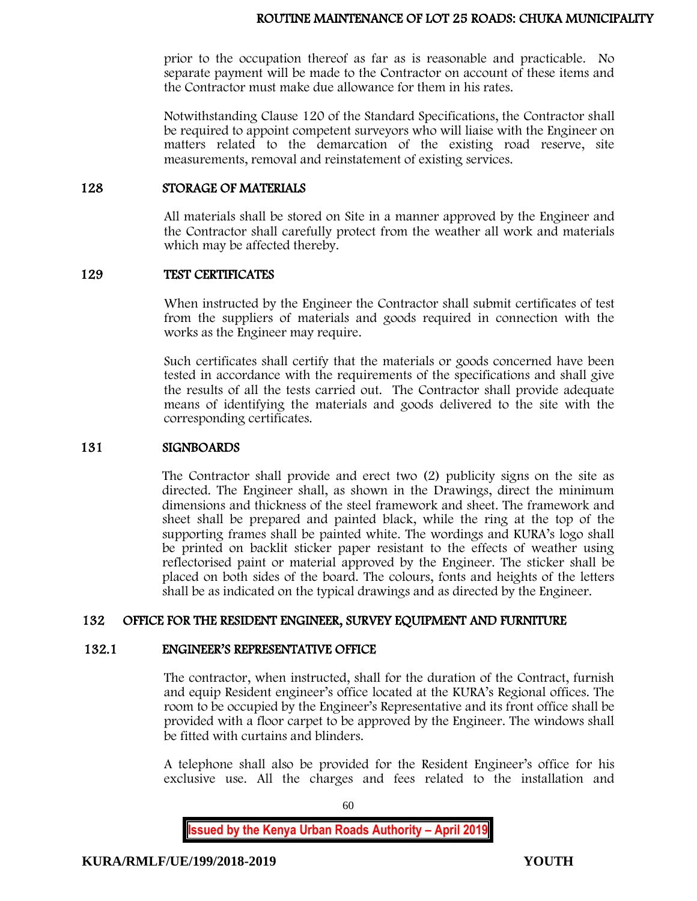prior to the occupation thereof as far as is reasonable and practicable. No separate payment will be made to the Contractor on account of these items and the Contractor must make due allowance for them in his rates.

Notwithstanding Clause 120 of the Standard Specifications, the Contractor shall be required to appoint competent surveyors who will liaise with the Engineer on matters related to the demarcation of the existing road reserve, site measurements, removal and reinstatement of existing services.

## 128 STORAGE OF MATERIALS

All materials shall be stored on Site in a manner approved by the Engineer and the Contractor shall carefully protect from the weather all work and materials which may be affected thereby.

#### 129 TEST CERTIFICATES

When instructed by the Engineer the Contractor shall submit certificates of test from the suppliers of materials and goods required in connection with the works as the Engineer may require.

Such certificates shall certify that the materials or goods concerned have been tested in accordance with the requirements of the specifications and shall give the results of all the tests carried out. The Contractor shall provide adequate means of identifying the materials and goods delivered to the site with the corresponding certificates.

## 131 SIGNBOARDS

The Contractor shall provide and erect two (2) publicity signs on the site as directed. The Engineer shall, as shown in the Drawings, direct the minimum dimensions and thickness of the steel framework and sheet. The framework and sheet shall be prepared and painted black, while the ring at the top of the supporting frames shall be painted white. The wordings and KURA's logo shall be printed on backlit sticker paper resistant to the effects of weather using reflectorised paint or material approved by the Engineer. The sticker shall be placed on both sides of the board. The colours, fonts and heights of the letters shall be as indicated on the typical drawings and as directed by the Engineer.

# 132 OFFICE FOR THE RESIDENT ENGINEER, SURVEY EQUIPMENT AND FURNITURE

## 132.1 ENGINEER'S REPRESENTATIVE OFFICE

The contractor, when instructed, shall for the duration of the Contract, furnish and equip Resident engineer's office located at the KURA's Regional offices. The room to be occupied by the Engineer's Representative and its front office shall be provided with a floor carpet to be approved by the Engineer. The windows shall be fitted with curtains and blinders.

A telephone shall also be provided for the Resident Engineer's office for his exclusive use. All the charges and fees related to the installation and

**Issued by the Kenya Urban Roads Authority – April 2019**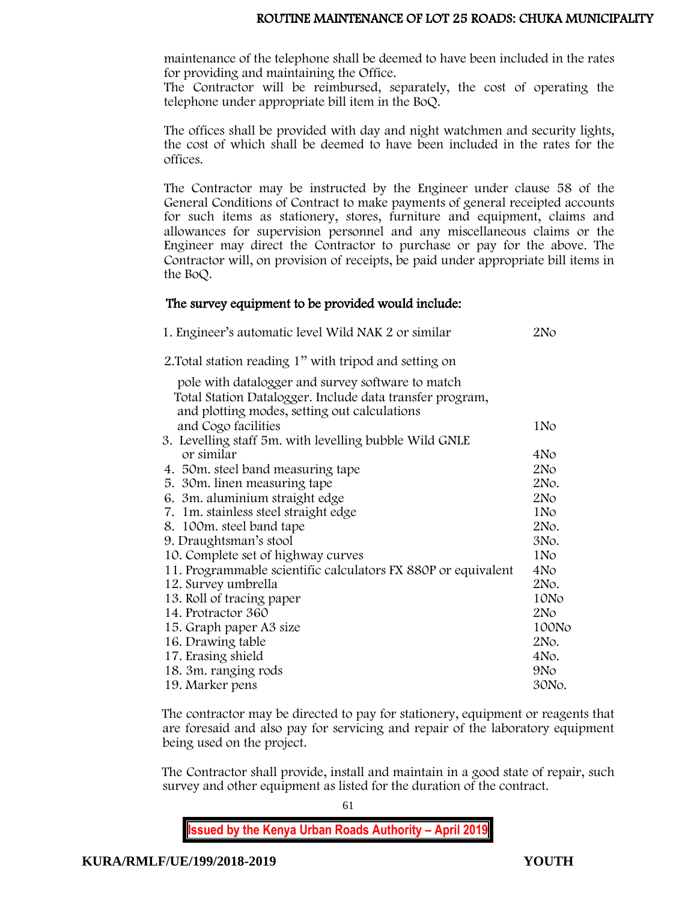maintenance of the telephone shall be deemed to have been included in the rates for providing and maintaining the Office.

The Contractor will be reimbursed, separately, the cost of operating the telephone under appropriate bill item in the BoQ.

The offices shall be provided with day and night watchmen and security lights, the cost of which shall be deemed to have been included in the rates for the offices.

The Contractor may be instructed by the Engineer under clause 58 of the General Conditions of Contract to make payments of general receipted accounts for such items as stationery, stores, furniture and equipment, claims and allowances for supervision personnel and any miscellaneous claims or the Engineer may direct the Contractor to purchase or pay for the above. The Contractor will, on provision of receipts, be paid under appropriate bill items in the BoQ.

# The survey equipment to be provided would include:

| 1. Engineer's automatic level Wild NAK 2 or similar                  | 2No             |
|----------------------------------------------------------------------|-----------------|
| 2. Total station reading 1" with tripod and setting on               |                 |
| pole with datalogger and survey software to match                    |                 |
| Total Station Datalogger. Include data transfer program,             |                 |
| and plotting modes, setting out calculations                         |                 |
| and Cogo facilities                                                  | 1N <sub>o</sub> |
| 3. Levelling staff 5m. with levelling bubble Wild GNLE<br>or similar | 4N <sub>o</sub> |
|                                                                      | 2N <sub>O</sub> |
| 4. 50 m. steel band measuring tape<br>5. 30m. linen measuring tape   | 2No.            |
| 6. 3m. aluminium straight edge                                       | 2N <sub>O</sub> |
| 7. 1m. stainless steel straight edge                                 | 1N <sub>o</sub> |
| 8. 100m. steel band tape                                             | 2No.            |
| 9. Draughtsman's stool                                               | 3No.            |
| 10. Complete set of highway curves                                   | 1N <sub>o</sub> |
| 11. Programmable scientific calculators FX 880P or equivalent        | 4No             |
| 12. Survey umbrella                                                  | 2No.            |
| 13. Roll of tracing paper                                            | 10No            |
| 14. Protractor 360                                                   | 2N <sub>O</sub> |
| 15. Graph paper A3 size                                              | 100No           |
| 16. Drawing table                                                    | 2No.            |
| 17. Erasing shield                                                   | 4No.            |
| 18. 3m. ranging rods                                                 | 9N <sub>o</sub> |
| 19. Marker pens                                                      | 30No.           |

The contractor may be directed to pay for stationery, equipment or reagents that are foresaid and also pay for servicing and repair of the laboratory equipment being used on the project.

The Contractor shall provide, install and maintain in a good state of repair, such survey and other equipment as listed for the duration of the contract.

**Issued by the Kenya Urban Roads Authority – April 2019**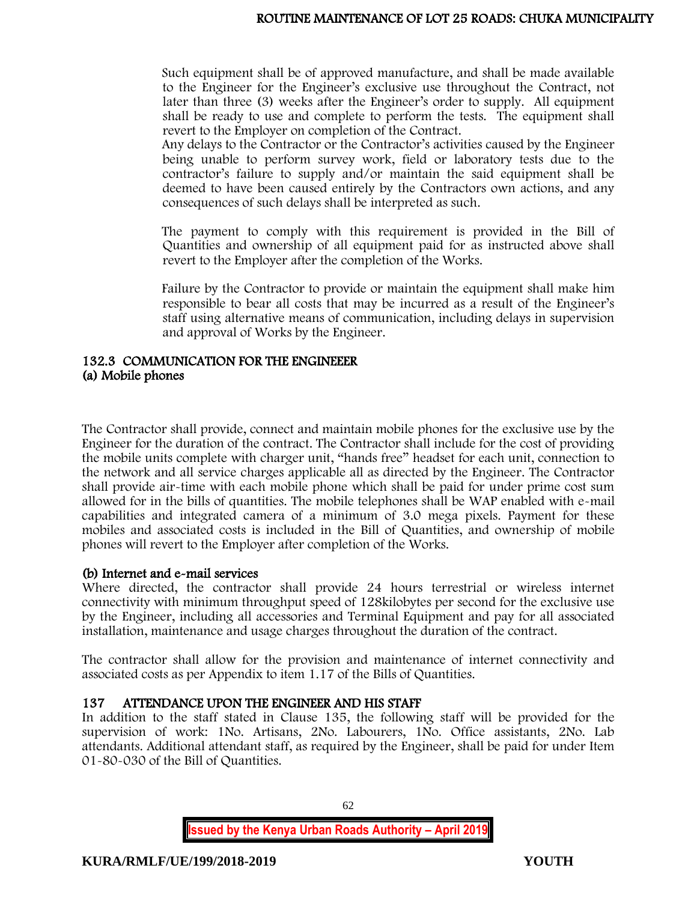Such equipment shall be of approved manufacture, and shall be made available to the Engineer for the Engineer's exclusive use throughout the Contract, not later than three (3) weeks after the Engineer's order to supply. All equipment shall be ready to use and complete to perform the tests. The equipment shall revert to the Employer on completion of the Contract.

Any delays to the Contractor or the Contractor's activities caused by the Engineer being unable to perform survey work, field or laboratory tests due to the contractor's failure to supply and/or maintain the said equipment shall be deemed to have been caused entirely by the Contractors own actions, and any consequences of such delays shall be interpreted as such.

The payment to comply with this requirement is provided in the Bill of Quantities and ownership of all equipment paid for as instructed above shall revert to the Employer after the completion of the Works.

Failure by the Contractor to provide or maintain the equipment shall make him responsible to bear all costs that may be incurred as a result of the Engineer's staff using alternative means of communication, including delays in supervision and approval of Works by the Engineer.

# 132.3 COMMUNICATION FOR THE ENGINEEER (a) Mobile phones

The Contractor shall provide, connect and maintain mobile phones for the exclusive use by the Engineer for the duration of the contract. The Contractor shall include for the cost of providing the mobile units complete with charger unit, "hands free" headset for each unit, connection to the network and all service charges applicable all as directed by the Engineer. The Contractor shall provide air-time with each mobile phone which shall be paid for under prime cost sum allowed for in the bills of quantities. The mobile telephones shall be WAP enabled with e-mail capabilities and integrated camera of a minimum of 3.0 mega pixels. Payment for these mobiles and associated costs is included in the Bill of Quantities, and ownership of mobile phones will revert to the Employer after completion of the Works.

# (b) Internet and e-mail services

Where directed, the contractor shall provide 24 hours terrestrial or wireless internet connectivity with minimum throughput speed of 128kilobytes per second for the exclusive use by the Engineer, including all accessories and Terminal Equipment and pay for all associated installation, maintenance and usage charges throughout the duration of the contract.

The contractor shall allow for the provision and maintenance of internet connectivity and associated costs as per Appendix to item 1.17 of the Bills of Quantities.

# 137 ATTENDANCE UPON THE ENGINEER AND HIS STAFF

In addition to the staff stated in Clause 135, the following staff will be provided for the supervision of work: 1No. Artisans, 2No. Labourers, 1No. Office assistants, 2No. Lab attendants. Additional attendant staff, as required by the Engineer, shall be paid for under Item 01-80-030 of the Bill of Quantities.

**Issued by the Kenya Urban Roads Authority – April 2019**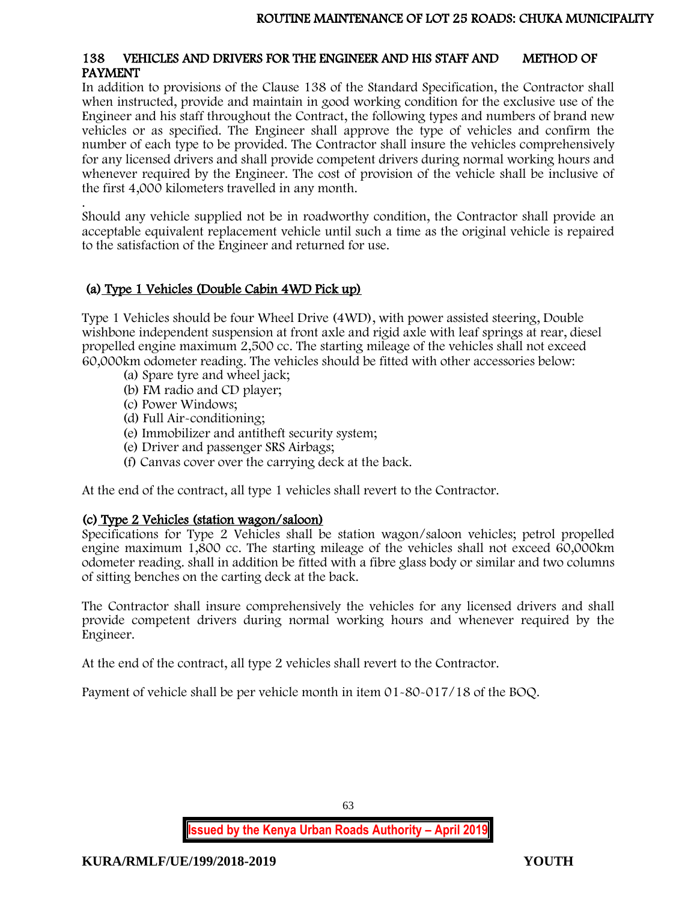## 138 VEHICLES AND DRIVERS FOR THE ENGINEER AND HIS STAFF AND METHOD OF PAYMENT

In addition to provisions of the Clause 138 of the Standard Specification, the Contractor shall when instructed, provide and maintain in good working condition for the exclusive use of the Engineer and his staff throughout the Contract, the following types and numbers of brand new vehicles or as specified. The Engineer shall approve the type of vehicles and confirm the number of each type to be provided. The Contractor shall insure the vehicles comprehensively for any licensed drivers and shall provide competent drivers during normal working hours and whenever required by the Engineer. The cost of provision of the vehicle shall be inclusive of the first 4,000 kilometers travelled in any month.

. Should any vehicle supplied not be in roadworthy condition, the Contractor shall provide an acceptable equivalent replacement vehicle until such a time as the original vehicle is repaired to the satisfaction of the Engineer and returned for use.

# (a) Type 1 Vehicles (Double Cabin 4WD Pick up)

Type 1 Vehicles should be four Wheel Drive (4WD), with power assisted steering, Double wishbone independent suspension at front axle and rigid axle with leaf springs at rear, diesel propelled engine maximum 2,500 cc. The starting mileage of the vehicles shall not exceed 60,000km odometer reading. The vehicles should be fitted with other accessories below:

- (a) Spare tyre and wheel jack;
- (b) FM radio and CD player;
- (c) Power Windows;
- (d) Full Air-conditioning;
- (e) Immobilizer and antitheft security system;
- (e) Driver and passenger SRS Airbags;
- (f) Canvas cover over the carrying deck at the back.

At the end of the contract, all type 1 vehicles shall revert to the Contractor.

# (c) Type 2 Vehicles (station wagon/saloon)

Specifications for Type 2 Vehicles shall be station wagon/saloon vehicles; petrol propelled engine maximum 1,800 cc. The starting mileage of the vehicles shall not exceed 60,000km odometer reading. shall in addition be fitted with a fibre glass body or similar and two columns of sitting benches on the carting deck at the back.

The Contractor shall insure comprehensively the vehicles for any licensed drivers and shall provide competent drivers during normal working hours and whenever required by the Engineer.

At the end of the contract, all type 2 vehicles shall revert to the Contractor.

Payment of vehicle shall be per vehicle month in item 01-80-017/18 of the BOQ.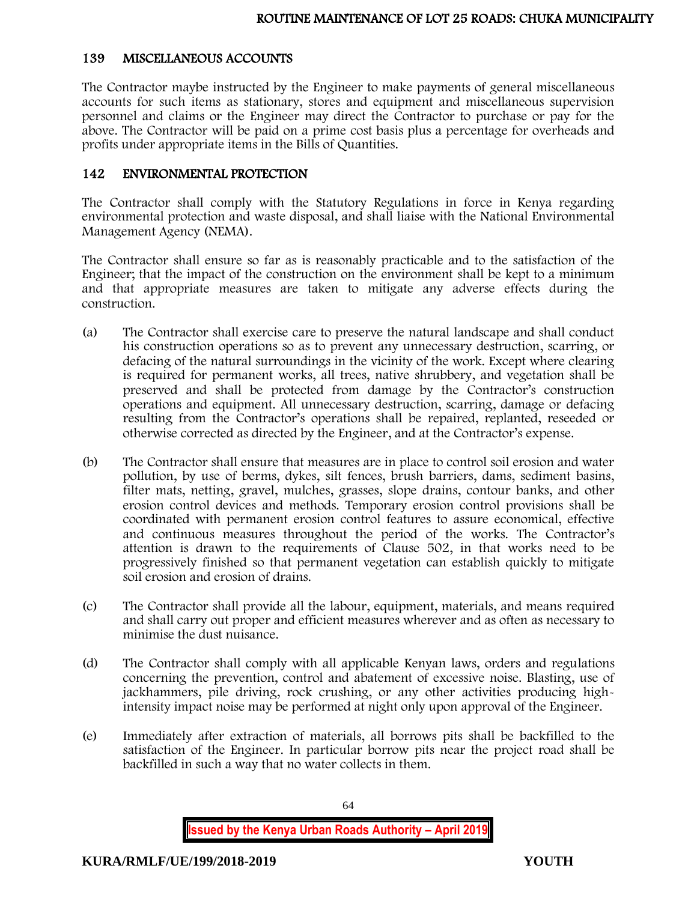# 139 MISCELLANEOUS ACCOUNTS

The Contractor maybe instructed by the Engineer to make payments of general miscellaneous accounts for such items as stationary, stores and equipment and miscellaneous supervision personnel and claims or the Engineer may direct the Contractor to purchase or pay for the above. The Contractor will be paid on a prime cost basis plus a percentage for overheads and profits under appropriate items in the Bills of Quantities.

# 142 ENVIRONMENTAL PROTECTION

The Contractor shall comply with the Statutory Regulations in force in Kenya regarding environmental protection and waste disposal, and shall liaise with the National Environmental Management Agency (NEMA).

The Contractor shall ensure so far as is reasonably practicable and to the satisfaction of the Engineer; that the impact of the construction on the environment shall be kept to a minimum and that appropriate measures are taken to mitigate any adverse effects during the construction.

- (a) The Contractor shall exercise care to preserve the natural landscape and shall conduct his construction operations so as to prevent any unnecessary destruction, scarring, or defacing of the natural surroundings in the vicinity of the work. Except where clearing is required for permanent works, all trees, native shrubbery, and vegetation shall be preserved and shall be protected from damage by the Contractor's construction operations and equipment. All unnecessary destruction, scarring, damage or defacing resulting from the Contractor's operations shall be repaired, replanted, reseeded or otherwise corrected as directed by the Engineer, and at the Contractor's expense.
- (b) The Contractor shall ensure that measures are in place to control soil erosion and water pollution, by use of berms, dykes, silt fences, brush barriers, dams, sediment basins, filter mats, netting, gravel, mulches, grasses, slope drains, contour banks, and other erosion control devices and methods. Temporary erosion control provisions shall be coordinated with permanent erosion control features to assure economical, effective and continuous measures throughout the period of the works. The Contractor's attention is drawn to the requirements of Clause 502, in that works need to be progressively finished so that permanent vegetation can establish quickly to mitigate soil erosion and erosion of drains.
- (c) The Contractor shall provide all the labour, equipment, materials, and means required and shall carry out proper and efficient measures wherever and as often as necessary to minimise the dust nuisance.
- (d) The Contractor shall comply with all applicable Kenyan laws, orders and regulations concerning the prevention, control and abatement of excessive noise. Blasting, use of jackhammers, pile driving, rock crushing, or any other activities producing highintensity impact noise may be performed at night only upon approval of the Engineer.
- (e) Immediately after extraction of materials, all borrows pits shall be backfilled to the satisfaction of the Engineer. In particular borrow pits near the project road shall be backfilled in such a way that no water collects in them.

**Issued by the Kenya Urban Roads Authority – April 2019**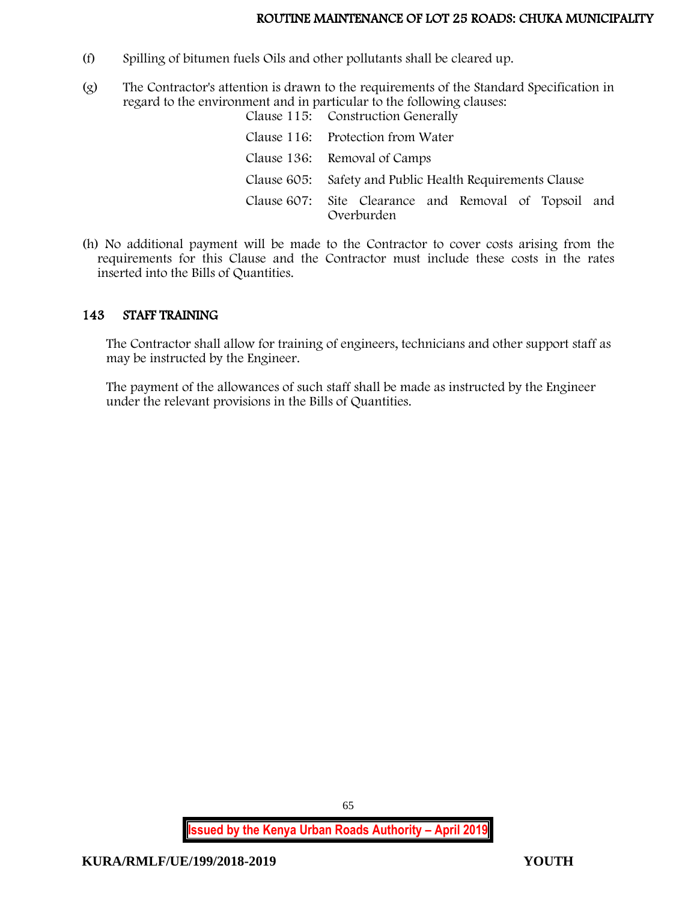- (f) Spilling of bitumen fuels Oils and other pollutants shall be cleared up.
- (g) The Contractor's attention is drawn to the requirements of the Standard Specification in regard to the environment and in particular to the following clauses:

| Clause 115: Construction Generally                                  |
|---------------------------------------------------------------------|
| Clause 116: Protection from Water                                   |
| Clause 136: Removal of Camps                                        |
| Clause 605: Safety and Public Health Requirements Clause            |
| Clause 607: Site Clearance and Removal of Topsoil and<br>Overburden |

(h) No additional payment will be made to the Contractor to cover costs arising from the requirements for this Clause and the Contractor must include these costs in the rates inserted into the Bills of Quantities.

# 143 STAFF TRAINING

The Contractor shall allow for training of engineers, technicians and other support staff as may be instructed by the Engineer.

The payment of the allowances of such staff shall be made as instructed by the Engineer under the relevant provisions in the Bills of Quantities.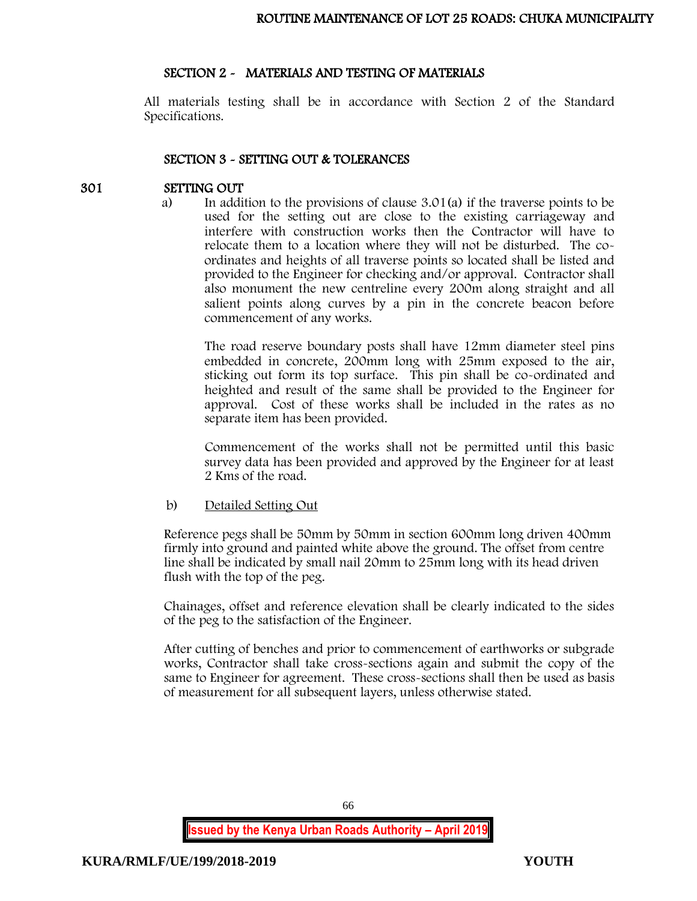## SECTION 2 - MATERIALS AND TESTING OF MATERIALS

All materials testing shall be in accordance with Section 2 of the Standard Specifications.

## SECTION 3 - SETTING OUT & TOLERANCES

# 301 SETTING OUT

a) In addition to the provisions of clause 3.01(a) if the traverse points to be used for the setting out are close to the existing carriageway and interfere with construction works then the Contractor will have to relocate them to a location where they will not be disturbed. The coordinates and heights of all traverse points so located shall be listed and provided to the Engineer for checking and/or approval. Contractor shall also monument the new centreline every 200m along straight and all salient points along curves by a pin in the concrete beacon before commencement of any works.

The road reserve boundary posts shall have 12mm diameter steel pins embedded in concrete, 200mm long with 25mm exposed to the air, sticking out form its top surface. This pin shall be co-ordinated and heighted and result of the same shall be provided to the Engineer for approval. Cost of these works shall be included in the rates as no separate item has been provided.

Commencement of the works shall not be permitted until this basic survey data has been provided and approved by the Engineer for at least 2 Kms of the road.

b) Detailed Setting Out

Reference pegs shall be 50mm by 50mm in section 600mm long driven 400mm firmly into ground and painted white above the ground. The offset from centre line shall be indicated by small nail 20mm to 25mm long with its head driven flush with the top of the peg.

Chainages, offset and reference elevation shall be clearly indicated to the sides of the peg to the satisfaction of the Engineer.

After cutting of benches and prior to commencement of earthworks or subgrade works, Contractor shall take cross-sections again and submit the copy of the same to Engineer for agreement. These cross-sections shall then be used as basis of measurement for all subsequent layers, unless otherwise stated.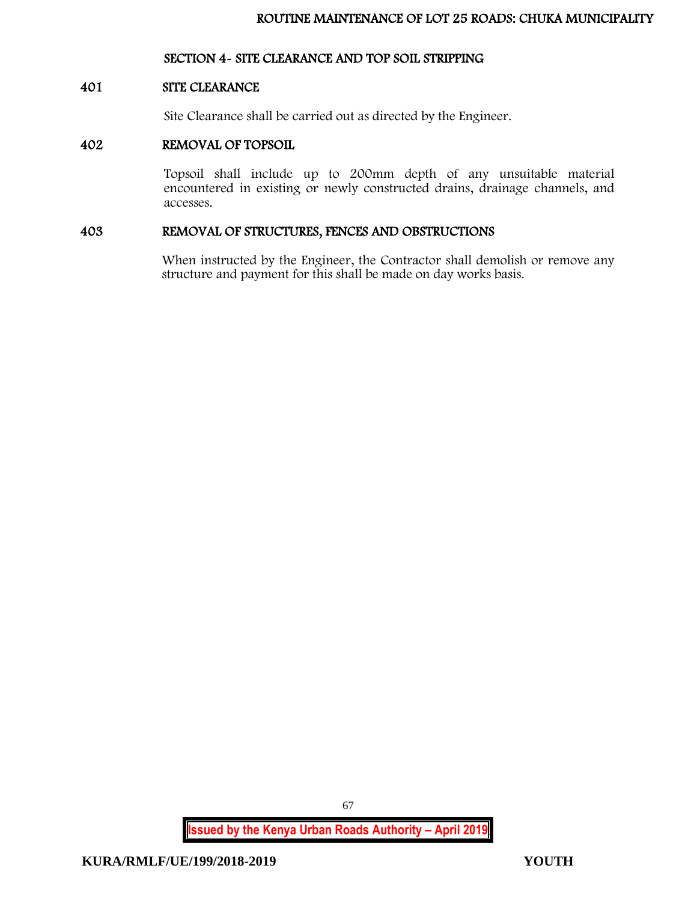# SECTION 4- SITE CLEARANCE AND TOP SOIL STRIPPING

## 401 SITE CLEARANCE

Site Clearance shall be carried out as directed by the Engineer.

## 402 REMOVAL OF TOPSOIL

Topsoil shall include up to 200mm depth of any unsuitable material encountered in existing or newly constructed drains, drainage channels, and accesses.

# 403 REMOVAL OF STRUCTURES, FENCES AND OBSTRUCTIONS

When instructed by the Engineer, the Contractor shall demolish or remove any structure and payment for this shall be made on day works basis.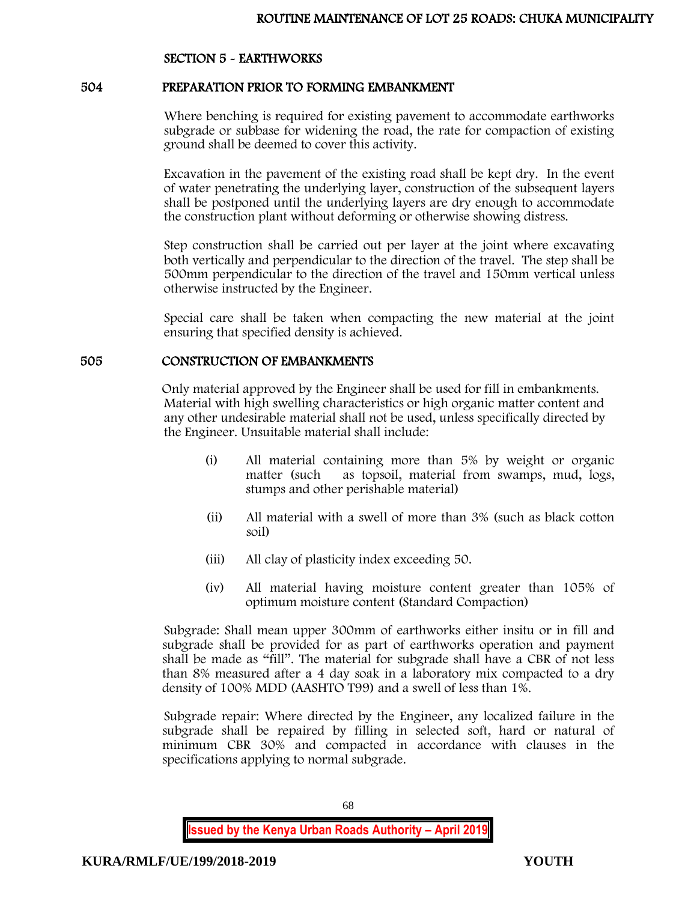# SECTION 5 - EARTHWORKS

## 504 PREPARATION PRIOR TO FORMING EMBANKMENT

Where benching is required for existing pavement to accommodate earthworks subgrade or subbase for widening the road, the rate for compaction of existing ground shall be deemed to cover this activity.

Excavation in the pavement of the existing road shall be kept dry. In the event of water penetrating the underlying layer, construction of the subsequent layers shall be postponed until the underlying layers are dry enough to accommodate the construction plant without deforming or otherwise showing distress.

Step construction shall be carried out per layer at the joint where excavating both vertically and perpendicular to the direction of the travel. The step shall be 500mm perpendicular to the direction of the travel and 150mm vertical unless otherwise instructed by the Engineer.

Special care shall be taken when compacting the new material at the joint ensuring that specified density is achieved.

#### 505 CONSTRUCTION OF EMBANKMENTS

Only material approved by the Engineer shall be used for fill in embankments. Material with high swelling characteristics or high organic matter content and any other undesirable material shall not be used, unless specifically directed by the Engineer. Unsuitable material shall include:

- (i) All material containing more than 5% by weight or organic matter (such as topsoil, material from swamps, mud, logs, stumps and other perishable material)
- (ii) All material with a swell of more than 3% (such as black cotton soil)
- (iii) All clay of plasticity index exceeding 50.
- (iv) All material having moisture content greater than 105% of optimum moisture content (Standard Compaction)

Subgrade: Shall mean upper 300mm of earthworks either insitu or in fill and subgrade shall be provided for as part of earthworks operation and payment shall be made as "fill". The material for subgrade shall have a CBR of not less than 8% measured after a 4 day soak in a laboratory mix compacted to a dry density of 100% MDD (AASHTO T99) and a swell of less than 1%.

Subgrade repair: Where directed by the Engineer, any localized failure in the subgrade shall be repaired by filling in selected soft, hard or natural of minimum CBR 30% and compacted in accordance with clauses in the specifications applying to normal subgrade.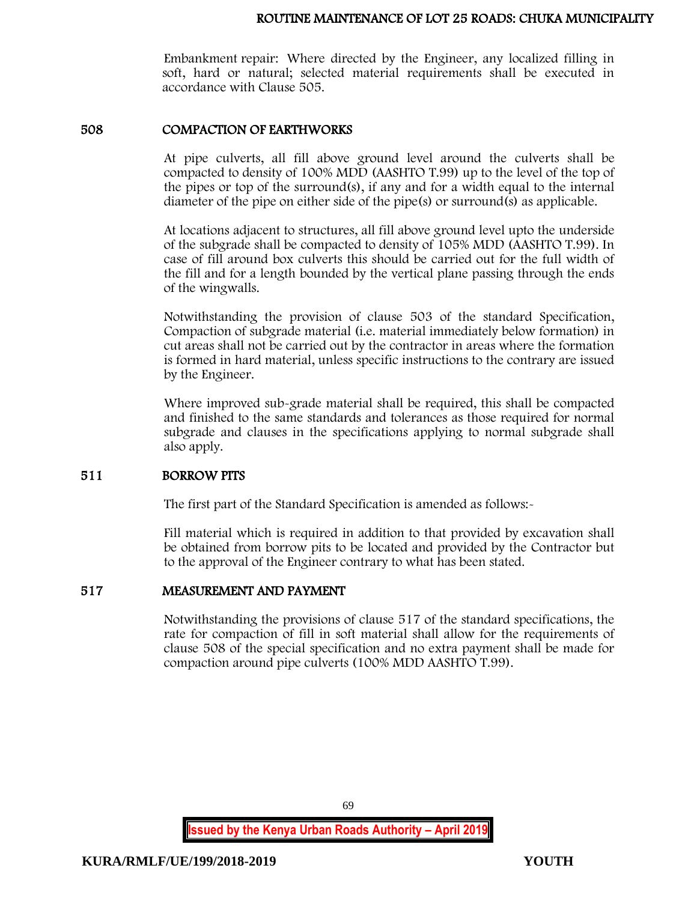Embankment repair: Where directed by the Engineer, any localized filling in soft, hard or natural; selected material requirements shall be executed in accordance with Clause 505.

## 508 COMPACTION OF EARTHWORKS

At pipe culverts, all fill above ground level around the culverts shall be compacted to density of 100% MDD (AASHTO T.99) up to the level of the top of the pipes or top of the surround(s), if any and for a width equal to the internal diameter of the pipe on either side of the pipe(s) or surround(s) as applicable.

At locations adjacent to structures, all fill above ground level upto the underside of the subgrade shall be compacted to density of 105% MDD (AASHTO T.99). In case of fill around box culverts this should be carried out for the full width of the fill and for a length bounded by the vertical plane passing through the ends of the wingwalls.

Notwithstanding the provision of clause 503 of the standard Specification, Compaction of subgrade material (i.e. material immediately below formation) in cut areas shall not be carried out by the contractor in areas where the formation is formed in hard material, unless specific instructions to the contrary are issued by the Engineer.

Where improved sub-grade material shall be required, this shall be compacted and finished to the same standards and tolerances as those required for normal subgrade and clauses in the specifications applying to normal subgrade shall also apply.

# 511 BORROW PITS

The first part of the Standard Specification is amended as follows:

Fill material which is required in addition to that provided by excavation shall be obtained from borrow pits to be located and provided by the Contractor but to the approval of the Engineer contrary to what has been stated.

# 517 MEASUREMENT AND PAYMENT

Notwithstanding the provisions of clause 517 of the standard specifications, the rate for compaction of fill in soft material shall allow for the requirements of clause 508 of the special specification and no extra payment shall be made for compaction around pipe culverts (100% MDD AASHTO T.99).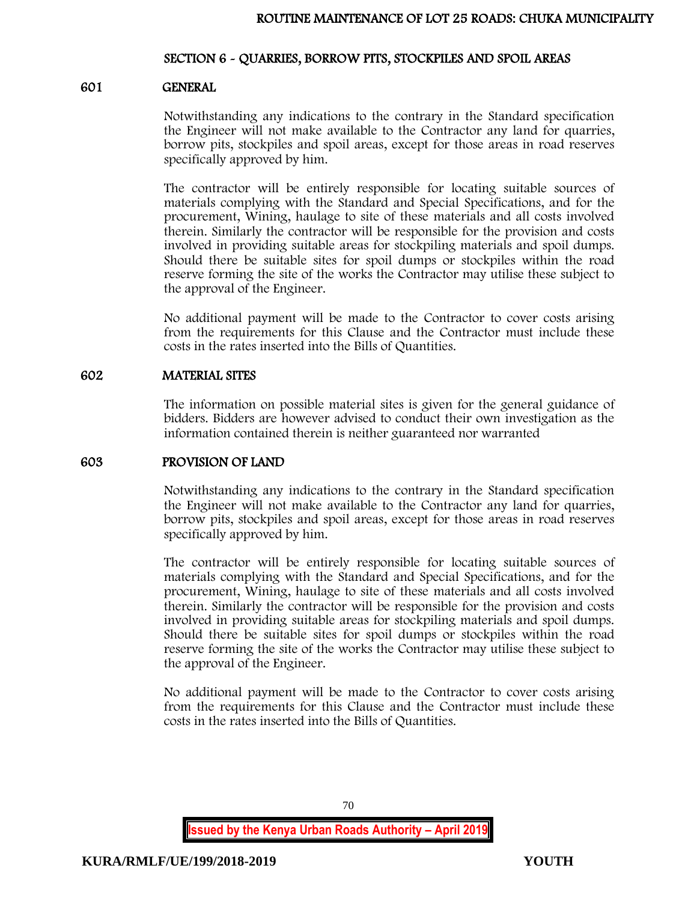## SECTION 6 - QUARRIES, BORROW PITS, STOCKPILES AND SPOIL AREAS

## 601 GENERAL

Notwithstanding any indications to the contrary in the Standard specification the Engineer will not make available to the Contractor any land for quarries, borrow pits, stockpiles and spoil areas, except for those areas in road reserves specifically approved by him.

The contractor will be entirely responsible for locating suitable sources of materials complying with the Standard and Special Specifications, and for the procurement, Wining, haulage to site of these materials and all costs involved therein. Similarly the contractor will be responsible for the provision and costs involved in providing suitable areas for stockpiling materials and spoil dumps. Should there be suitable sites for spoil dumps or stockpiles within the road reserve forming the site of the works the Contractor may utilise these subject to the approval of the Engineer.

No additional payment will be made to the Contractor to cover costs arising from the requirements for this Clause and the Contractor must include these costs in the rates inserted into the Bills of Quantities.

## 602 MATERIAL SITES

The information on possible material sites is given for the general guidance of bidders. Bidders are however advised to conduct their own investigation as the information contained therein is neither guaranteed nor warranted

## 603 PROVISION OF LAND

Notwithstanding any indications to the contrary in the Standard specification the Engineer will not make available to the Contractor any land for quarries, borrow pits, stockpiles and spoil areas, except for those areas in road reserves specifically approved by him.

The contractor will be entirely responsible for locating suitable sources of materials complying with the Standard and Special Specifications, and for the procurement, Wining, haulage to site of these materials and all costs involved therein. Similarly the contractor will be responsible for the provision and costs involved in providing suitable areas for stockpiling materials and spoil dumps. Should there be suitable sites for spoil dumps or stockpiles within the road reserve forming the site of the works the Contractor may utilise these subject to the approval of the Engineer.

No additional payment will be made to the Contractor to cover costs arising from the requirements for this Clause and the Contractor must include these costs in the rates inserted into the Bills of Quantities.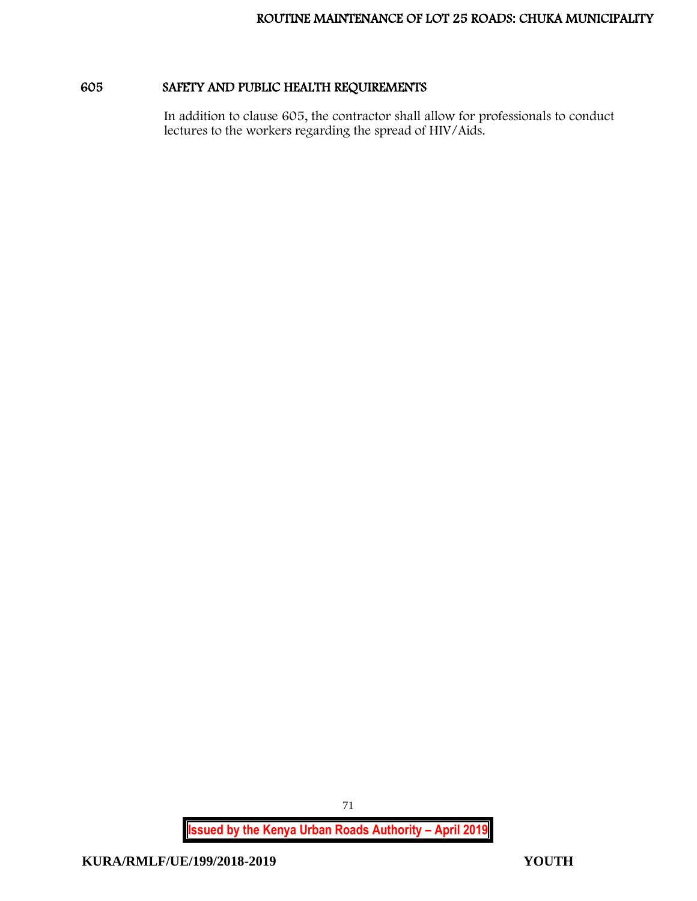# 605 SAFETY AND PUBLIC HEALTH REQUIREMENTS

In addition to clause 605, the contractor shall allow for professionals to conduct lectures to the workers regarding the spread of HIV/Aids.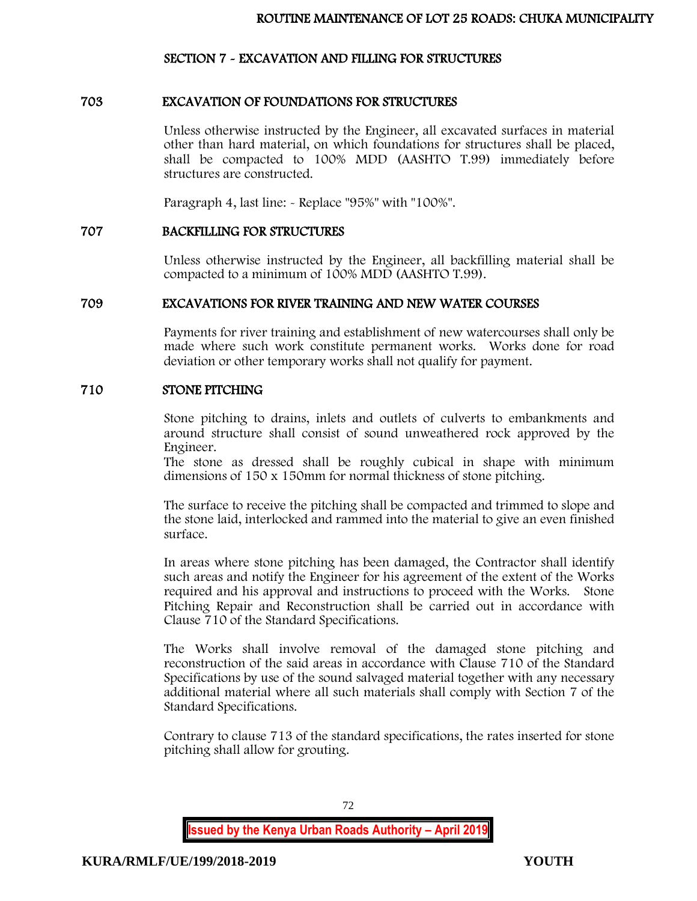### SECTION 7 - EXCAVATION AND FILLING FOR STRUCTURES

### 703 EXCAVATION OF FOUNDATIONS FOR STRUCTURES

Unless otherwise instructed by the Engineer, all excavated surfaces in material other than hard material, on which foundations for structures shall be placed, shall be compacted to 100% MDD (AASHTO T.99) immediately before structures are constructed.

Paragraph 4, last line: - Replace "95%" with "100%".

### 707 BACKFILLING FOR STRUCTURES

Unless otherwise instructed by the Engineer, all backfilling material shall be compacted to a minimum of 100% MDD (AASHTO T.99).

#### 709 EXCAVATIONS FOR RIVER TRAINING AND NEW WATER COURSES

Payments for river training and establishment of new watercourses shall only be made where such work constitute permanent works. Works done for road deviation or other temporary works shall not qualify for payment.

### 710 STONE PITCHING

Stone pitching to drains, inlets and outlets of culverts to embankments and around structure shall consist of sound unweathered rock approved by the Engineer.

The stone as dressed shall be roughly cubical in shape with minimum dimensions of 150 x 150mm for normal thickness of stone pitching.

The surface to receive the pitching shall be compacted and trimmed to slope and the stone laid, interlocked and rammed into the material to give an even finished surface.

In areas where stone pitching has been damaged, the Contractor shall identify such areas and notify the Engineer for his agreement of the extent of the Works required and his approval and instructions to proceed with the Works. Stone Pitching Repair and Reconstruction shall be carried out in accordance with Clause 710 of the Standard Specifications.

The Works shall involve removal of the damaged stone pitching and reconstruction of the said areas in accordance with Clause 710 of the Standard Specifications by use of the sound salvaged material together with any necessary additional material where all such materials shall comply with Section 7 of the Standard Specifications.

Contrary to clause 713 of the standard specifications, the rates inserted for stone pitching shall allow for grouting.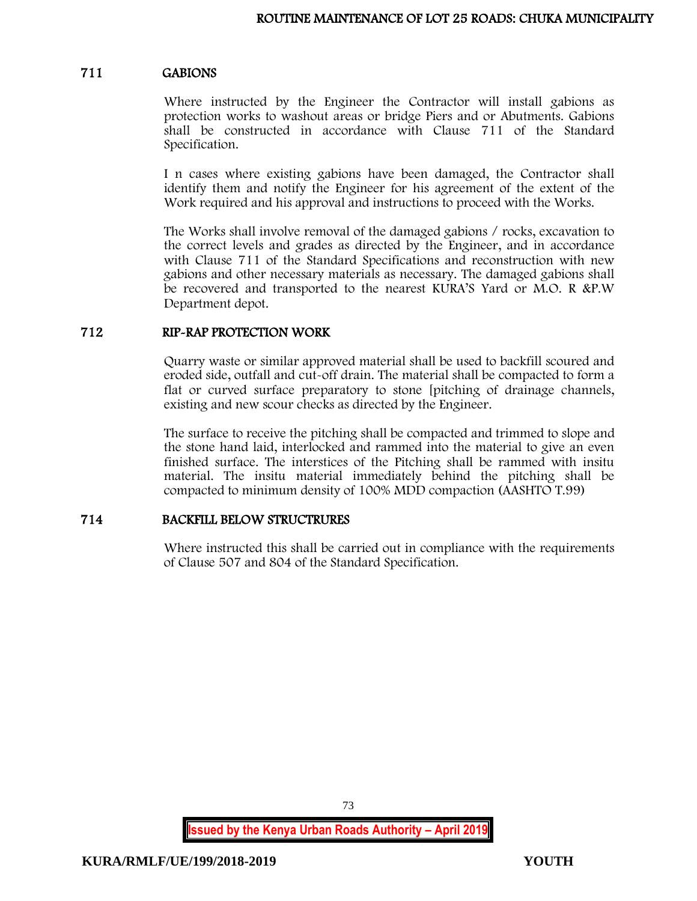#### 711 GABIONS

Where instructed by the Engineer the Contractor will install gabions as protection works to washout areas or bridge Piers and or Abutments. Gabions shall be constructed in accordance with Clause 711 of the Standard Specification.

I n cases where existing gabions have been damaged, the Contractor shall identify them and notify the Engineer for his agreement of the extent of the Work required and his approval and instructions to proceed with the Works.

The Works shall involve removal of the damaged gabions / rocks, excavation to the correct levels and grades as directed by the Engineer, and in accordance with Clause 711 of the Standard Specifications and reconstruction with new gabions and other necessary materials as necessary. The damaged gabions shall be recovered and transported to the nearest KURA'S Yard or M.O. R &P.W Department depot.

#### 712 RIP-RAP PROTECTION WORK

Quarry waste or similar approved material shall be used to backfill scoured and eroded side, outfall and cut-off drain. The material shall be compacted to form a flat or curved surface preparatory to stone [pitching of drainage channels, existing and new scour checks as directed by the Engineer.

The surface to receive the pitching shall be compacted and trimmed to slope and the stone hand laid, interlocked and rammed into the material to give an even finished surface. The interstices of the Pitching shall be rammed with insitu material. The insitu material immediately behind the pitching shall be compacted to minimum density of 100% MDD compaction (AASHTO T.99)

## 714 BACKFILL BELOW STRUCTRURES

Where instructed this shall be carried out in compliance with the requirements of Clause 507 and 804 of the Standard Specification.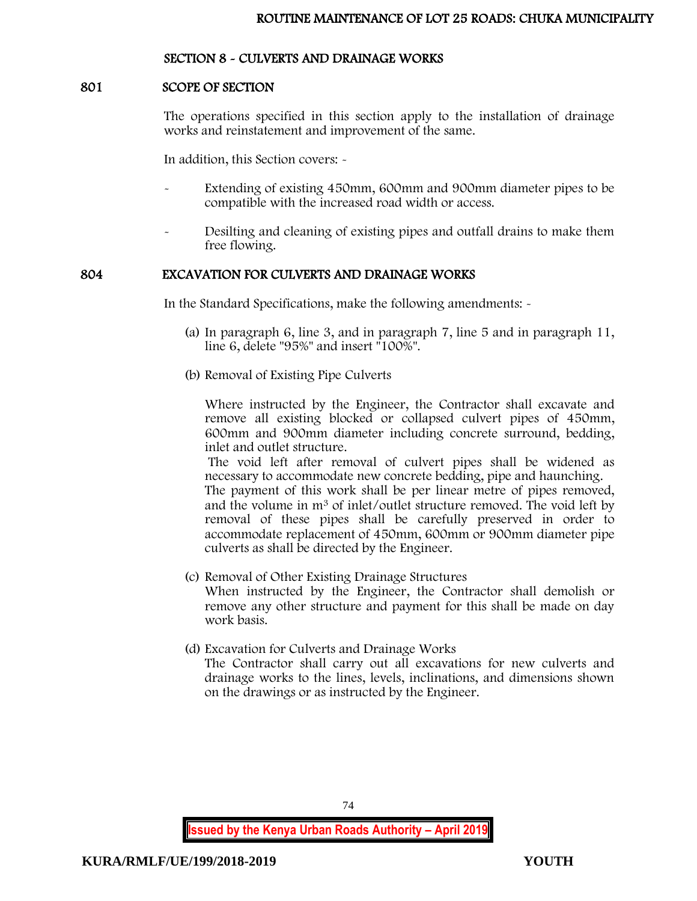## SECTION 8 - CULVERTS AND DRAINAGE WORKS

### 801 SCOPE OF SECTION

The operations specified in this section apply to the installation of drainage works and reinstatement and improvement of the same.

In addition, this Section covers: -

- Extending of existing 450mm, 600mm and 900mm diameter pipes to be compatible with the increased road width or access.
- Desilting and cleaning of existing pipes and outfall drains to make them free flowing.

#### 804 EXCAVATION FOR CULVERTS AND DRAINAGE WORKS

In the Standard Specifications, make the following amendments: -

- (a) In paragraph 6, line 3, and in paragraph 7, line 5 and in paragraph 11, line 6, delete "95%" and insert "100%".
- (b) Removal of Existing Pipe Culverts

Where instructed by the Engineer, the Contractor shall excavate and remove all existing blocked or collapsed culvert pipes of 450mm, 600mm and 900mm diameter including concrete surround, bedding, inlet and outlet structure.

The void left after removal of culvert pipes shall be widened as necessary to accommodate new concrete bedding, pipe and haunching. The payment of this work shall be per linear metre of pipes removed, and the volume in m<sup>3</sup> of inlet/outlet structure removed. The void left by removal of these pipes shall be carefully preserved in order to accommodate replacement of 450mm, 600mm or 900mm diameter pipe culverts as shall be directed by the Engineer.

- (c) Removal of Other Existing Drainage Structures When instructed by the Engineer, the Contractor shall demolish or remove any other structure and payment for this shall be made on day work basis.
- (d) Excavation for Culverts and Drainage Works The Contractor shall carry out all excavations for new culverts and drainage works to the lines, levels, inclinations, and dimensions shown on the drawings or as instructed by the Engineer.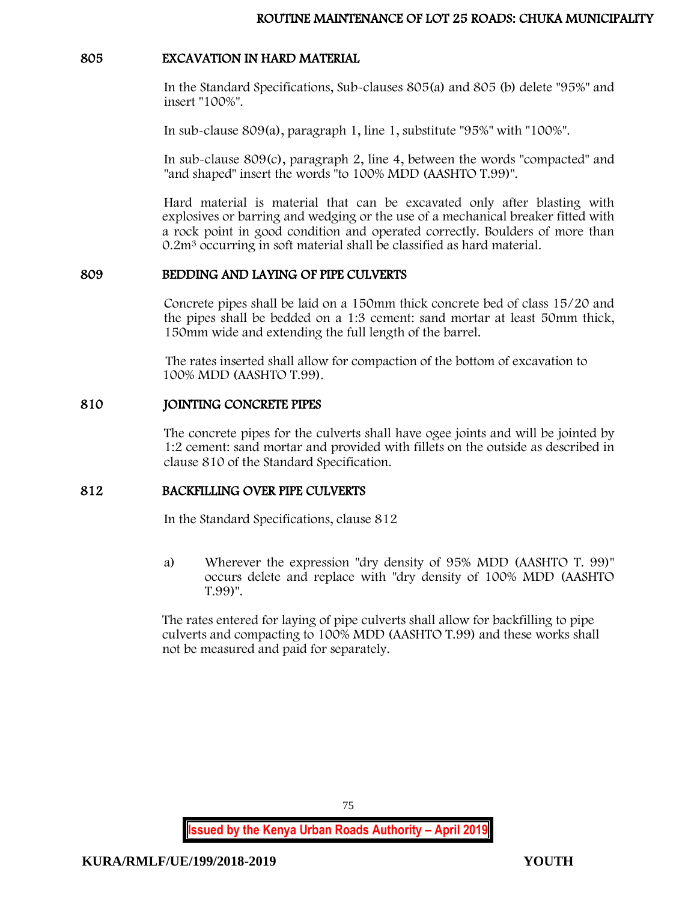### 805 EXCAVATION IN HARD MATERIAL

In the Standard Specifications, Sub-clauses 805(a) and 805 (b) delete "95%" and insert "100%".

In sub-clause 809(a), paragraph 1, line 1, substitute "95%" with "100%".

In sub-clause 809(c), paragraph 2, line 4, between the words "compacted" and "and shaped" insert the words "to 100% MDD (AASHTO T.99)".

Hard material is material that can be excavated only after blasting with explosives or barring and wedging or the use of a mechanical breaker fitted with a rock point in good condition and operated correctly. Boulders of more than 0.2m<sup>3</sup> occurring in soft material shall be classified as hard material.

### 809 BEDDING AND LAYING OF PIPE CULVERTS

Concrete pipes shall be laid on a 150mm thick concrete bed of class 15/20 and the pipes shall be bedded on a 1:3 cement: sand mortar at least 50mm thick, 150mm wide and extending the full length of the barrel.

The rates inserted shall allow for compaction of the bottom of excavation to 100% MDD (AASHTO T.99).

## 810 JOINTING CONCRETE PIPES

The concrete pipes for the culverts shall have ogee joints and will be jointed by 1:2 cement: sand mortar and provided with fillets on the outside as described in clause 810 of the Standard Specification.

## 812 BACKFILLING OVER PIPE CULVERTS

In the Standard Specifications, clause 812

a) Wherever the expression "dry density of 95% MDD (AASHTO T. 99)" occurs delete and replace with "dry density of 100% MDD (AASHTO T.99)".

The rates entered for laying of pipe culverts shall allow for backfilling to pipe culverts and compacting to 100% MDD (AASHTO T.99) and these works shall not be measured and paid for separately.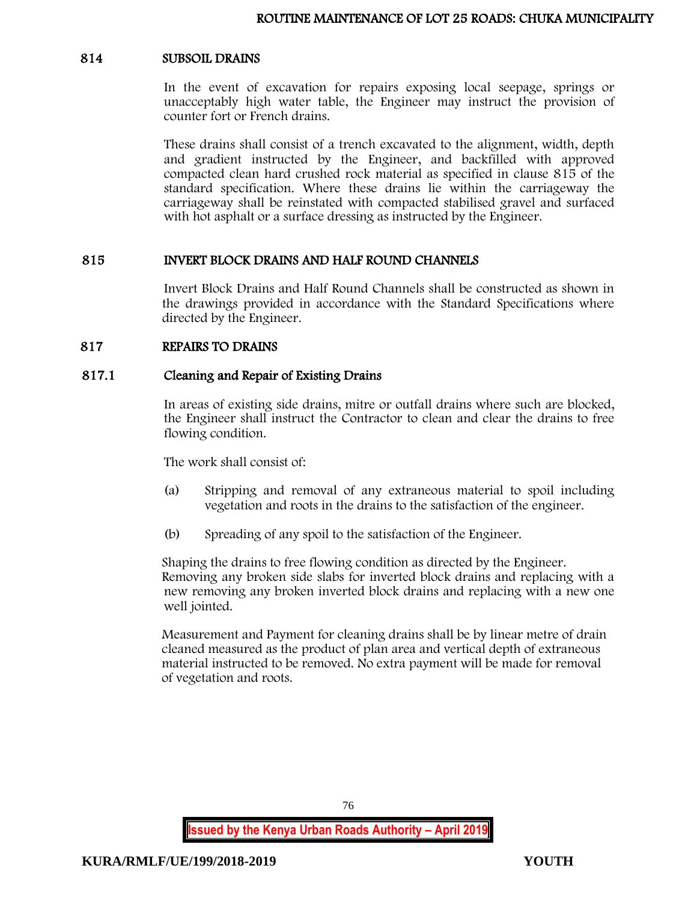#### 814 SUBSOIL DRAINS

In the event of excavation for repairs exposing local seepage, springs or unacceptably high water table, the Engineer may instruct the provision of counter fort or French drains.

These drains shall consist of a trench excavated to the alignment, width, depth and gradient instructed by the Engineer, and backfilled with approved compacted clean hard crushed rock material as specified in clause 815 of the standard specification. Where these drains lie within the carriageway the carriageway shall be reinstated with compacted stabilised gravel and surfaced with hot asphalt or a surface dressing as instructed by the Engineer.

### 815 INVERT BLOCK DRAINS AND HALF ROUND CHANNELS

Invert Block Drains and Half Round Channels shall be constructed as shown in the drawings provided in accordance with the Standard Specifications where directed by the Engineer.

### 817 REPAIRS TO DRAINS

#### 817.1 Cleaning and Repair of Existing Drains

In areas of existing side drains, mitre or outfall drains where such are blocked, the Engineer shall instruct the Contractor to clean and clear the drains to free flowing condition.

The work shall consist of:

- (a) Stripping and removal of any extraneous material to spoil including vegetation and roots in the drains to the satisfaction of the engineer.
- (b) Spreading of any spoil to the satisfaction of the Engineer.

Shaping the drains to free flowing condition as directed by the Engineer. Removing any broken side slabs for inverted block drains and replacing with a new removing any broken inverted block drains and replacing with a new one well jointed.

Measurement and Payment for cleaning drains shall be by linear metre of drain cleaned measured as the product of plan area and vertical depth of extraneous material instructed to be removed. No extra payment will be made for removal of vegetation and roots.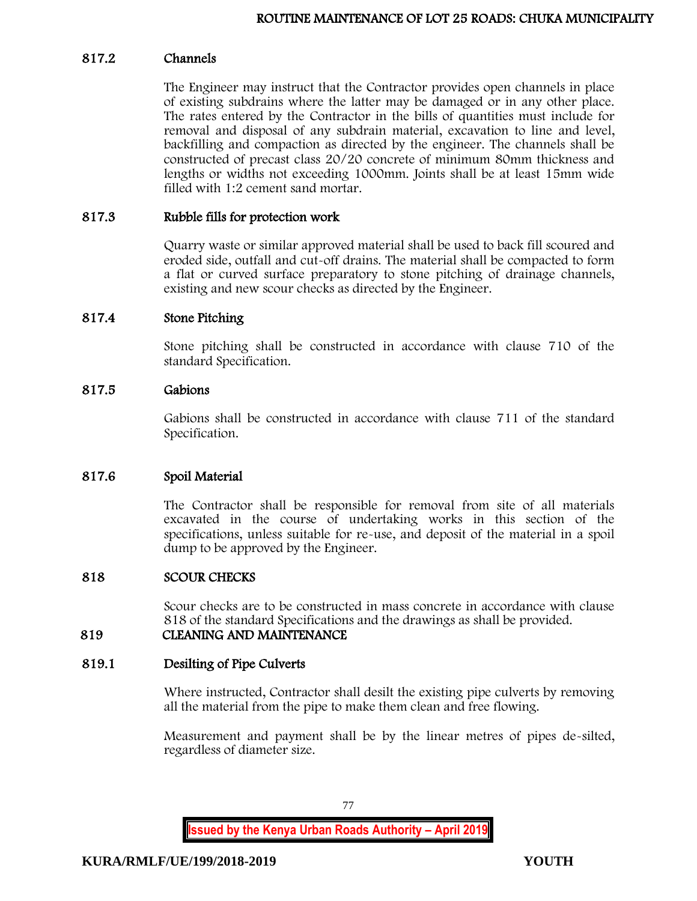### 817.2 Channels

The Engineer may instruct that the Contractor provides open channels in place of existing subdrains where the latter may be damaged or in any other place. The rates entered by the Contractor in the bills of quantities must include for removal and disposal of any subdrain material, excavation to line and level, backfilling and compaction as directed by the engineer. The channels shall be constructed of precast class 20/20 concrete of minimum 80mm thickness and lengths or widths not exceeding 1000mm. Joints shall be at least 15mm wide filled with 1:2 cement sand mortar.

### 817.3 Rubble fills for protection work

Quarry waste or similar approved material shall be used to back fill scoured and eroded side, outfall and cut-off drains. The material shall be compacted to form a flat or curved surface preparatory to stone pitching of drainage channels, existing and new scour checks as directed by the Engineer.

### 817.4 Stone Pitching

Stone pitching shall be constructed in accordance with clause 710 of the standard Specification.

### 817.5 Gabions

Gabions shall be constructed in accordance with clause 711 of the standard Specification.

## 817.6 Spoil Material

The Contractor shall be responsible for removal from site of all materials excavated in the course of undertaking works in this section of the specifications, unless suitable for re-use, and deposit of the material in a spoil dump to be approved by the Engineer.

#### 818 SCOUR CHECKS

Scour checks are to be constructed in mass concrete in accordance with clause 818 of the standard Specifications and the drawings as shall be provided.

### 819 CLEANING AND MAINTENANCE

#### 819.1 Desilting of Pipe Culverts

Where instructed, Contractor shall desilt the existing pipe culverts by removing all the material from the pipe to make them clean and free flowing.

Measurement and payment shall be by the linear metres of pipes de-silted, regardless of diameter size.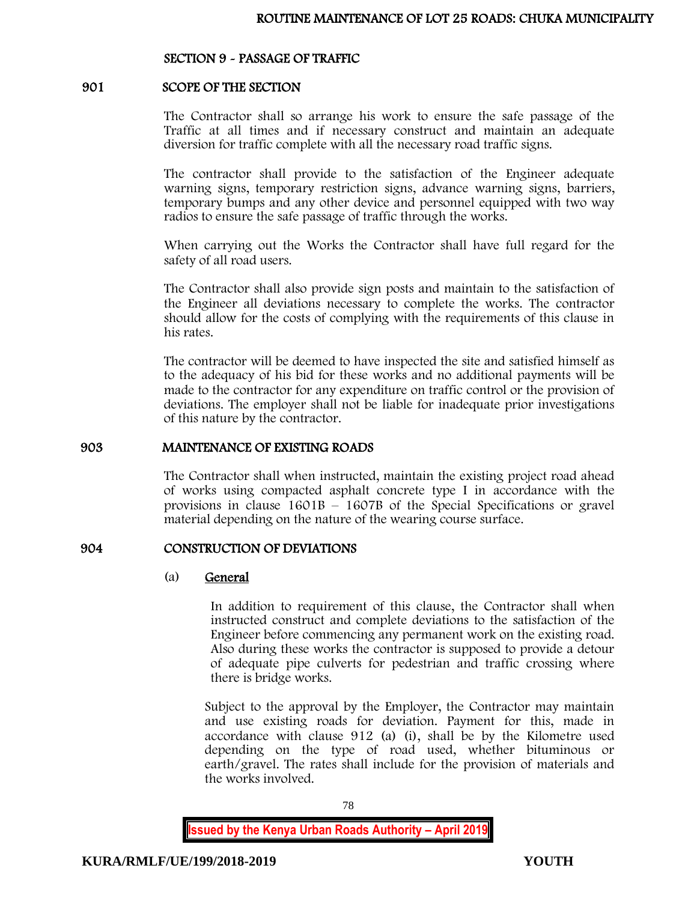### SECTION 9 - PASSAGE OF TRAFFIC

#### 901 SCOPE OF THE SECTION

The Contractor shall so arrange his work to ensure the safe passage of the Traffic at all times and if necessary construct and maintain an adequate diversion for traffic complete with all the necessary road traffic signs.

The contractor shall provide to the satisfaction of the Engineer adequate warning signs, temporary restriction signs, advance warning signs, barriers, temporary bumps and any other device and personnel equipped with two way radios to ensure the safe passage of traffic through the works.

When carrying out the Works the Contractor shall have full regard for the safety of all road users.

The Contractor shall also provide sign posts and maintain to the satisfaction of the Engineer all deviations necessary to complete the works. The contractor should allow for the costs of complying with the requirements of this clause in his rates.

The contractor will be deemed to have inspected the site and satisfied himself as to the adequacy of his bid for these works and no additional payments will be made to the contractor for any expenditure on traffic control or the provision of deviations. The employer shall not be liable for inadequate prior investigations of this nature by the contractor.

#### 903 MAINTENANCE OF EXISTING ROADS

The Contractor shall when instructed, maintain the existing project road ahead of works using compacted asphalt concrete type I in accordance with the provisions in clause 1601B – 1607B of the Special Specifications or gravel material depending on the nature of the wearing course surface.

#### 904 CONSTRUCTION OF DEVIATIONS

#### (a) General

In addition to requirement of this clause, the Contractor shall when instructed construct and complete deviations to the satisfaction of the Engineer before commencing any permanent work on the existing road. Also during these works the contractor is supposed to provide a detour of adequate pipe culverts for pedestrian and traffic crossing where there is bridge works.

Subject to the approval by the Employer, the Contractor may maintain and use existing roads for deviation. Payment for this, made in accordance with clause 912 (a) (i), shall be by the Kilometre used depending on the type of road used, whether bituminous or earth/gravel. The rates shall include for the provision of materials and the works involved.

78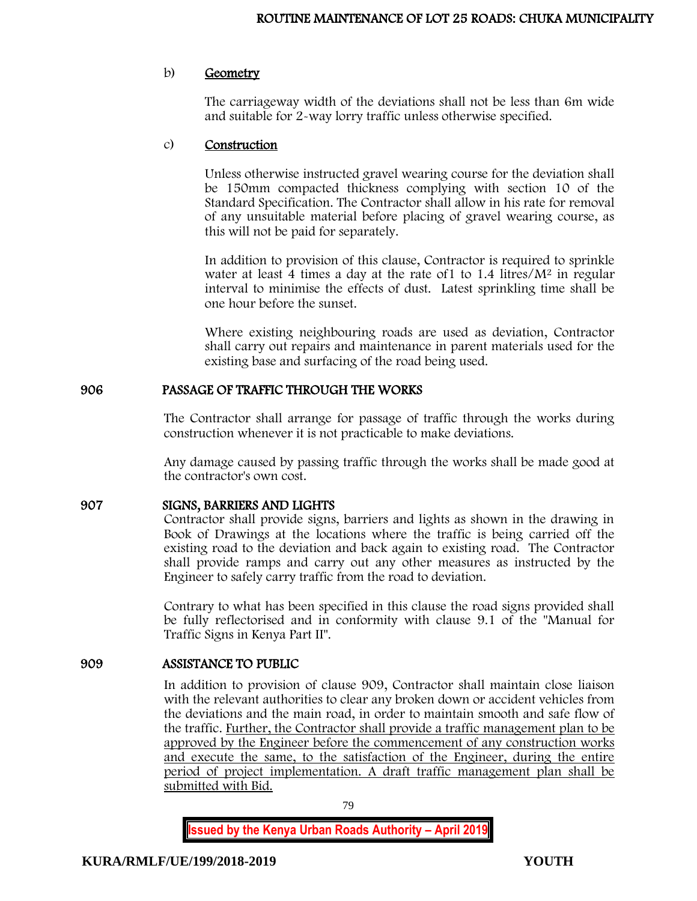### b) Geometry

The carriageway width of the deviations shall not be less than 6m wide and suitable for 2-way lorry traffic unless otherwise specified.

#### c) Construction

Unless otherwise instructed gravel wearing course for the deviation shall be 150mm compacted thickness complying with section 10 of the Standard Specification. The Contractor shall allow in his rate for removal of any unsuitable material before placing of gravel wearing course, as this will not be paid for separately.

In addition to provision of this clause, Contractor is required to sprinkle water at least 4 times a day at the rate of 1 to 1.4 litres/ $M^2$  in regular interval to minimise the effects of dust. Latest sprinkling time shall be one hour before the sunset.

Where existing neighbouring roads are used as deviation, Contractor shall carry out repairs and maintenance in parent materials used for the existing base and surfacing of the road being used.

### 906 PASSAGE OF TRAFFIC THROUGH THE WORKS

The Contractor shall arrange for passage of traffic through the works during construction whenever it is not practicable to make deviations.

Any damage caused by passing traffic through the works shall be made good at the contractor's own cost.

## 907 SIGNS, BARRIERS AND LIGHTS

Contractor shall provide signs, barriers and lights as shown in the drawing in Book of Drawings at the locations where the traffic is being carried off the existing road to the deviation and back again to existing road. The Contractor shall provide ramps and carry out any other measures as instructed by the Engineer to safely carry traffic from the road to deviation.

Contrary to what has been specified in this clause the road signs provided shall be fully reflectorised and in conformity with clause 9.1 of the "Manual for Traffic Signs in Kenya Part II".

## 909 ASSISTANCE TO PUBLIC

In addition to provision of clause 909, Contractor shall maintain close liaison with the relevant authorities to clear any broken down or accident vehicles from the deviations and the main road, in order to maintain smooth and safe flow of the traffic. Further, the Contractor shall provide a traffic management plan to be approved by the Engineer before the commencement of any construction works and execute the same, to the satisfaction of the Engineer, during the entire period of project implementation. A draft traffic management plan shall be submitted with Bid.

79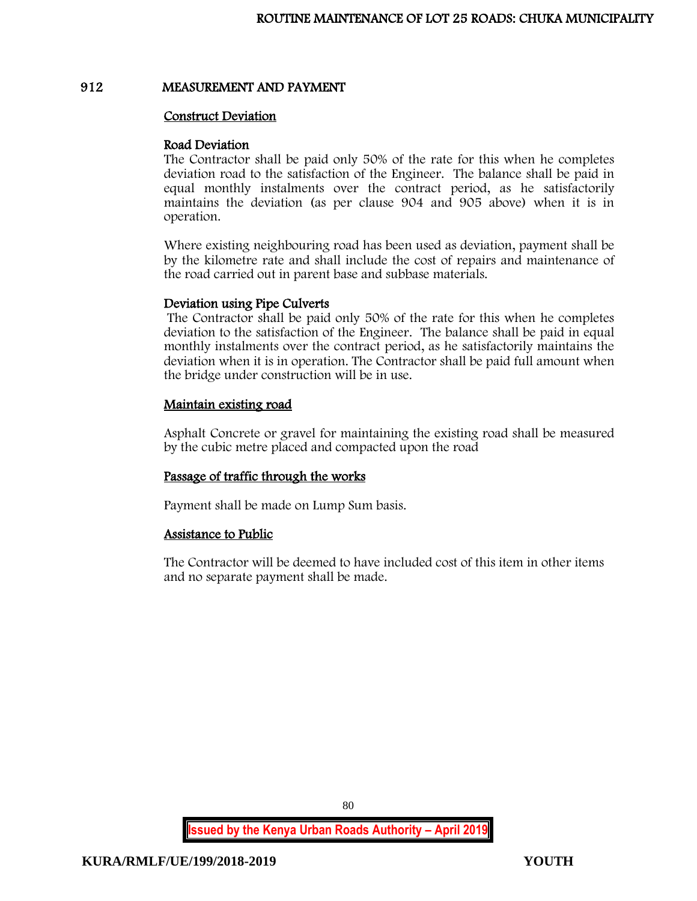#### 912 MEASUREMENT AND PAYMENT

#### Construct Deviation

#### Road Deviation

The Contractor shall be paid only 50% of the rate for this when he completes deviation road to the satisfaction of the Engineer. The balance shall be paid in equal monthly instalments over the contract period, as he satisfactorily maintains the deviation (as per clause 904 and 905 above) when it is in operation.

Where existing neighbouring road has been used as deviation, payment shall be by the kilometre rate and shall include the cost of repairs and maintenance of the road carried out in parent base and subbase materials.

#### Deviation using Pipe Culverts

The Contractor shall be paid only 50% of the rate for this when he completes deviation to the satisfaction of the Engineer. The balance shall be paid in equal monthly instalments over the contract period, as he satisfactorily maintains the deviation when it is in operation. The Contractor shall be paid full amount when the bridge under construction will be in use.

### Maintain existing road

Asphalt Concrete or gravel for maintaining the existing road shall be measured by the cubic metre placed and compacted upon the road

## Passage of traffic through the works

Payment shall be made on Lump Sum basis.

## Assistance to Public

The Contractor will be deemed to have included cost of this item in other items and no separate payment shall be made.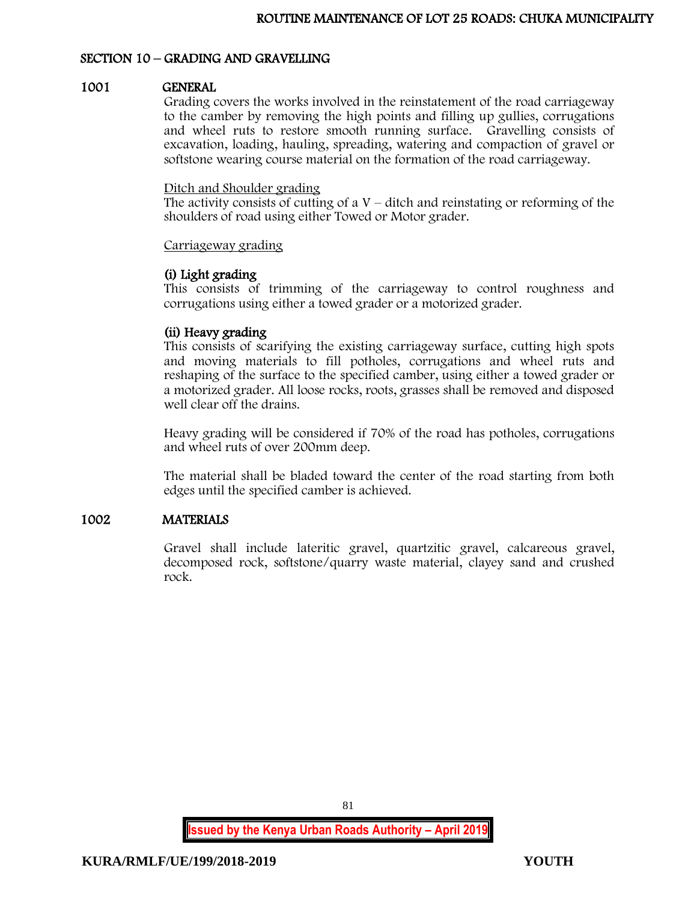### SECTION 10 – GRADING AND GRAVELLING

### 1001 GENERAL

Grading covers the works involved in the reinstatement of the road carriageway to the camber by removing the high points and filling up gullies, corrugations and wheel ruts to restore smooth running surface. Gravelling consists of excavation, loading, hauling, spreading, watering and compaction of gravel or softstone wearing course material on the formation of the road carriageway.

#### Ditch and Shoulder grading

The activity consists of cutting of  $aV -$  ditch and reinstating or reforming of the shoulders of road using either Towed or Motor grader.

#### Carriageway grading

### (i) Light grading

This consists of trimming of the carriageway to control roughness and corrugations using either a towed grader or a motorized grader.

### (ii) Heavy grading

This consists of scarifying the existing carriageway surface, cutting high spots and moving materials to fill potholes, corrugations and wheel ruts and reshaping of the surface to the specified camber, using either a towed grader or a motorized grader. All loose rocks, roots, grasses shall be removed and disposed well clear off the drains.

Heavy grading will be considered if 70% of the road has potholes, corrugations and wheel ruts of over 200mm deep.

The material shall be bladed toward the center of the road starting from both edges until the specified camber is achieved.

### 1002 MATERIALS

Gravel shall include lateritic gravel, quartzitic gravel, calcareous gravel, decomposed rock, softstone/quarry waste material, clayey sand and crushed rock.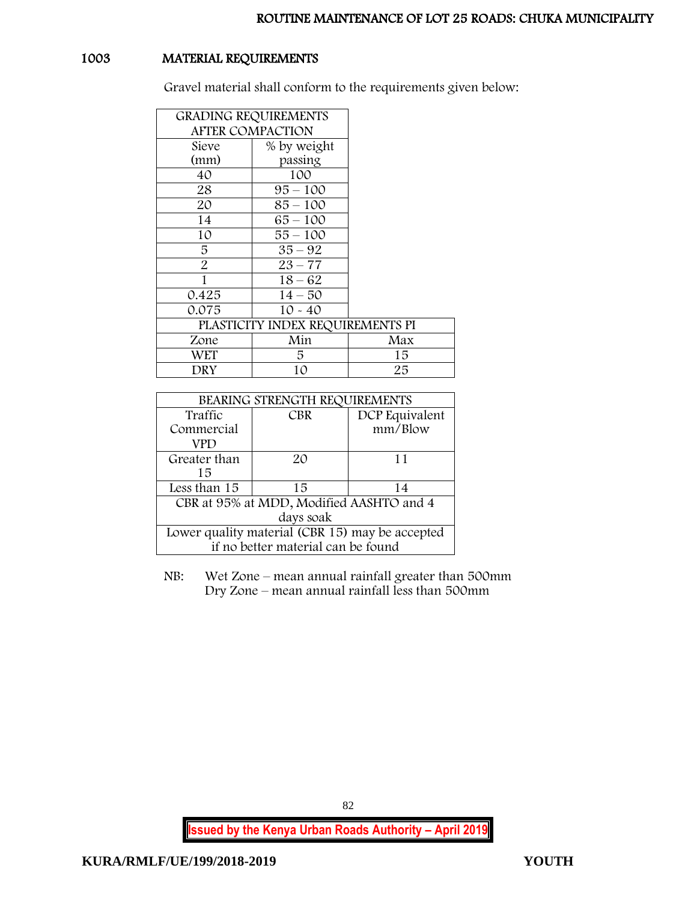# 1003 MATERIAL REQUIREMENTS

Gravel material shall conform to the requirements given below:

| <b>GRADING REQUIREMENTS</b>      |             |     |
|----------------------------------|-------------|-----|
| <b>AFTER COMPACTION</b>          |             |     |
| Sieve                            | % by weight |     |
| (mm)                             | passing     |     |
| 40                               | 100         |     |
| 28                               | $95 - 100$  |     |
| 20                               | $85 - 100$  |     |
| 14                               | $65 - 100$  |     |
| 10                               | $55 - 100$  |     |
| 5                                | $35 - 92$   |     |
| $\overline{2}$                   | $23 - 77$   |     |
| 1                                | $18 - 62$   |     |
| 0.425                            | $14 - 50$   |     |
| 0.075                            | $10 - 40$   |     |
| PLASTICITY INDEX REQUIREMENTS PI |             |     |
| Zone                             | Min         | Max |
| <b>WET</b>                       | 5.          | 15  |
| DRY                              | 10          | 25  |

| BEARING STRENGTH REQUIREMENTS                   |            |                |
|-------------------------------------------------|------------|----------------|
| Traffic                                         | <b>CBR</b> | DCP Equivalent |
| Commercial                                      |            | mm/Blow        |
| VPD                                             |            |                |
| Greater than                                    | 20         | 11             |
| 15                                              |            |                |
| Less than 15                                    | 15         | 14             |
| CBR at 95% at MDD, Modified AASHTO and 4        |            |                |
| days soak                                       |            |                |
| Lower quality material (CBR 15) may be accepted |            |                |
| if no better material can be found              |            |                |

NB: Wet Zone – mean annual rainfall greater than 500mm Dry Zone – mean annual rainfall less than 500mm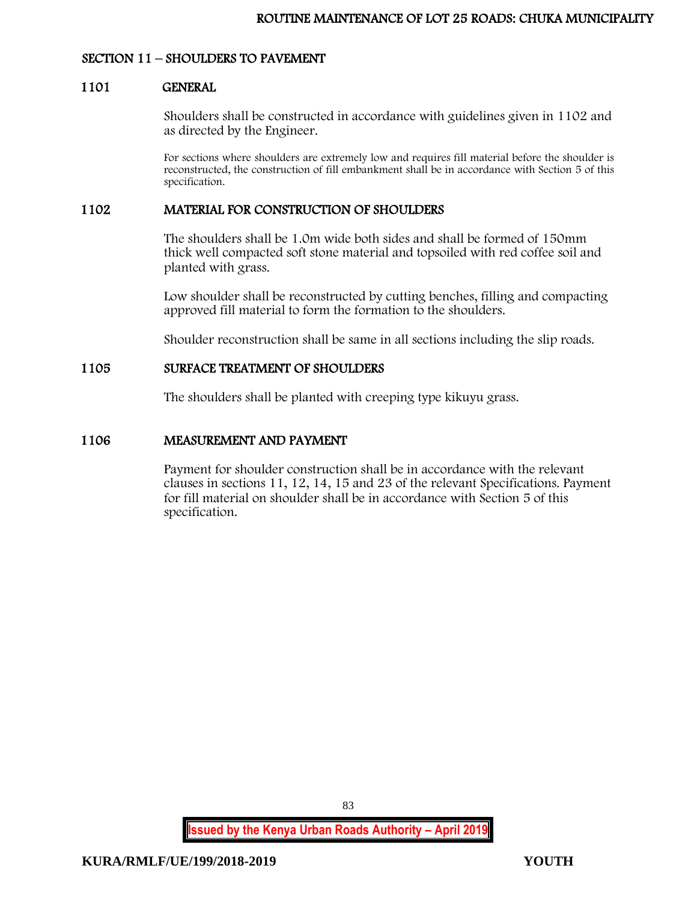## SECTION 11 – SHOULDERS TO PAVEMENT

### 1101 GENERAL

Shoulders shall be constructed in accordance with guidelines given in 1102 and as directed by the Engineer.

For sections where shoulders are extremely low and requires fill material before the shoulder is reconstructed, the construction of fill embankment shall be in accordance with Section 5 of this specification.

### 1102 MATERIAL FOR CONSTRUCTION OF SHOULDERS

The shoulders shall be 1.0m wide both sides and shall be formed of 150mm thick well compacted soft stone material and topsoiled with red coffee soil and planted with grass.

Low shoulder shall be reconstructed by cutting benches, filling and compacting approved fill material to form the formation to the shoulders.

Shoulder reconstruction shall be same in all sections including the slip roads.

### 1105 SURFACE TREATMENT OF SHOULDERS

The shoulders shall be planted with creeping type kikuyu grass.

### 1106 MEASUREMENT AND PAYMENT

Payment for shoulder construction shall be in accordance with the relevant clauses in sections 11, 12, 14, 15 and 23 of the relevant Specifications. Payment for fill material on shoulder shall be in accordance with Section 5 of this specification.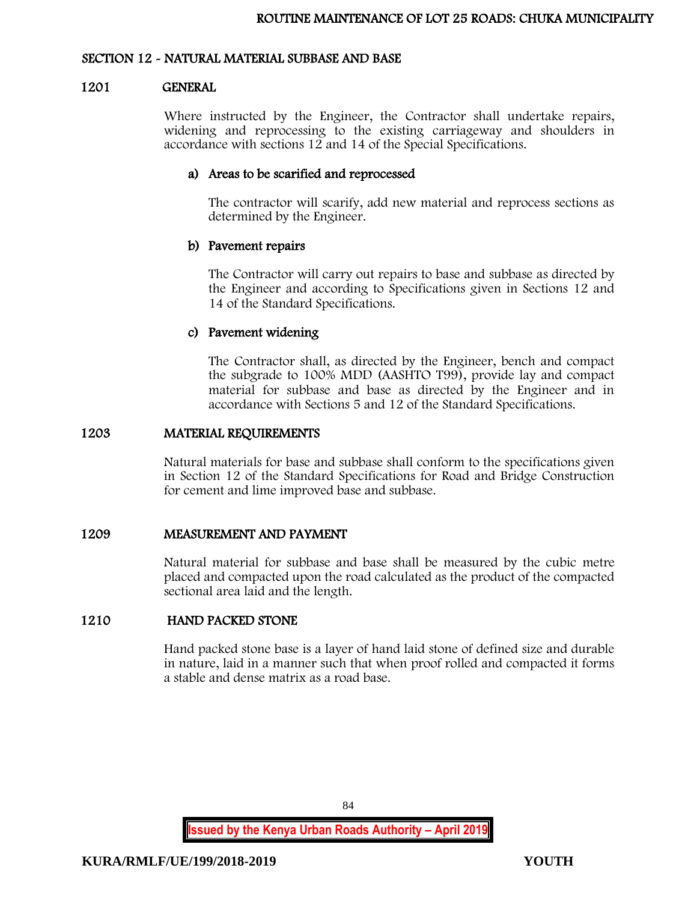### SECTION 12 - NATURAL MATERIAL SUBBASE AND BASE

#### 1201 GENERAL

Where instructed by the Engineer, the Contractor shall undertake repairs, widening and reprocessing to the existing carriageway and shoulders in accordance with sections 12 and 14 of the Special Specifications.

### a) Areas to be scarified and reprocessed

The contractor will scarify, add new material and reprocess sections as determined by the Engineer.

## b) Pavement repairs

The Contractor will carry out repairs to base and subbase as directed by the Engineer and according to Specifications given in Sections 12 and 14 of the Standard Specifications.

### c) Pavement widening

The Contractor shall, as directed by the Engineer, bench and compact the subgrade to 100% MDD (AASHTO T99), provide lay and compact material for subbase and base as directed by the Engineer and in accordance with Sections 5 and 12 of the Standard Specifications.

#### 1203 MATERIAL REQUIREMENTS

Natural materials for base and subbase shall conform to the specifications given in Section 12 of the Standard Specifications for Road and Bridge Construction for cement and lime improved base and subbase.

### 1209 MEASUREMENT AND PAYMENT

Natural material for subbase and base shall be measured by the cubic metre placed and compacted upon the road calculated as the product of the compacted sectional area laid and the length.

## 1210 HAND PACKED STONE

Hand packed stone base is a layer of hand laid stone of defined size and durable in nature, laid in a manner such that when proof rolled and compacted it forms a stable and dense matrix as a road base.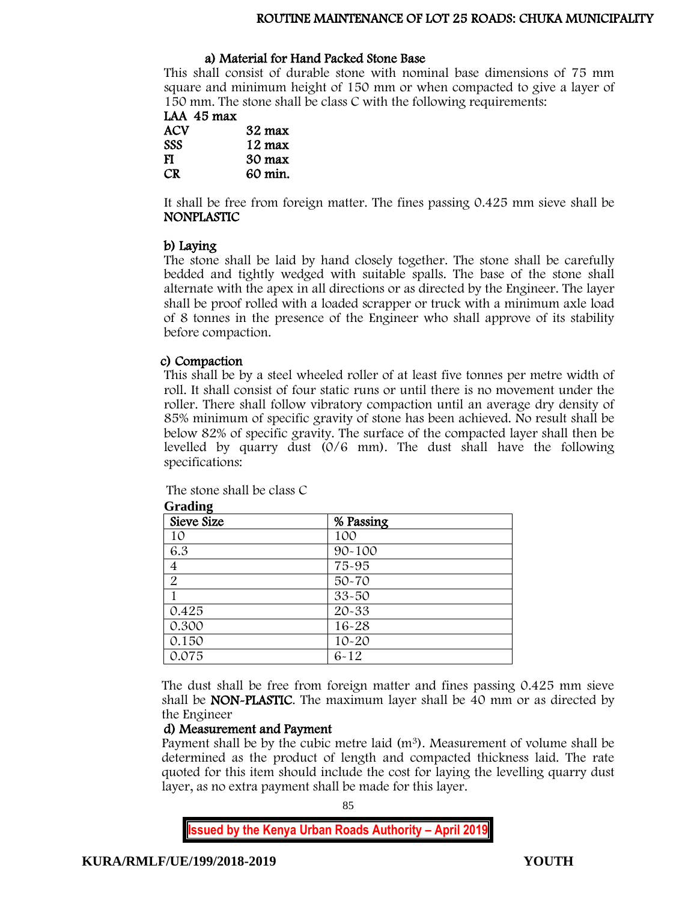### ROUTINE MAINTENANCE OF LOT 25 ROADS: CHUKA MUNICIPALITY

#### a) Material for Hand Packed Stone Base

This shall consist of durable stone with nominal base dimensions of 75 mm square and minimum height of 150 mm or when compacted to give a layer of 150 mm. The stone shall be class C with the following requirements:

| LAA 45 max |                  |
|------------|------------------|
| ACV        | $32 \text{ max}$ |
| <b>SSS</b> | $12 \text{ max}$ |
| <b>TT</b>  | $\sim$ $\sim$    |

FI 30 max<br>CR 60 min. 60 min.

It shall be free from foreign matter. The fines passing 0.425 mm sieve shall be NONPLASTIC

### b) Laying

The stone shall be laid by hand closely together. The stone shall be carefully bedded and tightly wedged with suitable spalls. The base of the stone shall alternate with the apex in all directions or as directed by the Engineer. The layer shall be proof rolled with a loaded scrapper or truck with a minimum axle load of 8 tonnes in the presence of the Engineer who shall approve of its stability before compaction.

### c) Compaction

**Grading**

This shall be by a steel wheeled roller of at least five tonnes per metre width of roll. It shall consist of four static runs or until there is no movement under the roller. There shall follow vibratory compaction until an average dry density of 85% minimum of specific gravity of stone has been achieved. No result shall be below 82% of specific gravity. The surface of the compacted layer shall then be levelled by quarry dust (0/6 mm). The dust shall have the following specifications:

| $\mathbf{r}$<br>Sieve Size | % Passing  |  |
|----------------------------|------------|--|
| 10                         | 100        |  |
| 6.3                        | $90 - 100$ |  |
| $\overline{4}$             | 75-95      |  |
| $\overline{2}$             | $50 - 70$  |  |
|                            | $33 - 50$  |  |
| 0.425                      | 20-33      |  |
| 0.300                      | $16 - 28$  |  |
| 0.150                      | $10 - 20$  |  |
| 0.075                      | $6 - 12$   |  |

The stone shall be class C

The dust shall be free from foreign matter and fines passing 0.425 mm sieve shall be NON-PLASTIC. The maximum layer shall be 40 mm or as directed by the Engineer

#### d) Measurement and Payment

Payment shall be by the cubic metre laid (m<sup>3</sup>). Measurement of volume shall be determined as the product of length and compacted thickness laid. The rate quoted for this item should include the cost for laying the levelling quarry dust layer, as no extra payment shall be made for this layer.

85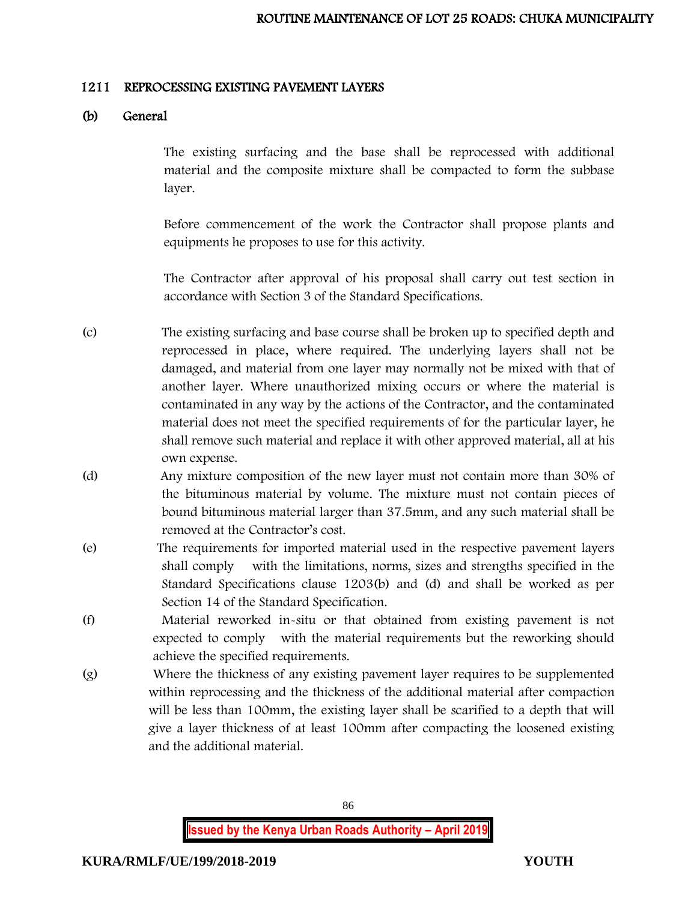### 1211 REPROCESSING EXISTING PAVEMENT LAYERS

## (b) General

The existing surfacing and the base shall be reprocessed with additional material and the composite mixture shall be compacted to form the subbase layer.

Before commencement of the work the Contractor shall propose plants and equipments he proposes to use for this activity.

The Contractor after approval of his proposal shall carry out test section in accordance with Section 3 of the Standard Specifications.

- (c) The existing surfacing and base course shall be broken up to specified depth and reprocessed in place, where required. The underlying layers shall not be damaged, and material from one layer may normally not be mixed with that of another layer. Where unauthorized mixing occurs or where the material is contaminated in any way by the actions of the Contractor, and the contaminated material does not meet the specified requirements of for the particular layer, he shall remove such material and replace it with other approved material, all at his own expense.
- (d) Any mixture composition of the new layer must not contain more than 30% of the bituminous material by volume. The mixture must not contain pieces of bound bituminous material larger than 37.5mm, and any such material shall be removed at the Contractor's cost.
- (e) The requirements for imported material used in the respective pavement layers shall comply with the limitations, norms, sizes and strengths specified in the Standard Specifications clause 1203(b) and (d) and shall be worked as per Section 14 of the Standard Specification.
- (f) Material reworked in-situ or that obtained from existing pavement is not expected to comply with the material requirements but the reworking should achieve the specified requirements.
- (g) Where the thickness of any existing pavement layer requires to be supplemented within reprocessing and the thickness of the additional material after compaction will be less than 100mm, the existing layer shall be scarified to a depth that will give a layer thickness of at least 100mm after compacting the loosened existing and the additional material.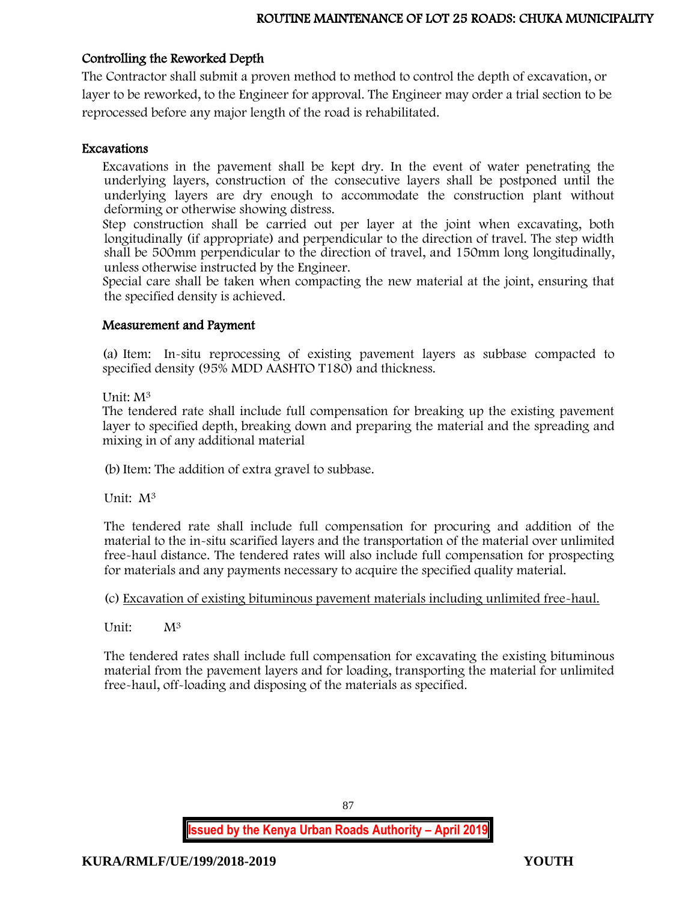## Controlling the Reworked Depth

The Contractor shall submit a proven method to method to control the depth of excavation, or layer to be reworked, to the Engineer for approval. The Engineer may order a trial section to be reprocessed before any major length of the road is rehabilitated.

## Excavations

Excavations in the pavement shall be kept dry. In the event of water penetrating the underlying layers, construction of the consecutive layers shall be postponed until the underlying layers are dry enough to accommodate the construction plant without deforming or otherwise showing distress.

Step construction shall be carried out per layer at the joint when excavating, both longitudinally (if appropriate) and perpendicular to the direction of travel. The step width shall be 500mm perpendicular to the direction of travel, and 150mm long longitudinally, unless otherwise instructed by the Engineer.

Special care shall be taken when compacting the new material at the joint, ensuring that the specified density is achieved.

### Measurement and Payment

(a) Item: In-situ reprocessing of existing pavement layers as subbase compacted to specified density (95% MDD AASHTO T180) and thickness.

Unit: M<sup>3</sup>

The tendered rate shall include full compensation for breaking up the existing pavement layer to specified depth, breaking down and preparing the material and the spreading and mixing in of any additional material

(b)Item: The addition of extra gravel to subbase.

Unit: M<sup>3</sup>

The tendered rate shall include full compensation for procuring and addition of the material to the in-situ scarified layers and the transportation of the material over unlimited free-haul distance. The tendered rates will also include full compensation for prospecting for materials and any payments necessary to acquire the specified quality material.

## (c) Excavation of existing bituminous pavement materials including unlimited free-haul.

Unit:  $M^3$ 

The tendered rates shall include full compensation for excavating the existing bituminous material from the pavement layers and for loading, transporting the material for unlimited free-haul, off-loading and disposing of the materials as specified.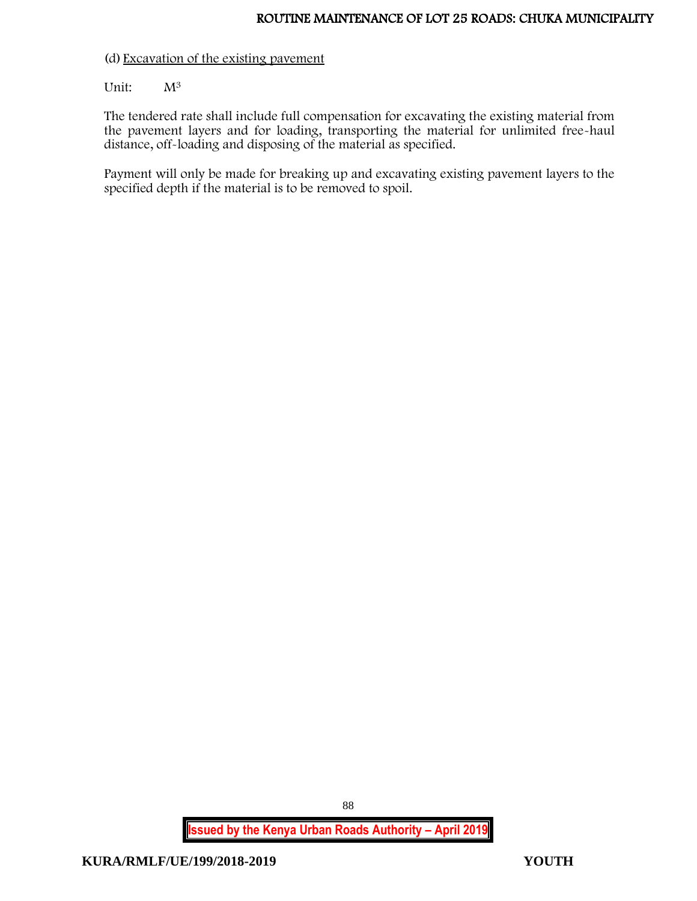### (d) Excavation of the existing pavement

### Unit:  $M^3$

The tendered rate shall include full compensation for excavating the existing material from the pavement layers and for loading, transporting the material for unlimited free-haul distance, off-loading and disposing of the material as specified.

Payment will only be made for breaking up and excavating existing pavement layers to the specified depth if the material is to be removed to spoil.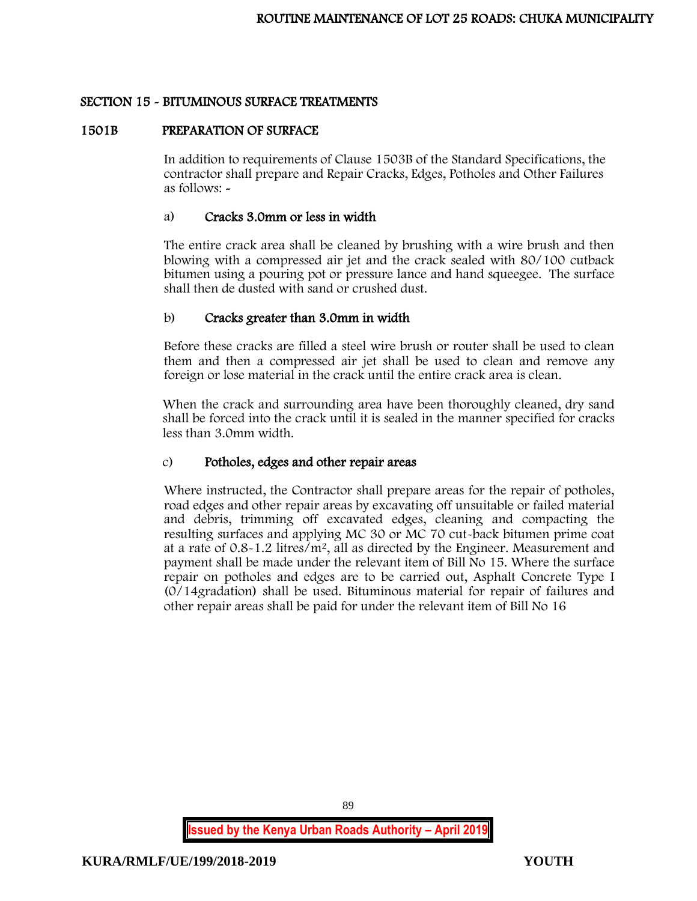### SECTION 15 - BITUMINOUS SURFACE TREATMENTS

#### 1501B PREPARATION OF SURFACE

In addition to requirements of Clause 1503B of the Standard Specifications, the contractor shall prepare and Repair Cracks, Edges, Potholes and Other Failures as follows: -

### a) Cracks 3.0mm or less in width

The entire crack area shall be cleaned by brushing with a wire brush and then blowing with a compressed air jet and the crack sealed with 80/100 cutback bitumen using a pouring pot or pressure lance and hand squeegee. The surface shall then de dusted with sand or crushed dust.

### b) Cracks greater than 3.0mm in width

Before these cracks are filled a steel wire brush or router shall be used to clean them and then a compressed air jet shall be used to clean and remove any foreign or lose material in the crack until the entire crack area is clean.

When the crack and surrounding area have been thoroughly cleaned, dry sand shall be forced into the crack until it is sealed in the manner specified for cracks less than 3.0mm width.

## c) Potholes, edges and other repair areas

Where instructed, the Contractor shall prepare areas for the repair of potholes, road edges and other repair areas by excavating off unsuitable or failed material and debris, trimming off excavated edges, cleaning and compacting the resulting surfaces and applying MC 30 or MC 70 cut-back bitumen prime coat at a rate of 0.8-1.2 litres/m<sup>2</sup>, all as directed by the Engineer. Measurement and payment shall be made under the relevant item of Bill No 15. Where the surface repair on potholes and edges are to be carried out, Asphalt Concrete Type I (0/14gradation) shall be used. Bituminous material for repair of failures and other repair areas shall be paid for under the relevant item of Bill No 16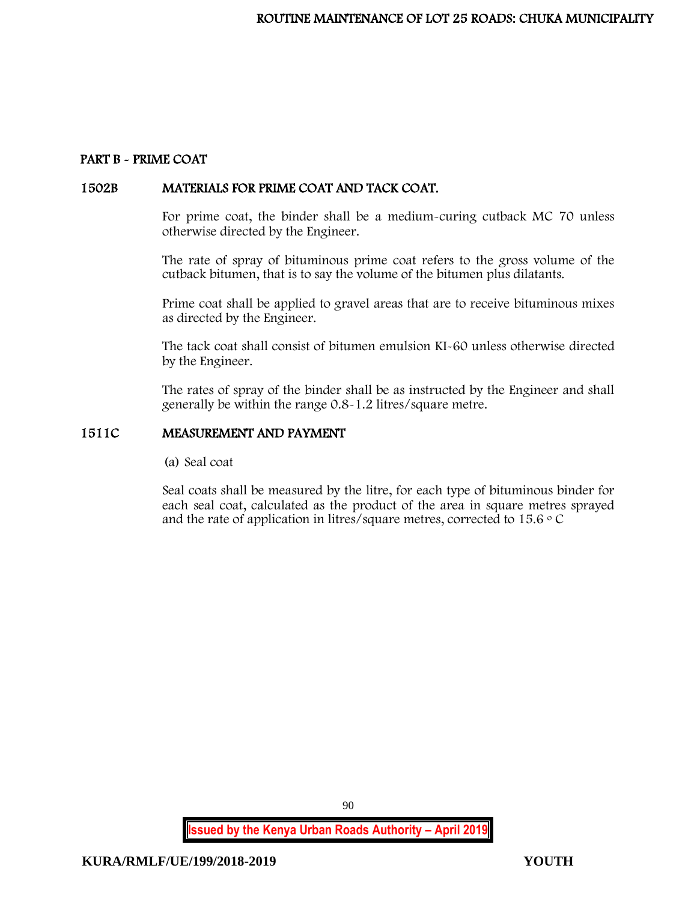## PART B - PRIME COAT

### 1502B MATERIALS FOR PRIME COAT AND TACK COAT.

For prime coat, the binder shall be a medium-curing cutback MC 70 unless otherwise directed by the Engineer.

The rate of spray of bituminous prime coat refers to the gross volume of the cutback bitumen, that is to say the volume of the bitumen plus dilatants.

Prime coat shall be applied to gravel areas that are to receive bituminous mixes as directed by the Engineer.

The tack coat shall consist of bitumen emulsion KI-60 unless otherwise directed by the Engineer.

The rates of spray of the binder shall be as instructed by the Engineer and shall generally be within the range 0.8-1.2 litres/square metre.

### 1511C MEASUREMENT AND PAYMENT

(a) Seal coat

Seal coats shall be measured by the litre, for each type of bituminous binder for each seal coat, calculated as the product of the area in square metres sprayed and the rate of application in litres/square metres, corrected to 15.6  $\circ$  C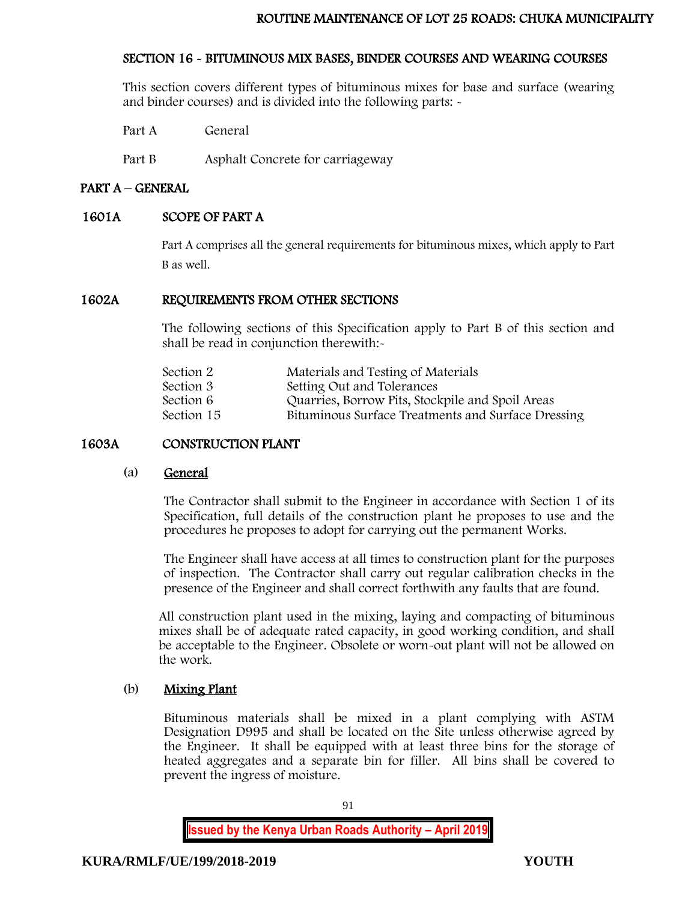## SECTION 16 - BITUMINOUS MIX BASES, BINDER COURSES AND WEARING COURSES

This section covers different types of bituminous mixes for base and surface (wearing and binder courses) and is divided into the following parts: -

Part A General

Part B Asphalt Concrete for carriageway

## PART A – GENERAL

## 1601A SCOPE OF PART A

Part A comprises all the general requirements for bituminous mixes, which apply to Part B as well.

## 1602A REQUIREMENTS FROM OTHER SECTIONS

The following sections of this Specification apply to Part B of this section and shall be read in conjunction therewith:-

| Materials and Testing of Materials                 |
|----------------------------------------------------|
| Setting Out and Tolerances                         |
| Quarries, Borrow Pits, Stockpile and Spoil Areas   |
| Bituminous Surface Treatments and Surface Dressing |
|                                                    |

## 1603A CONSTRUCTION PLANT

#### (a) General

The Contractor shall submit to the Engineer in accordance with Section 1 of its Specification, full details of the construction plant he proposes to use and the procedures he proposes to adopt for carrying out the permanent Works.

The Engineer shall have access at all times to construction plant for the purposes of inspection. The Contractor shall carry out regular calibration checks in the presence of the Engineer and shall correct forthwith any faults that are found.

All construction plant used in the mixing, laying and compacting of bituminous mixes shall be of adequate rated capacity, in good working condition, and shall be acceptable to the Engineer. Obsolete or worn-out plant will not be allowed on the work.

## (b) Mixing Plant

Bituminous materials shall be mixed in a plant complying with ASTM Designation D995 and shall be located on the Site unless otherwise agreed by the Engineer. It shall be equipped with at least three bins for the storage of heated aggregates and a separate bin for filler. All bins shall be covered to prevent the ingress of moisture.

91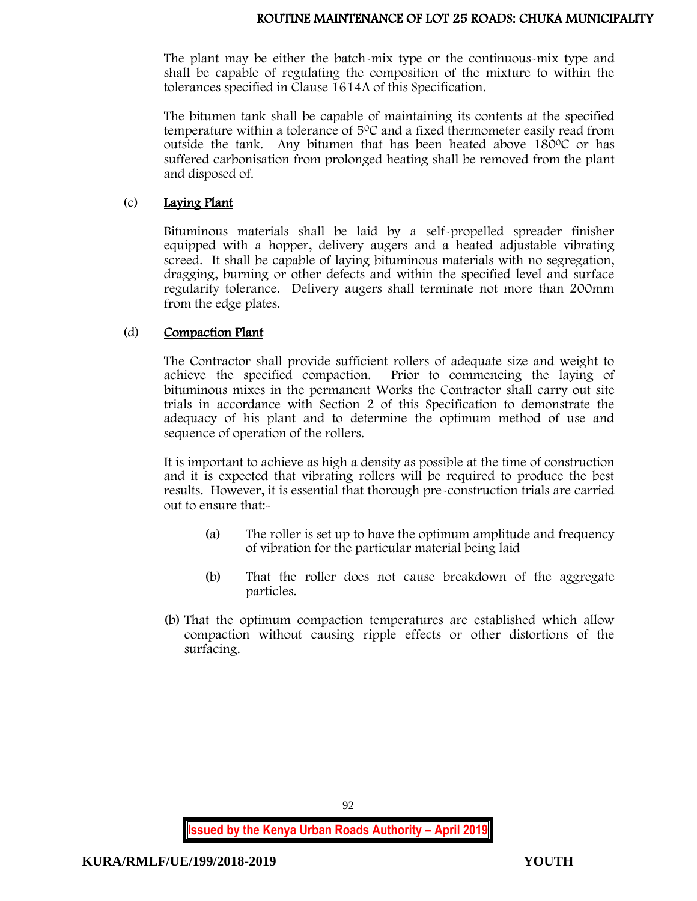### ROUTINE MAINTENANCE OF LOT 25 ROADS: CHUKA MUNICIPALITY

The plant may be either the batch-mix type or the continuous-mix type and shall be capable of regulating the composition of the mixture to within the tolerances specified in Clause 1614A of this Specification.

The bitumen tank shall be capable of maintaining its contents at the specified temperature within a tolerance of 5<sup>0</sup>C and a fixed thermometer easily read from outside the tank. Any bitumen that has been heated above  $180^{\circ}$ C or has suffered carbonisation from prolonged heating shall be removed from the plant and disposed of.

### (c) Laying Plant

Bituminous materials shall be laid by a self-propelled spreader finisher equipped with a hopper, delivery augers and a heated adjustable vibrating screed. It shall be capable of laying bituminous materials with no segregation, dragging, burning or other defects and within the specified level and surface regularity tolerance. Delivery augers shall terminate not more than 200mm from the edge plates.

### (d) Compaction Plant

The Contractor shall provide sufficient rollers of adequate size and weight to achieve the specified compaction. Prior to commencing the laying of bituminous mixes in the permanent Works the Contractor shall carry out site trials in accordance with Section 2 of this Specification to demonstrate the adequacy of his plant and to determine the optimum method of use and sequence of operation of the rollers.

It is important to achieve as high a density as possible at the time of construction and it is expected that vibrating rollers will be required to produce the best results. However, it is essential that thorough pre-construction trials are carried out to ensure that:-

- (a) The roller is set up to have the optimum amplitude and frequency of vibration for the particular material being laid
- (b) That the roller does not cause breakdown of the aggregate particles.
- (b) That the optimum compaction temperatures are established which allow compaction without causing ripple effects or other distortions of the surfacing.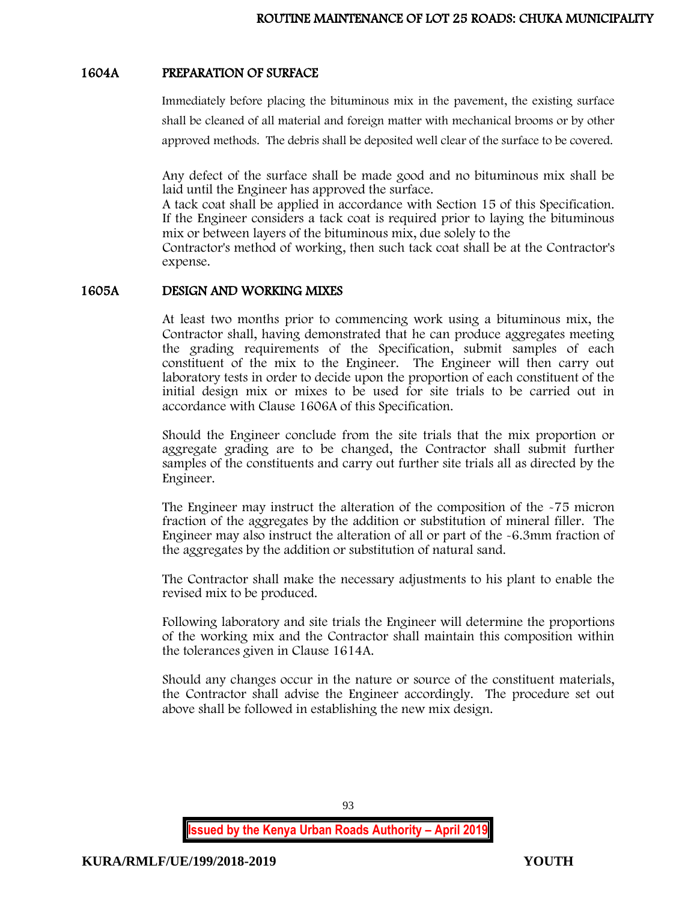### 1604A PREPARATION OF SURFACE

Immediately before placing the bituminous mix in the pavement, the existing surface shall be cleaned of all material and foreign matter with mechanical brooms or by other approved methods. The debris shall be deposited well clear of the surface to be covered.

Any defect of the surface shall be made good and no bituminous mix shall be laid until the Engineer has approved the surface.

A tack coat shall be applied in accordance with Section 15 of this Specification. If the Engineer considers a tack coat is required prior to laying the bituminous mix or between layers of the bituminous mix, due solely to the

Contractor's method of working, then such tack coat shall be at the Contractor's expense.

#### 1605A DESIGN AND WORKING MIXES

At least two months prior to commencing work using a bituminous mix, the Contractor shall, having demonstrated that he can produce aggregates meeting the grading requirements of the Specification, submit samples of each constituent of the mix to the Engineer. The Engineer will then carry out laboratory tests in order to decide upon the proportion of each constituent of the initial design mix or mixes to be used for site trials to be carried out in accordance with Clause 1606A of this Specification.

Should the Engineer conclude from the site trials that the mix proportion or aggregate grading are to be changed, the Contractor shall submit further samples of the constituents and carry out further site trials all as directed by the Engineer.

The Engineer may instruct the alteration of the composition of the -75 micron fraction of the aggregates by the addition or substitution of mineral filler. The Engineer may also instruct the alteration of all or part of the -6.3mm fraction of the aggregates by the addition or substitution of natural sand.

The Contractor shall make the necessary adjustments to his plant to enable the revised mix to be produced.

Following laboratory and site trials the Engineer will determine the proportions of the working mix and the Contractor shall maintain this composition within the tolerances given in Clause 1614A.

Should any changes occur in the nature or source of the constituent materials, the Contractor shall advise the Engineer accordingly. The procedure set out above shall be followed in establishing the new mix design.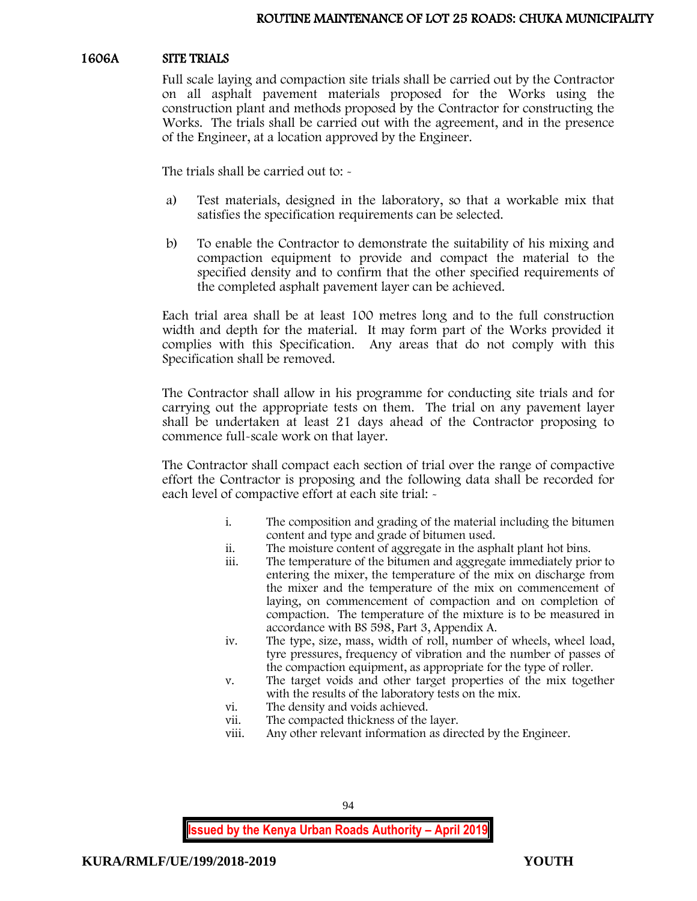### 1606A SITE TRIALS

Full scale laying and compaction site trials shall be carried out by the Contractor on all asphalt pavement materials proposed for the Works using the construction plant and methods proposed by the Contractor for constructing the Works. The trials shall be carried out with the agreement, and in the presence of the Engineer, at a location approved by the Engineer.

The trials shall be carried out to: -

- a) Test materials, designed in the laboratory, so that a workable mix that satisfies the specification requirements can be selected.
- b) To enable the Contractor to demonstrate the suitability of his mixing and compaction equipment to provide and compact the material to the specified density and to confirm that the other specified requirements of the completed asphalt pavement layer can be achieved.

Each trial area shall be at least 100 metres long and to the full construction width and depth for the material. It may form part of the Works provided it complies with this Specification. Any areas that do not comply with this Specification shall be removed.

The Contractor shall allow in his programme for conducting site trials and for carrying out the appropriate tests on them. The trial on any pavement layer shall be undertaken at least 21 days ahead of the Contractor proposing to commence full-scale work on that layer.

The Contractor shall compact each section of trial over the range of compactive effort the Contractor is proposing and the following data shall be recorded for each level of compactive effort at each site trial: -

- i. The composition and grading of the material including the bitumen content and type and grade of bitumen used.
- ii. The moisture content of aggregate in the asphalt plant hot bins.
- iii. The temperature of the bitumen and aggregate immediately prior to entering the mixer, the temperature of the mix on discharge from the mixer and the temperature of the mix on commencement of laying, on commencement of compaction and on completion of compaction. The temperature of the mixture is to be measured in accordance with BS 598, Part 3, Appendix A.
- iv. The type, size, mass, width of roll, number of wheels, wheel load, tyre pressures, frequency of vibration and the number of passes of the compaction equipment, as appropriate for the type of roller.
- v. The target voids and other target properties of the mix together with the results of the laboratory tests on the mix.
- vi. The density and voids achieved.
- vii. The compacted thickness of the layer.
- viii. Any other relevant information as directed by the Engineer.

94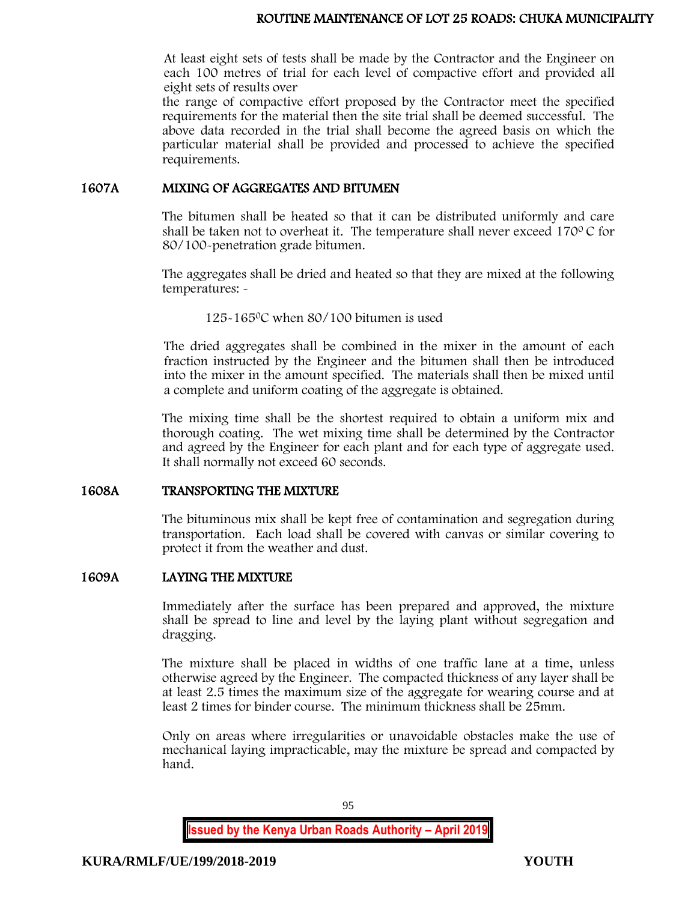### ROUTINE MAINTENANCE OF LOT 25 ROADS: CHUKA MUNICIPALITY

At least eight sets of tests shall be made by the Contractor and the Engineer on each 100 metres of trial for each level of compactive effort and provided all eight sets of results over

the range of compactive effort proposed by the Contractor meet the specified requirements for the material then the site trial shall be deemed successful. The above data recorded in the trial shall become the agreed basis on which the particular material shall be provided and processed to achieve the specified requirements.

#### 1607A MIXING OF AGGREGATES AND BITUMEN

The bitumen shall be heated so that it can be distributed uniformly and care shall be taken not to overheat it. The temperature shall never exceed  $170^{\circ}$ C for 80/100-penetration grade bitumen.

The aggregates shall be dried and heated so that they are mixed at the following temperatures: -

125-165<sup>0</sup>C when 80/100 bitumen is used

The dried aggregates shall be combined in the mixer in the amount of each fraction instructed by the Engineer and the bitumen shall then be introduced into the mixer in the amount specified. The materials shall then be mixed until a complete and uniform coating of the aggregate is obtained.

The mixing time shall be the shortest required to obtain a uniform mix and thorough coating. The wet mixing time shall be determined by the Contractor and agreed by the Engineer for each plant and for each type of aggregate used. It shall normally not exceed 60 seconds.

#### 1608A TRANSPORTING THE MIXTURE

The bituminous mix shall be kept free of contamination and segregation during transportation. Each load shall be covered with canvas or similar covering to protect it from the weather and dust.

#### 1609A LAYING THE MIXTURE

Immediately after the surface has been prepared and approved, the mixture shall be spread to line and level by the laying plant without segregation and dragging.

The mixture shall be placed in widths of one traffic lane at a time, unless otherwise agreed by the Engineer. The compacted thickness of any layer shall be at least 2.5 times the maximum size of the aggregate for wearing course and at least 2 times for binder course. The minimum thickness shall be 25mm.

Only on areas where irregularities or unavoidable obstacles make the use of mechanical laying impracticable, may the mixture be spread and compacted by hand.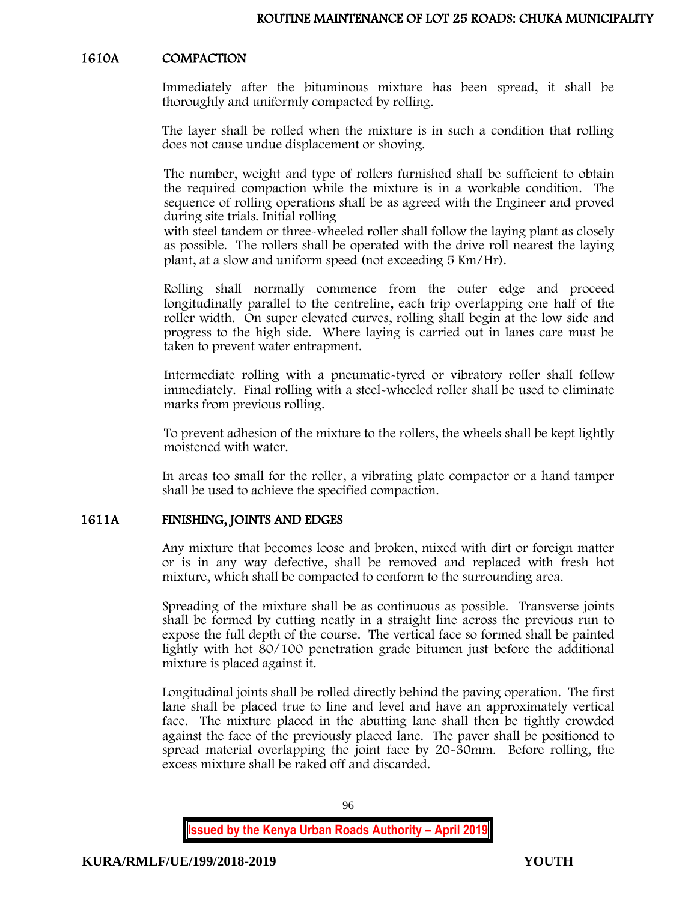### 1610A COMPACTION

Immediately after the bituminous mixture has been spread, it shall be thoroughly and uniformly compacted by rolling.

The layer shall be rolled when the mixture is in such a condition that rolling does not cause undue displacement or shoving.

The number, weight and type of rollers furnished shall be sufficient to obtain the required compaction while the mixture is in a workable condition. The sequence of rolling operations shall be as agreed with the Engineer and proved during site trials. Initial rolling

with steel tandem or three-wheeled roller shall follow the laying plant as closely as possible. The rollers shall be operated with the drive roll nearest the laying plant, at a slow and uniform speed (not exceeding 5 Km/Hr).

Rolling shall normally commence from the outer edge and proceed longitudinally parallel to the centreline, each trip overlapping one half of the roller width. On super elevated curves, rolling shall begin at the low side and progress to the high side. Where laying is carried out in lanes care must be taken to prevent water entrapment.

Intermediate rolling with a pneumatic-tyred or vibratory roller shall follow immediately. Final rolling with a steel-wheeled roller shall be used to eliminate marks from previous rolling.

To prevent adhesion of the mixture to the rollers, the wheels shall be kept lightly moistened with water.

In areas too small for the roller, a vibrating plate compactor or a hand tamper shall be used to achieve the specified compaction.

## 1611A FINISHING, JOINTS AND EDGES

Any mixture that becomes loose and broken, mixed with dirt or foreign matter or is in any way defective, shall be removed and replaced with fresh hot mixture, which shall be compacted to conform to the surrounding area.

Spreading of the mixture shall be as continuous as possible. Transverse joints shall be formed by cutting neatly in a straight line across the previous run to expose the full depth of the course. The vertical face so formed shall be painted lightly with hot 80/100 penetration grade bitumen just before the additional mixture is placed against it.

Longitudinal joints shall be rolled directly behind the paving operation. The first lane shall be placed true to line and level and have an approximately vertical face. The mixture placed in the abutting lane shall then be tightly crowded against the face of the previously placed lane. The paver shall be positioned to spread material overlapping the joint face by 20-30mm. Before rolling, the excess mixture shall be raked off and discarded.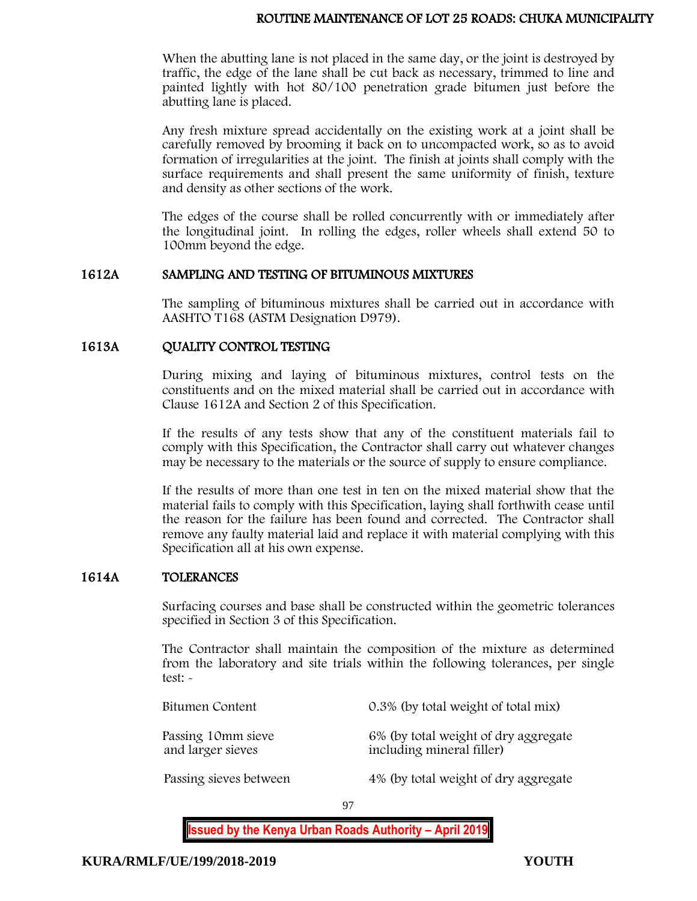### ROUTINE MAINTENANCE OF LOT 25 ROADS: CHUKA MUNICIPALITY

When the abutting lane is not placed in the same day, or the joint is destroyed by traffic, the edge of the lane shall be cut back as necessary, trimmed to line and painted lightly with hot 80/100 penetration grade bitumen just before the abutting lane is placed.

Any fresh mixture spread accidentally on the existing work at a joint shall be carefully removed by brooming it back on to uncompacted work, so as to avoid formation of irregularities at the joint. The finish at joints shall comply with the surface requirements and shall present the same uniformity of finish, texture and density as other sections of the work.

The edges of the course shall be rolled concurrently with or immediately after the longitudinal joint. In rolling the edges, roller wheels shall extend 50 to 100mm beyond the edge.

#### 1612A SAMPLING AND TESTING OF BITUMINOUS MIXTURES

The sampling of bituminous mixtures shall be carried out in accordance with AASHTO T168 (ASTM Designation D979).

## 1613A QUALITY CONTROL TESTING

During mixing and laying of bituminous mixtures, control tests on the constituents and on the mixed material shall be carried out in accordance with Clause 1612A and Section 2 of this Specification.

If the results of any tests show that any of the constituent materials fail to comply with this Specification, the Contractor shall carry out whatever changes may be necessary to the materials or the source of supply to ensure compliance.

If the results of more than one test in ten on the mixed material show that the material fails to comply with this Specification, laying shall forthwith cease until the reason for the failure has been found and corrected. The Contractor shall remove any faulty material laid and replace it with material complying with this Specification all at his own expense.

#### 1614A TOLERANCES

Surfacing courses and base shall be constructed within the geometric tolerances specified in Section 3 of this Specification.

The Contractor shall maintain the composition of the mixture as determined from the laboratory and site trials within the following tolerances, per single test: -

| Bitumen Content                         | 0.3% (by total weight of total mix)                               |
|-----------------------------------------|-------------------------------------------------------------------|
| Passing 10mm sieve<br>and larger sieves | 6% (by total weight of dry aggregate<br>including mineral filler) |
| Passing sieves between                  | 4% (by total weight of dry aggregate                              |

97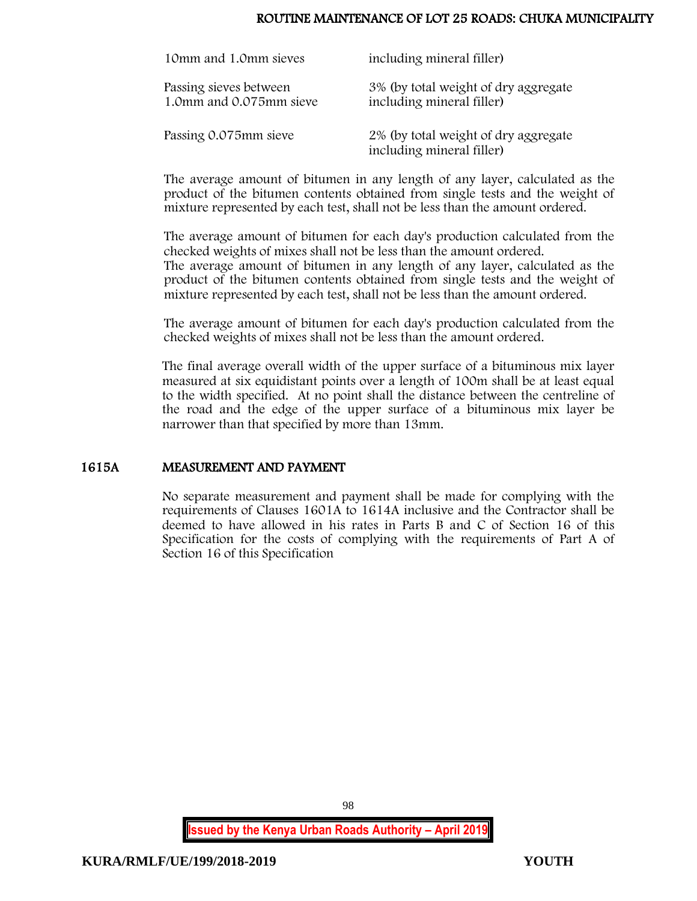### ROUTINE MAINTENANCE OF LOT 25 ROADS: CHUKA MUNICIPALITY

| 10mm and 1.0mm sieves                             | including mineral filler)                                         |
|---------------------------------------------------|-------------------------------------------------------------------|
| Passing sieves between<br>1.0mm and 0.075mm sieve | 3% (by total weight of dry aggregate<br>including mineral filler) |
| Passing 0.075mm sieve                             | 2% (by total weight of dry aggregate<br>including mineral filler) |

The average amount of bitumen in any length of any layer, calculated as the product of the bitumen contents obtained from single tests and the weight of mixture represented by each test, shall not be less than the amount ordered.

The average amount of bitumen for each day's production calculated from the checked weights of mixes shall not be less than the amount ordered. The average amount of bitumen in any length of any layer, calculated as the product of the bitumen contents obtained from single tests and the weight of mixture represented by each test, shall not be less than the amount ordered.

The average amount of bitumen for each day's production calculated from the checked weights of mixes shall not be less than the amount ordered.

The final average overall width of the upper surface of a bituminous mix layer measured at six equidistant points over a length of 100m shall be at least equal to the width specified. At no point shall the distance between the centreline of the road and the edge of the upper surface of a bituminous mix layer be narrower than that specified by more than 13mm.

#### 1615A MEASUREMENT AND PAYMENT

No separate measurement and payment shall be made for complying with the requirements of Clauses 1601A to 1614A inclusive and the Contractor shall be deemed to have allowed in his rates in Parts B and C of Section 16 of this Specification for the costs of complying with the requirements of Part A of Section 16 of this Specification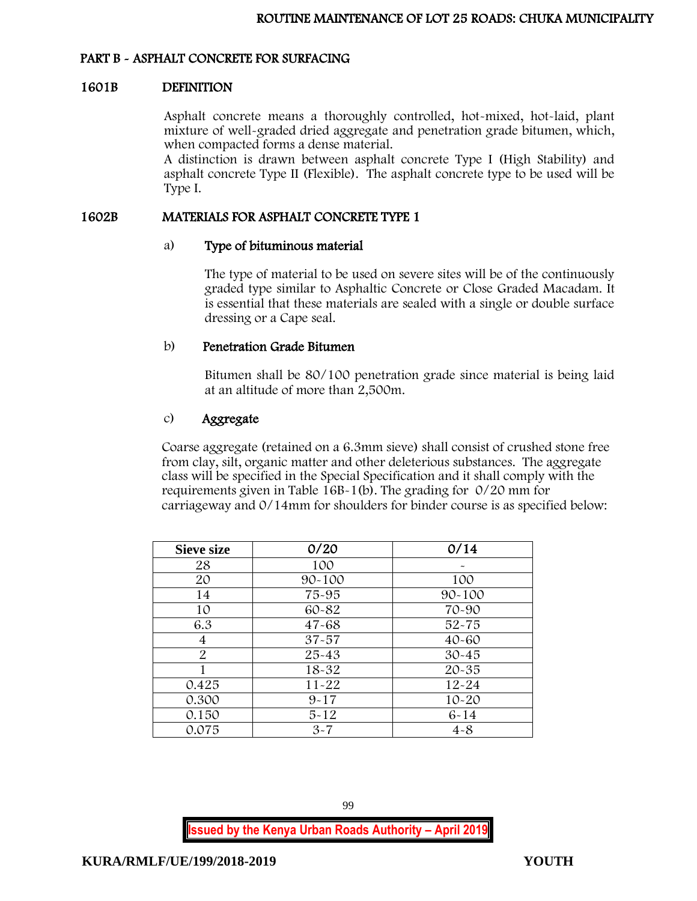## PART B - ASPHALT CONCRETE FOR SURFACING

#### 1601B DEFINITION

Asphalt concrete means a thoroughly controlled, hot-mixed, hot-laid, plant mixture of well-graded dried aggregate and penetration grade bitumen, which, when compacted forms a dense material.

A distinction is drawn between asphalt concrete Type I (High Stability) and asphalt concrete Type II (Flexible). The asphalt concrete type to be used will be Type I.

### 1602B MATERIALS FOR ASPHALT CONCRETE TYPE 1

#### a) Type of bituminous material

The type of material to be used on severe sites will be of the continuously graded type similar to Asphaltic Concrete or Close Graded Macadam. It is essential that these materials are sealed with a single or double surface dressing or a Cape seal.

### b) Penetration Grade Bitumen

Bitumen shall be 80/100 penetration grade since material is being laid at an altitude of more than 2,500m.

### c) Aggregate

Coarse aggregate (retained on a 6.3mm sieve) shall consist of crushed stone free from clay, silt, organic matter and other deleterious substances. The aggregate class will be specified in the Special Specification and it shall comply with the requirements given in Table 16B-1(b). The grading for 0/20 mm for carriageway and 0/14mm for shoulders for binder course is as specified below:

| <b>Sieve size</b> | 0/20       | 0/14       |
|-------------------|------------|------------|
| 28                | 100        |            |
| 20                | $90 - 100$ | 100        |
| 14                | 75-95      | $90 - 100$ |
| 10                | 60-82      | 70-90      |
| 6.3               | $47 - 68$  | $52 - 75$  |
| 4                 | $37 - 57$  | $40 - 60$  |
| 2                 | $25 - 43$  | $30 - 45$  |
|                   | 18-32      | $20 - 35$  |
| 0.425             | $11 - 22$  | $12 - 24$  |
| 0.300             | $9 - 17$   | $10 - 20$  |
| 0.150             | $5 - 12$   | $6 - 14$   |
| 0.075             | $3 - 7$    | $4 - 8$    |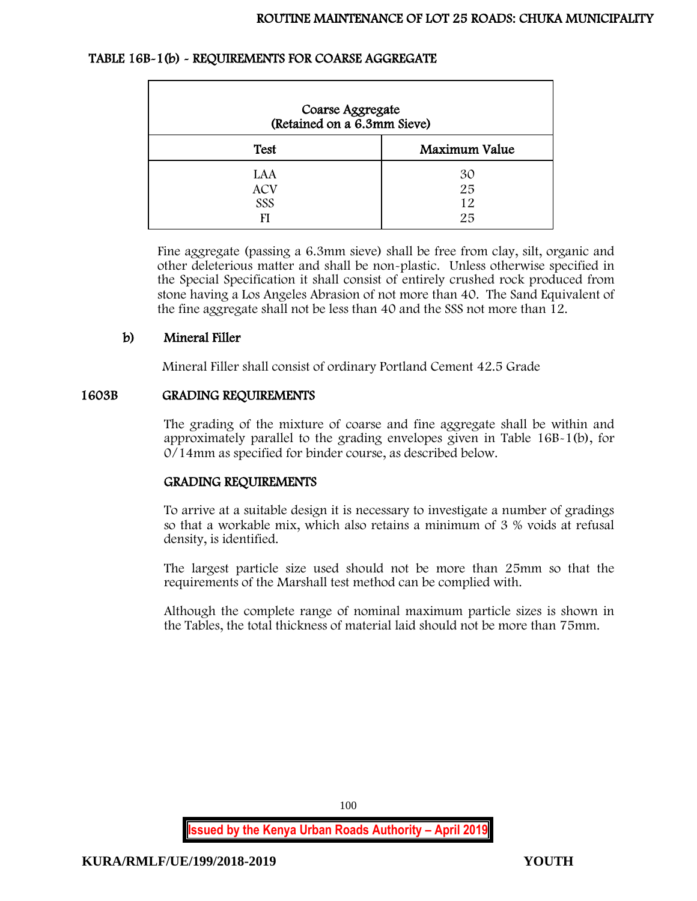### TABLE 16B-1(b) - REQUIREMENTS FOR COARSE AGGREGATE

| Coarse Aggregate<br>(Retained on a 6.3mm Sieve) |                      |
|-------------------------------------------------|----------------------|
| <b>Test</b>                                     | Maximum Value        |
| LAA<br><b>ACV</b><br>SSS                        | 30<br>25<br>12<br>25 |

Fine aggregate (passing a 6.3mm sieve) shall be free from clay, silt, organic and other deleterious matter and shall be non-plastic. Unless otherwise specified in the Special Specification it shall consist of entirely crushed rock produced from stone having a Los Angeles Abrasion of not more than 40. The Sand Equivalent of the fine aggregate shall not be less than 40 and the SSS not more than 12.

## b) Mineral Filler

Mineral Filler shall consist of ordinary Portland Cement 42.5 Grade

### 1603B GRADING REQUIREMENTS

The grading of the mixture of coarse and fine aggregate shall be within and approximately parallel to the grading envelopes given in Table 16B-1(b), for 0/14mm as specified for binder course, as described below.

## GRADING REQUIREMENTS

To arrive at a suitable design it is necessary to investigate a number of gradings so that a workable mix, which also retains a minimum of 3 % voids at refusal density, is identified.

The largest particle size used should not be more than 25mm so that the requirements of the Marshall test method can be complied with.

Although the complete range of nominal maximum particle sizes is shown in the Tables, the total thickness of material laid should not be more than 75mm.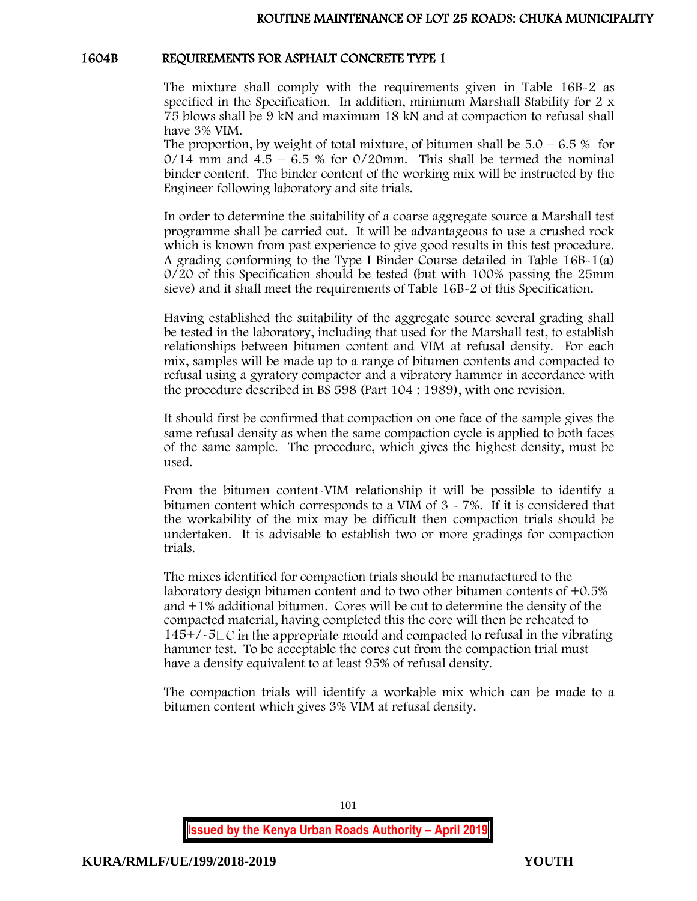### 1604B REQUIREMENTS FOR ASPHALT CONCRETE TYPE 1

The mixture shall comply with the requirements given in Table 16B-2 as specified in the Specification. In addition, minimum Marshall Stability for 2 x 75 blows shall be 9 kN and maximum 18 kN and at compaction to refusal shall have 3% VIM.

The proportion, by weight of total mixture, of bitumen shall be  $5.0 - 6.5\%$  for  $0/14$  mm and  $4.5 - 6.5$  % for  $0/20$ mm. This shall be termed the nominal binder content. The binder content of the working mix will be instructed by the Engineer following laboratory and site trials.

In order to determine the suitability of a coarse aggregate source a Marshall test programme shall be carried out. It will be advantageous to use a crushed rock which is known from past experience to give good results in this test procedure. A grading conforming to the Type I Binder Course detailed in Table 16B-1(a) 0/20 of this Specification should be tested (but with 100% passing the 25mm sieve) and it shall meet the requirements of Table 16B-2 of this Specification.

Having established the suitability of the aggregate source several grading shall be tested in the laboratory, including that used for the Marshall test, to establish relationships between bitumen content and VIM at refusal density. For each mix, samples will be made up to a range of bitumen contents and compacted to refusal using a gyratory compactor and a vibratory hammer in accordance with the procedure described in BS 598 (Part 104 : 1989), with one revision.

It should first be confirmed that compaction on one face of the sample gives the same refusal density as when the same compaction cycle is applied to both faces of the same sample. The procedure, which gives the highest density, must be used.

From the bitumen content-VIM relationship it will be possible to identify a bitumen content which corresponds to a VIM of  $3 \times 7\%$ . If it is considered that the workability of the mix may be difficult then compaction trials should be undertaken. It is advisable to establish two or more gradings for compaction trials.

The mixes identified for compaction trials should be manufactured to the laboratory design bitumen content and to two other bitumen contents of +0.5% and +1% additional bitumen. Cores will be cut to determine the density of the compacted material, having completed this the core will then be reheated to  $145+/-5\degree$  in the appropriate mould and compacted to refusal in the vibrating hammer test. To be acceptable the cores cut from the compaction trial must have a density equivalent to at least 95% of refusal density.

The compaction trials will identify a workable mix which can be made to a bitumen content which gives 3% VIM at refusal density.

101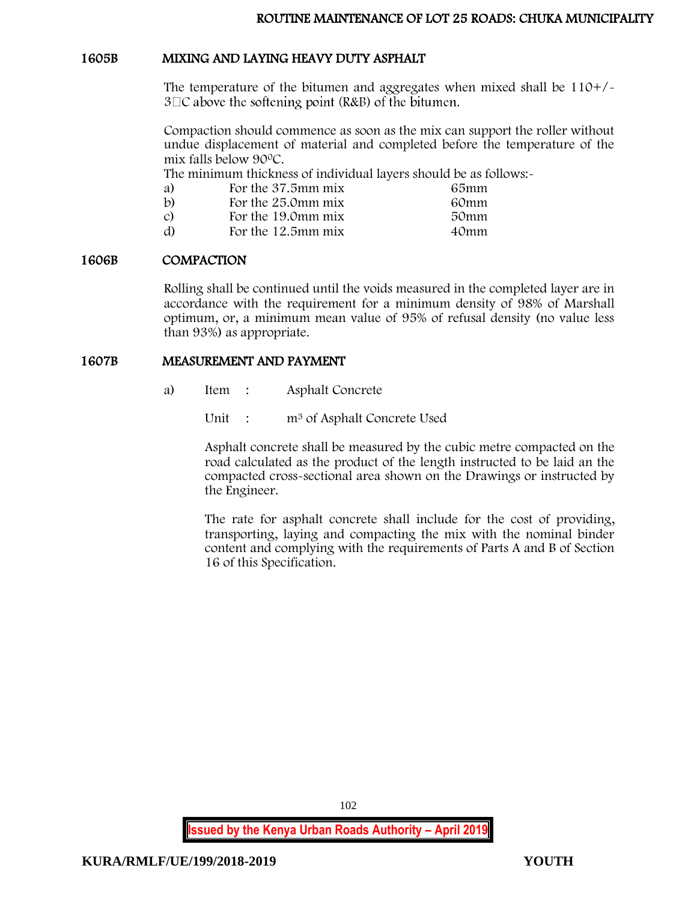### 1605B MIXING AND LAYING HEAVY DUTY ASPHALT

The temperature of the bitumen and aggregates when mixed shall be 110+/-  $3\Box$ C above the softening point (R&B) of the bitumen.

Compaction should commence as soon as the mix can support the roller without undue displacement of material and completed before the temperature of the mix falls below 90<sup>0</sup>C.

The minimum thickness of individual layers should be as follows:

| a)            | For the 37.5mm mix | 65mm             |
|---------------|--------------------|------------------|
| b)            | For the 25.0mm mix | 60mm             |
| $\mathcal{C}$ | For the 19.0mm mix | 50mm             |
| d)            | For the 12.5mm mix | 40 <sub>mm</sub> |

### 1606B COMPACTION

Rolling shall be continued until the voids measured in the completed layer are in accordance with the requirement for a minimum density of 98% of Marshall optimum, or, a minimum mean value of 95% of refusal density (no value less than 93%) as appropriate.

### 1607B MEASUREMENT AND PAYMENT

a) Item : Asphalt Concrete

Unit : m<sup>3</sup> of Asphalt Concrete Used

Asphalt concrete shall be measured by the cubic metre compacted on the road calculated as the product of the length instructed to be laid an the compacted cross-sectional area shown on the Drawings or instructed by the Engineer.

The rate for asphalt concrete shall include for the cost of providing, transporting, laying and compacting the mix with the nominal binder content and complying with the requirements of Parts A and B of Section 16 of this Specification.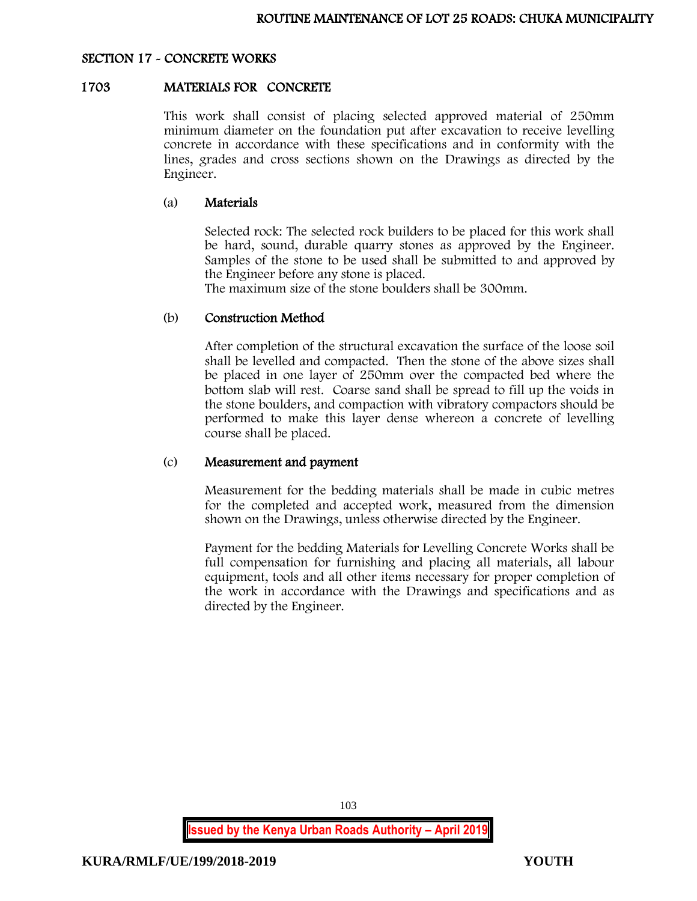### SECTION 17 - CONCRETE WORKS

#### 1703 MATERIALS FOR CONCRETE

This work shall consist of placing selected approved material of 250mm minimum diameter on the foundation put after excavation to receive levelling concrete in accordance with these specifications and in conformity with the lines, grades and cross sections shown on the Drawings as directed by the Engineer.

#### (a) Materials

Selected rock: The selected rock builders to be placed for this work shall be hard, sound, durable quarry stones as approved by the Engineer. Samples of the stone to be used shall be submitted to and approved by the Engineer before any stone is placed.

The maximum size of the stone boulders shall be 300mm.

### (b) Construction Method

After completion of the structural excavation the surface of the loose soil shall be levelled and compacted. Then the stone of the above sizes shall be placed in one layer of 250mm over the compacted bed where the bottom slab will rest. Coarse sand shall be spread to fill up the voids in the stone boulders, and compaction with vibratory compactors should be performed to make this layer dense whereon a concrete of levelling course shall be placed.

#### (c) Measurement and payment

Measurement for the bedding materials shall be made in cubic metres for the completed and accepted work, measured from the dimension shown on the Drawings, unless otherwise directed by the Engineer.

Payment for the bedding Materials for Levelling Concrete Works shall be full compensation for furnishing and placing all materials, all labour equipment, tools and all other items necessary for proper completion of the work in accordance with the Drawings and specifications and as directed by the Engineer.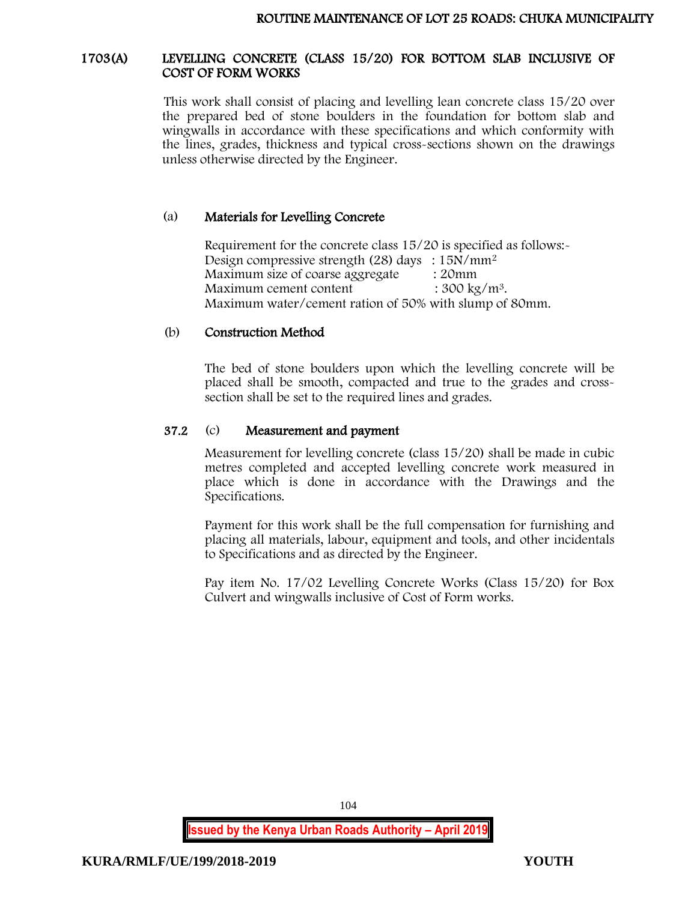#### 1703(A) LEVELLING CONCRETE (CLASS 15/20) FOR BOTTOM SLAB INCLUSIVE OF COST OF FORM WORKS

This work shall consist of placing and levelling lean concrete class 15/20 over the prepared bed of stone boulders in the foundation for bottom slab and wingwalls in accordance with these specifications and which conformity with the lines, grades, thickness and typical cross-sections shown on the drawings unless otherwise directed by the Engineer.

## (a) Materials for Levelling Concrete

Requirement for the concrete class 15/20 is specified as follows:- Design compressive strength (28) days : 15N/mm<sup>2</sup> Maximum size of coarse aggregate : 20mm<br>Maximum cement content : 300 kg/m<sup>3</sup>. Maximum cement content Maximum water/cement ration of 50% with slump of 80mm.

### (b) Construction Method

The bed of stone boulders upon which the levelling concrete will be placed shall be smooth, compacted and true to the grades and crosssection shall be set to the required lines and grades.

### 37.2 (c) Measurement and payment

Measurement for levelling concrete (class 15/20) shall be made in cubic metres completed and accepted levelling concrete work measured in place which is done in accordance with the Drawings and the Specifications.

Payment for this work shall be the full compensation for furnishing and placing all materials, labour, equipment and tools, and other incidentals to Specifications and as directed by the Engineer.

Pay item No. 17/02 Levelling Concrete Works (Class 15/20) for Box Culvert and wingwalls inclusive of Cost of Form works.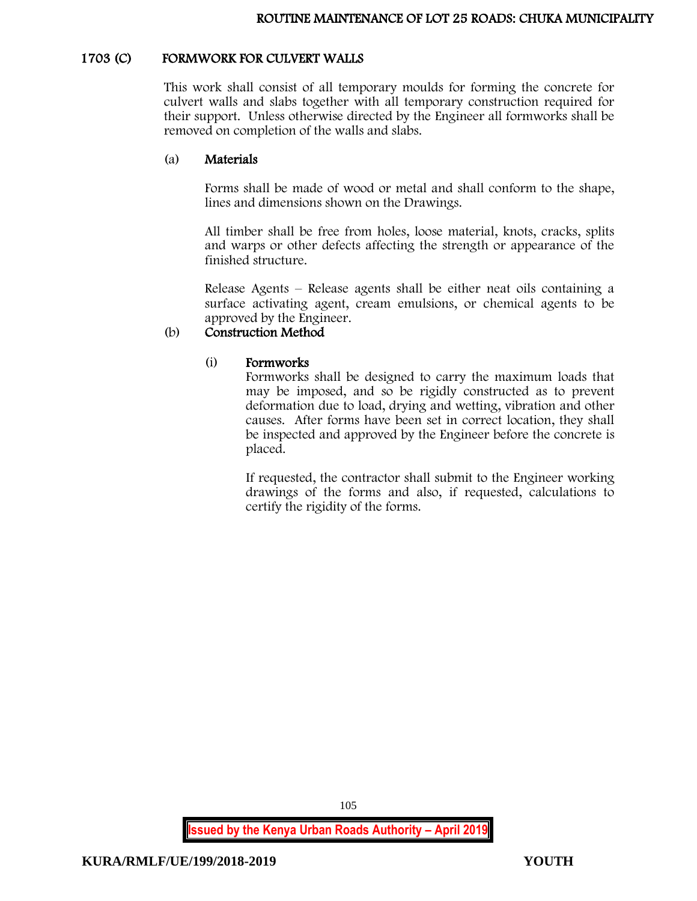## 1703 (C) FORMWORK FOR CULVERT WALLS

This work shall consist of all temporary moulds for forming the concrete for culvert walls and slabs together with all temporary construction required for their support. Unless otherwise directed by the Engineer all formworks shall be removed on completion of the walls and slabs.

#### (a) Materials

Forms shall be made of wood or metal and shall conform to the shape, lines and dimensions shown on the Drawings.

All timber shall be free from holes, loose material, knots, cracks, splits and warps or other defects affecting the strength or appearance of the finished structure.

Release Agents – Release agents shall be either neat oils containing a surface activating agent, cream emulsions, or chemical agents to be approved by the Engineer.

## (b) Construction Method

### (i) Formworks

Formworks shall be designed to carry the maximum loads that may be imposed, and so be rigidly constructed as to prevent deformation due to load, drying and wetting, vibration and other causes. After forms have been set in correct location, they shall be inspected and approved by the Engineer before the concrete is placed.

If requested, the contractor shall submit to the Engineer working drawings of the forms and also, if requested, calculations to certify the rigidity of the forms.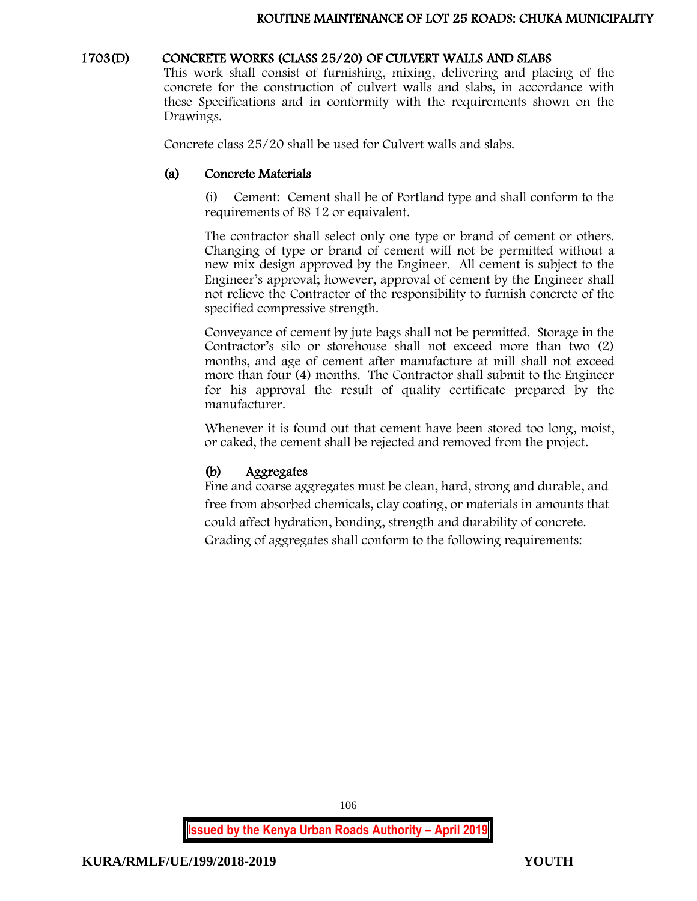### 1703(D) CONCRETE WORKS (CLASS 25/20) OF CULVERT WALLS AND SLABS

This work shall consist of furnishing, mixing, delivering and placing of the concrete for the construction of culvert walls and slabs, in accordance with these Specifications and in conformity with the requirements shown on the Drawings.

Concrete class 25/20 shall be used for Culvert walls and slabs.

## (a) Concrete Materials

(i) Cement: Cement shall be of Portland type and shall conform to the requirements of BS 12 or equivalent.

The contractor shall select only one type or brand of cement or others. Changing of type or brand of cement will not be permitted without a new mix design approved by the Engineer. All cement is subject to the Engineer's approval; however, approval of cement by the Engineer shall not relieve the Contractor of the responsibility to furnish concrete of the specified compressive strength.

Conveyance of cement by jute bags shall not be permitted. Storage in the Contractor's silo or storehouse shall not exceed more than two (2) months, and age of cement after manufacture at mill shall not exceed more than four (4) months. The Contractor shall submit to the Engineer for his approval the result of quality certificate prepared by the manufacturer.

Whenever it is found out that cement have been stored too long, moist, or caked, the cement shall be rejected and removed from the project.

# (b) Aggregates

Fine and coarse aggregates must be clean, hard, strong and durable, and free from absorbed chemicals, clay coating, or materials in amounts that could affect hydration, bonding, strength and durability of concrete. Grading of aggregates shall conform to the following requirements: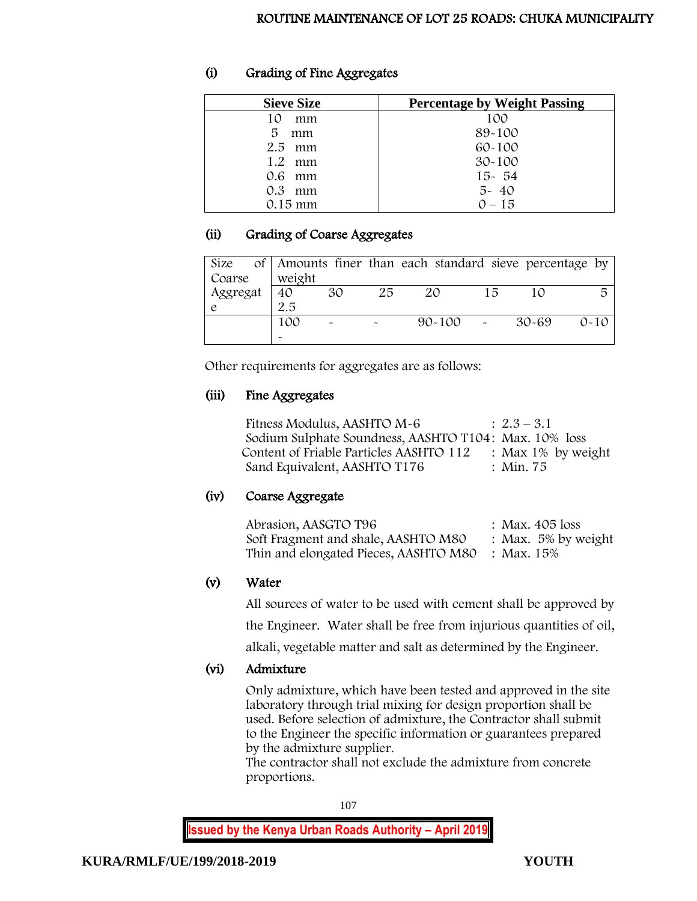# (i) Grading of Fine Aggregates

| <b>Sieve Size</b> | <b>Percentage by Weight Passing</b> |
|-------------------|-------------------------------------|
| 10<br>mm          | 100                                 |
| 5<br>mm           | 89-100                              |
| $2.5$ mm          | 60-100                              |
| 1.2<br>mm         | $30 - 100$                          |
| 0.6 mm            | $15 - 54$                           |
| 0.3<br>mm         | $5 - 40$                            |
| $0.15 \text{ mm}$ | $0 - 15$                            |

## (ii) Grading of Coarse Aggregates

|          |        |    |    | Size of   Amounts finer than each standard sieve percentage by |    |       |          |
|----------|--------|----|----|----------------------------------------------------------------|----|-------|----------|
| Coarse   | weight |    |    |                                                                |    |       |          |
| Aggregat | 40     | 30 | 25 | 20                                                             | 15 | 10    | 局        |
|          | 2.5    |    |    |                                                                |    |       |          |
|          | 100    |    |    | $90 - 100$                                                     |    | 30-69 | $0 - 10$ |
|          |        |    |    |                                                                |    |       |          |

Other requirements for aggregates are as follows:

## (iii) Fine Aggregates

Fitness Modulus, AASHTO  $M-6$  :  $2.3-3.1$ Sodium Sulphate Soundness, AASHTO T104: Max. 10% loss Content of Friable Particles AASHTO 112 : Max 1% by weight<br>
Sand Equivalent. AASHTO T176 : Min. 75 Sand Equivalent, AASHTO T176

# (iv) Coarse Aggregate

| Abrasion, AASGTO T96                  | : Max. $405$ loss      |
|---------------------------------------|------------------------|
| Soft Fragment and shale, AASHTO M80   | : Max. $5\%$ by weight |
| Thin and elongated Pieces, AASHTO M80 | : Max. 15%             |

# (v) Water

All sources of water to be used with cement shall be approved by

the Engineer. Water shall be free from injurious quantities of oil,

alkali, vegetable matter and salt as determined by the Engineer.

# (vi) Admixture

Only admixture, which have been tested and approved in the site laboratory through trial mixing for design proportion shall be used. Before selection of admixture, the Contractor shall submit to the Engineer the specific information or guarantees prepared by the admixture supplier.

The contractor shall not exclude the admixture from concrete proportions.

107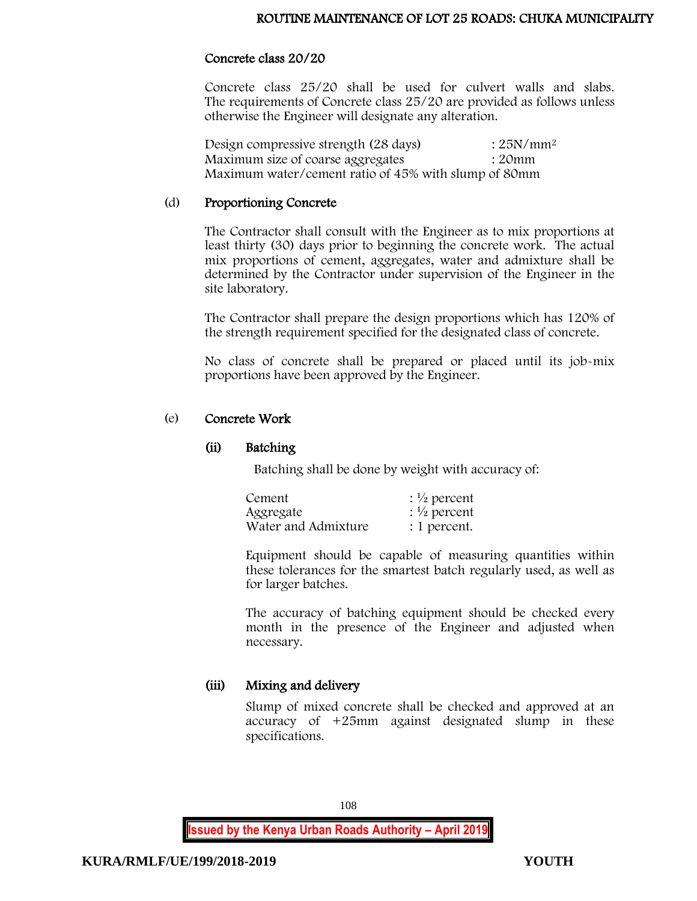#### Concrete class 20/20

Concrete class 25/20 shall be used for culvert walls and slabs. The requirements of Concrete class 25/20 are provided as follows unless otherwise the Engineer will designate any alteration.

Design compressive strength  $(28 \text{ days})$  :  $25N/mm^2$ Maximum size of coarse aggregates : 20mm Maximum water/cement ratio of 45% with slump of 80mm

#### (d) Proportioning Concrete

The Contractor shall consult with the Engineer as to mix proportions at least thirty (30) days prior to beginning the concrete work. The actual mix proportions of cement, aggregates, water and admixture shall be determined by the Contractor under supervision of the Engineer in the site laboratory.

The Contractor shall prepare the design proportions which has 120% of the strength requirement specified for the designated class of concrete.

No class of concrete shall be prepared or placed until its job-mix proportions have been approved by the Engineer.

#### (e) Concrete Work

#### (ii) Batching

Batching shall be done by weight with accuracy of:

| Cement              | : $\frac{1}{2}$ percent |
|---------------------|-------------------------|
| Aggregate           | $\frac{1}{2}$ percent   |
| Water and Admixture | : 1 percent.            |

Equipment should be capable of measuring quantities within these tolerances for the smartest batch regularly used, as well as for larger batches.

The accuracy of batching equipment should be checked every month in the presence of the Engineer and adjusted when necessary.

# (iii) Mixing and delivery

Slump of mixed concrete shall be checked and approved at an accuracy of +25mm against designated slump in these specifications.

108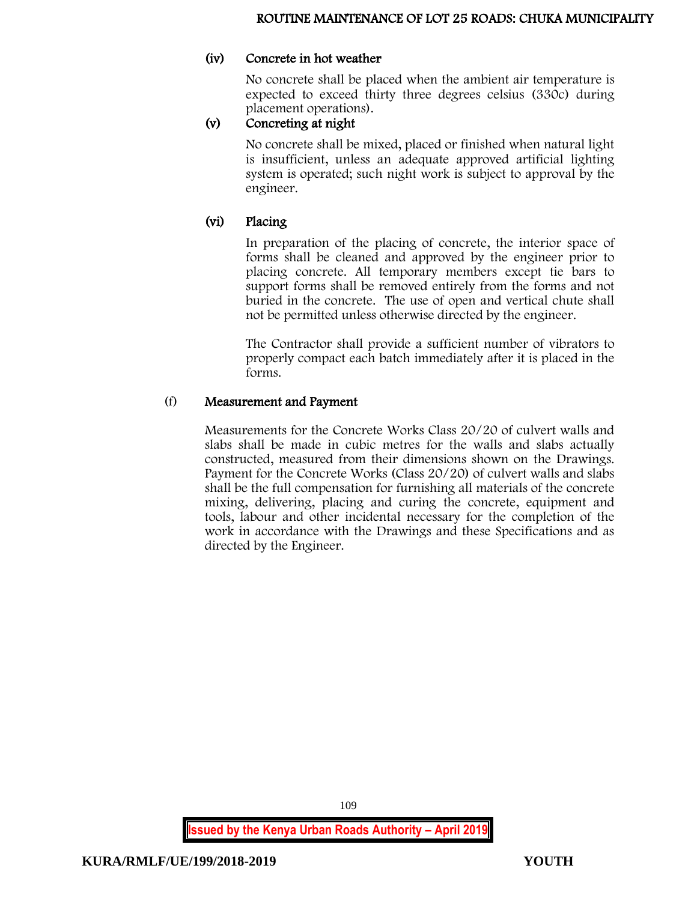#### (iv) Concrete in hot weather

No concrete shall be placed when the ambient air temperature is expected to exceed thirty three degrees celsius (330c) during placement operations).

# (v) Concreting at night

No concrete shall be mixed, placed or finished when natural light is insufficient, unless an adequate approved artificial lighting system is operated; such night work is subject to approval by the engineer.

# (vi) Placing

In preparation of the placing of concrete, the interior space of forms shall be cleaned and approved by the engineer prior to placing concrete. All temporary members except tie bars to support forms shall be removed entirely from the forms and not buried in the concrete. The use of open and vertical chute shall not be permitted unless otherwise directed by the engineer.

The Contractor shall provide a sufficient number of vibrators to properly compact each batch immediately after it is placed in the forms.

# (f) Measurement and Payment

Measurements for the Concrete Works Class 20/20 of culvert walls and slabs shall be made in cubic metres for the walls and slabs actually constructed, measured from their dimensions shown on the Drawings. Payment for the Concrete Works (Class 20/20) of culvert walls and slabs shall be the full compensation for furnishing all materials of the concrete mixing, delivering, placing and curing the concrete, equipment and tools, labour and other incidental necessary for the completion of the work in accordance with the Drawings and these Specifications and as directed by the Engineer.

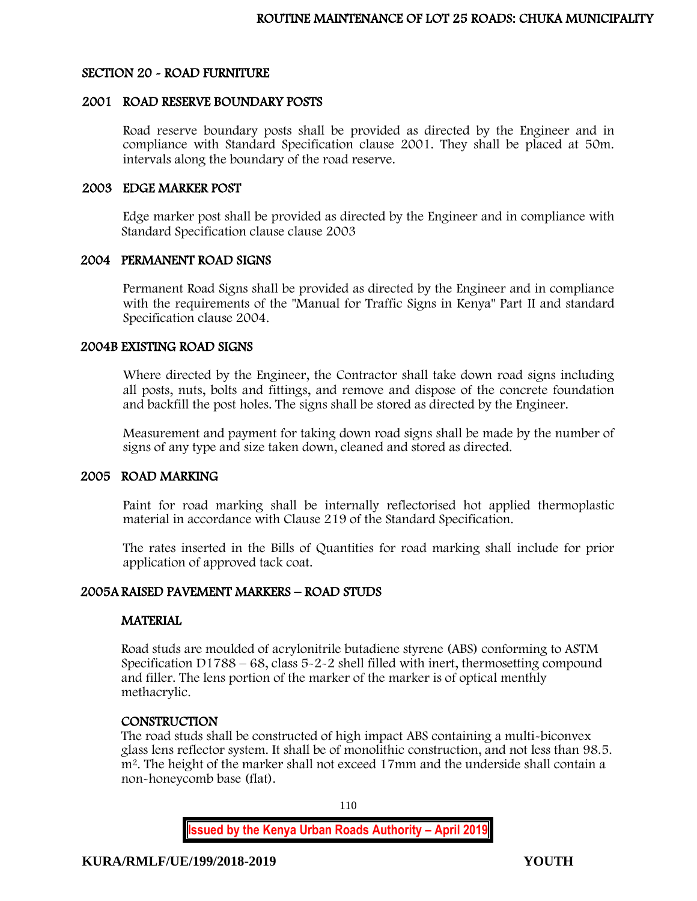#### SECTION 20 - ROAD FURNITURE

#### 2001 ROAD RESERVE BOUNDARY POSTS

Road reserve boundary posts shall be provided as directed by the Engineer and in compliance with Standard Specification clause 2001. They shall be placed at 50m. intervals along the boundary of the road reserve.

#### 2003 EDGE MARKER POST

Edge marker post shall be provided as directed by the Engineer and in compliance with Standard Specification clause clause 2003

#### 2004 PERMANENT ROAD SIGNS

Permanent Road Signs shall be provided as directed by the Engineer and in compliance with the requirements of the "Manual for Traffic Signs in Kenya" Part II and standard Specification clause 2004.

#### 2004B EXISTING ROAD SIGNS

Where directed by the Engineer, the Contractor shall take down road signs including all posts, nuts, bolts and fittings, and remove and dispose of the concrete foundation and backfill the post holes. The signs shall be stored as directed by the Engineer.

Measurement and payment for taking down road signs shall be made by the number of signs of any type and size taken down, cleaned and stored as directed.

#### 2005 ROAD MARKING

Paint for road marking shall be internally reflectorised hot applied thermoplastic material in accordance with Clause 219 of the Standard Specification.

The rates inserted in the Bills of Quantities for road marking shall include for prior application of approved tack coat.

# 2005A RAISED PAVEMENT MARKERS – ROAD STUDS

#### **MATERIAL**

Road studs are moulded of acrylonitrile butadiene styrene (ABS) conforming to ASTM Specification D1788 – 68, class 5-2-2 shell filled with inert, thermosetting compound and filler. The lens portion of the marker of the marker is of optical menthly methacrylic.

#### **CONSTRUCTION**

The road studs shall be constructed of high impact ABS containing a multi-biconvex glass lens reflector system. It shall be of monolithic construction, and not less than 98.5. m<sup>2</sup>. The height of the marker shall not exceed 17mm and the underside shall contain a non-honeycomb base (flat).

110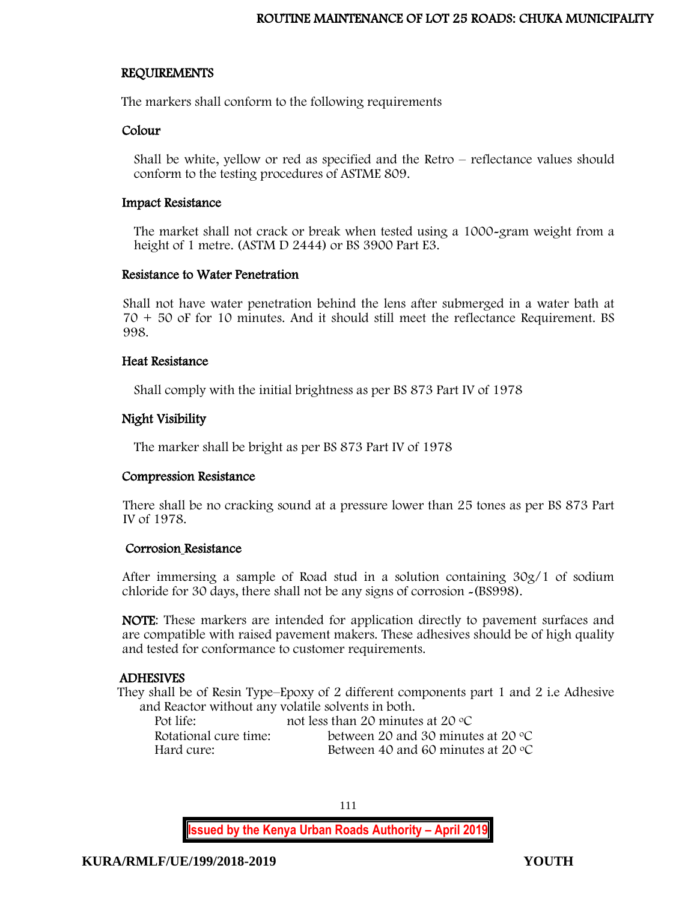#### REQUIREMENTS

The markers shall conform to the following requirements

#### Colour

Shall be white, yellow or red as specified and the Retro – reflectance values should conform to the testing procedures of ASTME 809.

#### Impact Resistance

The market shall not crack or break when tested using a 1000-gram weight from a height of 1 metre. (ASTM D 2444) or BS 3900 Part E3.

#### Resistance to Water Penetration

Shall not have water penetration behind the lens after submerged in a water bath at 70 + 50 oF for 10 minutes. And it should still meet the reflectance Requirement. BS 998.

#### Heat Resistance

Shall comply with the initial brightness as per BS 873 Part IV of 1978

# Night Visibility

The marker shall be bright as per BS 873 Part IV of 1978

# Compression Resistance

There shall be no cracking sound at a pressure lower than 25 tones as per BS 873 Part IV of 1978.

# Corrosion Resistance

After immersing a sample of Road stud in a solution containing 30g/1 of sodium chloride for 30 days, there shall not be any signs of corrosion -(BS998).

NOTE: These markers are intended for application directly to pavement surfaces and are compatible with raised pavement makers. These adhesives should be of high quality and tested for conformance to customer requirements.

# ADHESIVES

They shall be of Resin Type–Epoxy of 2 different components part 1 and 2 i.e Adhesive and Reactor without any volatile solvents in both.

| Pot life:             | not less than 20 minutes at 20 $\rm{^{\circ}C}$ |
|-----------------------|-------------------------------------------------|
| Rotational cure time: | between 20 and 30 minutes at 20 $\degree$ C     |
| Hard cure:            | Between 40 and 60 minutes at 20 $\degree$ C     |

111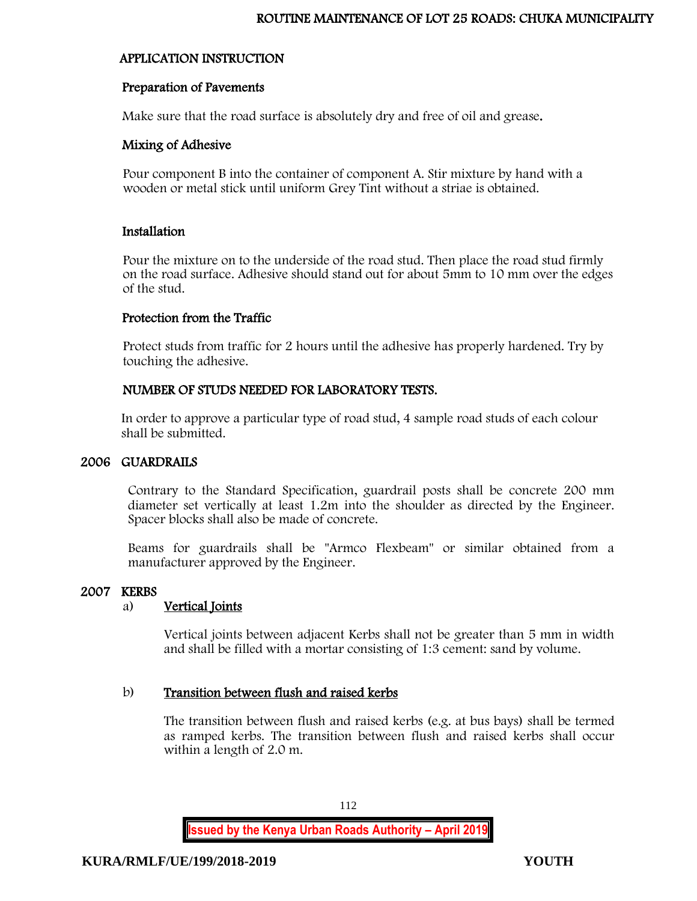# APPLICATION INSTRUCTION

# Preparation of Pavements

Make sure that the road surface is absolutely dry and free of oil and grease.

# Mixing of Adhesive

Pour component B into the container of component A. Stir mixture by hand with a wooden or metal stick until uniform Grey Tint without a striae is obtained.

# Installation

Pour the mixture on to the underside of the road stud. Then place the road stud firmly on the road surface. Adhesive should stand out for about 5mm to 10 mm over the edges of the stud.

# Protection from the Traffic

Protect studs from traffic for 2 hours until the adhesive has properly hardened. Try by touching the adhesive.

# NUMBER OF STUDS NEEDED FOR LABORATORY TESTS.

In order to approve a particular type of road stud, 4 sample road studs of each colour shall be submitted.

# 2006 GUARDRAILS

Contrary to the Standard Specification, guardrail posts shall be concrete 200 mm diameter set vertically at least 1.2m into the shoulder as directed by the Engineer. Spacer blocks shall also be made of concrete.

Beams for guardrails shall be "Armco Flexbeam" or similar obtained from a manufacturer approved by the Engineer.

# 2007 KERBS

# a) Vertical Joints

Vertical joints between adjacent Kerbs shall not be greater than 5 mm in width and shall be filled with a mortar consisting of 1:3 cement: sand by volume.

# b) Transition between flush and raised kerbs

The transition between flush and raised kerbs (e.g. at bus bays) shall be termed as ramped kerbs. The transition between flush and raised kerbs shall occur within a length of 2.0 m.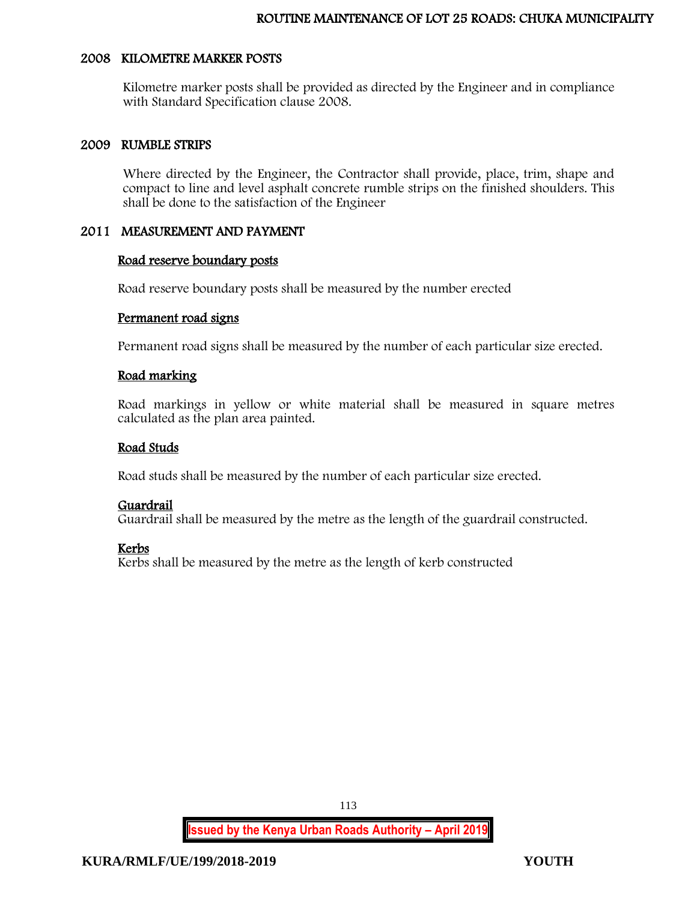#### 2008 KILOMETRE MARKER POSTS

Kilometre marker posts shall be provided as directed by the Engineer and in compliance with Standard Specification clause 2008.

#### 2009 RUMBLE STRIPS

Where directed by the Engineer, the Contractor shall provide, place, trim, shape and compact to line and level asphalt concrete rumble strips on the finished shoulders. This shall be done to the satisfaction of the Engineer

#### 2011 MEASUREMENT AND PAYMENT

#### Road reserve boundary posts

Road reserve boundary posts shall be measured by the number erected

#### Permanent road signs

Permanent road signs shall be measured by the number of each particular size erected.

#### Road marking

Road markings in yellow or white material shall be measured in square metres calculated as the plan area painted.

#### Road Studs

Road studs shall be measured by the number of each particular size erected.

# Guardrail

Guardrail shall be measured by the metre as the length of the guardrail constructed.

#### Kerbs

Kerbs shall be measured by the metre as the length of kerb constructed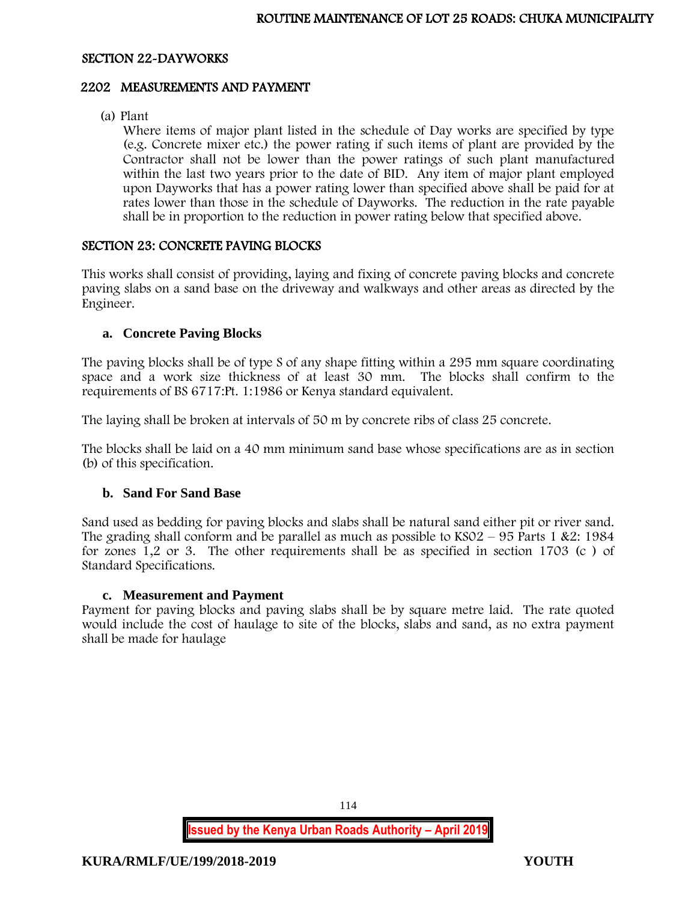#### SECTION 22-DAYWORKS

#### 2202 MEASUREMENTS AND PAYMENT

(a) Plant

Where items of major plant listed in the schedule of Day works are specified by type (e.g. Concrete mixer etc.) the power rating if such items of plant are provided by the Contractor shall not be lower than the power ratings of such plant manufactured within the last two years prior to the date of BID. Any item of major plant employed upon Dayworks that has a power rating lower than specified above shall be paid for at rates lower than those in the schedule of Dayworks. The reduction in the rate payable shall be in proportion to the reduction in power rating below that specified above.

# SECTION 23: CONCRETE PAVING BLOCKS

This works shall consist of providing, laying and fixing of concrete paving blocks and concrete paving slabs on a sand base on the driveway and walkways and other areas as directed by the Engineer.

#### **a. Concrete Paving Blocks**

The paving blocks shall be of type S of any shape fitting within a 295 mm square coordinating space and a work size thickness of at least 30 mm. The blocks shall confirm to the requirements of BS 6717:Pt. 1:1986 or Kenya standard equivalent.

The laying shall be broken at intervals of 50 m by concrete ribs of class 25 concrete.

The blocks shall be laid on a 40 mm minimum sand base whose specifications are as in section (b) of this specification.

#### **b. Sand For Sand Base**

Sand used as bedding for paving blocks and slabs shall be natural sand either pit or river sand. The grading shall conform and be parallel as much as possible to  $KSO2 - 95$  Parts 1 &2: 1984 for zones 1,2 or 3. The other requirements shall be as specified in section 1703 (c ) of Standard Specifications.

#### **c. Measurement and Payment**

Payment for paving blocks and paving slabs shall be by square metre laid. The rate quoted would include the cost of haulage to site of the blocks, slabs and sand, as no extra payment shall be made for haulage

114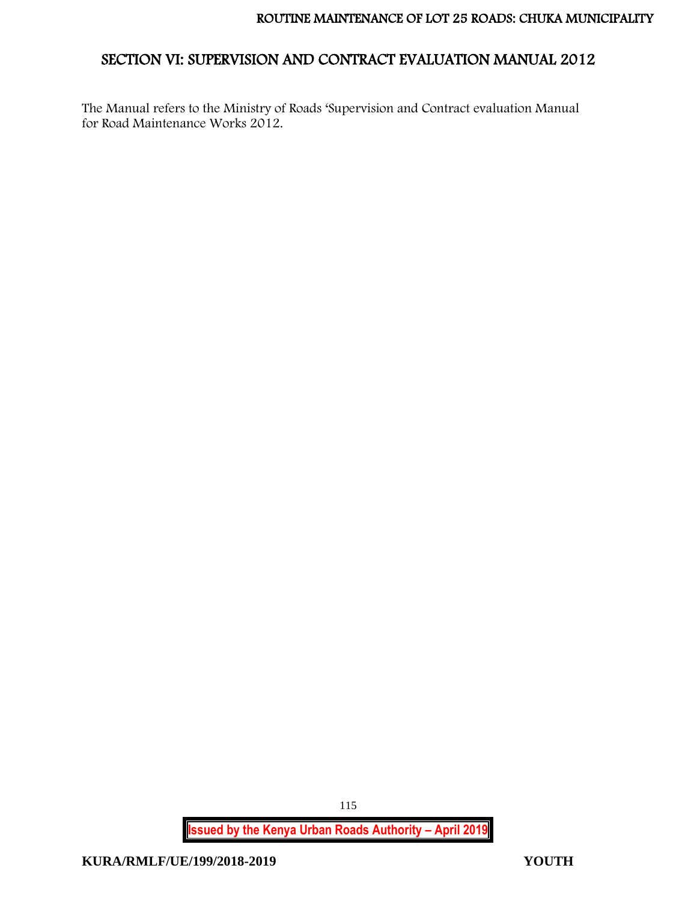# SECTION VI: SUPERVISION AND CONTRACT EVALUATION MANUAL 2012

The Manual refers to the Ministry of Roads 'Supervision and Contract evaluation Manual for Road Maintenance Works 2012.

**Issued by the Kenya Urban Roads Authority – April 2019**

115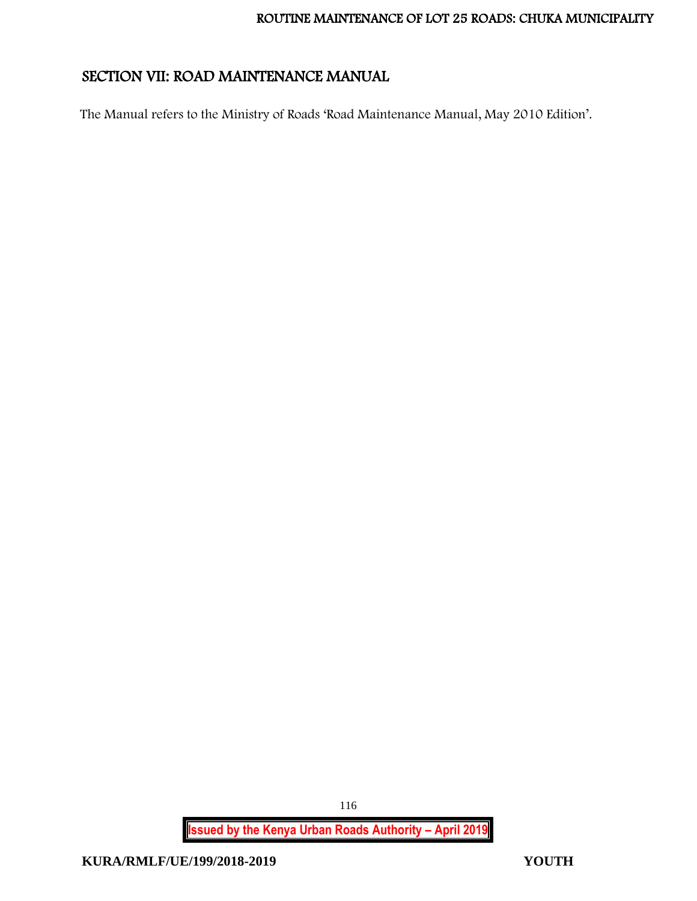# SECTION VII: ROAD MAINTENANCE MANUAL

The Manual refers to the Ministry of Roads 'Road Maintenance Manual, May 2010 Edition'.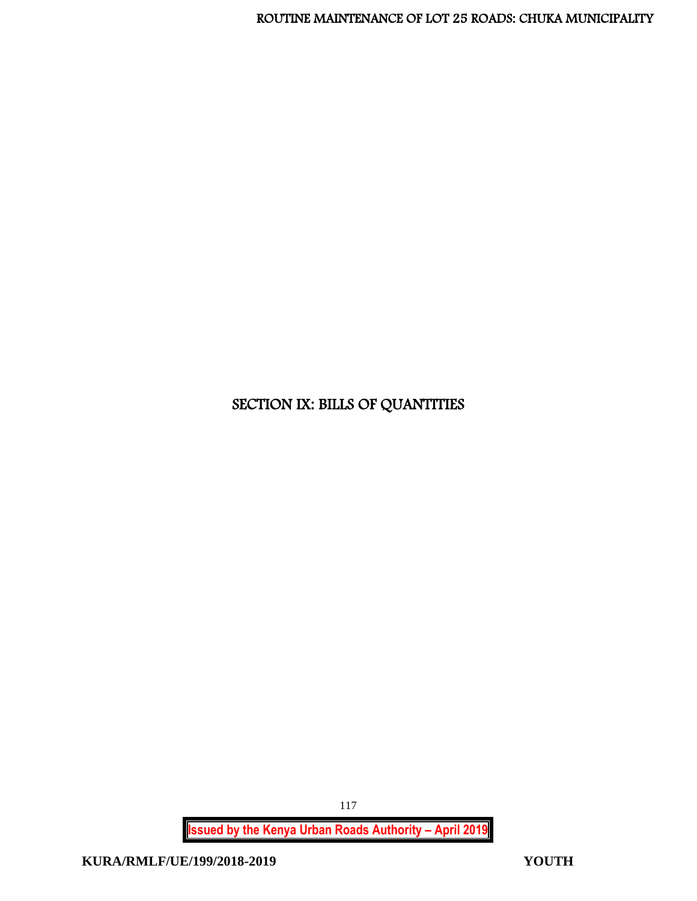# SECTION IX: BILLS OF QUANTITIES

**Issued by the Kenya Urban Roads Authority – April 2019**

117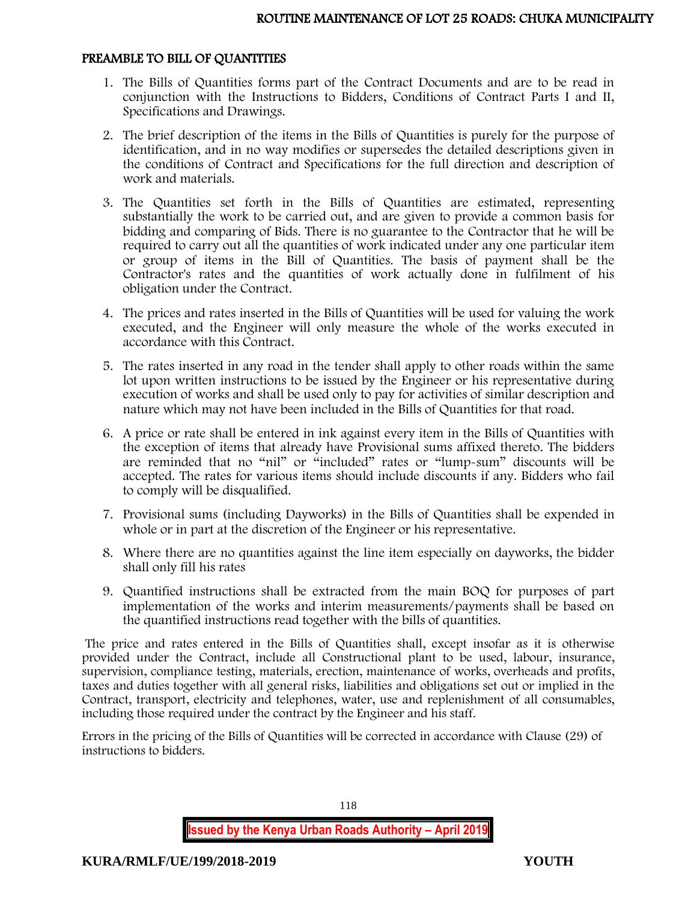#### PREAMBLE TO BILL OF QUANTITIES

- 1. The Bills of Quantities forms part of the Contract Documents and are to be read in conjunction with the Instructions to Bidders, Conditions of Contract Parts I and II, Specifications and Drawings.
- 2. The brief description of the items in the Bills of Quantities is purely for the purpose of identification, and in no way modifies or supersedes the detailed descriptions given in the conditions of Contract and Specifications for the full direction and description of work and materials.
- 3. The Quantities set forth in the Bills of Quantities are estimated, representing substantially the work to be carried out, and are given to provide a common basis for bidding and comparing of Bids. There is no guarantee to the Contractor that he will be required to carry out all the quantities of work indicated under any one particular item or group of items in the Bill of Quantities. The basis of payment shall be the Contractor's rates and the quantities of work actually done in fulfilment of his obligation under the Contract.
- 4. The prices and rates inserted in the Bills of Quantities will be used for valuing the work executed, and the Engineer will only measure the whole of the works executed in accordance with this Contract.
- 5. The rates inserted in any road in the tender shall apply to other roads within the same lot upon written instructions to be issued by the Engineer or his representative during execution of works and shall be used only to pay for activities of similar description and nature which may not have been included in the Bills of Quantities for that road.
- 6. A price or rate shall be entered in ink against every item in the Bills of Quantities with the exception of items that already have Provisional sums affixed thereto. The bidders are reminded that no "nil" or "included" rates or "lump-sum" discounts will be accepted. The rates for various items should include discounts if any. Bidders who fail to comply will be disqualified.
- 7. Provisional sums (including Dayworks) in the Bills of Quantities shall be expended in whole or in part at the discretion of the Engineer or his representative.
- 8. Where there are no quantities against the line item especially on dayworks, the bidder shall only fill his rates
- 9. Quantified instructions shall be extracted from the main BOQ for purposes of part implementation of the works and interim measurements/payments shall be based on the quantified instructions read together with the bills of quantities.

The price and rates entered in the Bills of Quantities shall, except insofar as it is otherwise provided under the Contract, include all Constructional plant to be used, labour, insurance, supervision, compliance testing, materials, erection, maintenance of works, overheads and profits, taxes and duties together with all general risks, liabilities and obligations set out or implied in the Contract, transport, electricity and telephones, water, use and replenishment of all consumables, including those required under the contract by the Engineer and his staff.

Errors in the pricing of the Bills of Quantities will be corrected in accordance with Clause (29) of instructions to bidders.

118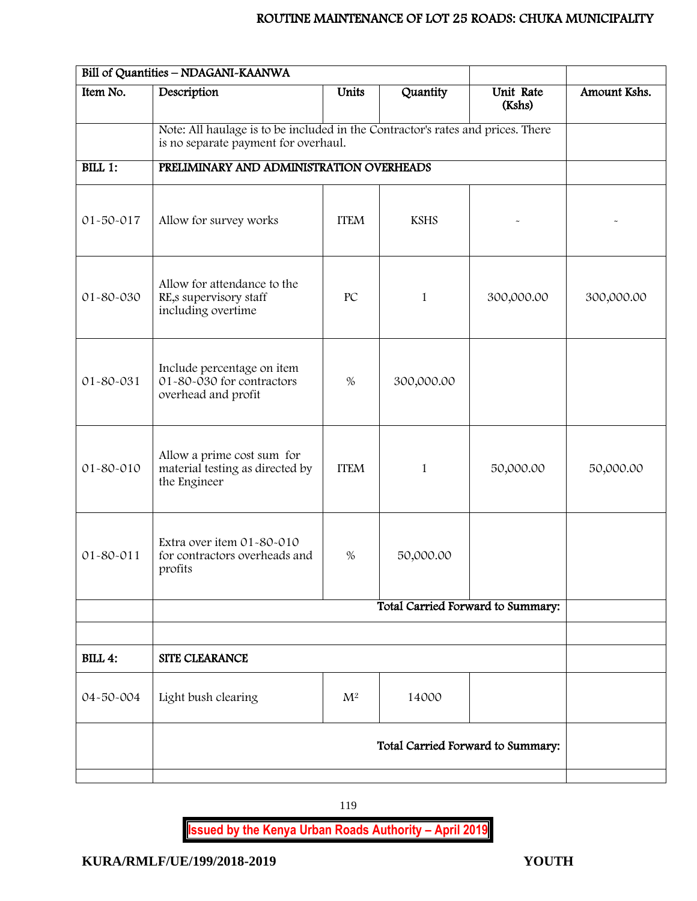|                | Bill of Quantities - NDAGANI-KAANWA                                                                                     |                |             |                                   |              |  |
|----------------|-------------------------------------------------------------------------------------------------------------------------|----------------|-------------|-----------------------------------|--------------|--|
| Item No.       | Description                                                                                                             | <b>Units</b>   | Quantity    | Unit Rate<br>(Kshs)               | Amount Kshs. |  |
|                | Note: All haulage is to be included in the Contractor's rates and prices. There<br>is no separate payment for overhaul. |                |             |                                   |              |  |
| BILL 1:        | PRELIMINARY AND ADMINISTRATION OVERHEADS                                                                                |                |             |                                   |              |  |
| 01-50-017      | Allow for survey works                                                                                                  | <b>ITEM</b>    | <b>KSHS</b> |                                   |              |  |
| 01-80-030      | Allow for attendance to the<br>RE,s supervisory staff<br>including overtime                                             | PC             | 1           | 300,000.00                        | 300,000.00   |  |
| 01-80-031      | Include percentage on item<br>01-80-030 for contractors<br>overhead and profit                                          | $\%$           | 300,000.00  |                                   |              |  |
| 01-80-010      | Allow a prime cost sum for<br>material testing as directed by<br>the Engineer                                           | <b>ITEM</b>    | 1           | 50,000.00                         | 50,000.00    |  |
| 01-80-011      | Extra over item 01-80-010<br>for contractors overheads and<br>profits                                                   | %              | 50,000.00   |                                   |              |  |
|                |                                                                                                                         |                |             | Total Carried Forward to Summary: |              |  |
|                |                                                                                                                         |                |             |                                   |              |  |
| <b>BILL 4:</b> | <b>SITE CLEARANCE</b>                                                                                                   |                |             |                                   |              |  |
| 04-50-004      | Light bush clearing                                                                                                     | $\mathbf{M}^2$ | 14000       |                                   |              |  |
|                | Total Carried Forward to Summary:                                                                                       |                |             |                                   |              |  |
|                |                                                                                                                         |                |             |                                   |              |  |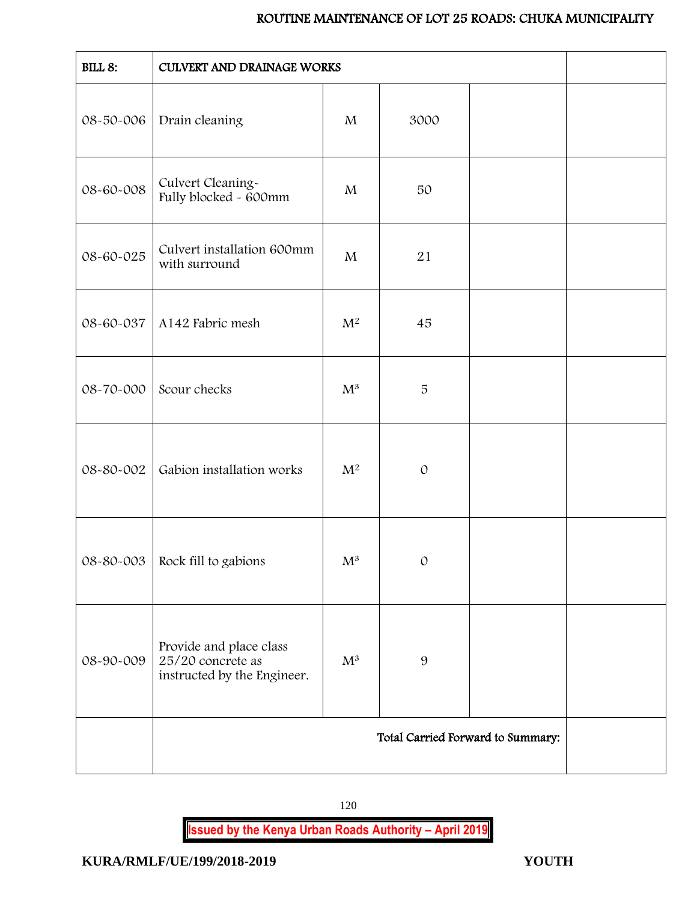| <b>BILL 8:</b> | CULVERT AND DRAINAGE WORKS                                                  |                |               |                                   |  |
|----------------|-----------------------------------------------------------------------------|----------------|---------------|-----------------------------------|--|
| 08-50-006      | Drain cleaning                                                              | $\mathbf{M}$   | 3000          |                                   |  |
| 08-60-008      | Culvert Cleaning-<br>Fully blocked - 600mm                                  | M              | 50            |                                   |  |
| 08-60-025      | Culvert installation 600mm<br>with surround                                 | $\mathbf{M}$   | 21            |                                   |  |
| 08-60-037      | A142 Fabric mesh                                                            | $M^2$          | 45            |                                   |  |
| 08-70-000      | Scour checks                                                                | $\mathrm{M}^3$ | $\sqrt{5}$    |                                   |  |
| 08-80-002      | Gabion installation works                                                   | $M^2$          | $\mathcal{O}$ |                                   |  |
|                | $08 - 80 - 003$ Rock fill to gabions                                        | $\mathbf{M}^3$ | $\Omega$      |                                   |  |
| 08-90-009      | Provide and place class<br>25/20 concrete as<br>instructed by the Engineer. | $\mathrm{M}^3$ | 9             |                                   |  |
|                |                                                                             |                |               | Total Carried Forward to Summary: |  |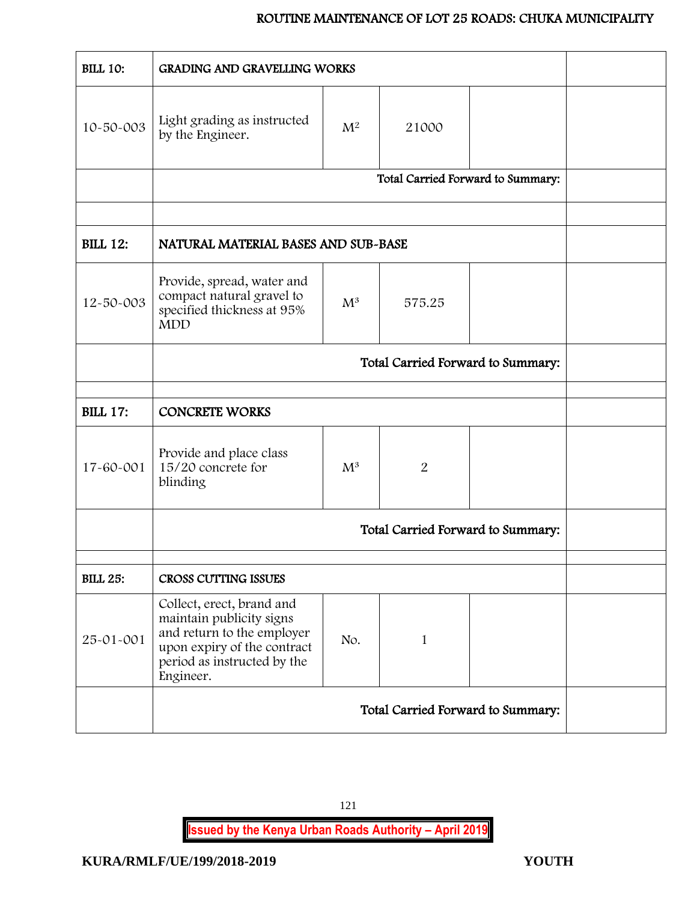| <b>BILL 10:</b> | <b>GRADING AND GRAVELLING WORKS</b>                                                                                                                            |                |                |                                   |  |
|-----------------|----------------------------------------------------------------------------------------------------------------------------------------------------------------|----------------|----------------|-----------------------------------|--|
| 10-50-003       | Light grading as instructed<br>by the Engineer.                                                                                                                | $\mathrm{M}^2$ | 21000          |                                   |  |
|                 |                                                                                                                                                                |                |                | Total Carried Forward to Summary: |  |
|                 |                                                                                                                                                                |                |                |                                   |  |
| <b>BILL 12:</b> | NATURAL MATERIAL BASES AND SUB-BASE                                                                                                                            |                |                |                                   |  |
| 12-50-003       | Provide, spread, water and<br>compact natural gravel to<br>specified thickness at 95%<br><b>MDD</b>                                                            | $\mathrm{M}^3$ | 575.25         |                                   |  |
|                 |                                                                                                                                                                |                |                |                                   |  |
|                 |                                                                                                                                                                |                |                |                                   |  |
| <b>BILL 17:</b> | <b>CONCRETE WORKS</b>                                                                                                                                          |                |                |                                   |  |
| 17-60-001       | Provide and place class<br>15/20 concrete for<br>blinding                                                                                                      | $M^3$          | $\overline{2}$ |                                   |  |
|                 |                                                                                                                                                                |                |                | Total Carried Forward to Summary: |  |
| <b>BILL 25:</b> | CROSS CUTTING ISSUES                                                                                                                                           |                |                |                                   |  |
| 25-01-001       | Collect, erect, brand and<br>maintain publicity signs<br>and return to the employer<br>upon expiry of the contract<br>period as instructed by the<br>Engineer. | No.            | 1              |                                   |  |
|                 | Total Carried Forward to Summary:                                                                                                                              |                |                |                                   |  |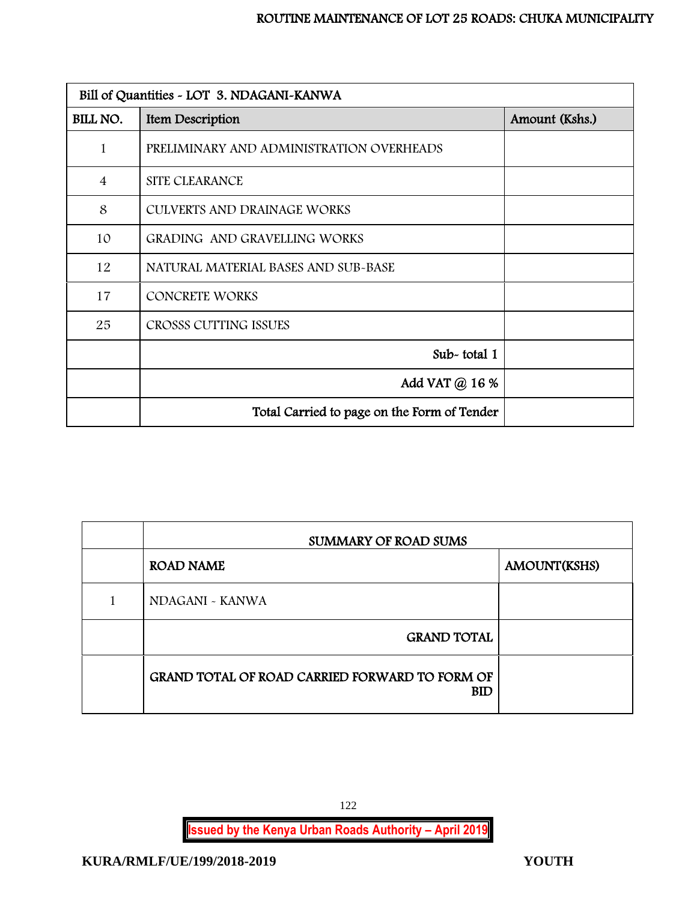| Bill of Quantities - LOT 3. NDAGANI-KANWA |                                             |                |  |
|-------------------------------------------|---------------------------------------------|----------------|--|
| BILL NO.                                  | Item Description                            | Amount (Kshs.) |  |
| 1                                         | PRELIMINARY AND ADMINISTRATION OVERHEADS    |                |  |
| $\overline{4}$                            | SITE CLEARANCE                              |                |  |
| 8                                         | CULVERTS AND DRAINAGE WORKS                 |                |  |
| 10                                        | GRADING AND GRAVELLING WORKS                |                |  |
| 12                                        | NATURAL MATERIAL BASES AND SUB-BASE         |                |  |
| 17                                        | <b>CONCRETE WORKS</b>                       |                |  |
| 25                                        | CROSSS CUTTING ISSUES                       |                |  |
|                                           | Sub-total 1                                 |                |  |
|                                           | Add VAT @ 16 %                              |                |  |
|                                           | Total Carried to page on the Form of Tender |                |  |

| <b>SUMMARY OF ROAD SUMS</b>                                         |              |  |  |  |
|---------------------------------------------------------------------|--------------|--|--|--|
| <b>ROAD NAME</b>                                                    | AMOUNT(KSHS) |  |  |  |
| NDAGANI ~ KANWA                                                     |              |  |  |  |
| <b>GRAND TOTAL</b>                                                  |              |  |  |  |
| <b>GRAND TOTAL OF ROAD CARRIED FORWARD TO FORM OF</b><br><b>BID</b> |              |  |  |  |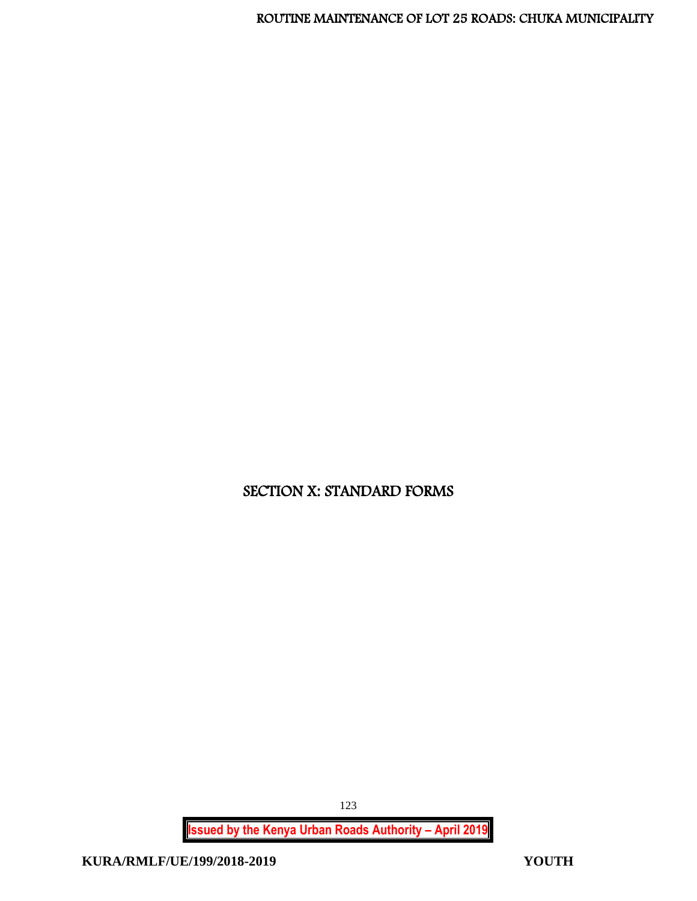SECTION X: STANDARD FORMS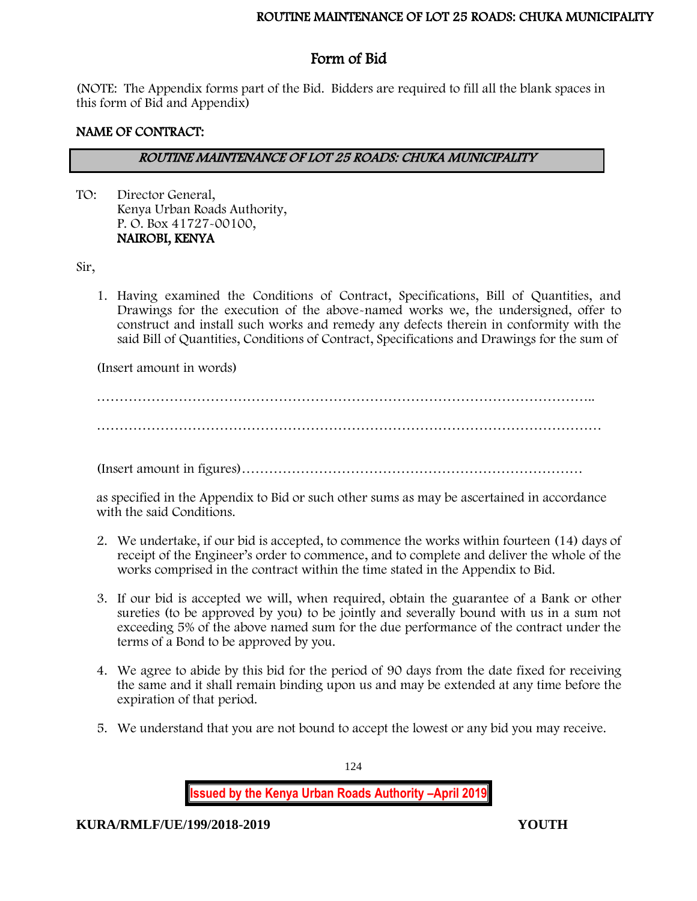# Form of Bid

(NOTE: The Appendix forms part of the Bid. Bidders are required to fill all the blank spaces in this form of Bid and Appendix)

# NAME OF CONTRACT:

# ROUTINE MAINTENANCE OF LOT 25 ROADS: CHUKA MUNICIPALITY

TO: Director General, Kenya Urban Roads Authority, P. O. Box 41727-00100, NAIROBI, KENYA

# Sir,

1. Having examined the Conditions of Contract, Specifications, Bill of Quantities, and Drawings for the execution of the above-named works we, the undersigned, offer to construct and install such works and remedy any defects therein in conformity with the said Bill of Quantities, Conditions of Contract, Specifications and Drawings for the sum of

(Insert amount in words)

……………………………………………………………………………………………….. …………………………………………………………………………………………………

(Insert amount in figures)…………………………………………………………………

as specified in the Appendix to Bid or such other sums as may be ascertained in accordance with the said Conditions.

- 2. We undertake, if our bid is accepted, to commence the works within fourteen (14) days of receipt of the Engineer's order to commence, and to complete and deliver the whole of the works comprised in the contract within the time stated in the Appendix to Bid.
- 3. If our bid is accepted we will, when required, obtain the guarantee of a Bank or other sureties (to be approved by you) to be jointly and severally bound with us in a sum not exceeding 5% of the above named sum for the due performance of the contract under the terms of a Bond to be approved by you.
- 4. We agree to abide by this bid for the period of 90 days from the date fixed for receiving the same and it shall remain binding upon us and may be extended at any time before the expiration of that period.
- 5. We understand that you are not bound to accept the lowest or any bid you may receive.

124

**Issued by the Kenya Urban Roads Authority –April 2019**

**KURA/RMLF/UE/199/2018-2019 YOUTH**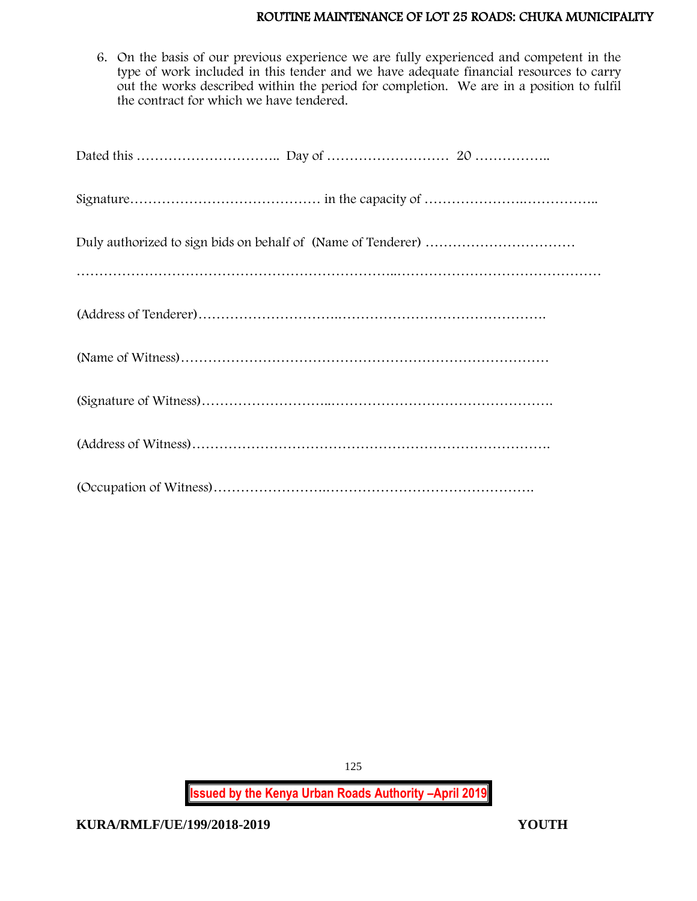6. On the basis of our previous experience we are fully experienced and competent in the type of work included in this tender and we have adequate financial resources to carry out the works described within the period for completion. We are in a position to fulfil the contract for which we have tendered.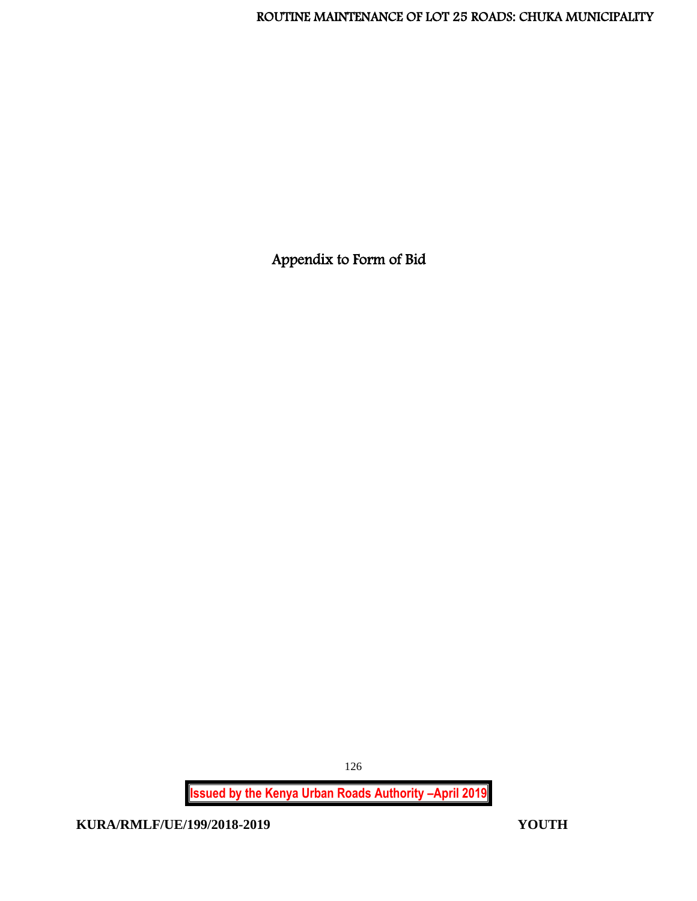Appendix to Form of Bid

126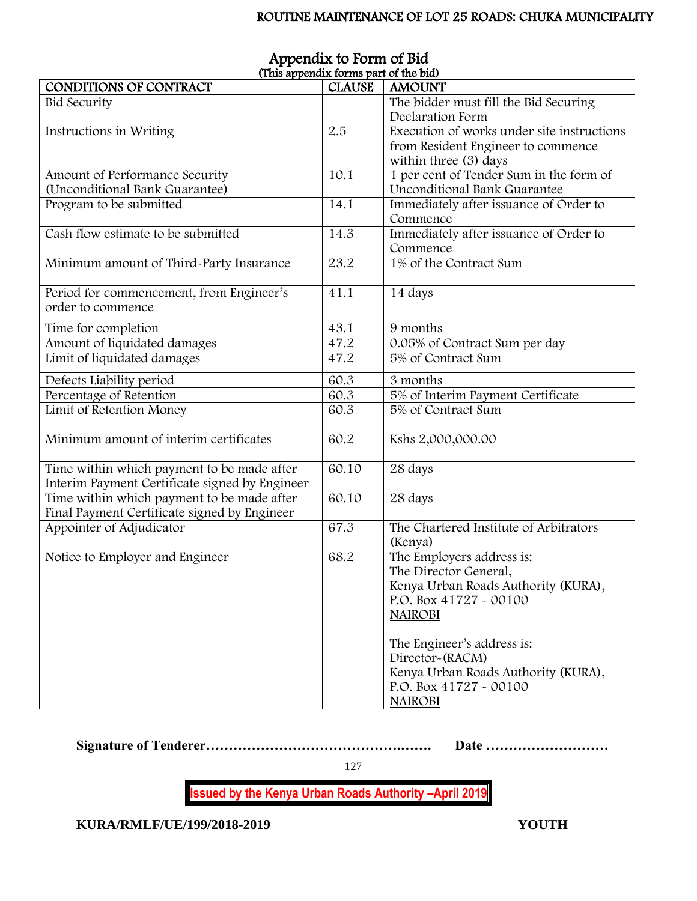| (This appendix forms part of the bid)          |               |                                            |  |  |
|------------------------------------------------|---------------|--------------------------------------------|--|--|
| <b>CONDITIONS OF CONTRACT</b>                  | <b>CLAUSE</b> | <b>AMOUNT</b>                              |  |  |
| <b>Bid Security</b>                            |               | The bidder must fill the Bid Securing      |  |  |
|                                                |               | Declaration Form                           |  |  |
| Instructions in Writing                        | 2.5           | Execution of works under site instructions |  |  |
|                                                |               | from Resident Engineer to commence         |  |  |
|                                                |               | within three (3) days                      |  |  |
| Amount of Performance Security                 | 10.1          | 1 per cent of Tender Sum in the form of    |  |  |
| (Unconditional Bank Guarantee)                 |               | Unconditional Bank Guarantee               |  |  |
| Program to be submitted                        | 14.1          | Immediately after issuance of Order to     |  |  |
|                                                |               | Commence                                   |  |  |
| Cash flow estimate to be submitted             | 14.3          | Immediately after issuance of Order to     |  |  |
|                                                |               | Commence                                   |  |  |
| Minimum amount of Third-Party Insurance        | 23.2          | 1% of the Contract Sum                     |  |  |
|                                                |               |                                            |  |  |
| Period for commencement, from Engineer's       | 41.1          | 14 days                                    |  |  |
| order to commence                              |               |                                            |  |  |
|                                                | 43.1          | 9 months                                   |  |  |
| Time for completion                            |               |                                            |  |  |
| Amount of liquidated damages                   | 47.2          | 0.05% of Contract Sum per day              |  |  |
| Limit of liquidated damages                    | 47.2          | 5% of Contract Sum                         |  |  |
| Defects Liability period                       | 60.3          | 3 months                                   |  |  |
| Percentage of Retention                        | 60.3          | 5% of Interim Payment Certificate          |  |  |
| Limit of Retention Money                       | 60.3          | 5% of Contract Sum                         |  |  |
|                                                |               |                                            |  |  |
| Minimum amount of interim certificates         | 60.2          | Kshs 2,000,000.00                          |  |  |
|                                                |               |                                            |  |  |
| Time within which payment to be made after     | 60.10         | 28 days                                    |  |  |
| Interim Payment Certificate signed by Engineer |               |                                            |  |  |
| Time within which payment to be made after     | 60.10         | 28 days                                    |  |  |
| Final Payment Certificate signed by Engineer   |               |                                            |  |  |
| Appointer of Adjudicator                       | 67.3          | The Chartered Institute of Arbitrators     |  |  |
|                                                |               | (Kenya)                                    |  |  |
| Notice to Employer and Engineer                | 68.2          | The Employers address is:                  |  |  |
|                                                |               | The Director General,                      |  |  |
|                                                |               | Kenya Urban Roads Authority (KURA),        |  |  |
|                                                |               | P.O. Box 41727 - 00100                     |  |  |
|                                                |               | <b>NAIROBI</b>                             |  |  |
|                                                |               |                                            |  |  |
|                                                |               | The Engineer's address is:                 |  |  |
|                                                |               | Director-(RACM)                            |  |  |
|                                                |               | Kenya Urban Roads Authority (KURA),        |  |  |
|                                                |               | P.O. Box 41727 - 00100                     |  |  |
|                                                |               |                                            |  |  |
|                                                |               | <b>NAIROBI</b>                             |  |  |

# Appendix to Form of Bid (This appendix forms part of the bid)

**Signature of Tenderer…………………………………….……. Date ………………………**

127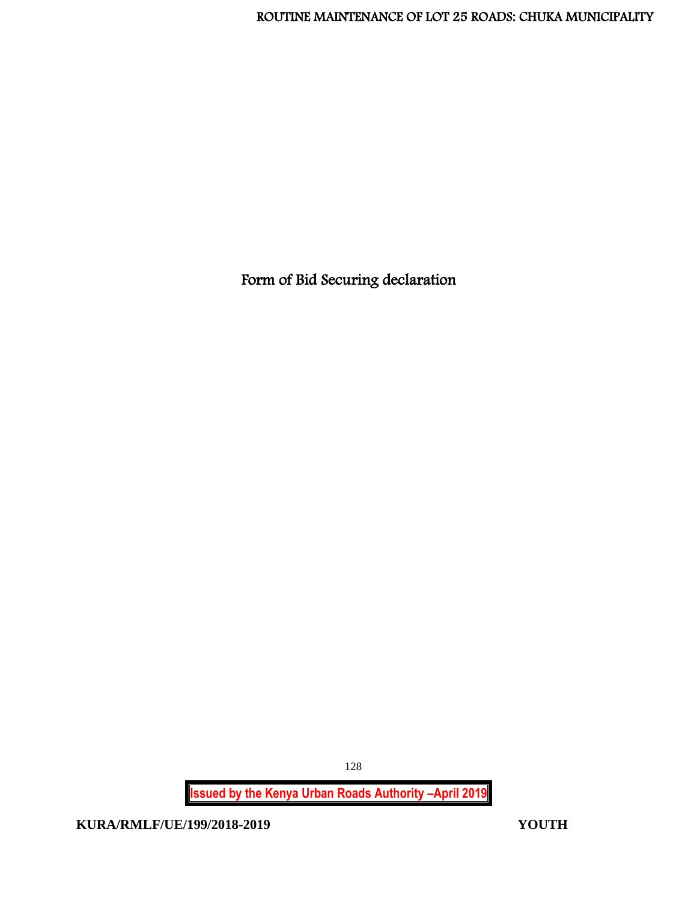Form of Bid Securing declaration

128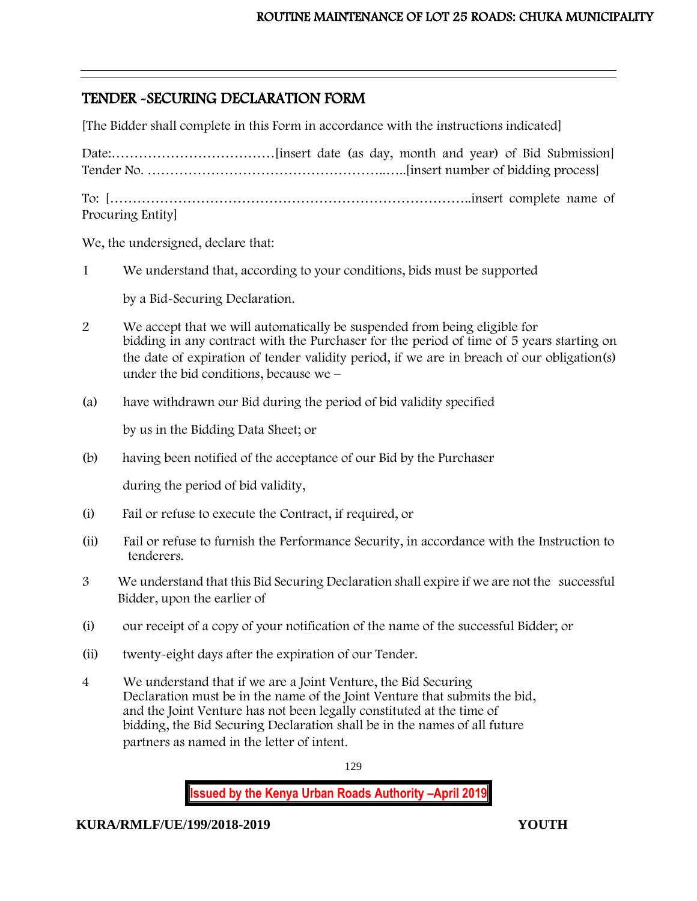# TENDER -SECURING DECLARATION FORM

[The Bidder shall complete in this Form in accordance with the instructions indicated]

| Procuring Entity |  |  |  |
|------------------|--|--|--|

We, the undersigned, declare that:

j

1 We understand that, according to your conditions, bids must be supported

by a Bid-Securing Declaration.

- 2 We accept that we will automatically be suspended from being eligible for bidding in any contract with the Purchaser for the period of time of 5 years starting on the date of expiration of tender validity period, if we are in breach of our obligation(s) under the bid conditions, because we –
- (a) have withdrawn our Bid during the period of bid validity specified

by us in the Bidding Data Sheet; or

(b) having been notified of the acceptance of our Bid by the Purchaser

during the period of bid validity,

- (i) Fail or refuse to execute the Contract, if required, or
- (ii) Fail or refuse to furnish the Performance Security, in accordance with the Instruction to tenderers.
- 3 We understand that this Bid Securing Declaration shall expire if we are not the successful Bidder, upon the earlier of
- (i) our receipt of a copy of your notification of the name of the successful Bidder; or
- (ii) twenty-eight days after the expiration of our Tender.
- 4 We understand that if we are a Joint Venture, the Bid Securing Declaration must be in the name of the Joint Venture that submits the bid, and the Joint Venture has not been legally constituted at the time of bidding, the Bid Securing Declaration shall be in the names of all future partners as named in the letter of intent.

129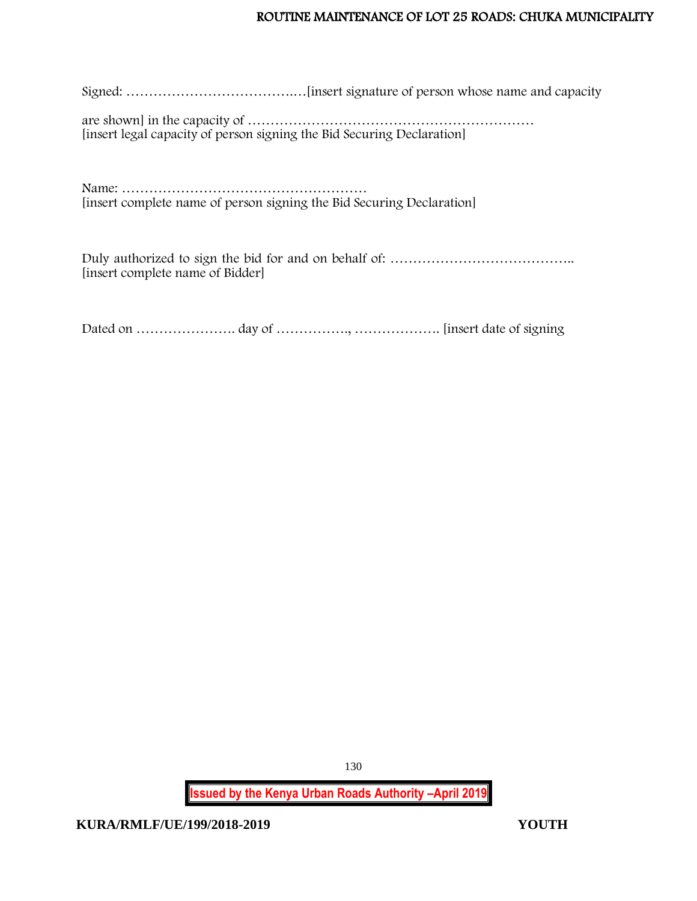Signed: ……………………………….…[insert signature of person whose name and capacity

are shown] in the capacity of ……………………………………………………… [insert legal capacity of person signing the Bid Securing Declaration]

Name: …………………………………………………………… [insert complete name of person signing the Bid Securing Declaration]

Duly authorized to sign the bid for and on behalf of: ………………………………….. [insert complete name of Bidder]

Dated on …………………. day of ……………., ………………. [insert date of signing

130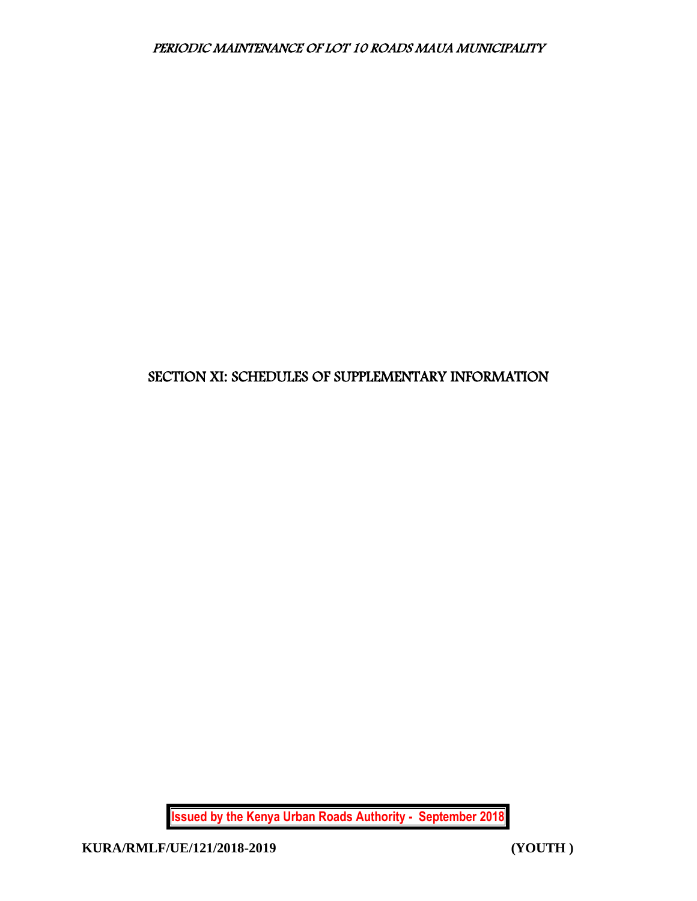# SECTION XI: SCHEDULES OF SUPPLEMENTARY INFORMATION

**Issued by the Kenya Urban Roads Authority - September 2018**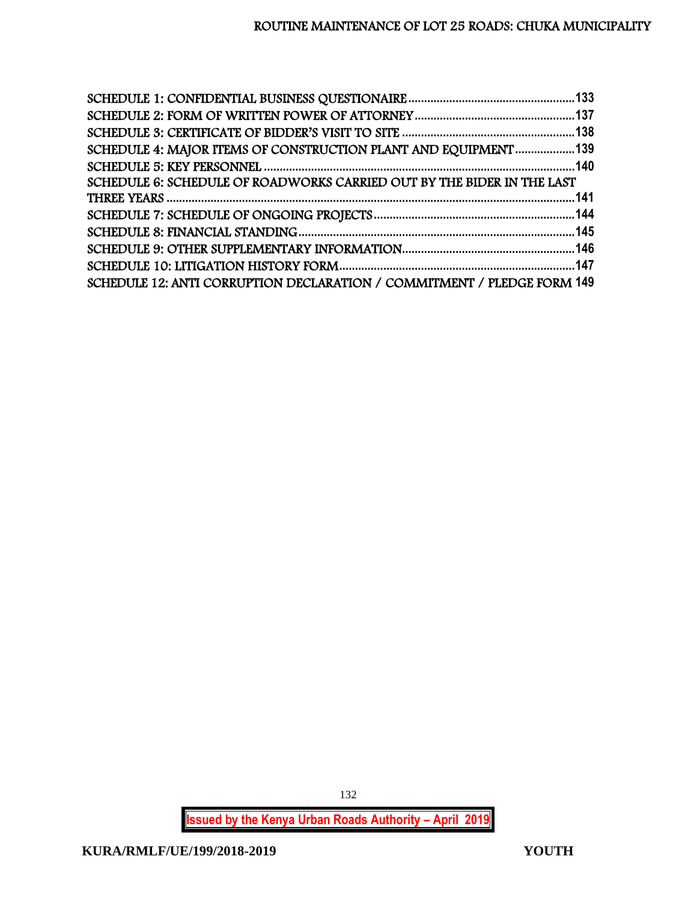| SCHEDULE 4: MAJOR ITEMS OF CONSTRUCTION PLANT AND EQUIPMENT 139         |  |
|-------------------------------------------------------------------------|--|
|                                                                         |  |
| SCHEDULE 6: SCHEDULE OF ROADWORKS CARRIED OUT BY THE BIDER IN THE LAST  |  |
|                                                                         |  |
|                                                                         |  |
|                                                                         |  |
|                                                                         |  |
|                                                                         |  |
| SCHEDULE 12: ANTI CORRUPTION DECLARATION / COMMITMENT / PLEDGE FORM 149 |  |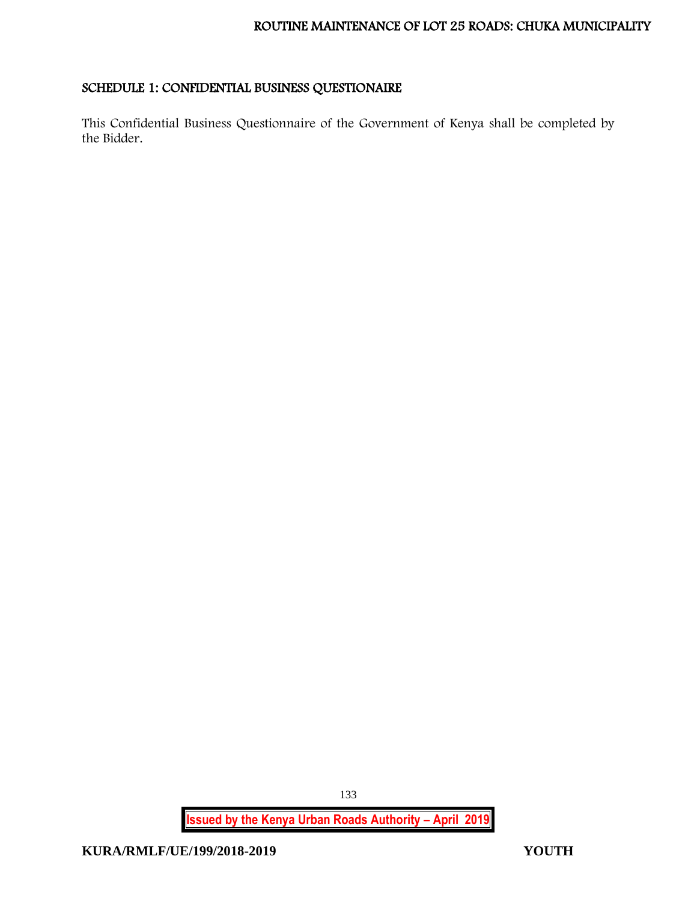# <span id="page-133-0"></span>SCHEDULE 1: CONFIDENTIAL BUSINESS QUESTIONAIRE

This Confidential Business Questionnaire of the Government of Kenya shall be completed by the Bidder.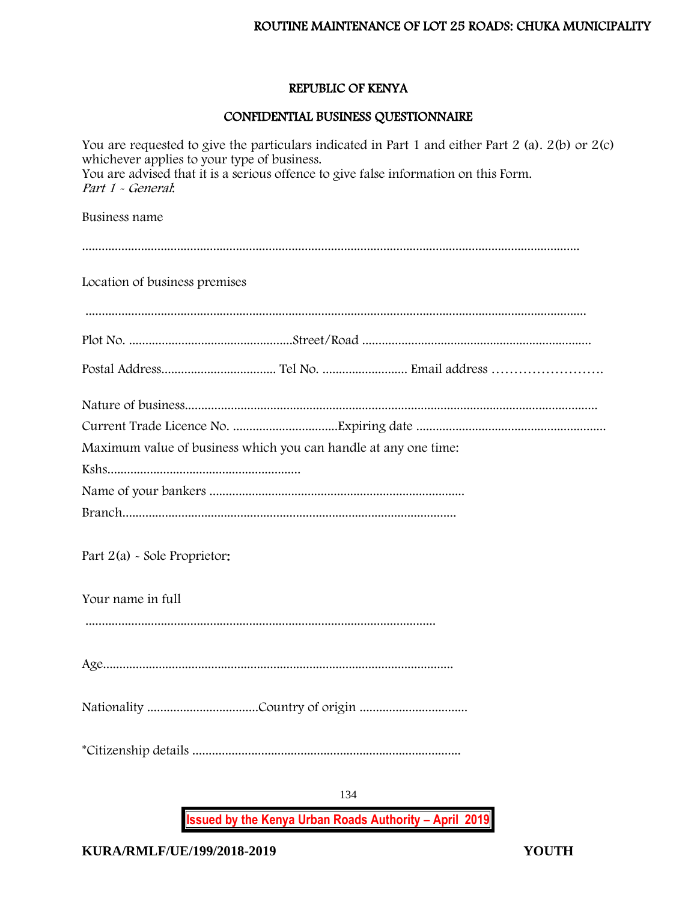#### REPUBLIC OF KENYA

#### CONFIDENTIAL BUSINESS QUESTIONNAIRE

134 You are requested to give the particulars indicated in Part 1 and either Part 2 (a). 2(b) or 2(c) whichever applies to your type of business. You are advised that it is a serious offence to give false information on this Form. Part 1 - General: Business name ........................................................................................................................................................ Location of business premises ......................................................................................................................................................... Plot No. ..................................................Street/Road ...................................................................... Postal Address................................... Tel No. .......................... Email address ……………………. Nature of business.............................................................................................................................. Current Trade Licence No. ................................Expiring date .......................................................... Maximum value of business which you can handle at any one time: Kshs........................................................... Name of your bankers .............................................................................. Branch...................................................................................................... Part 2(a) - Sole Proprietor: Your name in full ........................................................................................................... Age........................................................................................................... Nationality ..................................Country of origin ................................. \*Citizenship details ..................................................................................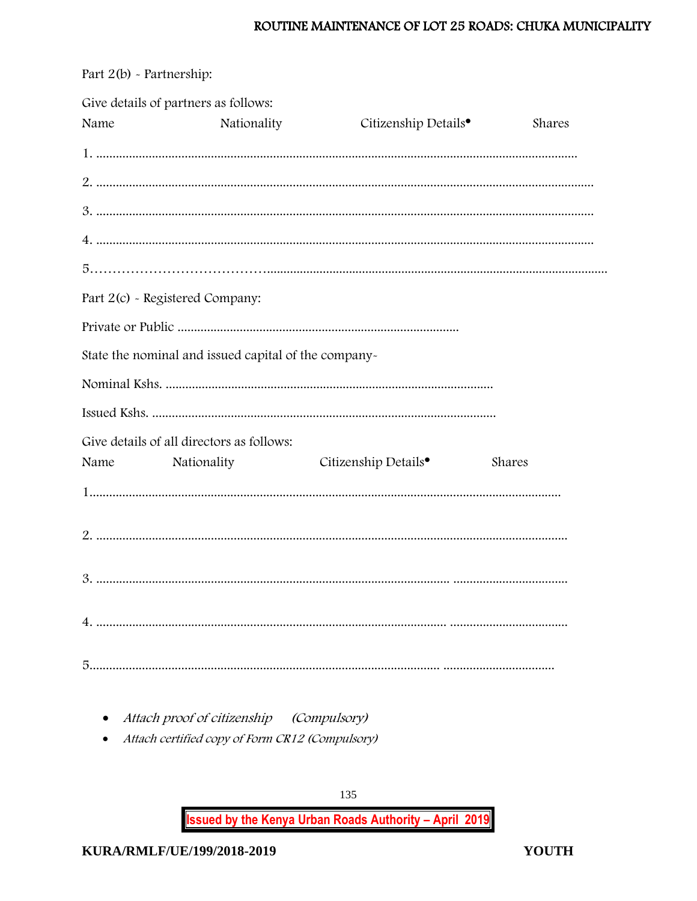|      | Give details of partners as follows:                 |                                  |        |
|------|------------------------------------------------------|----------------------------------|--------|
| Name | Nationality                                          | Citizenship Details <sup>•</sup> | Shares |
|      |                                                      |                                  |        |
|      |                                                      |                                  |        |
|      |                                                      |                                  |        |
|      |                                                      |                                  |        |
|      |                                                      |                                  |        |
|      | Part 2(c) - Registered Company:                      |                                  |        |
|      |                                                      |                                  |        |
|      | State the nominal and issued capital of the company- |                                  |        |
|      |                                                      |                                  |        |
|      |                                                      |                                  |        |
|      | Give details of all directors as follows:            |                                  |        |
| Name | Nationality                                          | Citizenship Details <sup>•</sup> | Shares |
|      |                                                      |                                  |        |
|      |                                                      |                                  |        |
|      |                                                      |                                  |        |
|      |                                                      |                                  |        |
|      |                                                      |                                  |        |

Part 2(b) - Partnership:

• Attach proof of citizenship (Compulsory)

• Attach certified copy of Form CR12 (Compulsory)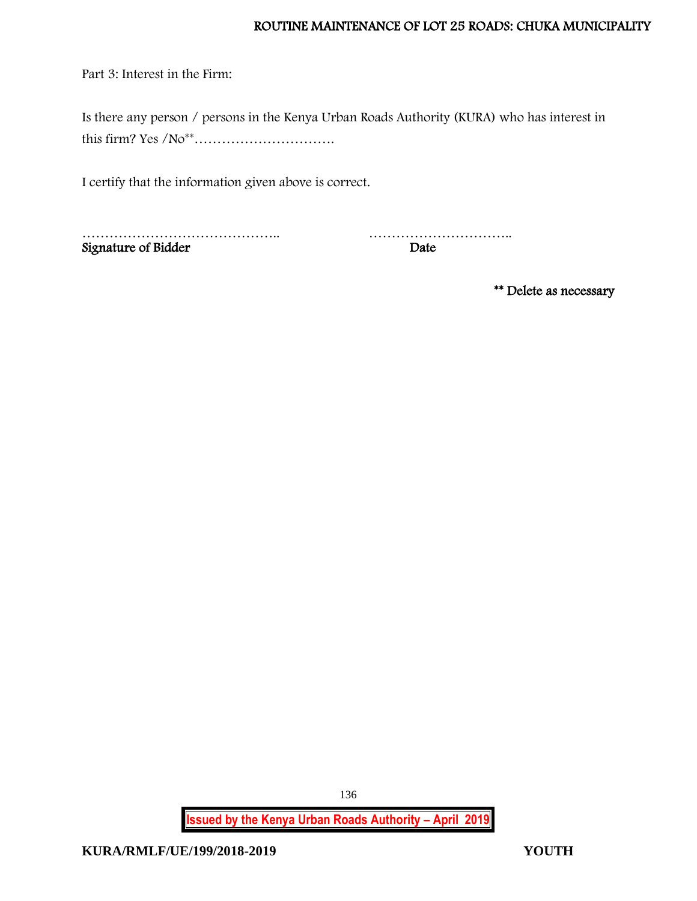Part 3: Interest in the Firm:

Is there any person / persons in the Kenya Urban Roads Authority (KURA) who has interest in this firm? Yes /No\*\*………………………….

I certify that the information given above is correct.

…………………………………….. ………………………….. Signature of Bidder

\*\* Delete as necessary

**Issued by the Kenya Urban Roads Authority – April 2019**

136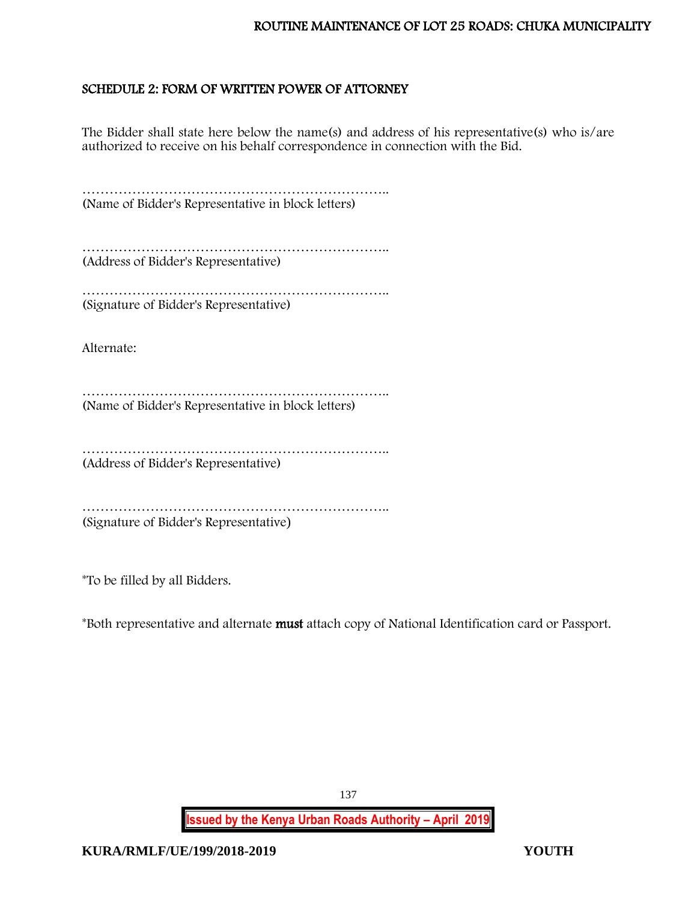# <span id="page-137-0"></span>SCHEDULE 2: FORM OF WRITTEN POWER OF ATTORNEY

The Bidder shall state here below the name(s) and address of his representative(s) who is/are authorized to receive on his behalf correspondence in connection with the Bid.

………………………………………………………….. (Name of Bidder's Representative in block letters)

………………………………………………………….. (Address of Bidder's Representative)

…………………………………………………………………………… (Signature of Bidder's Representative)

Alternate:

………………………………………………………….. (Name of Bidder's Representative in block letters)

………………………………………………………….. (Address of Bidder's Representative)

………………………………………………………….. (Signature of Bidder's Representative)

\*To be filled by all Bidders.

\*Both representative and alternate must attach copy of National Identification card or Passport.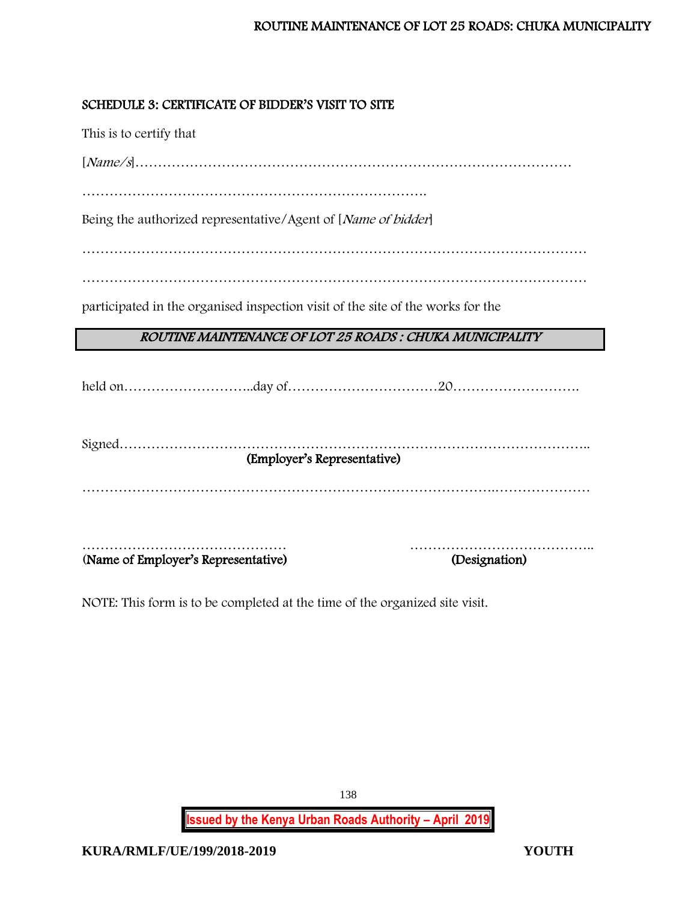# <span id="page-138-0"></span>SCHEDULE 3: CERTIFICATE OF BIDDER'S VISIT TO SITE

This is to certify that

[Name/s]……………………………………………………………………………………

………………………………………………………………….

Being the authorized representative/Agent of [Name of bidder]

…………………………………………………………………………………………………

…………………………………………………………………………………………………

participated in the organised inspection visit of the site of the works for the

# ROUTINE MAINTENANCE OF LOT 25 ROADS : CHUKA MUNICIPALITY

held on………………………..day of……………………………20……………………….

| (Employer's Representative) |
|-----------------------------|
|                             |
|                             |
|                             |
| (Designation)               |
|                             |

NOTE: This form is to be completed at the time of the organized site visit.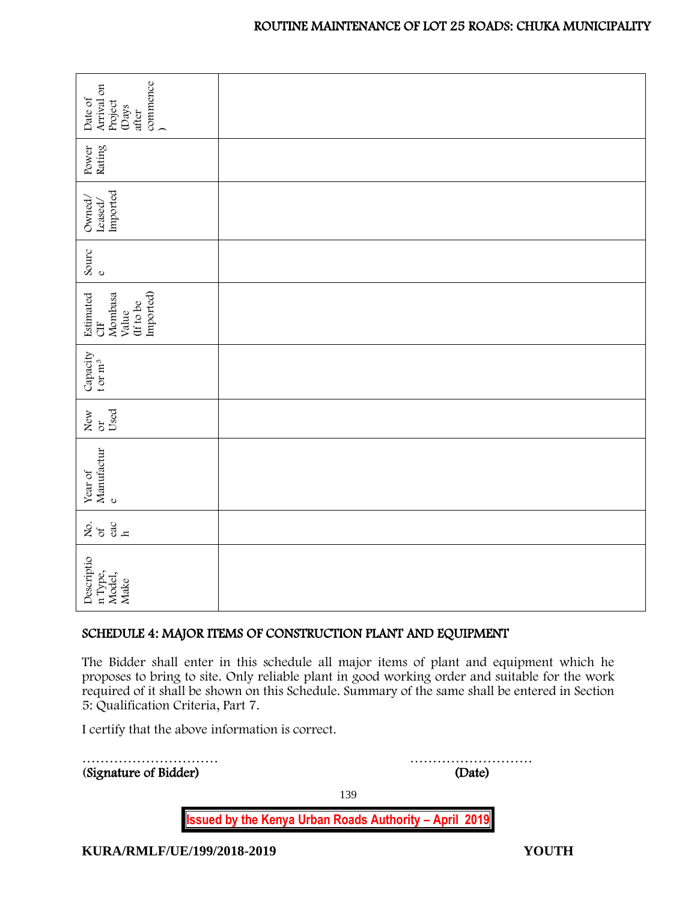| commence<br>)<br>Arrival on<br>Date of<br>Project<br>(Days<br>after                                                                                                                                                                                                                                                                |        |  |
|------------------------------------------------------------------------------------------------------------------------------------------------------------------------------------------------------------------------------------------------------------------------------------------------------------------------------------|--------|--|
| Rating<br>Power                                                                                                                                                                                                                                                                                                                    |        |  |
| Imported<br>Owned,<br>Leased/                                                                                                                                                                                                                                                                                                      |        |  |
| Sourc<br>$\mathbf 0$                                                                                                                                                                                                                                                                                                               |        |  |
| Imported)<br>Estimated<br>Mombasa<br>(If to be<br>Value<br><b>UE</b>                                                                                                                                                                                                                                                               |        |  |
| Capacity<br>t or $m^3$                                                                                                                                                                                                                                                                                                             |        |  |
| Used<br>New<br>ð                                                                                                                                                                                                                                                                                                                   |        |  |
| Manufactur<br>Year of<br>$\mathbf 0$                                                                                                                                                                                                                                                                                               |        |  |
| $rac{6a}{h}$<br>ર્ષ્ટ જ                                                                                                                                                                                                                                                                                                            |        |  |
| Descriptio<br>n Type,<br>Model,<br>Make                                                                                                                                                                                                                                                                                            |        |  |
| SCHEDULE 4: MAJOR ITEMS OF CONSTRUCTION PLANT AND EQUIPMENT                                                                                                                                                                                                                                                                        |        |  |
| The Bidder shall enter in this schedule all major items of plant and equipment which he<br>proposes to bring to site. Only reliable plant in good working order and suitable for the work<br>required of it shall be shown on this Schedule. Summary of the same shall be entered in Section<br>5: Qualification Criteria, Part 7. |        |  |
| I certify that the above information is correct.                                                                                                                                                                                                                                                                                   |        |  |
| (Signature of Bidder)                                                                                                                                                                                                                                                                                                              | (Date) |  |

# <span id="page-139-0"></span>SCHEDULE 4: MAJOR ITEMS OF CONSTRUCTION PLANT AND EQUIPMENT

| (Signature of Bidder)                                         | (Date) |
|---------------------------------------------------------------|--------|
|                                                               | 139    |
| <b>Issued by the Kenya Urban Roads Authority - April 2019</b> |        |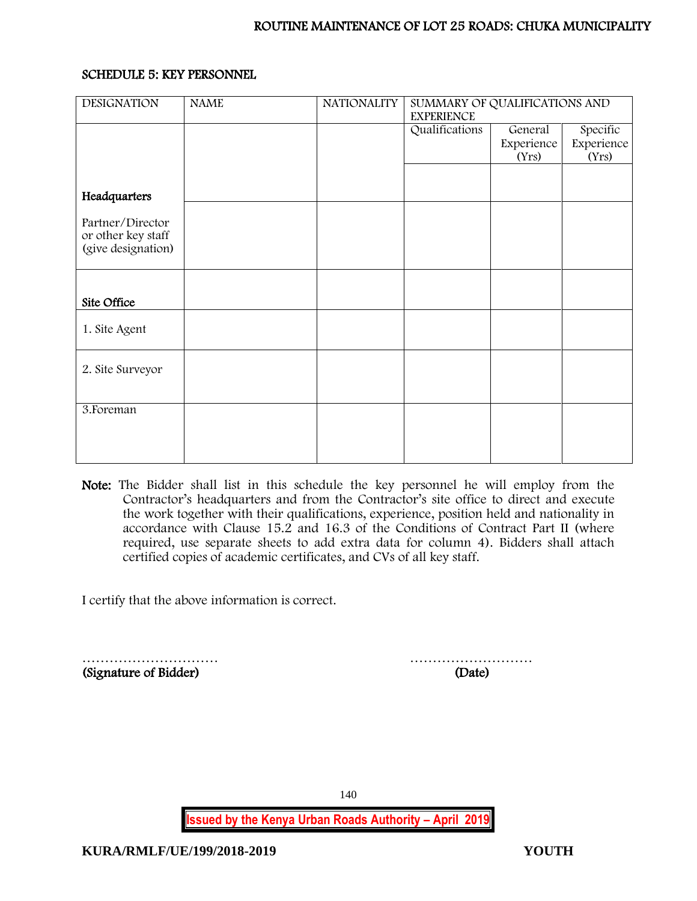# <span id="page-140-0"></span>SCHEDULE 5: KEY PERSONNEL

| <b>DESIGNATION</b>                                           | <b>NAME</b> | <b>NATIONALITY</b> | SUMMARY OF QUALIFICATIONS AND       |                     |                     |
|--------------------------------------------------------------|-------------|--------------------|-------------------------------------|---------------------|---------------------|
|                                                              |             |                    | <b>EXPERIENCE</b><br>Qualifications | General             | Specific            |
|                                                              |             |                    |                                     | Experience<br>(Yrs) | Experience<br>(Yrs) |
|                                                              |             |                    |                                     |                     |                     |
| Headquarters                                                 |             |                    |                                     |                     |                     |
| Partner/Director<br>or other key staff<br>(give designation) |             |                    |                                     |                     |                     |
|                                                              |             |                    |                                     |                     |                     |
| Site Office                                                  |             |                    |                                     |                     |                     |
| 1. Site Agent                                                |             |                    |                                     |                     |                     |
| 2. Site Surveyor                                             |             |                    |                                     |                     |                     |
| 3. Foreman                                                   |             |                    |                                     |                     |                     |
|                                                              |             |                    |                                     |                     |                     |
|                                                              |             |                    |                                     |                     |                     |

Note: The Bidder shall list in this schedule the key personnel he will employ from the Contractor's headquarters and from the Contractor's site office to direct and execute the work together with their qualifications, experience, position held and nationality in accordance with Clause 15.2 and 16.3 of the Conditions of Contract Part II (where required, use separate sheets to add extra data for column 4). Bidders shall attach certified copies of academic certificates, and CVs of all key staff.

I certify that the above information is correct.

(Signature of Bidder) (Date)

………………………… ………………………

140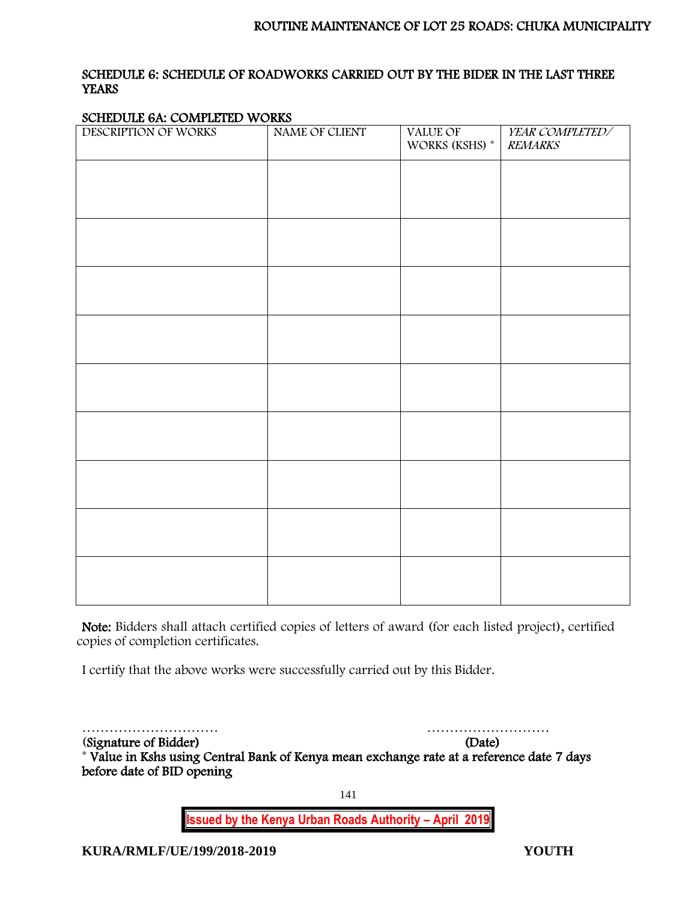# <span id="page-141-0"></span>SCHEDULE 6: SCHEDULE OF ROADWORKS CARRIED OUT BY THE BIDER IN THE LAST THREE **YEARS**

#### SCHEDULE 6A: COMPLETED WORKS

| DESCRIPTION OF WORKS | NAME OF CLIENT | VALUE OF<br>WORKS (KSHS) * | YEAR COMPLETED/<br><b>REMARKS</b> |
|----------------------|----------------|----------------------------|-----------------------------------|
|                      |                |                            |                                   |
|                      |                |                            |                                   |
|                      |                |                            |                                   |
|                      |                |                            |                                   |
|                      |                |                            |                                   |
|                      |                |                            |                                   |
|                      |                |                            |                                   |
|                      |                |                            |                                   |
|                      |                |                            |                                   |
|                      |                |                            |                                   |
|                      |                |                            |                                   |
|                      |                |                            |                                   |
|                      |                |                            |                                   |
|                      |                |                            |                                   |
|                      |                |                            |                                   |
|                      |                |                            |                                   |
|                      |                |                            |                                   |
|                      |                |                            |                                   |
|                      |                |                            |                                   |

Note: Bidders shall attach certified copies of letters of award (for each listed project), certified copies of completion certificates.

I certify that the above works were successfully carried out by this Bidder.

………………………… ……………………… (Signature of Bidder) (Date) \* Value in Kshs using Central Bank of Kenya mean exchange rate at a reference date 7 days before date of BID opening

141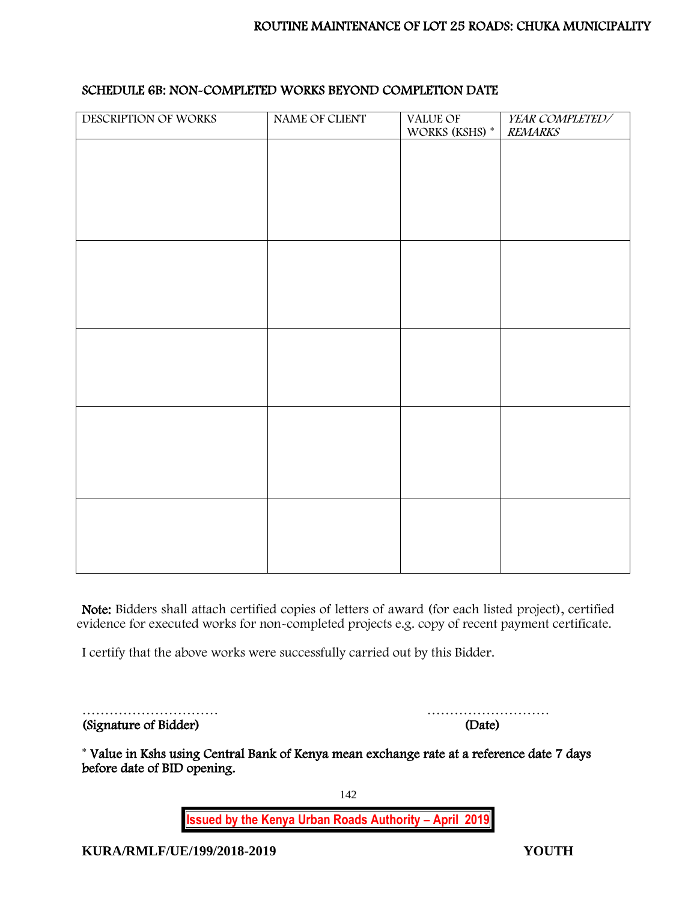| DESCRIPTION OF WORKS | NAME OF CLIENT | VALUE OF             | YEAR COMPLETED/ |
|----------------------|----------------|----------------------|-----------------|
|                      |                | WORKS (KSHS) $^\ast$ | <b>REMARKS</b>  |
|                      |                |                      |                 |
|                      |                |                      |                 |
|                      |                |                      |                 |
|                      |                |                      |                 |
|                      |                |                      |                 |
|                      |                |                      |                 |
|                      |                |                      |                 |
|                      |                |                      |                 |
|                      |                |                      |                 |
|                      |                |                      |                 |
|                      |                |                      |                 |
|                      |                |                      |                 |
|                      |                |                      |                 |
|                      |                |                      |                 |
|                      |                |                      |                 |
|                      |                |                      |                 |
|                      |                |                      |                 |
|                      |                |                      |                 |
|                      |                |                      |                 |
|                      |                |                      |                 |
|                      |                |                      |                 |
|                      |                |                      |                 |
|                      |                |                      |                 |
|                      |                |                      |                 |
|                      |                |                      |                 |
|                      |                |                      |                 |
|                      |                |                      |                 |
|                      |                |                      |                 |

# SCHEDULE 6B: NON-COMPLETED WORKS BEYOND COMPLETION DATE

Note: Bidders shall attach certified copies of letters of award (for each listed project), certified evidence for executed works for non-completed projects e.g. copy of recent payment certificate.

I certify that the above works were successfully carried out by this Bidder.

|                       | .      |
|-----------------------|--------|
| (Signature of Bidder) | (Date) |

………………………… ………………………

\* Value in Kshs using Central Bank of Kenya mean exchange rate at a reference date 7 days before date of BID opening.

142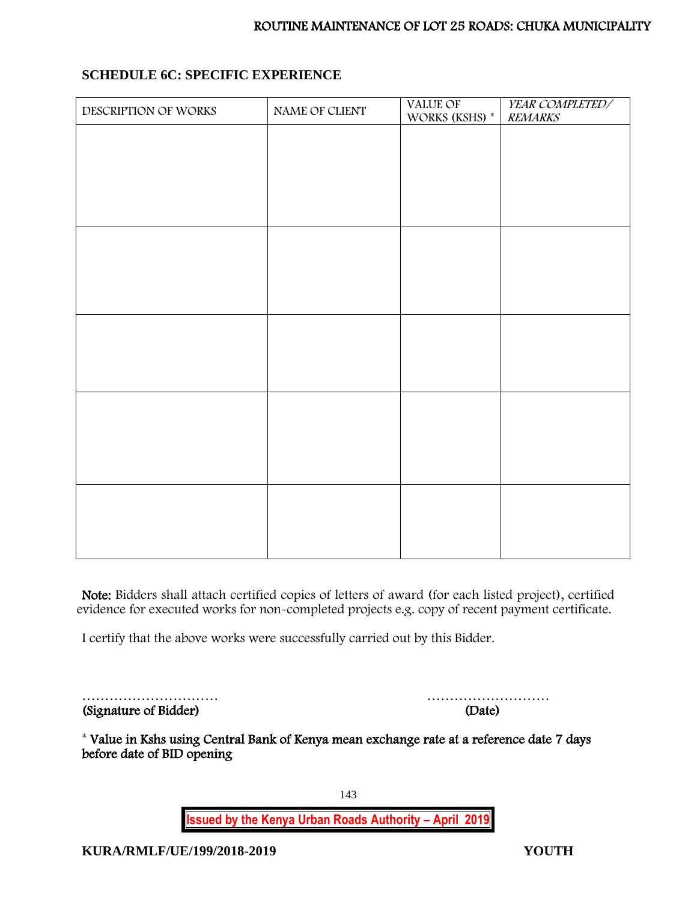# **SCHEDULE 6C: SPECIFIC EXPERIENCE**

| DESCRIPTION OF WORKS | NAME OF CLIENT | VALUE OF<br>WORKS (KSHS) * | YEAR COMPLETED/<br><b>REMARKS</b> |
|----------------------|----------------|----------------------------|-----------------------------------|
|                      |                |                            |                                   |
|                      |                |                            |                                   |
|                      |                |                            |                                   |
|                      |                |                            |                                   |
|                      |                |                            |                                   |
|                      |                |                            |                                   |
|                      |                |                            |                                   |
|                      |                |                            |                                   |
|                      |                |                            |                                   |
|                      |                |                            |                                   |
|                      |                |                            |                                   |
|                      |                |                            |                                   |
|                      |                |                            |                                   |
|                      |                |                            |                                   |
|                      |                |                            |                                   |
|                      |                |                            |                                   |

Note: Bidders shall attach certified copies of letters of award (for each listed project), certified evidence for executed works for non-completed projects e.g. copy of recent payment certificate.

I certify that the above works were successfully carried out by this Bidder.

|                       | .      |
|-----------------------|--------|
| (Signature of Bidder) | (Date) |

| (Sionature of Bidder) | (Date) |
|-----------------------|--------|

\* Value in Kshs using Central Bank of Kenya mean exchange rate at a reference date 7 days before date of BID opening

143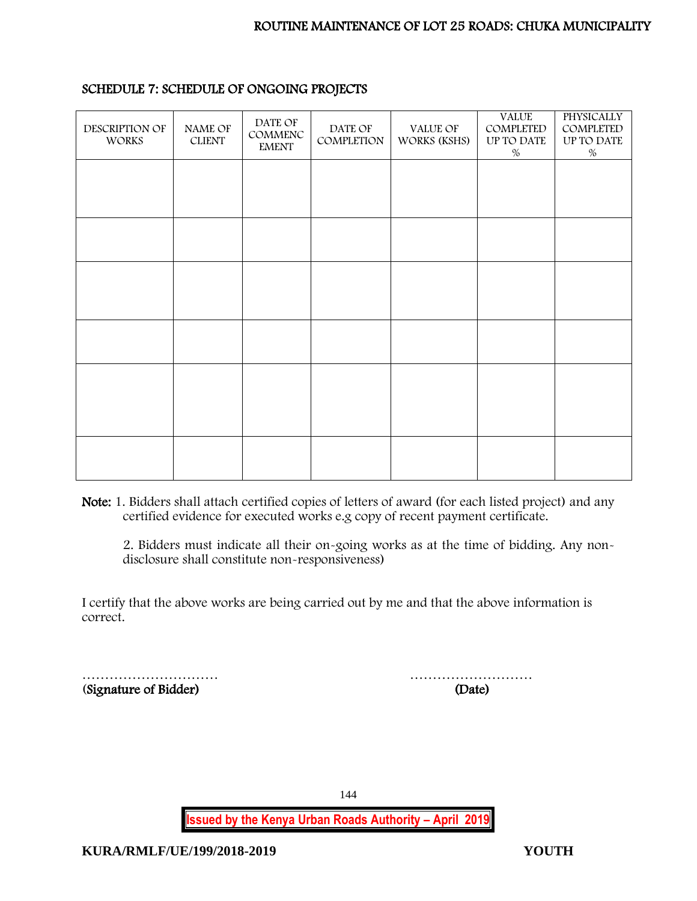| DESCRIPTION OF<br><b>WORKS</b> | NAME OF<br><b>CLIENT</b> | DATE OF<br>COMMENC<br><b>EMENT</b> | DATE OF<br>COMPLETION | VALUE OF<br>WORKS (KSHS) | <b>VALUE</b><br>COMPLETED<br>UP TO DATE<br>$\%$ | PHYSICALLY<br>COMPLETED<br>UP TO DATE<br>$\%$ |
|--------------------------------|--------------------------|------------------------------------|-----------------------|--------------------------|-------------------------------------------------|-----------------------------------------------|
|                                |                          |                                    |                       |                          |                                                 |                                               |
|                                |                          |                                    |                       |                          |                                                 |                                               |
|                                |                          |                                    |                       |                          |                                                 |                                               |
|                                |                          |                                    |                       |                          |                                                 |                                               |
|                                |                          |                                    |                       |                          |                                                 |                                               |
|                                |                          |                                    |                       |                          |                                                 |                                               |
|                                |                          |                                    |                       |                          |                                                 |                                               |
|                                |                          |                                    |                       |                          |                                                 |                                               |
|                                |                          |                                    |                       |                          |                                                 |                                               |
|                                |                          |                                    |                       |                          |                                                 |                                               |
|                                |                          |                                    |                       |                          |                                                 |                                               |
|                                |                          |                                    |                       |                          |                                                 |                                               |
|                                |                          |                                    |                       |                          |                                                 |                                               |
|                                |                          |                                    |                       |                          |                                                 |                                               |

#### SCHEDULE 7: SCHEDULE OF ONGOING PROJECTS

Note: 1. Bidders shall attach certified copies of letters of award (for each listed project) and any certified evidence for executed works e.g copy of recent payment certificate.

2. Bidders must indicate all their on-going works as at the time of bidding. Any nondisclosure shall constitute non-responsiveness)

I certify that the above works are being carried out by me and that the above information is correct.

(Signature of Bidder)

<u>ignature</u> of Bidder) (Date)

144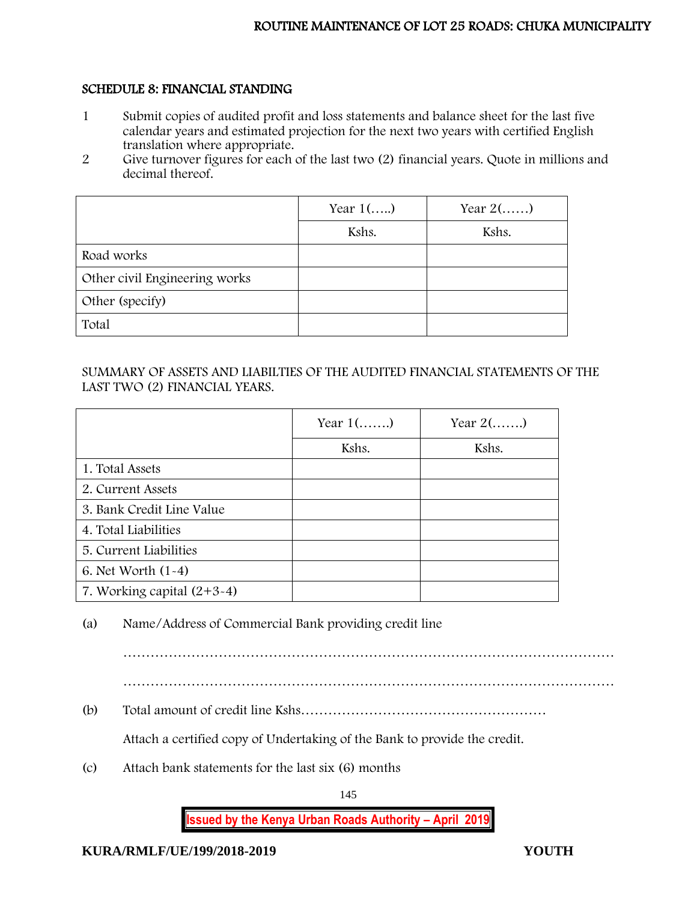## SCHEDULE 8: FINANCIAL STANDING

- 1 Submit copies of audited profit and loss statements and balance sheet for the last five calendar years and estimated projection for the next two years with certified English translation where appropriate.
- 2 Give turnover figures for each of the last two (2) financial years. Quote in millions and decimal thereof.

|                               | Year $1$ () | Year $2(\ldots)$ |
|-------------------------------|-------------|------------------|
|                               | Kshs.       | Kshs.            |
| Road works                    |             |                  |
| Other civil Engineering works |             |                  |
| Other (specify)               |             |                  |
| Total                         |             |                  |

# SUMMARY OF ASSETS AND LIABILTIES OF THE AUDITED FINANCIAL STATEMENTS OF THE LAST TWO (2) FINANCIAL YEARS.

|                              | Year $1$ () | Year $2(\dots)$ |
|------------------------------|-------------|-----------------|
|                              | Kshs.       | Kshs.           |
| 1. Total Assets              |             |                 |
| 2. Current Assets            |             |                 |
| 3. Bank Credit Line Value    |             |                 |
| 4. Total Liabilities         |             |                 |
| 5. Current Liabilities       |             |                 |
| 6. Net Worth $(1-4)$         |             |                 |
| 7. Working capital $(2+3-4)$ |             |                 |

# (a) Name/Address of Commercial Bank providing credit line

………………………………………………………………………………………………

(b) Total amount of credit line Kshs………………………………………………

Attach a certified copy of Undertaking of the Bank to provide the credit.

(c) Attach bank statements for the last six (6) months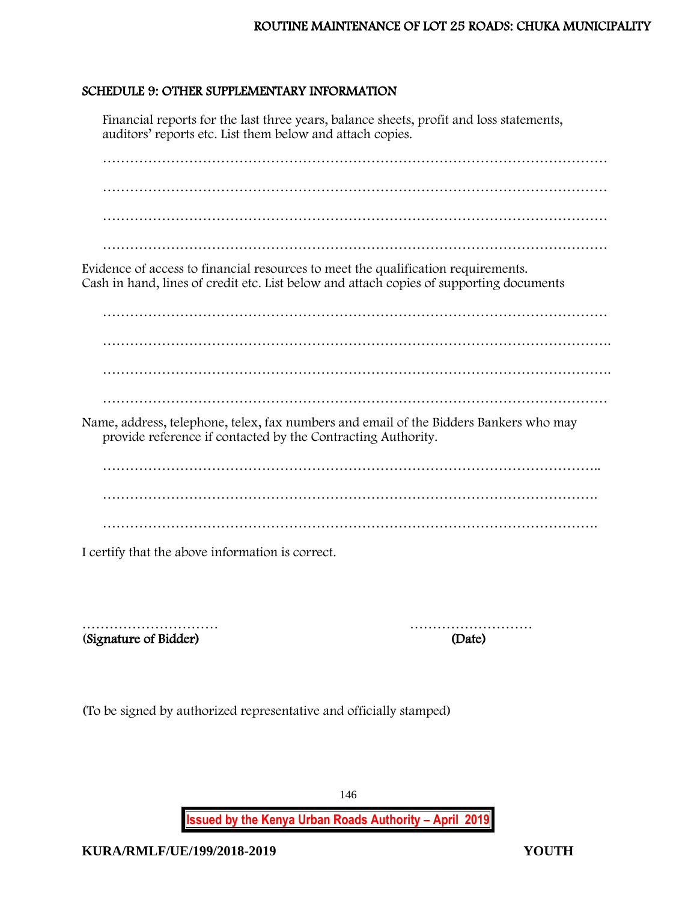# SCHEDULE 9: OTHER SUPPLEMENTARY INFORMATION

Financial reports for the last three years, balance sheets, profit and loss statements, auditors' reports etc. List them below and attach copies.

………………………………………………………………………………………………… ………………………………………………………………………………………………… …………………………………………………………………………………………………

Evidence of access to financial resources to meet the qualification requirements. Cash in hand, lines of credit etc. List below and attach copies of supporting documents

………………………………………………………………………………………………… …………………………………………………………………………………………………. …………………………………………………………………………………………………. …………………………………………………………………………………………………

Name, address, telephone, telex, fax numbers and email of the Bidders Bankers who may provide reference if contacted by the Contracting Authority.

……………………………………………………………………………………………….. ……………………………………………………………………………………………….

I certify that the above information is correct.

(Signature of Bidder) (Date)

………………………… ………………………

(To be signed by authorized representative and officially stamped)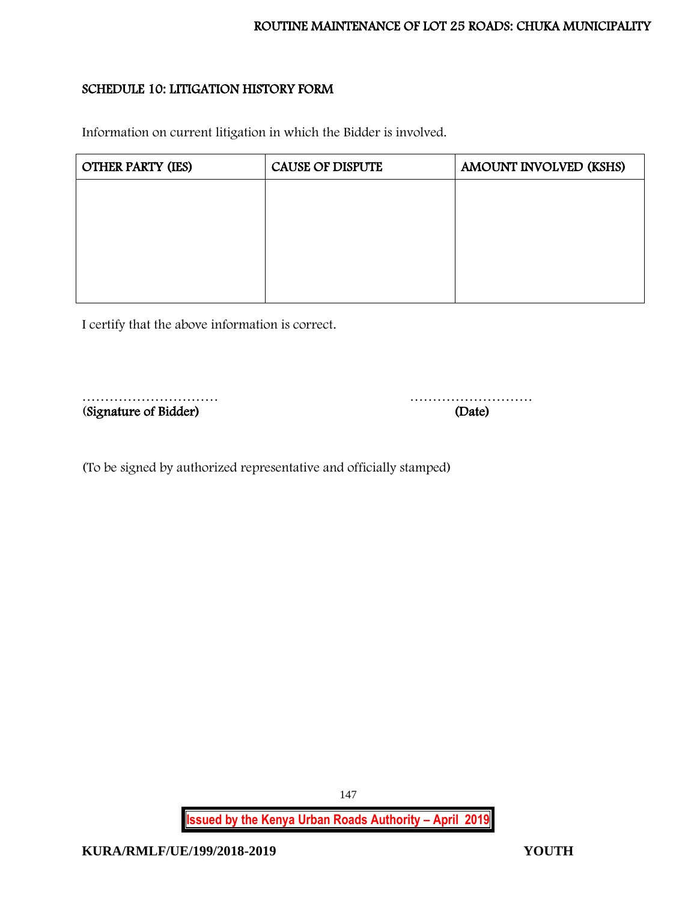# SCHEDULE 10: LITIGATION HISTORY FORM

Information on current litigation in which the Bidder is involved.

| <b>OTHER PARTY (IES)</b> | <b>CAUSE OF DISPUTE</b> | AMOUNT INVOLVED (KSHS) |
|--------------------------|-------------------------|------------------------|
|                          |                         |                        |
|                          |                         |                        |
|                          |                         |                        |
|                          |                         |                        |
|                          |                         |                        |

I certify that the above information is correct.

(Signature of Bidder) (Date)

………………………… ………………………

(To be signed by authorized representative and officially stamped)

**Issued by the Kenya Urban Roads Authority – April 2019**

147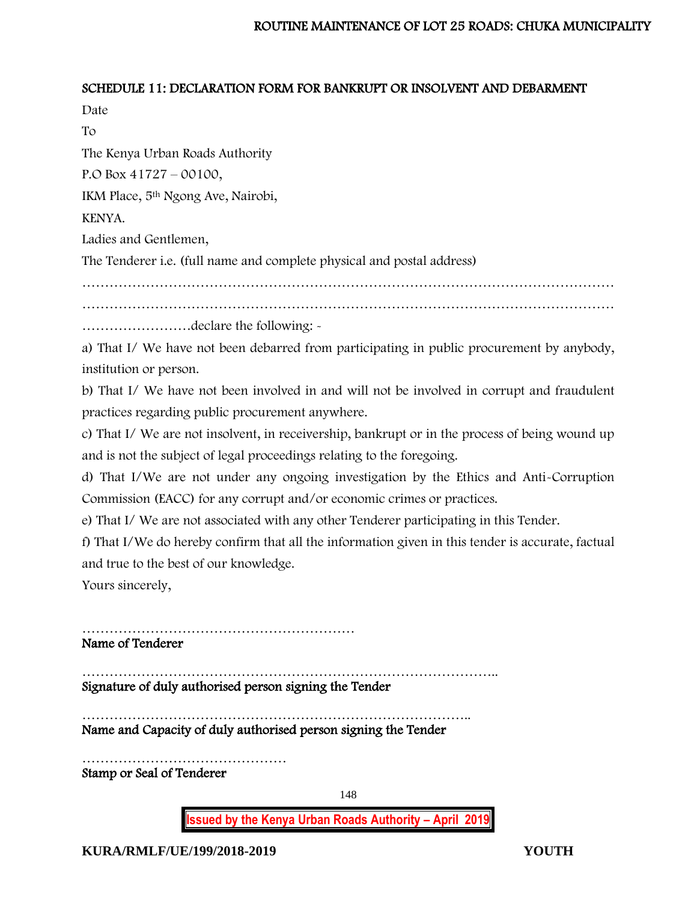## SCHEDULE 11: DECLARATION FORM FOR BANKRUPT OR INSOLVENT AND DEBARMENT

Date To

The Kenya Urban Roads Authority

P.O Box 41727 – 00100,

IKM Place, 5th Ngong Ave, Nairobi,

KENYA.

Ladies and Gentlemen,

The Tenderer i.e. (full name and complete physical and postal address)

………………………………………………………………………………………………………

………………………………………………………………………………………………………

……………………declare the following: -

a) That I/ We have not been debarred from participating in public procurement by anybody, institution or person.

b) That I/ We have not been involved in and will not be involved in corrupt and fraudulent practices regarding public procurement anywhere.

c) That I/ We are not insolvent, in receivership, bankrupt or in the process of being wound up and is not the subject of legal proceedings relating to the foregoing.

d) That I/We are not under any ongoing investigation by the Ethics and Anti-Corruption Commission (EACC) for any corrupt and/or economic crimes or practices.

e) That I/ We are not associated with any other Tenderer participating in this Tender.

f) That I/We do hereby confirm that all the information given in this tender is accurate, factual and true to the best of our knowledge.

Yours sincerely,

…………………………………………………… Name of Tenderer

……………………………………………………………………………….. Signature of duly authorised person signing the Tender

………………………………………………………………………….. Name and Capacity of duly authorised person signing the Tender

……………………………………… Stamp or Seal of Tenderer

148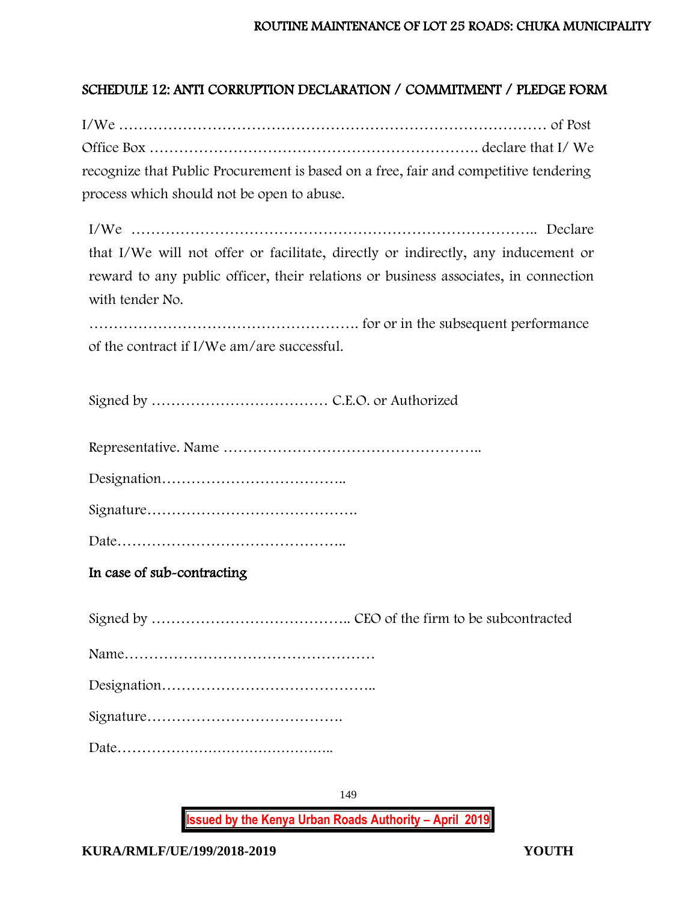# SCHEDULE 12: ANTI CORRUPTION DECLARATION / COMMITMENT / PLEDGE FORM

I/We …………………………………………………………………………… of Post Office Box …………………………………………………………. declare that I/ We recognize that Public Procurement is based on a free, fair and competitive tendering process which should not be open to abuse.

I/We ……………………………………………………………………….. Declare that I/We will not offer or facilitate, directly or indirectly, any inducement or reward to any public officer, their relations or business associates, in connection with tender No.

………………………………………………. for or in the subsequent performance of the contract if I/We am/are successful.

Signed by ……………………………… C.E.O. or Authorized

Representative. Name ……………………………………………..

Designation………………………………..

Signature…………………………………….

Date………………………………………..

In case of sub-contracting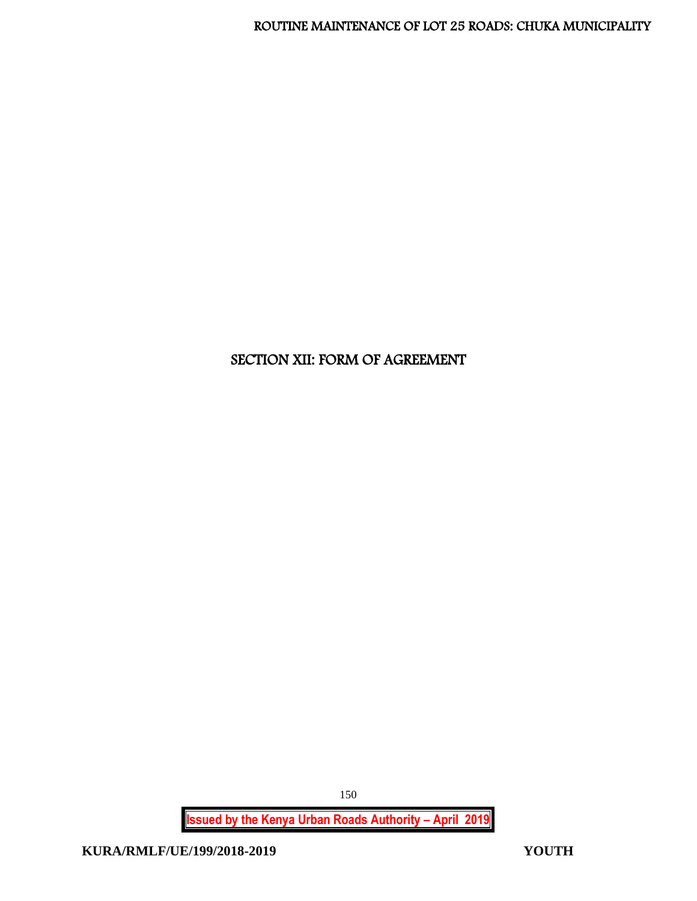# SECTION XII: FORM OF AGREEMENT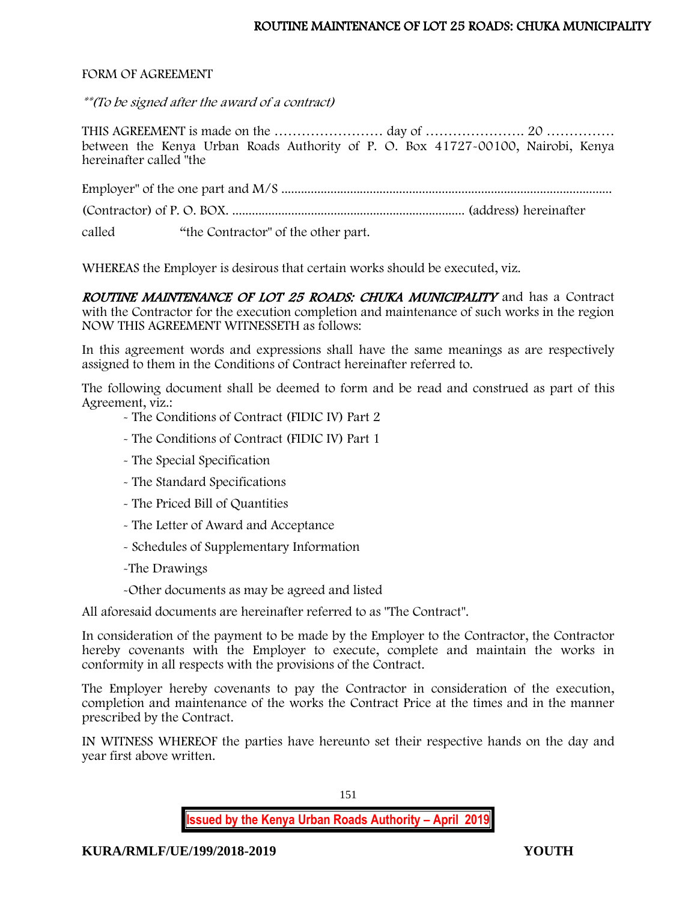#### FORM OF AGREEMENT

\*\*(To be signed after the award of a contract)

THIS AGREEMENT is made on the …………………… day of …………………. 20 …………… between the Kenya Urban Roads Authority of P. O. Box 41727-00100, Nairobi, Kenya hereinafter called "the

Employer" of the one part and M/S .....................................................................................................

(Contractor) of P. O. BOX. ....................................................................... (address) hereinafter

called "the Contractor" of the other part.

WHEREAS the Employer is desirous that certain works should be executed, viz.

ROUTINE MAINTENANCE OF LOT 25 ROADS: CHUKA MUNICIPALITY and has a Contract with the Contractor for the execution completion and maintenance of such works in the region NOW THIS AGREEMENT WITNESSETH as follows:

In this agreement words and expressions shall have the same meanings as are respectively assigned to them in the Conditions of Contract hereinafter referred to.

The following document shall be deemed to form and be read and construed as part of this Agreement, viz.:

- The Conditions of Contract (FIDIC IV) Part 2

- The Conditions of Contract (FIDIC IV) Part 1
- The Special Specification
- The Standard Specifications
- The Priced Bill of Quantities
- The Letter of Award and Acceptance
- Schedules of Supplementary Information
- -The Drawings
- -Other documents as may be agreed and listed

All aforesaid documents are hereinafter referred to as "The Contract".

In consideration of the payment to be made by the Employer to the Contractor, the Contractor hereby covenants with the Employer to execute, complete and maintain the works in conformity in all respects with the provisions of the Contract.

The Employer hereby covenants to pay the Contractor in consideration of the execution, completion and maintenance of the works the Contract Price at the times and in the manner prescribed by the Contract.

IN WITNESS WHEREOF the parties have hereunto set their respective hands on the day and year first above written.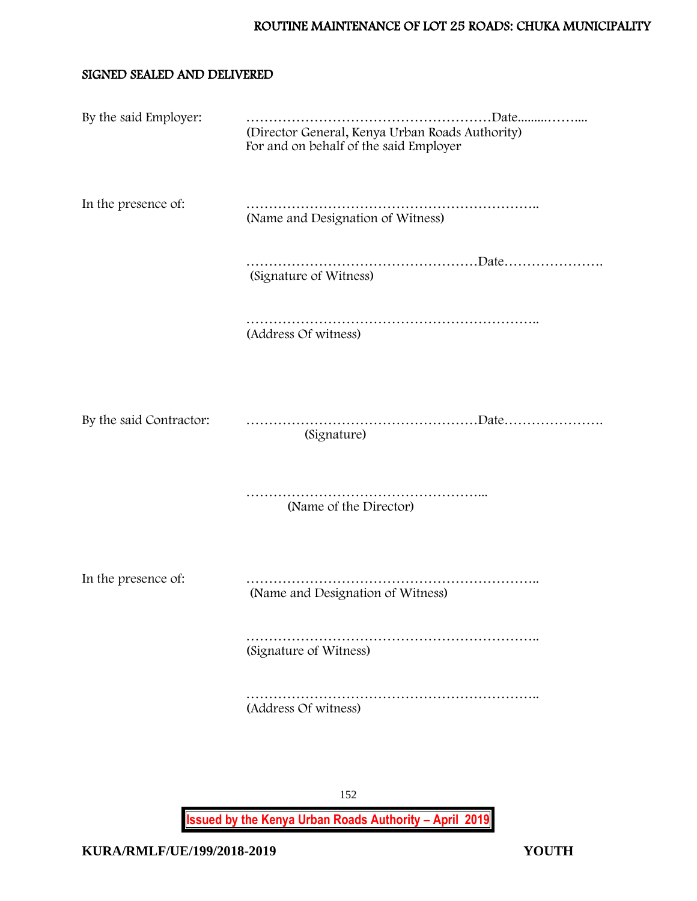#### SIGNED SEALED AND DELIVERED

| By the said Employer:   | (Director General, Kenya Urban Roads Authority)<br>For and on behalf of the said Employer |
|-------------------------|-------------------------------------------------------------------------------------------|
| In the presence of:     | . <b>.</b> .<br>(Name and Designation of Witness)                                         |
|                         | (Signature of Witness)                                                                    |
|                         | (Address Of witness)                                                                      |
|                         |                                                                                           |
| By the said Contractor: | (Signature)                                                                               |
|                         | (Name of the Director)                                                                    |
|                         |                                                                                           |
| In the presence of:     | (Name and Designation of Witness)                                                         |
|                         | (Signature of Witness)                                                                    |
|                         | (Address Of witness)                                                                      |
|                         |                                                                                           |
|                         |                                                                                           |
|                         | 152                                                                                       |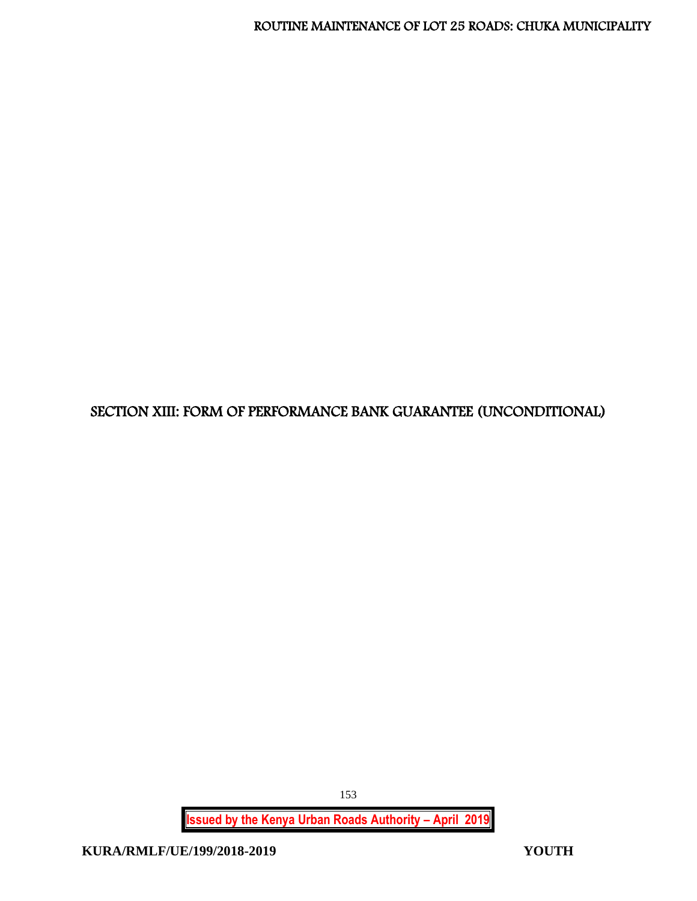# SECTION XIII: FORM OF PERFORMANCE BANK GUARANTEE (UNCONDITIONAL)

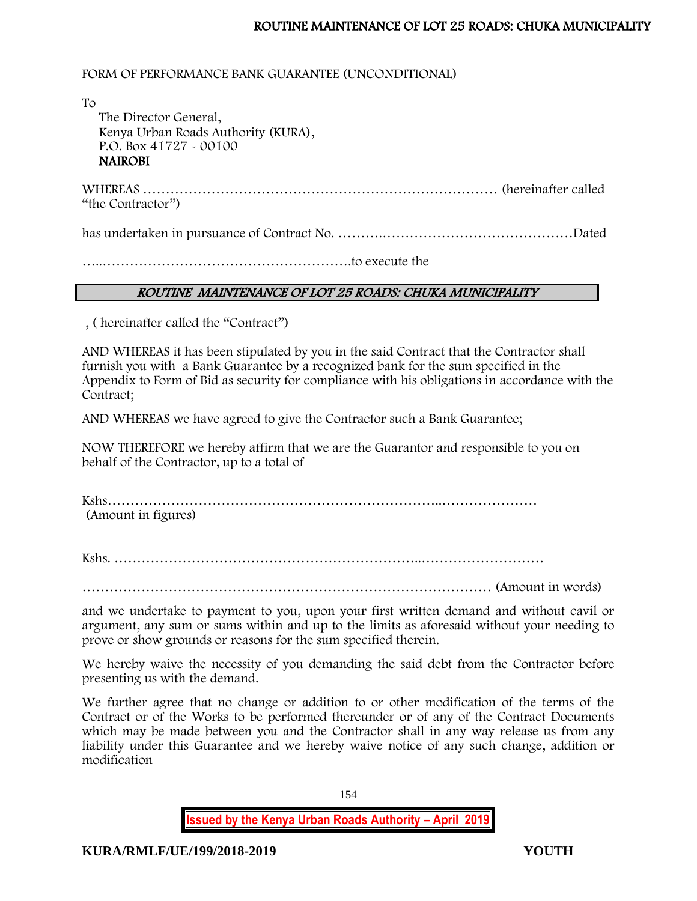### FORM OF PERFORMANCE BANK GUARANTEE (UNCONDITIONAL)

To The Director General, Kenya Urban Roads Authority (KURA), P.O. Box 41727 - 00100 **NAIROBI** 

WHEREAS …………………………………………………………………… (hereinafter called "the Contractor")

has undertaken in pursuance of Contract No. ……….……………………………………Dated

…..……………………………………………….to execute the

#### ROUTINE MAINTENANCE OF LOT 25 ROADS: CHUKA MUNICIPALITY

, ( hereinafter called the "Contract")

AND WHEREAS it has been stipulated by you in the said Contract that the Contractor shall furnish you with a Bank Guarantee by a recognized bank for the sum specified in the Appendix to Form of Bid as security for compliance with his obligations in accordance with the Contract;

AND WHEREAS we have agreed to give the Contractor such a Bank Guarantee;

NOW THEREFORE we hereby affirm that we are the Guarantor and responsible to you on behalf of the Contractor, up to a total of

Kshs………………………………………………………………..………………… (Amount in figures)

Kshs. …………………………………………………………..………………………

……………………………………………………………………………… (Amount in words)

and we undertake to payment to you, upon your first written demand and without cavil or argument, any sum or sums within and up to the limits as aforesaid without your needing to prove or show grounds or reasons for the sum specified therein.

We hereby waive the necessity of you demanding the said debt from the Contractor before presenting us with the demand.

We further agree that no change or addition to or other modification of the terms of the Contract or of the Works to be performed thereunder or of any of the Contract Documents which may be made between you and the Contractor shall in any way release us from any liability under this Guarantee and we hereby waive notice of any such change, addition or modification

154